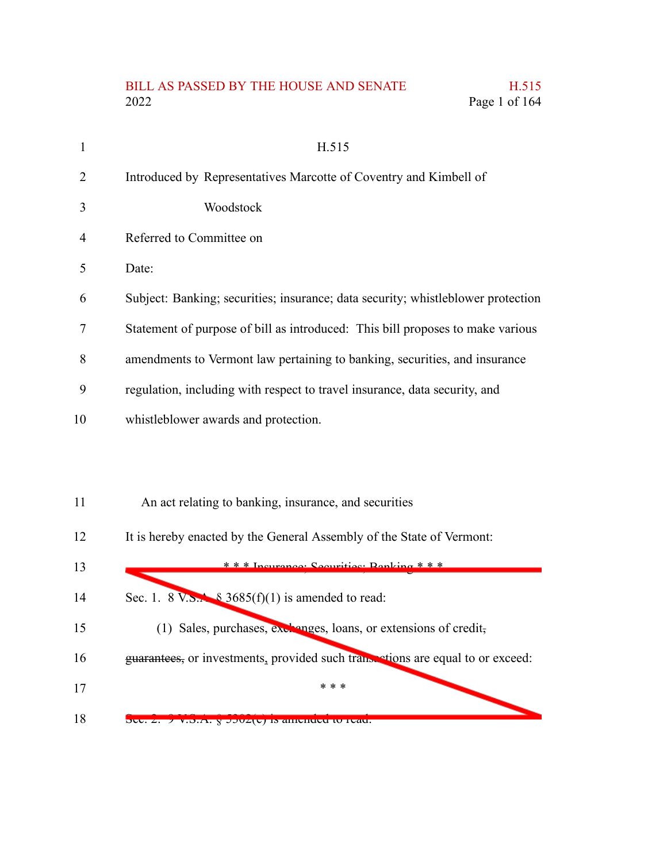## BILL AS PASSED BY THE HOUSE AND SENATE H.515 2022 Page 1 of 164

| 1  | H.515                                                                            |
|----|----------------------------------------------------------------------------------|
| 2  | Introduced by Representatives Marcotte of Coventry and Kimbell of                |
| 3  | Woodstock                                                                        |
| 4  | Referred to Committee on                                                         |
| 5  | Date:                                                                            |
| 6  | Subject: Banking; securities; insurance; data security; whistleblower protection |
| 7  | Statement of purpose of bill as introduced: This bill proposes to make various   |
| 8  | amendments to Vermont law pertaining to banking, securities, and insurance       |
| 9  | regulation, including with respect to travel insurance, data security, and       |
| 10 | whistleblower awards and protection.                                             |
|    |                                                                                  |
|    |                                                                                  |
| 11 | An act relating to banking, insurance, and securities                            |

It is hereby enacted by the General Assembly of the State of Vermont: 12

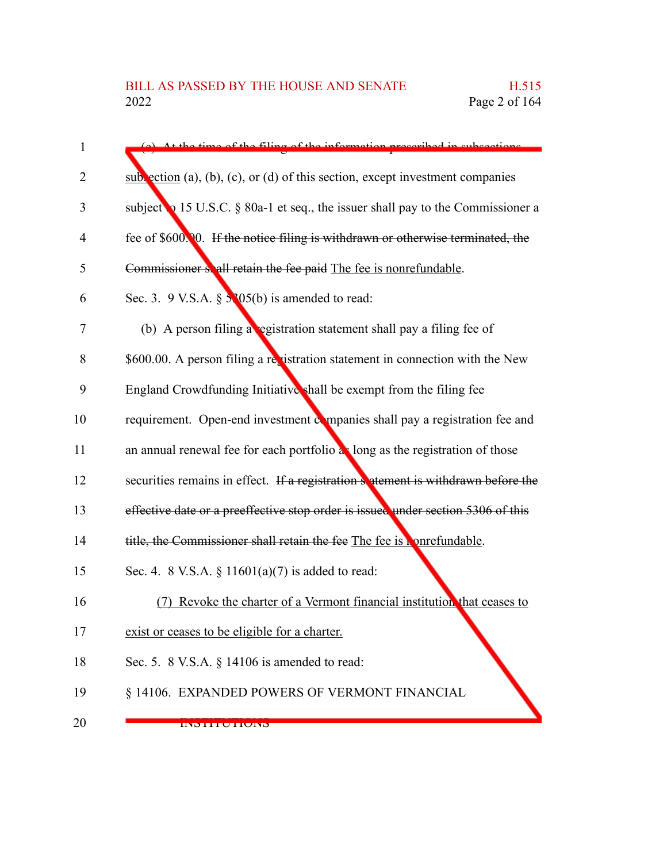| $\mathbf{1}$ | (a) At the time of the filing of the information prescribed in subsections              |
|--------------|-----------------------------------------------------------------------------------------|
| 2            | $sub$ ection (a), (b), (c), or (d) of this section, except investment companies         |
| 3            | subject $\bullet$ 15 U.S.C. § 80a-1 et seq., the issuer shall pay to the Commissioner a |
| 4            | fee of \$600.00. If the notice filing is withdrawn or otherwise terminated, the         |
| 5            | Commissioner shall retain the fee paid The fee is nonrefundable.                        |
| 6            | Sec. 3. 9 V.S.A. $\S$ 5.305(b) is amended to read:                                      |
| 7            | (b) A person filing a egistration statement shall pay a filing fee of                   |
| 8            | \$600.00. A person filing a registration statement in connection with the New           |
| 9            | England Crowdfunding Initiative shall be exempt from the filing fee                     |
| 10           | requirement. Open-end investment companies shall pay a registration fee and             |
| 11           | an annual renewal fee for each portfolio as long as the registration of those           |
| 12           | securities remains in effect. If a registration setement is withdrawn before the        |
| 13           | effective date or a preeffective stop order is issued under section 5306 of this        |
| 14           | title, the Commissioner shall retain the fee The fee is <b>Nontemanable</b> .           |
| 15           | Sec. 4. 8 V.S.A. § 11601(a)(7) is added to read:                                        |
| 16           | Revoke the charter of a Vermont financial institution that ceases to                    |
| 17           | exist or ceases to be eligible for a charter.                                           |
| 18           | Sec. 5. 8 V.S.A. $\S$ 14106 is amended to read:                                         |
| 19           | § 14106. EXPANDED POWERS OF VERMONT FINANCIAL                                           |
| 20           | <b>UNDITUTIUND</b>                                                                      |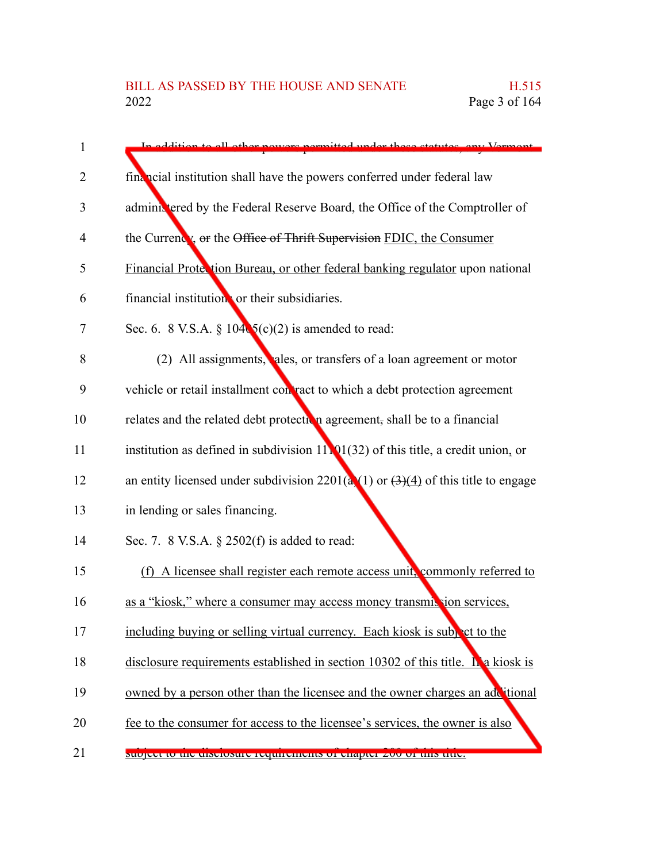| 1  | In addition to all other newsers nermitted under these statutes, any Vermont.         |
|----|---------------------------------------------------------------------------------------|
| 2  | financial institution shall have the powers conferred under federal law               |
| 3  | administered by the Federal Reserve Board, the Office of the Comptroller of           |
| 4  | the Currency, or the Office of Thrift Supervision FDIC, the Consumer                  |
| 5  | Financial Protection Bureau, or other federal banking regulator upon national         |
| 6  | financial institution or their subsidiaries.                                          |
| 7  | Sec. 6. 8 V.S.A. § $104\sqrt{5}$ (c)(2) is amended to read:                           |
| 8  | (2) All assignments, ales, or transfers of a loan agreement or motor                  |
| 9  | vehicle or retail installment con ract to which a debt protection agreement           |
| 10 | relates and the related debt protection agreement, shall be to a financial            |
| 11 | institution as defined in subdivision $11.01(32)$ of this title, a credit union, or   |
| 12 | an entity licensed under subdivision $2201(a)(1)$ or $(3)(4)$ of this title to engage |
| 13 | in lending or sales financing.                                                        |
| 14 | Sec. 7. 8 V.S.A. $\S$ 2502(f) is added to read:                                       |
| 15 | (f) A licensee shall register each remote access unit, commonly referred to           |
| 16 | as a "kiosk," where a consumer may access money transmic vion services,               |
| 17 | including buying or selling virtual currency. Each kiosk is subport to the            |
| 18 | disclosure requirements established in section $10302$ of this title. In a kiosk is   |
| 19 | owned by a person other than the licensee and the owner charges an additional         |
| 20 | fee to the consumer for access to the licensee's services, the owner is also          |
| 21 | support to the disclosure requirements or enapter zoo or this title.                  |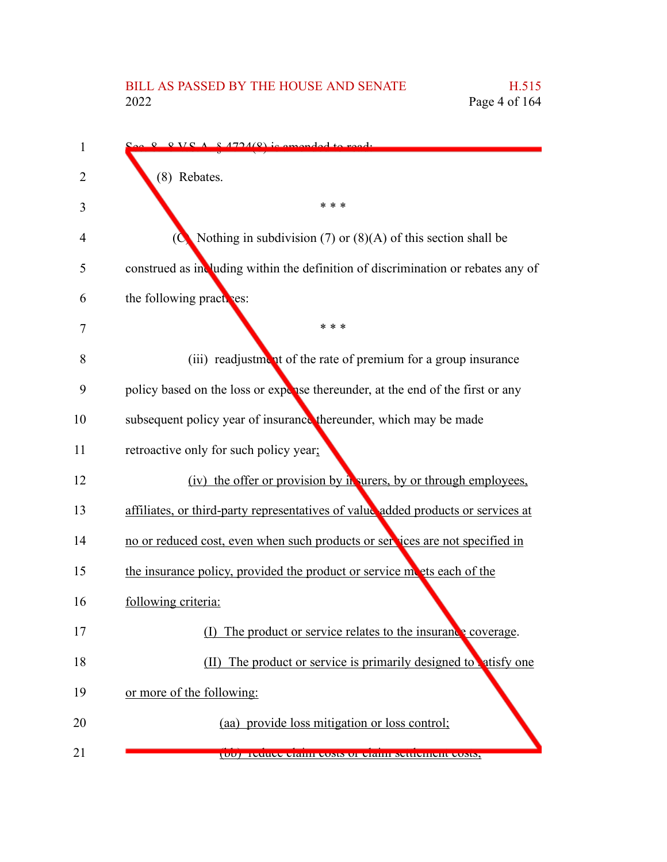## BILL AS PASSED BY THE HOUSE AND SENATE H.515<br>2022 Page 4 of 164

| 1  | $Q Q V C A R A 724(Q)$ is emended to read.                                        |
|----|-----------------------------------------------------------------------------------|
| 2  | (8) Rebates.                                                                      |
| 3  | * * *                                                                             |
| 4  | Nothing in subdivision (7) or $(8)(A)$ of this section shall be                   |
| 5  | construed as including within the definition of discrimination or rebates any of  |
| 6  | the following practices:                                                          |
| 7  | * * *                                                                             |
| 8  | (iii) readjustment of the rate of premium for a group insurance                   |
| 9  | policy based on the loss or expense thereunder, at the end of the first or any    |
| 10 | subsequent policy year of insurance thereunder, which may be made                 |
| 11 | retroactive only for such policy year;                                            |
| 12 | (iv) the offer or provision by in surers, by or through employees,                |
| 13 | affiliates, or third-party representatives of value added products or services at |
| 14 | no or reduced cost, even when such products or services are not specified in      |
| 15 | the insurance policy, provided the product or service moets each of the           |
| 16 | following criteria:                                                               |
| 17 | The product or service relates to the insurance coverage.                         |
| 18 | (II) The product or service is primarily designed to satisfy one                  |
| 19 | or more of the following:                                                         |
| 20 | (aa) provide loss mitigation or loss control;                                     |
| 21 | (00) Teuuce ciaimi cosis of ciaimi settiement cosis,                              |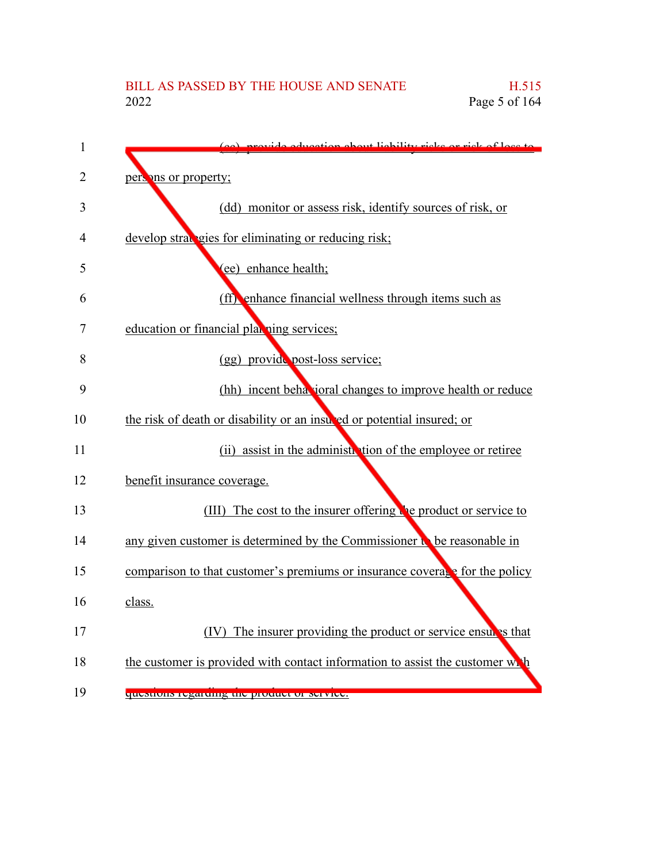| 1              | provide education about liability ricks or rick of loss to                    |
|----------------|-------------------------------------------------------------------------------|
| $\overline{2}$ | persons or property;                                                          |
| 3              | (dd) monitor or assess risk, identify sources of risk, or                     |
| 4              | develop straugies for eliminating or reducing risk;                           |
| 5              | (ee) enhance health;                                                          |
| 6              | (ff) enhance financial wellness through items such as                         |
| 7              | education or financial plax ning services;                                    |
| 8              | (gg) provide post-loss service;                                               |
| 9              | (hh) incent behavioral changes to improve health or reduce                    |
| 10             | the risk of death or disability or an insured or potential insured; or        |
| 11             | (ii) assist in the administration of the employee or retiree                  |
| 12             | benefit insurance coverage.                                                   |
| 13             | (III) The cost to the insurer offering the product or service to              |
| 14             | any given customer is determined by the Commissioner in be reasonable in      |
| 15             | comparison to that customer's premiums or insurance coverage for the policy   |
| 16             | class.                                                                        |
| 17             | (IV) The insurer providing the product or service ensures that                |
| 18             | the customer is provided with contact information to assist the customer with |
| 19             | questions regarding the product or service.                                   |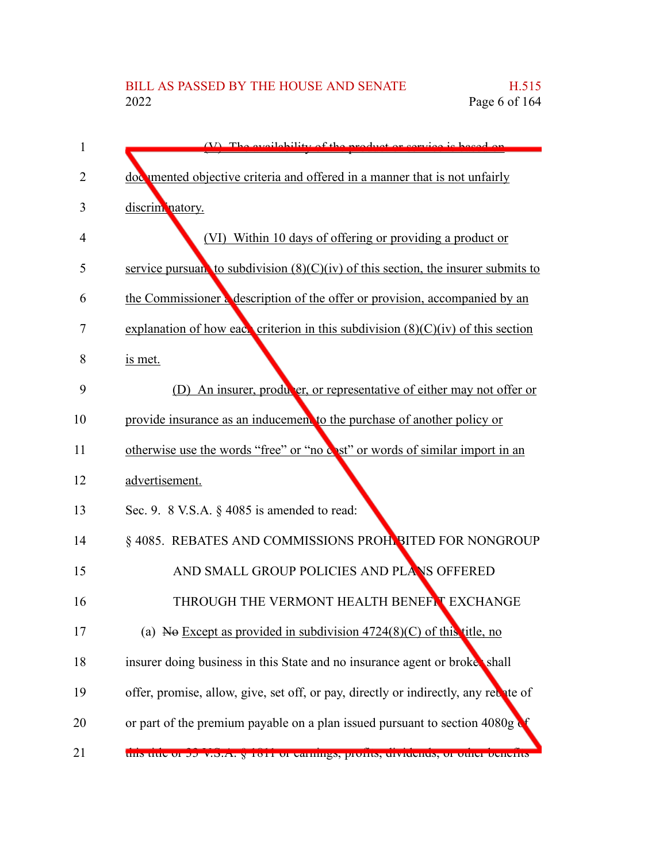## BILL AS PASSED BY THE HOUSE AND SENATE H.515<br>2022 Page 6 of 164 Page 6 of 164

| 1              | (V) The evailability of the product or cervice is beggd on                          |
|----------------|-------------------------------------------------------------------------------------|
| $\overline{2}$ | doc mented objective criteria and offered in a manner that is not unfairly          |
| 3              | discrim natory.                                                                     |
| 4              | (VI) Within 10 days of offering or providing a product or                           |
| 5              | service pursuan to subdivision $(8)(C)(iv)$ of this section, the insurer submits to |
| 6              | the Commissioner a description of the offer or provision, accompanied by an         |
| 7              | explanation of how each criterion in this subdivision $(8)(C)(iv)$ of this section  |
| 8              | is met.                                                                             |
| 9              | (D) An insurer, producer, or representative of either may not offer or              |
| 10             | provide insurance as an inducement to the purchase of another policy or             |
| 11             | otherwise use the words "free" or "no cost" or words of similar import in an        |
| 12             | advertisement.                                                                      |
| 13             | Sec. 9. 8 V.S.A. $\S$ 4085 is amended to read:                                      |
| 14             | § 4085. REBATES AND COMMISSIONS PROHIBITED FOR NONGROUP                             |
| 15             | AND SMALL GROUP POLICIES AND PLANS OFFERED                                          |
| 16             | THROUGH THE VERMONT HEALTH BENEFT EXCHANGE                                          |
| 17             | (a) No Except as provided in subdivision $4724(8)(C)$ of this title, no             |
| 18             | insurer doing business in this State and no insurance agent or broket shall         |
| 19             | offer, promise, allow, give, set off, or pay, directly or indirectly, any rebate of |
| 20             | or part of the premium payable on a plan issued pursuant to section 4080g           |
| 21             | tins title of 55 v.S.A. g 1011 of earnings, profits, dividends, or other benefits   |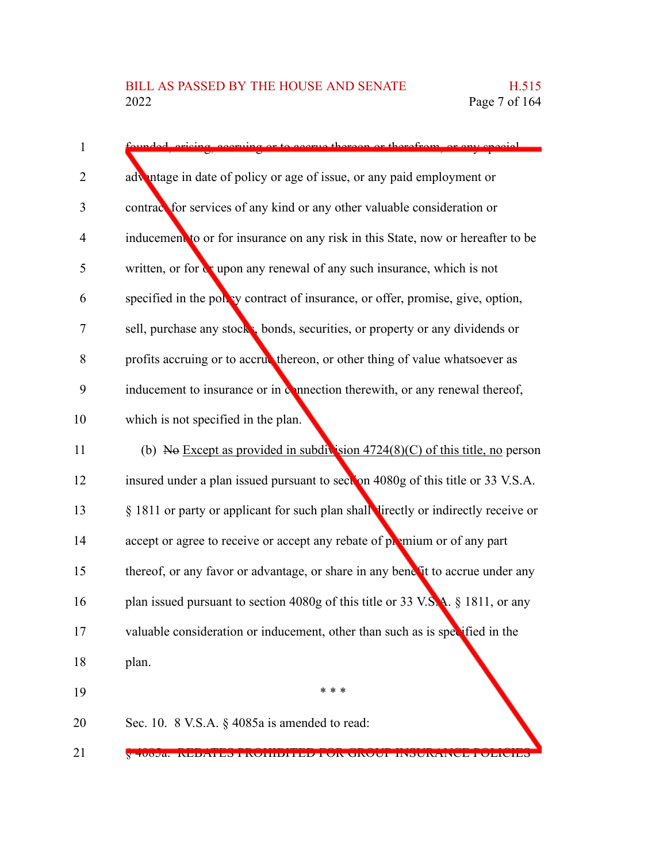| $\mathbf{1}$   | ruing or to seems thereon or                                                       |
|----------------|------------------------------------------------------------------------------------|
| $\overline{2}$ | advantage in date of policy or age of issue, or any paid employment or             |
| 3              | contrace for services of any kind or any other valuable consideration or           |
| $\overline{4}$ | inducement to or for insurance on any risk in this State, now or hereafter to be   |
| 5              | written, or for w upon any renewal of any such insurance, which is not             |
| 6              | specified in the polley contract of insurance, or offer, promise, give, option,    |
| 7              | sell, purchase any stock, bonds, securities, or property or any dividends or       |
| 8              | profits accruing or to accrue thereon, or other thing of value whatsoever as       |
| 9              | inducement to insurance or in connection therewith, or any renewal thereof,        |
| 10             | which is not specified in the plan.                                                |
| 11             | (b) No Except as provided in subdivision $4724(8)(C)$ of this title, no person     |
| 12             | insured under a plan issued pursuant to section 4080g of this title or 33 V.S.A.   |
| 13             | § 1811 or party or applicant for such plan shall lirectly or indirectly receive or |
| 14             | accept or agree to receive or accept any rebate of premium or of any part          |
| 15             | thereof, or any favor or advantage, or share in any benefit to accrue under any    |
| 16             | plan issued pursuant to section $4080g$ of this title or 33 V.S.A. § 1811, or any  |
| 17             | valuable consideration or inducement, other than such as is specified in the       |
| 18             | plan.                                                                              |
| 19             | * * *                                                                              |
| 20             | Sec. 10. 8 V.S.A. § 4085a is amended to read:                                      |
|                |                                                                                    |

§ 4085a. REBATES PROHIBITED FOR GROUP INSURANCE POLICIES 21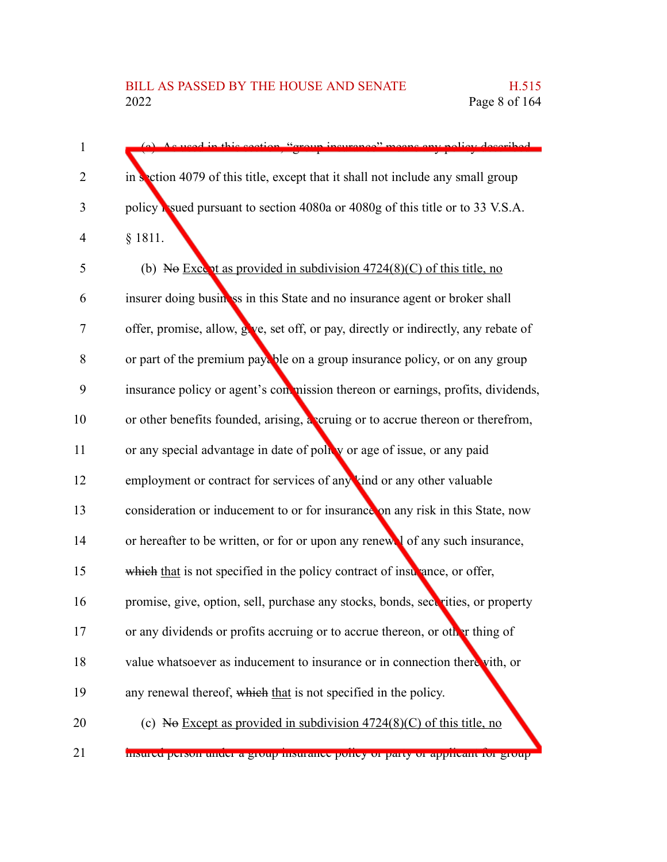| $\mathbf{1}$   | queed in this section "croup insurance" means<br>any noticy decembed                |
|----------------|-------------------------------------------------------------------------------------|
| $\overline{2}$ | in section 4079 of this title, except that it shall not include any small group     |
| 3              | policy is used pursuant to section 4080a or 4080g of this title or to 33 V.S.A.     |
| 4              | § 1811.                                                                             |
| 5              | (b) No Except as provided in subdivision $4724(8)(C)$ of this title, no             |
| 6              | insurer doing business in this State and no insurance agent or broker shall         |
| 7              | offer, promise, allow, give, set off, or pay, directly or indirectly, any rebate of |
| 8              | or part of the premium payable on a group insurance policy, or on any group         |
| 9              | insurance policy or agent's commission thereon or earnings, profits, dividends,     |
| 10             | or other benefits founded, arising, a cruing or to accrue thereon or therefrom,     |
| 11             | or any special advantage in date of policy or age of issue, or any paid             |
| 12             | employment or contract for services of any kind or any other valuable               |
| 13             | consideration or inducement to or for insurance on any risk in this State, now      |
| 14             | or hereafter to be written, or for or upon any renew of any such insurance,         |
| 15             | which that is not specified in the policy contract of insulance, or offer,          |
| 16             | promise, give, option, sell, purchase any stocks, bonds, securities, or property    |
| 17             | or any dividends or profits accruing or to accrue thereon, or other thing of        |
| 18             | value whatsoever as inducement to insurance or in connection there vith, or         |
| 19             | any renewal thereof, which that is not specified in the policy.                     |
| 20             | (c) No Except as provided in subdivision $4724(8)(C)$ of this title, no             |
| 21             | msureu person unuer a group msurance poncy or party or appricant for group          |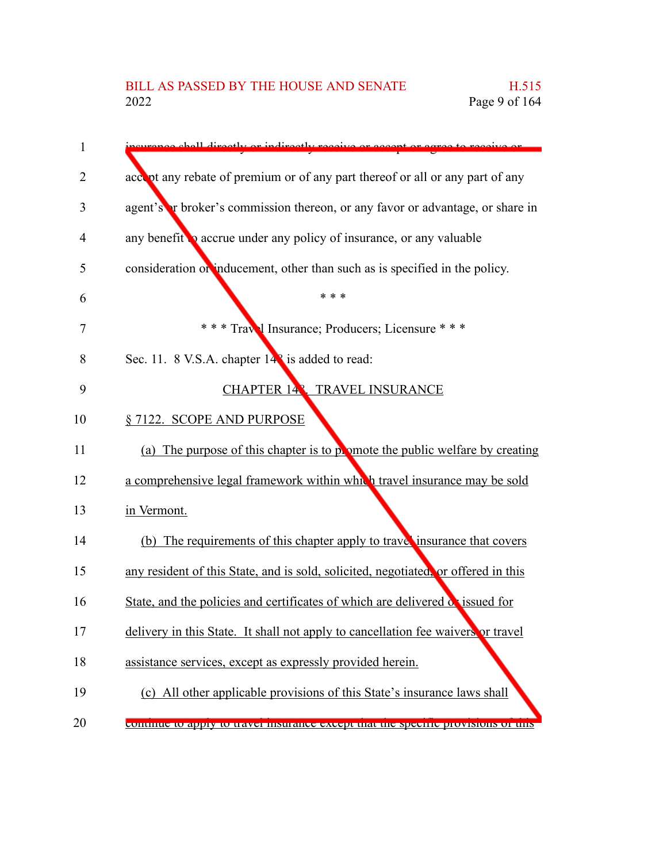| 1              | chall directly or indirectly receive or accent or                                  |
|----------------|------------------------------------------------------------------------------------|
| $\overline{2}$ | accord of any rebate of premium or of any part thereof or all or any part of any   |
| 3              | agent's r broker's commission thereon, or any favor or advantage, or share in      |
| 4              | any benefit <b>o</b> accrue under any policy of insurance, or any valuable         |
| 5              | consideration or inducement, other than such as is specified in the policy.        |
| 6              | * * *                                                                              |
| 7              | *** Travel Insurance; Producers; Licensure ***                                     |
| 8              | Sec. 11. 8 V.S.A. chapter 14 <sup>2</sup> is added to read:                        |
| 9              | CHAPTER 148. TRAVEL INSURANCE                                                      |
| 10             | §7122. SCOPE AND PURPOSE                                                           |
| 11             | (a) The purpose of this chapter is to polymote the public welfare by creating      |
| 12             | a comprehensive legal framework within which travel insurance may be sold          |
| 13             | in Vermont.                                                                        |
| 14             | (b) The requirements of this chapter apply to trave insurance that covers          |
| 15             | any resident of this State, and is sold, solicited, negotiated, or offered in this |
| 16             | State, and the policies and certificates of which are delivered or issued for      |
| 17             | delivery in this State. It shall not apply to cancellation fee waivers or travel   |
| 18             | assistance services, except as expressly provided herein.                          |
| 19             | (c) All other applicable provisions of this State's insurance laws shall           |
|                |                                                                                    |

continue to apply to travel insurance except that the specific provisions of this 20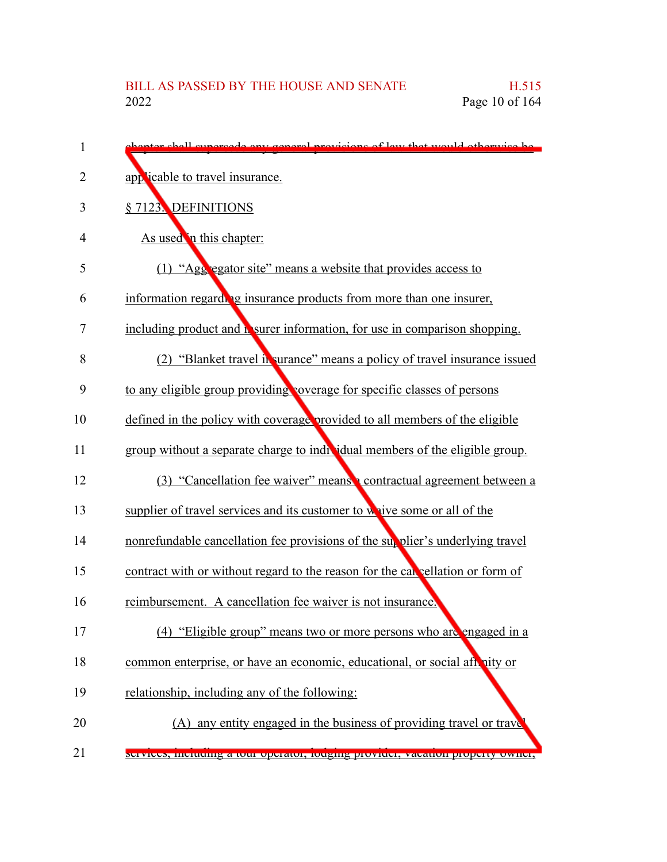| $\mathbf 1$    | phenter shall supersede any coneral provisions of levy that would otherwise be    |
|----------------|-----------------------------------------------------------------------------------|
| $\overline{2}$ | applicable to travel insurance.                                                   |
| 3              | § 7123. DEFINITIONS                                                               |
| 4              | As used in this chapter:                                                          |
| 5              | (1) "Agg egator site" means a website that provides access to                     |
| 6              | information regarding insurance products from more than one insurer,              |
| 7              | including product and <b>h</b> surer information, for use in comparison shopping. |
| 8              | (2) "Blanket travel in surance" means a policy of travel insurance issued         |
| 9              | to any eligible group providing coverage for specific classes of persons          |
| 10             | defined in the policy with coverage provided to all members of the eligible       |
| 11             | group without a separate charge to individual members of the eligible group.      |
| 12             | (3) "Cancellation fee waiver" means contractual agreement between a               |
| 13             | supplier of travel services and its customer to whive some or all of the          |
| 14             | nonrefundable cancellation fee provisions of the supplier's underlying travel     |
| 15             | contract with or without regard to the reason for the cancellation or form of     |
| 16             | reimbursement. A cancellation fee waiver is not insurance.                        |
| 17             | (4) "Eligible group" means two or more persons who are engaged in a               |
| 18             | common enterprise, or have an economic, educational, or social after hity or      |
| 19             | relationship, including any of the following:                                     |
| 20             | (A) any entity engaged in the business of providing travel or trave               |
| 21             | services, including a tour operator, rouging provider, vacation property owner,   |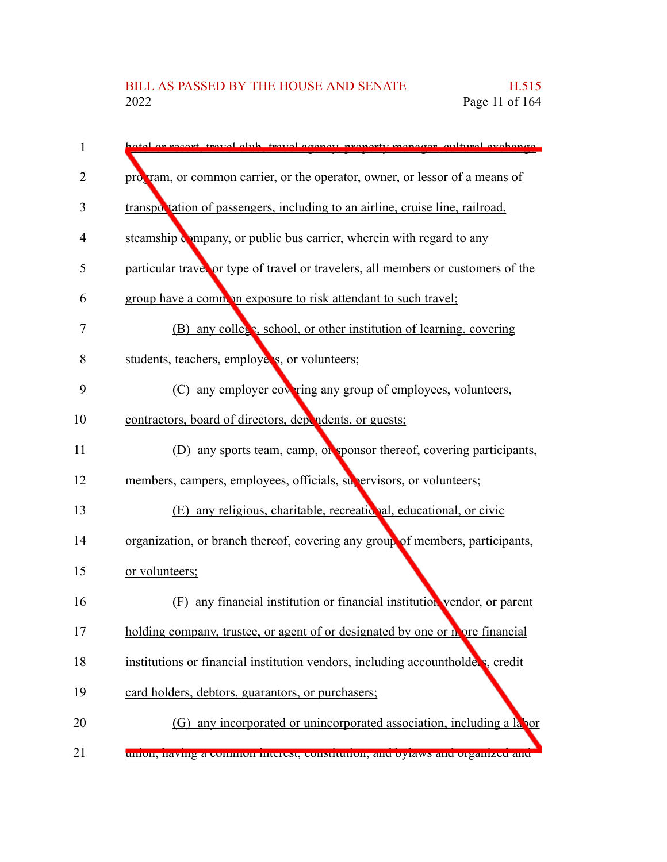| 1  | or recort travel elub travel egenev property meneger eultural exchange            |
|----|-----------------------------------------------------------------------------------|
| 2  | program, or common carrier, or the operator, owner, or lessor of a means of       |
| 3  | transportation of passengers, including to an airline, cruise line, railroad,     |
| 4  | steamship company, or public bus carrier, wherein with regard to any              |
| 5  | particular trave, or type of travel or travelers, all members or customers of the |
| 6  | group have a common exposure to risk attendant to such travel;                    |
| 7  | (B) any college, school, or other institution of learning, covering               |
| 8  | students, teachers, employers, or volunteers;                                     |
| 9  | (C) any employer covering any group of employees, volunteers,                     |
| 10 | contractors, board of directors, dependents, or guests;                           |
| 11 | (D) any sports team, camp, or sponsor thereof, covering participants,             |
| 12 | members, campers, employees, officials, supervisors, or volunteers;               |
| 13 | (E) any religious, charitable, recreational, educational, or civic                |
| 14 | organization, or branch thereof, covering any group of members, participants,     |
| 15 | or volunteers;                                                                    |
| 16 | (F) any financial institution or financial institution vendor, or parent          |
| 17 | holding company, trustee, or agent of or designated by one or nore financial      |
| 18 | institutions or financial institution vendors, including accountholders, credit   |
| 19 | card holders, debtors, guarantors, or purchasers;                                 |
| 20 | (G) any incorporated or unincorporated association, including a labor             |
| 21 | umon, naving a common meerest, constitution, and oyiaws and organized and         |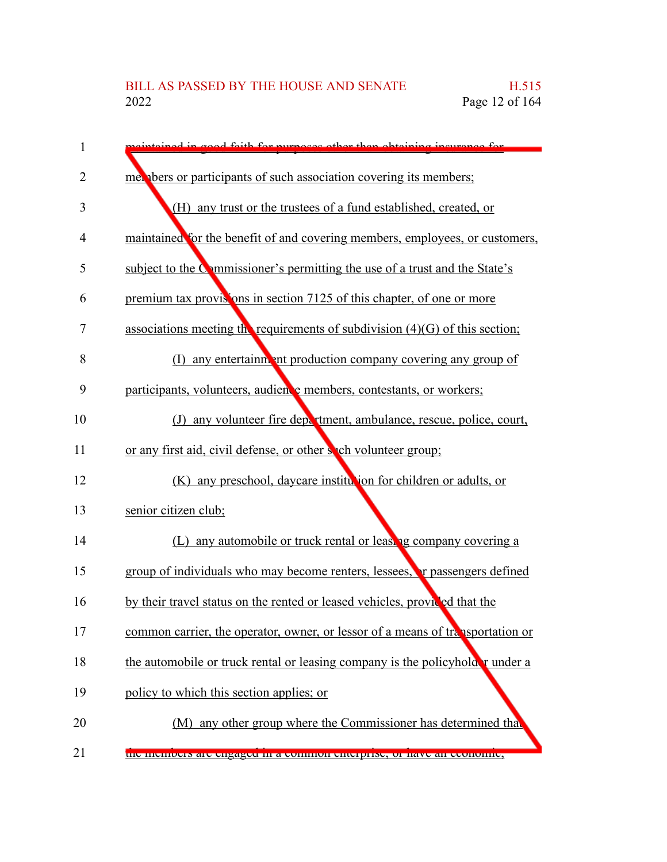| 1  | interined in agod faith for nurnage other than obtaining incurance for         |
|----|--------------------------------------------------------------------------------|
| 2  | met phers or participants of such association covering its members;            |
| 3  | (H) any trust or the trustees of a fund established, created, or               |
| 4  | maintained for the benefit of and covering members, employees, or customers,   |
| 5  | subject to the Commissioner's permitting the use of a trust and the State's    |
| 6  | premium tax provisions in section 7125 of this chapter, of one or more         |
| 7  | associations meeting the requirements of subdivision $(4)(G)$ of this section; |
| 8  | (I) any entertainm ant production company covering any group of                |
| 9  | participants, volunteers, audience members, contestants, or workers;           |
| 10 | any volunteer fire department, ambulance, rescue, police, court,<br>(J)        |
| 11 | or any first aid, civil defense, or other such volunteer group;                |
| 12 | (K) any preschool, daycare institution for children or adults, or              |
| 13 | senior citizen club;                                                           |
| 14 | (L) any automobile or truck rental or leasing company covering a               |
| 15 | group of individuals who may become renters, lessees, r passengers defined     |
| 16 | by their travel status on the rented or leased vehicles, provided that the     |
| 17 | common carrier, the operator, owner, or lessor of a means of transportation or |
| 18 | the automobile or truck rental or leasing company is the policyhold r under a  |
| 19 | policy to which this section applies; or                                       |
| 20 | (M) any other group where the Commissioner has determined that                 |
| 21 | the includers are engaged in a common enterprise, or have all economic,        |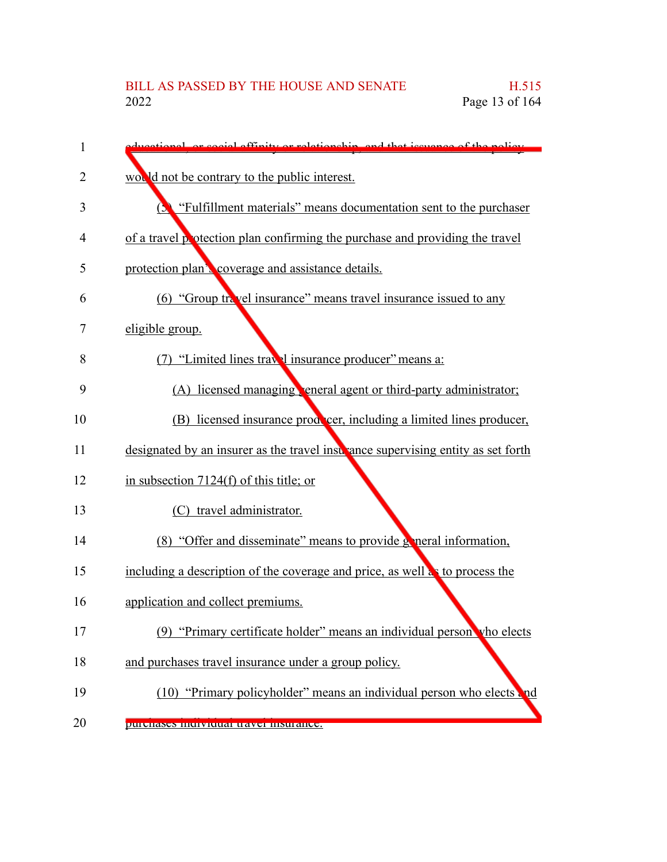| 1  | mortional or social effinity or relationship, and that issuence of the policy.                |
|----|-----------------------------------------------------------------------------------------------|
| 2  | would not be contrary to the public interest.                                                 |
| 3  | "Fulfillment materials" means documentation sent to the purchaser<br>$\overline{\mathcal{L}}$ |
| 4  | of a travel protection plan confirming the purchase and providing the travel                  |
| 5  | protection plan's coverage and assistance details.                                            |
| 6  | (6) "Group travel insurance" means travel insurance issued to any                             |
| 7  | eligible group.                                                                               |
| 8  | (7) "Limited lines travel insurance producer" means a:                                        |
| 9  | (A) licensed managing, eneral agent or third-party administrator;                             |
| 10 | (B) licensed insurance producer, including a limited lines producer,                          |
| 11 | designated by an insurer as the travel insultance supervising entity as set forth             |
| 12 | in subsection $7124(f)$ of this title; or                                                     |
| 13 | (C) travel administrator.                                                                     |
| 14 | (8) "Offer and disseminate" means to provide general information,                             |
| 15 | including a description of the coverage and price, as well as to process the                  |
| 16 | application and collect premiums.                                                             |
| 17 | "Primary certificate holder" means an individual person vho elects<br>(9)                     |
| 18 | and purchases travel insurance under a group policy.                                          |
| 19 | (10) "Primary policyholder" means an individual person who elects and                         |
| 20 | purenases murviuuai travei msuranee.                                                          |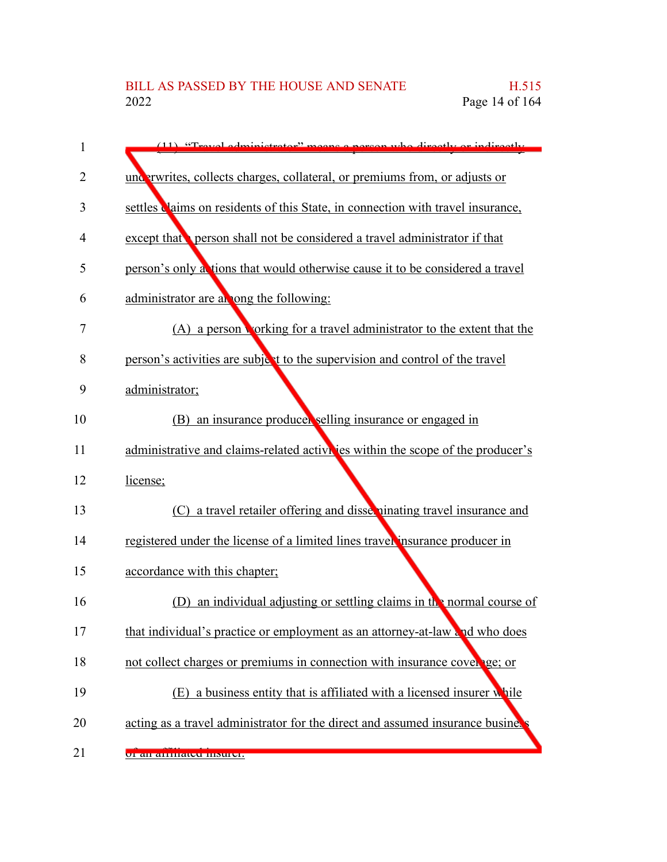| 1  | (11) "Travel edministrator" means a negon who directly or indirectly            |
|----|---------------------------------------------------------------------------------|
| 2  | underwrites, collects charges, collateral, or premiums from, or adjusts or      |
| 3  | settles claims on residents of this State, in connection with travel insurance, |
| 4  | except that person shall not be considered a travel administrator if that       |
| 5  | person's only a tions that would otherwise cause it to be considered a travel   |
| 6  | administrator are all ong the following:                                        |
| 7  | (A) a person working for a travel administrator to the extent that the          |
| 8  | person's activities are subject to the supervision and control of the travel    |
| 9  | administrator;                                                                  |
| 10 | (B) an insurance producer selling insurance or engaged in                       |
| 11 | administrative and claims-related activities within the scope of the producer's |
| 12 | license;                                                                        |
| 13 | a travel retailer offering and disseminating travel insurance and<br>(C)        |
| 14 | registered under the license of a limited lines traver insurance producer in    |
| 15 | accordance with this chapter;                                                   |
| 16 | an individual adjusting or settling claims in the normal course of<br>(1)       |
| 17 | that individual's practice or employment as an attorney-at-law and who does     |
| 18 | not collect charges or premiums in connection with insurance cover ge; or       |
| 19 | (E) a business entity that is affiliated with a licensed insurer while          |
| 20 | acting as a travel administrator for the direct and assumed insurance busines   |
| 21 | <u>ul all'allulateu msulel.</u>                                                 |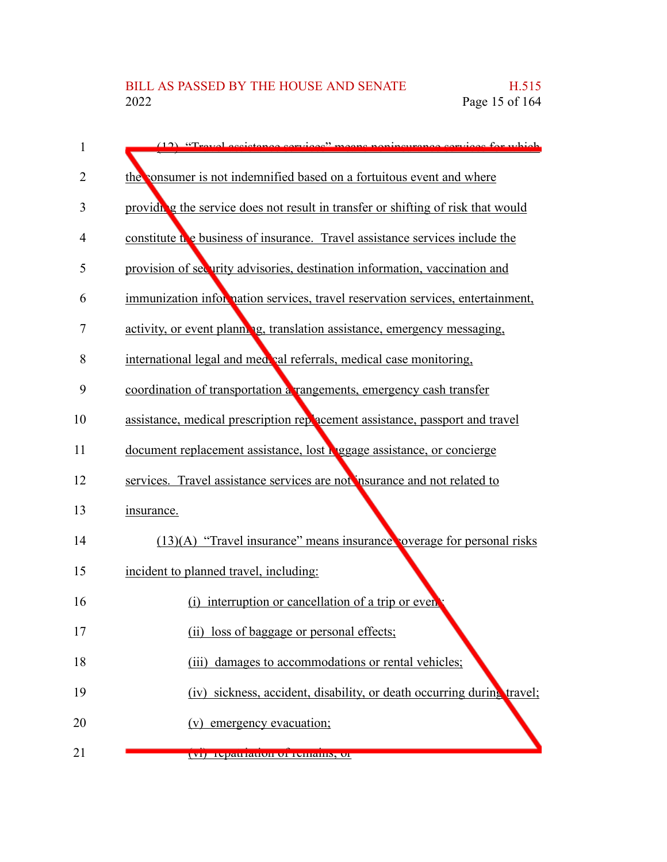| 1  | (12) "Travel essistance services" means poningurance services for which          |
|----|----------------------------------------------------------------------------------|
| 2  | the consumer is not indemnified based on a fortuitous event and where            |
| 3  | providing the service does not result in transfer or shifting of risk that would |
| 4  | constitute the business of insurance. Travel assistance services include the     |
| 5  | provision of security advisories, destination information, vaccination and       |
| 6  | immunization information services, travel reservation services, entertainment,   |
| 7  | activity, or event planning, translation assistance, emergency messaging,        |
| 8  | international legal and med val referrals, medical case monitoring,              |
| 9  | coordination of transportation a rangements, emergency cash transfer             |
| 10 | assistance, medical prescription reparament assistance, passport and travel      |
| 11 | document replacement assistance, lost begage assistance, or concierge            |
| 12 | services. Travel assistance services are not insurance and not related to        |
| 13 | insurance.                                                                       |
| 14 | $(13)(A)$ "Travel insurance" means insurance overage for personal risks          |
| 15 | incident to planned travel, including:                                           |
| 16 | interruption or cancellation of a trip or even<br>(i)                            |
| 17 | (ii) loss of baggage or personal effects;                                        |
| 18 | (iii) damages to accommodations or rental vehicles;                              |
| 19 | (iv) sickness, accident, disability, or death occurring during travel;           |
| 20 | (v) emergency evacuation;                                                        |
| 21 | (VI) repatriation of remains, or                                                 |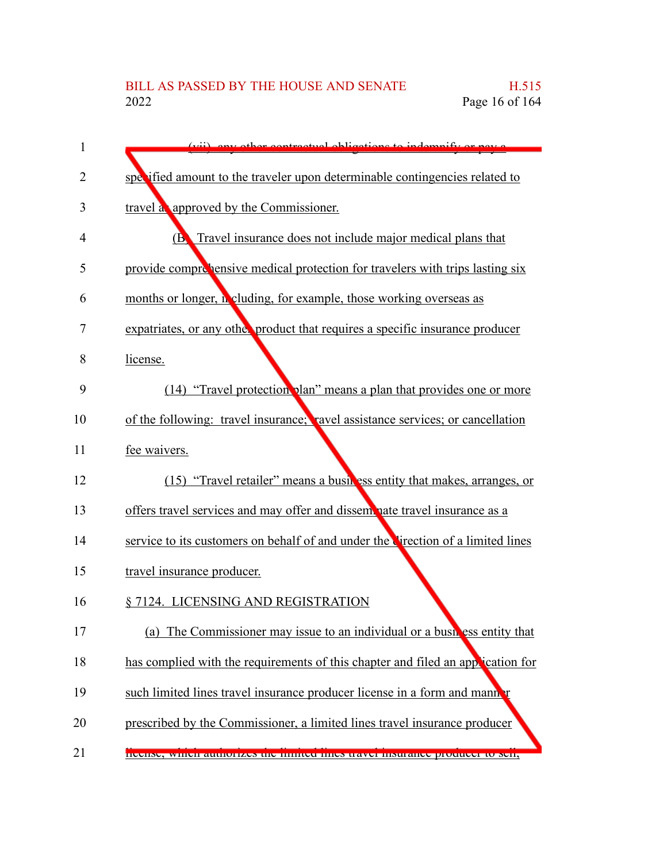| 1  | (vii) ony other contractual obligations to indomnify or now                      |
|----|----------------------------------------------------------------------------------|
| 2  | specified amount to the traveler upon determinable contingencies related to      |
| 3  | travel a approved by the Commissioner.                                           |
| 4  | Travel insurance does not include major medical plans that<br>$\mathbf{B}$       |
| 5  | provide compressive medical protection for travelers with trips lasting six      |
| 6  | months or longer, in cluding, for example, those working overseas as             |
| 7  | expatriates, or any other product that requires a specific insurance producer    |
| 8  | license.                                                                         |
| 9  | (14) "Travel protection plan" means a plan that provides one or more             |
| 10 | of the following: travel insurance; ravel assistance services; or cancellation   |
| 11 | fee waivers.                                                                     |
| 12 | (15) "Travel retailer" means a busikes entity that makes, arranges, or           |
| 13 | offers travel services and may offer and disseminate travel insurance as a       |
| 14 | service to its customers on behalf of and under the Cirection of a limited lines |
| 15 | travel insurance producer.                                                       |
| 16 | § 7124. LICENSING AND REGISTRATION                                               |
| 17 | (a) The Commissioner may issue to an individual or a business entity that        |
| 18 | has complied with the requirements of this chapter and filed an application for  |
| 19 | such limited lines travel insurance producer license in a form and manner        |
| 20 | prescribed by the Commissioner, a limited lines travel insurance producer        |
| 21 | INCHISC, WHICH ARRIVERSES THE HIBRE HIRES TRAVEL HISBRAHCE DIVOLUCEL TO SCH,     |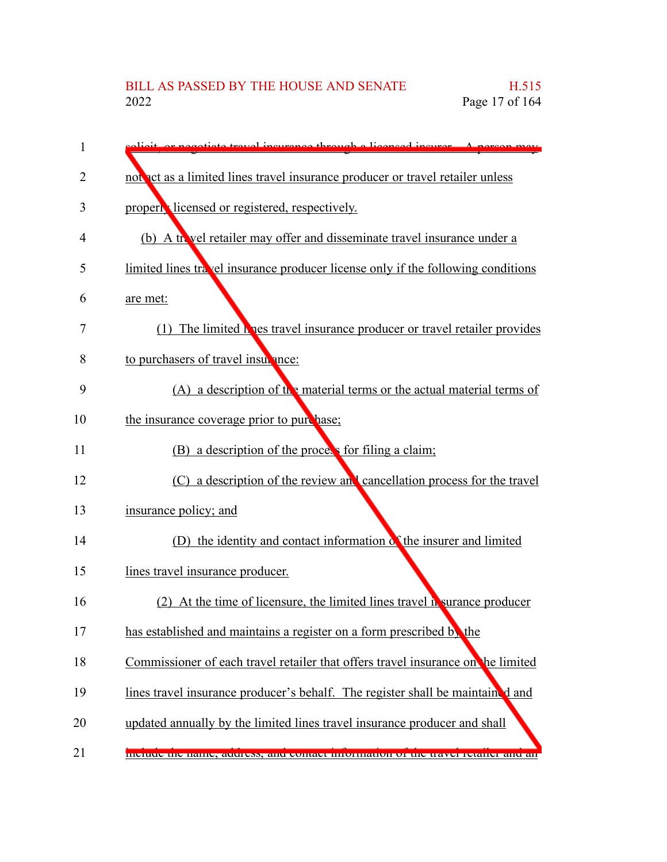| 1  | sligit, or negotiate travel incurance through a licensed incurer. A nergon may       |
|----|--------------------------------------------------------------------------------------|
| 2  | not act as a limited lines travel insurance producer or travel retailer unless       |
| 3  | property licensed or registered, respectively.                                       |
| 4  | (b) A travel retailer may offer and disseminate travel insurance under a             |
| 5  | limited lines travel insurance producer license only if the following conditions     |
| 6  | are met:                                                                             |
| 7  | (1) The limited here travel insurance producer or travel retailer provides           |
| 8  | to purchasers of travel insurance:                                                   |
| 9  | $(A)$ a description of the material terms or the actual material terms of            |
| 10 | the insurance coverage prior to purchase;                                            |
| 11 | (B) a description of the process for filing a claim;                                 |
| 12 | (C) a description of the review and cancellation process for the travel              |
| 13 | insurance policy; and                                                                |
| 14 | (D) the identity and contact information of the insurer and limited                  |
| 15 | lines travel insurance producer.                                                     |
| 16 | (2) At the time of licensure, the limited lines travel $\mathbf{h}$ surance producer |
| 17 | has established and maintains a register on a form prescribed by the                 |
| 18 | Commissioner of each travel retailer that offers travel insurance on the limited     |
| 19 | lines travel insurance producer's behalf. The register shall be maintained and       |
| 20 | updated annually by the limited lines travel insurance producer and shall            |
| 21 | montre the hanne, atturess, and comtact information of the travel retailer and an    |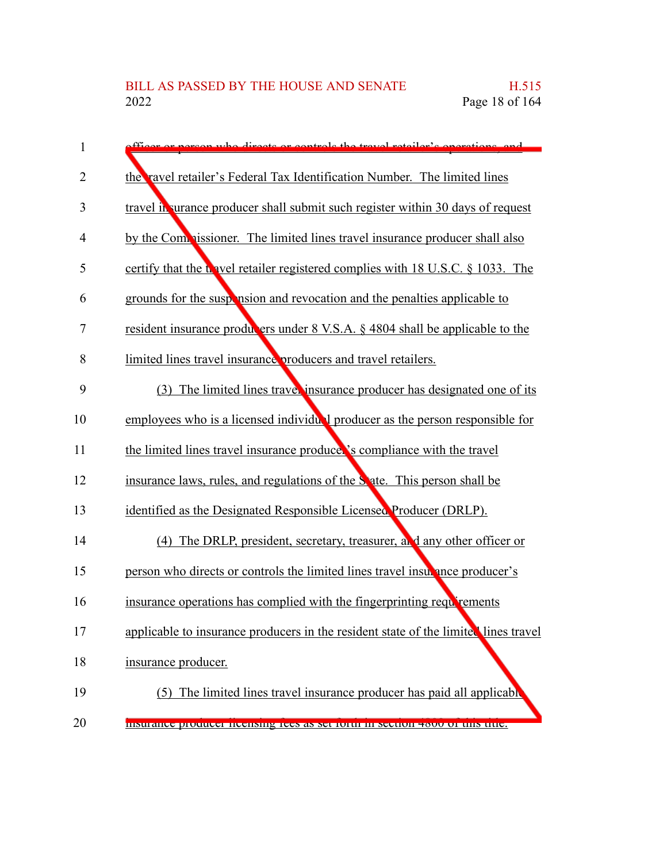| 1  | officer or person who directs or controls the travel retailer's operations, and     |
|----|-------------------------------------------------------------------------------------|
| 2  | the ravel retailer's Federal Tax Identification Number. The limited lines           |
| 3  | travel in urance producer shall submit such register within 30 days of request      |
| 4  | by the Comparison is The limited lines travel insurance producer shall also         |
| 5  | certify that the travel retailer registered complies with 18 U.S.C. § 1033. The     |
| 6  | grounds for the suspension and revocation and the penalties applicable to           |
| 7  | resident insurance producers under 8 V.S.A. § 4804 shall be applicable to the       |
| 8  | limited lines travel insurance producers and travel retailers.                      |
| 9  | (3) The limited lines travel insurance producer has designated one of its           |
| 10 | employees who is a licensed individual producer as the person responsible for       |
| 11 | the limited lines travel insurance produce.'s compliance with the travel            |
| 12 | insurance laws, rules, and regulations of the State. This person shall be           |
| 13 | identified as the Designated Responsible Licensed Producer (DRLP).                  |
| 14 | (4) The DRLP, president, secretary, treasurer, and any other officer or             |
| 15 | person who directs or controls the limited lines travel insurance producer's        |
| 16 | insurance operations has complied with the fingerprinting requirements              |
| 17 | applicable to insurance producers in the resident state of the limited lines travel |
| 18 | insurance producer.                                                                 |
| 19 | (5) The limited lines travel insurance producer has paid all applicable             |
| 20 | msurance producer nechsing ices as set form in secuoir 4000 or uns utte.            |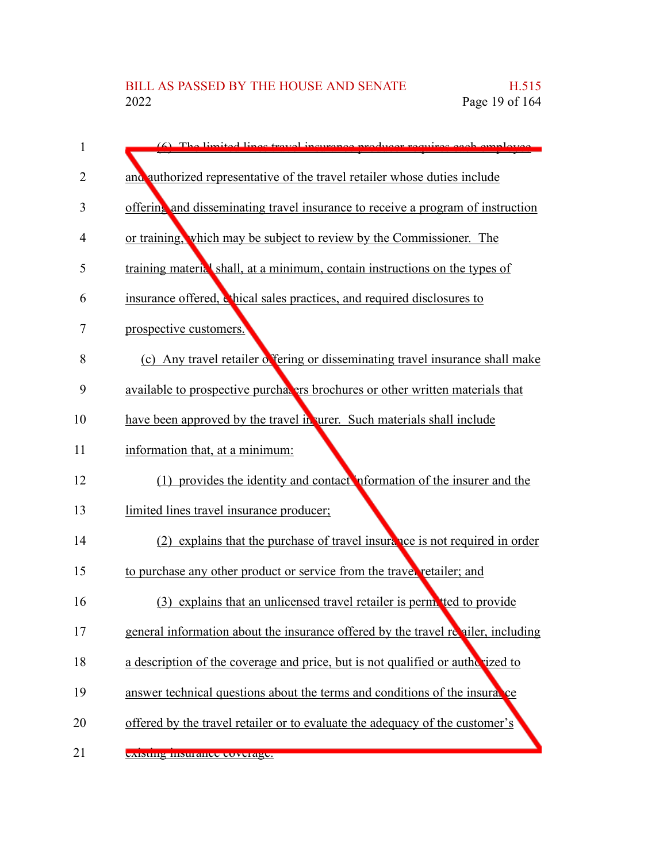| 1  | (6) The limited lines travel incurance producer requires each employee            |
|----|-----------------------------------------------------------------------------------|
| 2  | and authorized representative of the travel retailer whose duties include         |
| 3  | offering and disseminating travel insurance to receive a program of instruction   |
| 4  | or training, which may be subject to review by the Commissioner. The              |
| 5  | training material shall, at a minimum, contain instructions on the types of       |
| 6  | insurance offered, chical sales practices, and required disclosures to            |
| 7  | prospective customers.                                                            |
| 8  | (c) Any travel retailer of fering or disseminating travel insurance shall make    |
| 9  | available to prospective purchal ers brochures or other written materials that    |
| 10 | have been approved by the travel in urer. Such materials shall include            |
| 11 | information that, at a minimum:                                                   |
| 12 | (1) provides the identity and contact information of the insurer and the          |
| 13 | limited lines travel insurance producer;                                          |
| 14 | (2) explains that the purchase of travel insurance is not required in order       |
| 15 | to purchase any other product or service from the travel retailer; and            |
| 16 | (3) explains that an unlicensed travel retailer is perm tted to provide           |
| 17 | general information about the insurance offered by the travel revailer, including |
| 18 | a description of the coverage and price, but is not qualified or authorized to    |
| 19 | answer technical questions about the terms and conditions of the insurance        |
| 20 | offered by the travel retailer or to evaluate the adequacy of the customer's      |
| 21 | existing msurance coverage.                                                       |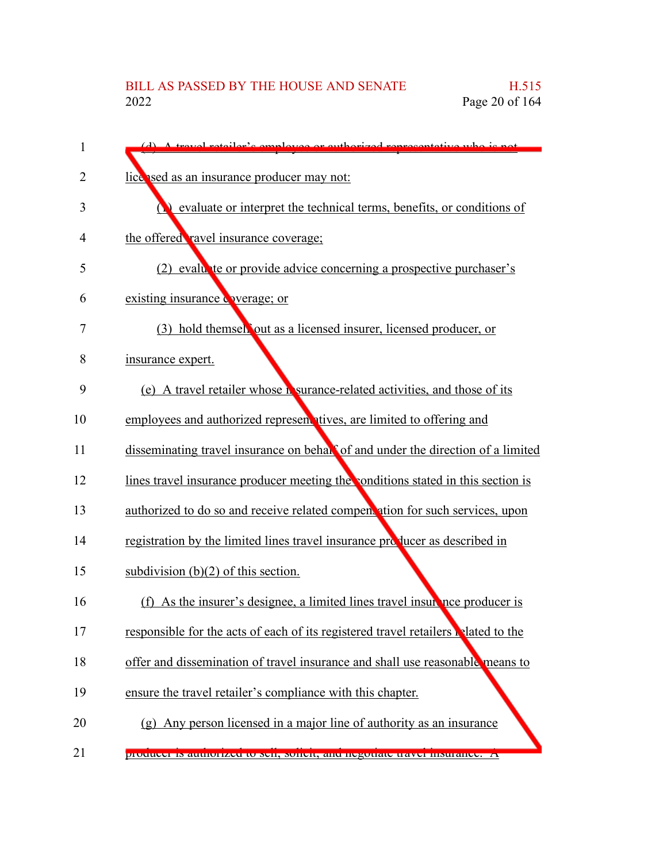| 1  | (d) A travel retailer's employee or authorized representative who is not           |
|----|------------------------------------------------------------------------------------|
| 2  | lice ised as an insurance producer may not:                                        |
| 3  | evaluate or interpret the technical terms, benefits, or conditions of              |
| 4  | the offered ravel insurance coverage;                                              |
| 5  | (2) evaluate or provide advice concerning a prospective purchaser's                |
| 6  | existing insurance overage; or                                                     |
| 7  | (3) hold themsel out as a licensed insurer, licensed producer, or                  |
| 8  | insurance expert.                                                                  |
| 9  | (e) A travel retailer whose <b>N</b> surance-related activities, and those of its  |
| 10 | employees and authorized represent tives, are limited to offering and              |
| 11 | disseminating travel insurance on behall of and under the direction of a limited   |
| 12 | lines travel insurance producer meeting the conditions stated in this section is   |
| 13 | authorized to do so and receive related compentation for such services, upon       |
| 14 | registration by the limited lines travel insurance producer as described in        |
| 15 | subdivision $(b)(2)$ of this section.                                              |
| 16 | (f) As the insurer's designee, a limited lines travel insurance producer is        |
| 17 | responsible for the acts of each of its registered travel retailers related to the |
| 18 | offer and dissemination of travel insurance and shall use reasonable means to      |
| 19 | ensure the travel retailer's compliance with this chapter.                         |
| 20 | (g) Any person licensed in a major line of authority as an insurance               |
| 21 | producer is authorized to sen, soften, and hegotiate travel msurance. An           |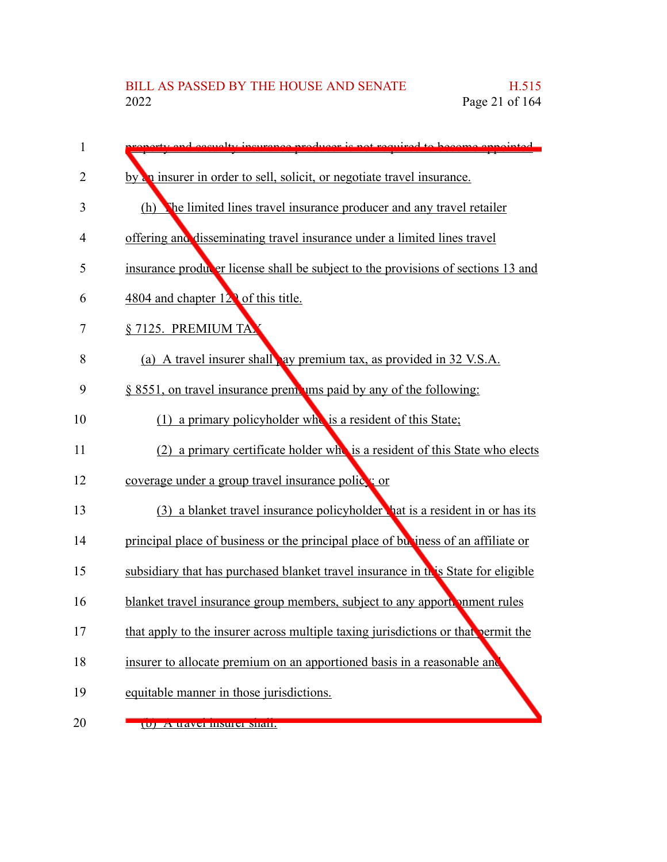| 1  | <u>exty and escualty incurance producer is not required to become annointed</u>   |
|----|-----------------------------------------------------------------------------------|
| 2  | by an insurer in order to sell, solicit, or negotiate travel insurance.           |
| 3  | The limited lines travel insurance producer and any travel retailer<br>(h)        |
| 4  | offering and disseminating travel insurance under a limited lines travel          |
| 5  | insurance producer license shall be subject to the provisions of sections 13 and  |
| 6  | 4804 and chapter 12 <sup>2</sup> of this title.                                   |
| 7  | § 7125. PREMIUM TA                                                                |
| 8  | (a) A travel insurer shall ay premium tax, as provided in 32 V.S.A.               |
| 9  | $\S$ 8551, on travel insurance premiums paid by any of the following:             |
| 10 | (1) a primary policyholder who is a resident of this State;                       |
| 11 | (2) a primary certificate holder who is a resident of this State who elects       |
| 12 | coverage under a group travel insurance police: or                                |
| 13 | (3) a blanket travel insurance policyholder hat is a resident in or has its       |
| 14 | principal place of business or the principal place of business of an affiliate or |
| 15 | subsidiary that has purchased blanket travel insurance in this State for eligible |
| 16 | blanket travel insurance group members, subject to any apportromment rules        |
| 17 | that apply to the insurer across multiple taxing jurisdictions or that permit the |
| 18 | insurer to allocate premium on an apportioned basis in a reasonable and           |
| 19 | equitable manner in those jurisdictions.                                          |
| 20 | (U) A travel mouler shan.                                                         |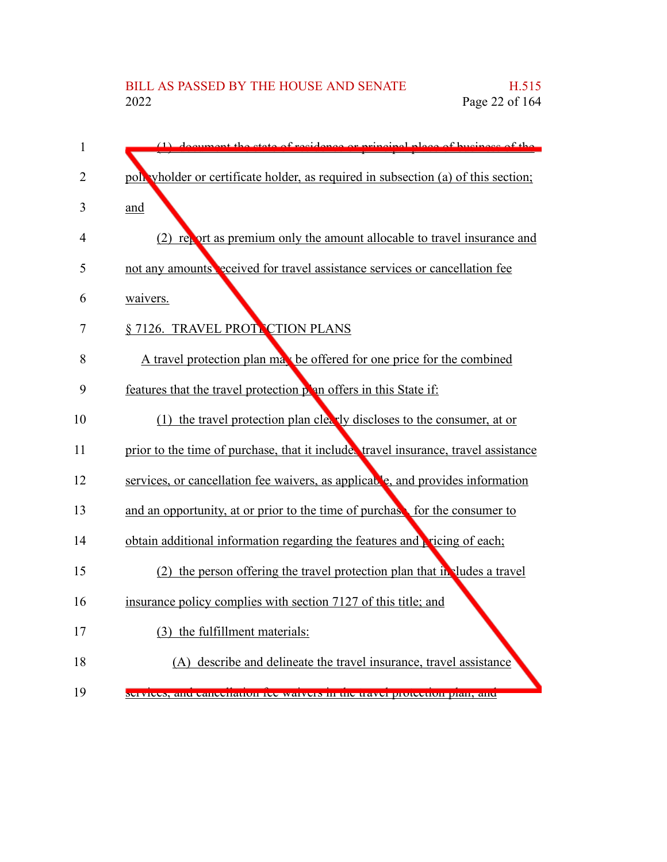| 1              | (1) document the state of residence or principal place of business of the               |
|----------------|-----------------------------------------------------------------------------------------|
| $\overline{2}$ | poll wholder or certificate holder, as required in subsection (a) of this section;      |
| 3              | and                                                                                     |
| 4              | (2) report as premium only the amount allocable to travel insurance and                 |
| 5              | not any amounts <sup>o</sup> eceived for travel assistance services or cancellation fee |
| 6              | waivers.                                                                                |
| 7              | § 7126. TRAVEL PROTTCTION PLANS                                                         |
| 8              | A travel protection plan may be offered for one price for the combined                  |
| 9              | features that the travel protection plan offers in this State if:                       |
| 10             | (1) the travel protection plan clearly discloses to the consumer, at or                 |
| 11             | prior to the time of purchase, that it includes travel insurance, travel assistance     |
| 12             | services, or cancellation fee waivers, as applicable, and provides information          |
| 13             | and an opportunity, at or prior to the time of purchase for the consumer to             |
| 14             | obtain additional information regarding the features and pricing of each;               |
| 15             | (2) the person offering the travel protection plan that in ludes a travel               |
| 16             | insurance policy complies with section 7127 of this title; and                          |
| 17             | (3) the fulfillment materials:                                                          |
| 18             | (A) describe and delineate the travel insurance, travel assistance                      |
| 19             | services, and cancenation fee warvers in the traver protection plan, and                |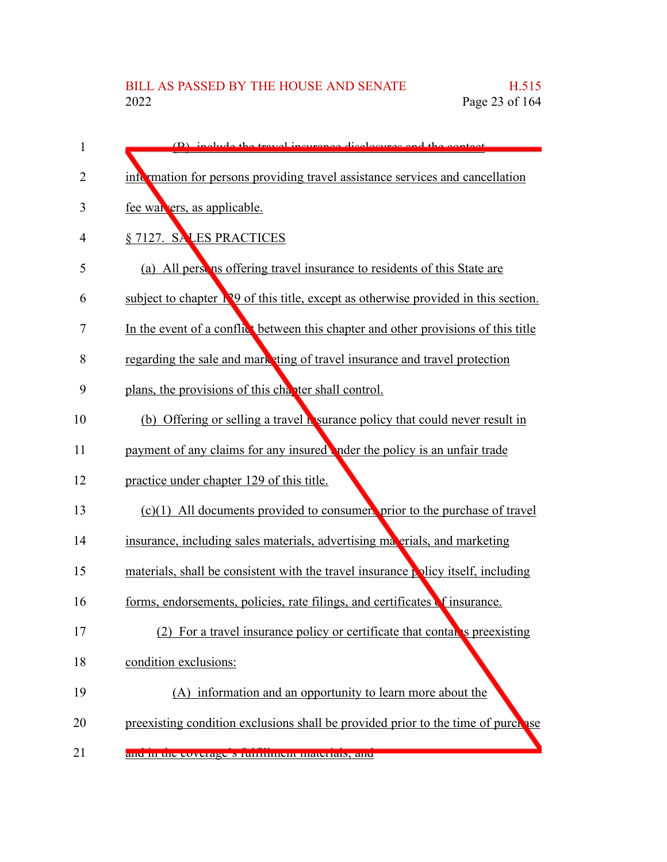| 1              | (B) include the travel incurance disclosures and the contact                                |
|----------------|---------------------------------------------------------------------------------------------|
| $\overline{2}$ | information for persons providing travel assistance services and cancellation               |
| 3              | fee wan ers, as applicable.                                                                 |
| 4              | § 7127. SALES PRACTICES                                                                     |
| 5              | (a) All person is offering travel insurance to residents of this State are                  |
| 6              | subject to chapter <b>Nº</b> 9 of this title, except as otherwise provided in this section. |
| 7              | In the event of a conflict between this chapter and other provisions of this title          |
| 8              | regarding the sale and mark ting of travel insurance and travel protection                  |
| 9              | plans, the provisions of this chapter shall control.                                        |
| 10             | (b) Offering or selling a travel is surance policy that could never result in               |
| 11             | payment of any claims for any insured nder the policy is an unfair trade                    |
| 12             | practice under chapter 129 of this title.                                                   |
| 13             | (c)(1) All documents provided to consumers prior to the purchase of travel                  |
| 14             | insurance, including sales materials, advertising materials, and marketing                  |
| 15             | materials, shall be consistent with the travel insurance policy itself, including           |
| 16             | forms, endorsements, policies, rate filings, and certificates of insurance.                 |
| 17             | (2) For a travel insurance policy or certificate that contains preexisting                  |
| 18             | condition exclusions:                                                                       |
| 19             | (A) information and an opportunity to learn more about the                                  |
| 20             | preexisting condition exclusions shall be provided prior to the time of purchase            |
| 21             | and in the coverage Struttunent materials, and                                              |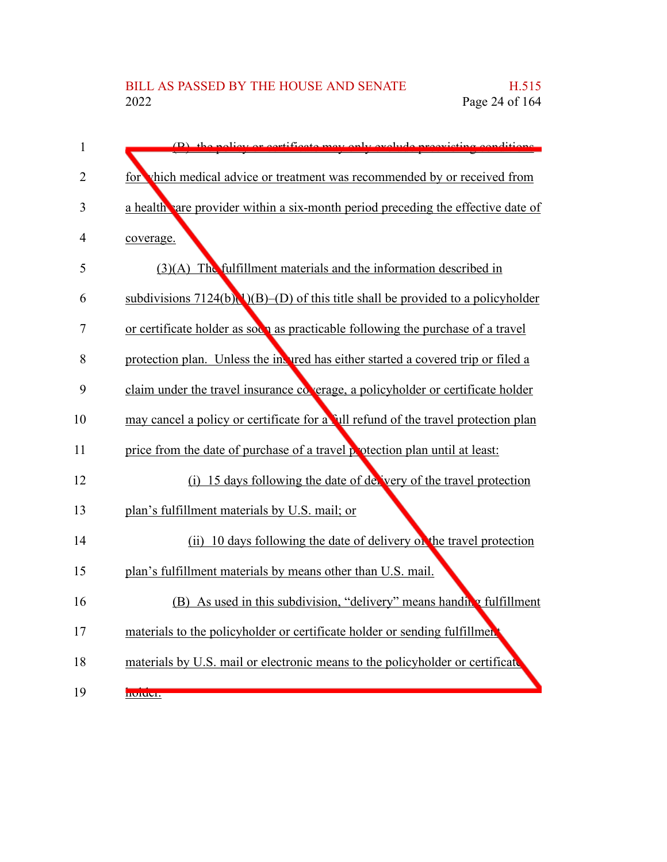| $\mathbf{1}$   | (B) the policy or corrificate may only evolude progriding conditions.                       |
|----------------|---------------------------------------------------------------------------------------------|
| $\overline{2}$ | for vhich medical advice or treatment was recommended by or received from                   |
| 3              | a health vare provider within a six-month period preceding the effective date of            |
| 4              | coverage.                                                                                   |
| 5              | (3)(A) The fulfillment materials and the information described in                           |
| 6              | subdivisions $7124(b)(1)(B)$ (D) of this title shall be provided to a policyholder          |
| 7              | or certificate holder as soc <sub>1</sub> as practicable following the purchase of a travel |
| 8              | protection plan. Unless the invited has either started a covered trip or filed a            |
| 9              | claim under the travel insurance coverage, a policyholder or certificate holder             |
| 10             | may cancel a policy or certificate for a full refund of the travel protection plan          |
| 11             | price from the date of purchase of a travel potection plan until at least:                  |
| 12             | (i) 15 days following the date of delivery of the travel protection                         |
| 13             | plan's fulfillment materials by U.S. mail; or                                               |
| 14             | (ii) 10 days following the date of delivery of the travel protection                        |
| 15             | plan's fulfillment materials by means other than U.S. mail.                                 |
| 16             | (B) As used in this subdivision, "delivery" means handing fulfillment                       |
| 17             | materials to the policyholder or certificate holder or sending fulfillment                  |
| 18             | materials by U.S. mail or electronic means to the policyholder or certificate               |
| 19             | <b>noruel.</b>                                                                              |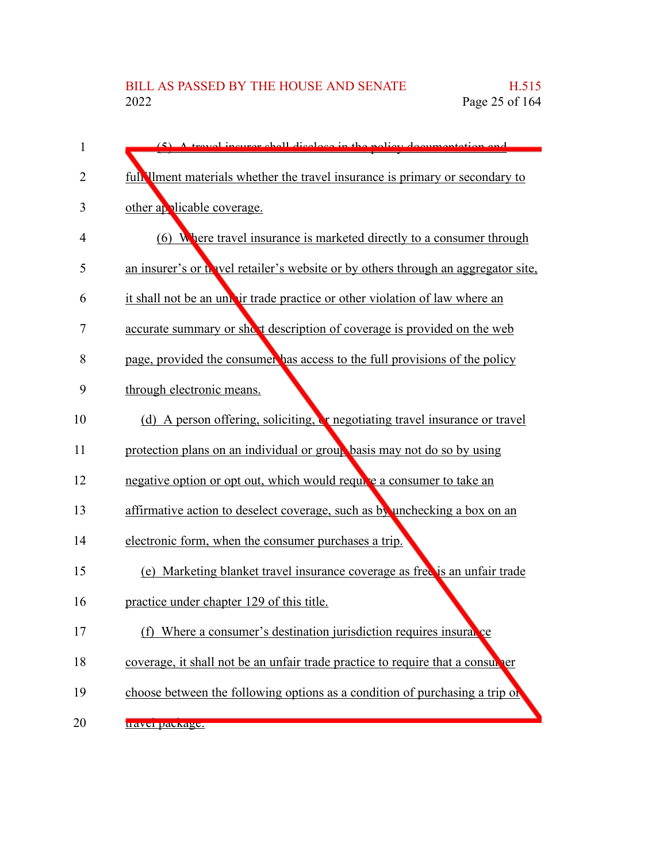| 1  | $(5)$ A travel incurse shall disclose in the policy decumentation and               |
|----|-------------------------------------------------------------------------------------|
| 2  | full liment materials whether the travel insurance is primary or secondary to       |
| 3  | other applicable coverage.                                                          |
| 4  | (6) Where travel insurance is marketed directly to a consumer through               |
| 5  | an insurer's or the vel retailer's website or by others through an aggregator site. |
| 6  | it shall not be an under trade practice or other violation of law where an          |
| 7  | accurate summary or short description of coverage is provided on the web            |
| 8  | page, provided the consumer has access to the full provisions of the policy         |
| 9  | through electronic means.                                                           |
| 10 | (d) A person offering, soliciting, <b>or</b> negotiating travel insurance or travel |
| 11 | protection plans on an individual or group basis may not do so by using             |
| 12 | negative option or opt out, which would require a consumer to take an               |
| 13 | affirmative action to deselect coverage, such as by unchecking a box on an          |
| 14 | electronic form, when the consumer purchases a trip.                                |
| 15 | (e) Marketing blanket travel insurance coverage as free is an unfair trade          |
| 16 | practice under chapter 129 of this title.                                           |
| 17 | Where a consumer's destination jurisdiction requires insural ce<br>(f)              |
| 18 | coverage, it shall not be an unfair trade practice to require that a consul per     |
| 19 | choose between the following options as a condition of purchasing a trip of         |
| 20 | u avvı pavkage.                                                                     |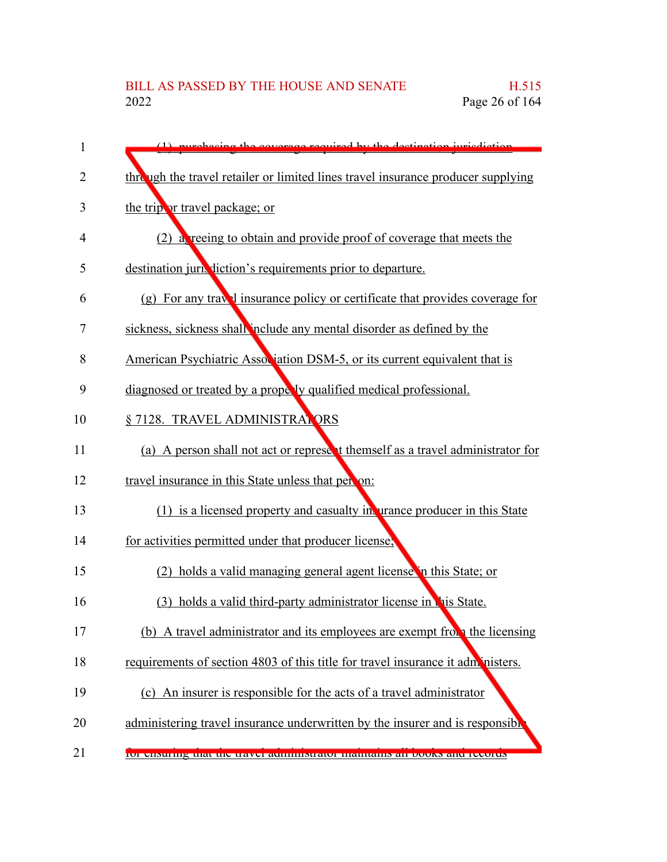| $\mathbf{1}$ | (1) purchasing the coverage required by the destination invisdiction              |
|--------------|-----------------------------------------------------------------------------------|
| 2            | thre ugh the travel retailer or limited lines travel insurance producer supplying |
| 3            | the trip or travel package; or                                                    |
| 4            | (2) a recing to obtain and provide proof of coverage that meets the               |
| 5            | destination jurisdiction's requirements prior to departure.                       |
| 6            | (g) For any travel insurance policy or certificate that provides coverage for     |
| 7            | sickness, sickness shall include any mental disorder as defined by the            |
| 8            | American Psychiatric Association DSM-5, or its current equivalent that is         |
| 9            | diagnosed or treated by a propelly qualified medical professional.                |
| 10           | § 7128. TRAVEL ADMINISTRATORS                                                     |
| 11           | (a) A person shall not act or represent themself as a travel administrator for    |
| 12           | travel insurance in this State unless that per on:                                |
| 13           | (1) is a licensed property and casualty in urance producer in this State          |
| 14           | for activities permitted under that producer license;                             |
| 15           | (2) holds a valid managing general agent license in this State; or                |
| 16           | holds a valid third-party administrator license in this State.<br>(3)             |
| 17           | (b) A travel administrator and its employees are exempt from the licensing        |
| 18           | requirements of section 4803 of this title for travel insurance it administers.   |
| 19           | (c) An insurer is responsible for the acts of a travel administrator              |
| 20           | administering travel insurance underwritten by the insurer and is responsible     |
| 21           | 101 chsuring that the travel administrator manuality an books and records         |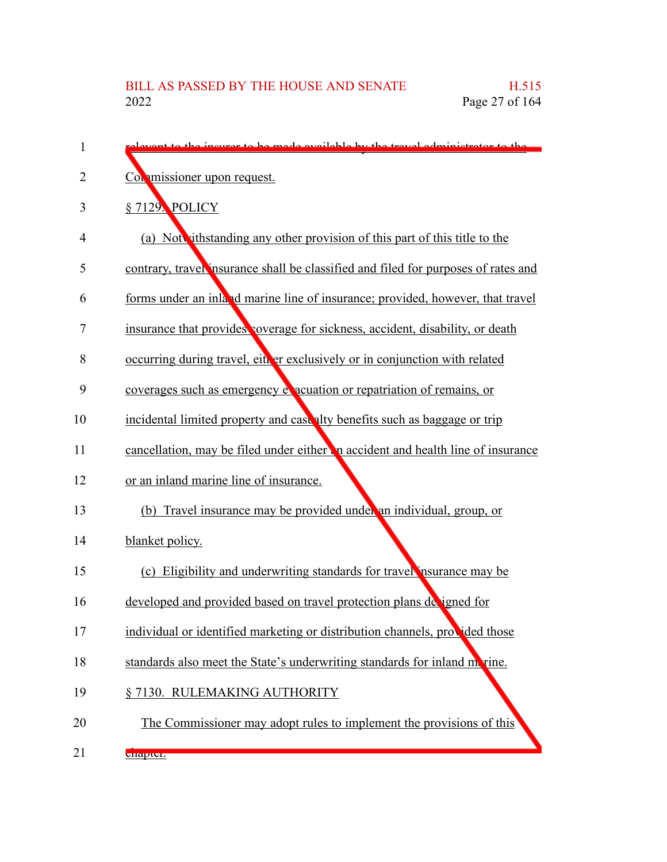| 1  | levent to the incurse to be made evailable by the travel edministrator to the      |
|----|------------------------------------------------------------------------------------|
| 2  | Commissioner upon request.                                                         |
| 3  | §7129. POLICY                                                                      |
| 4  | (a) Not rithstanding any other provision of this part of this title to the         |
| 5  | contrary, travel insurance shall be classified and filed for purposes of rates and |
| 6  | forms under an inland marine line of insurance; provided, however, that travel     |
| 7  | insurance that provides coverage for sickness, accident, disability, or death      |
| 8  | occurring during travel, either exclusively or in conjunction with related         |
| 9  | coverages such as emergency exacuation or repatriation of remains, or              |
| 10 | incidental limited property and case alty benefits such as baggage or trip         |
| 11 | cancellation, may be filed under either in accident and health line of insurance   |
| 12 | or an inland marine line of insurance.                                             |
| 13 | (b) Travel insurance may be provided under an individual, group, or                |
| 14 | blanket policy.                                                                    |
| 15 | (c) Eligibility and underwriting standards for travel nsurance may be              |
| 16 | developed and provided based on travel protection plans de igned for               |
| 17 | individual or identified marketing or distribution channels, provided those        |
| 18 | standards also meet the State's underwriting standards for inland metrine.         |
| 19 | § 7130. RULEMAKING AUTHORITY                                                       |
| 20 | The Commissioner may adopt rules to implement the provisions of this               |
| 21 | <b>Unapture</b>                                                                    |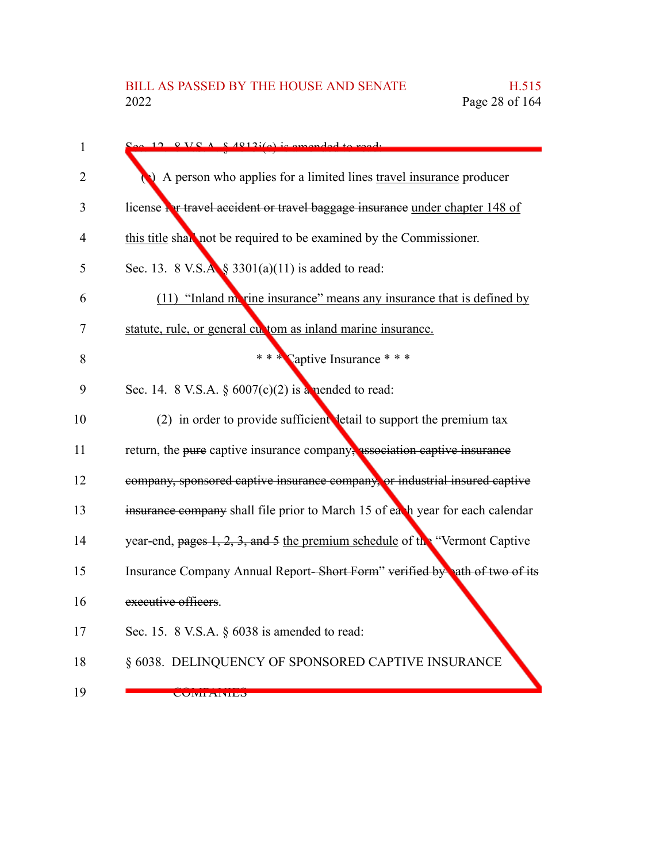| $\mathbf{1}$ | $12.8$ VC A $8$ $12i(c)$ is amonded                                           |
|--------------|-------------------------------------------------------------------------------|
| 2            | A person who applies for a limited lines travel insurance producer            |
| 3            | license For travel accident or travel baggage insurance under chapter 148 of  |
| 4            | this title shall not be required to be examined by the Commissioner.          |
| 5            | Sec. 13. 8 V.S. $\mathbf{A}$ § 3301(a)(11) is added to read:                  |
| 6            | (11) "Inland move insurance" means any insurance that is defined by           |
| 7            | statute, rule, or general cut tom as inland marine insurance.                 |
| 8            | * * * Captive Insurance * * *                                                 |
| 9            | Sec. 14. 8 V.S.A. $\S 6007(c)(2)$ is a nended to read:                        |
| 10           | (2) in order to provide sufficient detail to support the premium tax          |
| 11           | return, the pure captive insurance company, association captive insurance     |
| 12           | company, sponsored captive insurance company, or industrial insured captive   |
| 13           | insurance company shall file prior to March 15 of each year for each calendar |
| 14           | year-end, pages 1, 2, 3, and 5 the premium schedule of the "Vermont Captive   |
| 15           | Insurance Company Annual Report-Short Form" verified by ath of two of its     |
| 16           | executive officers.                                                           |
| 17           | Sec. 15. $8$ V.S.A. $§$ 6038 is amended to read:                              |
| 18           | § 6038. DELINQUENCY OF SPONSORED CAPTIVE INSURANCE                            |
| 19           | <b>CONITAINILO</b>                                                            |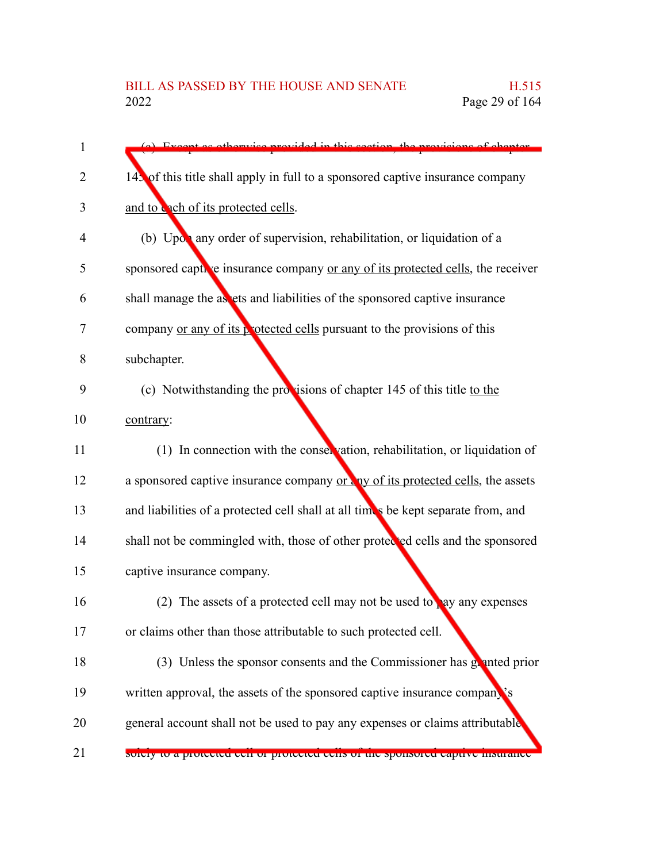| 1  | (a) Executive otherwise provided in this section, the provisions of chapter       |
|----|-----------------------------------------------------------------------------------|
| 2  | 143 of this title shall apply in full to a sponsored captive insurance company    |
| 3  | and to cach of its protected cells.                                               |
| 4  | (b) Upon any order of supervision, rehabilitation, or liquidation of a            |
| 5  | sponsored captive insurance company or any of its protected cells, the receiver   |
| 6  | shall manage the as ets and liabilities of the sponsored captive insurance        |
| 7  | company or any of its protected cells pursuant to the provisions of this          |
| 8  | subchapter.                                                                       |
| 9  | (c) Notwithstanding the provisions of chapter 145 of this title to the            |
| 10 | contrary:                                                                         |
| 11 | (1) In connection with the conservation, rehabilitation, or liquidation of        |
| 12 | a sponsored captive insurance company or any of its protected cells, the assets   |
| 13 | and liabilities of a protected cell shall at all times be kept separate from, and |
| 14 | shall not be commingled with, those of other protected cells and the sponsored    |
| 15 | captive insurance company.                                                        |
| 16 | (2) The assets of a protected cell may not be used to ay any expenses             |
| 17 | or claims other than those attributable to such protected cell.                   |
| 18 | (3) Unless the sponsor consents and the Commissioner has granted prior            |
| 19 | written approval, the assets of the sponsored captive insurance company's         |
| 20 | general account shall not be used to pay any expenses or claims attributable      |
| 21 | soiery to a protected een or protected cens or the sponsored captive msurance     |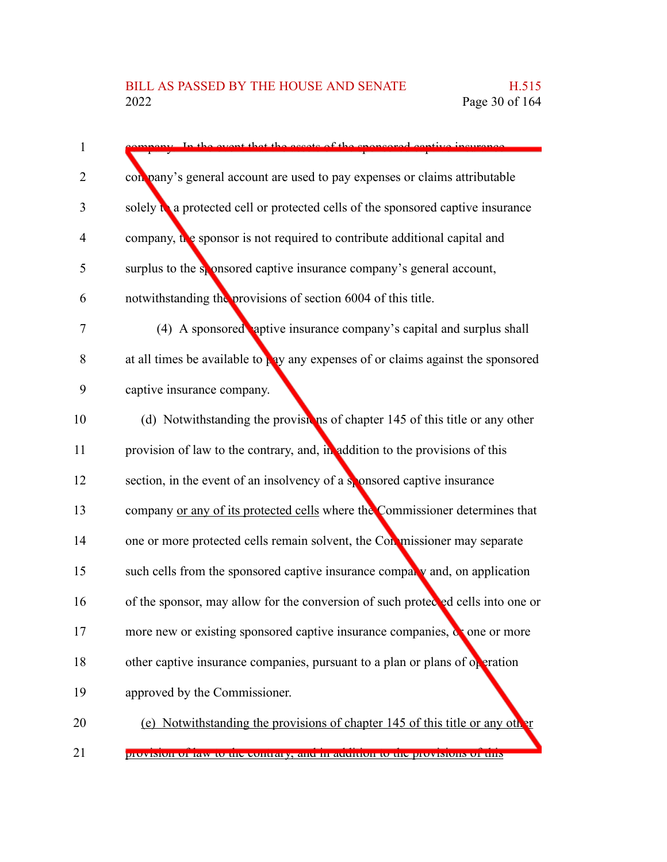| $\mathbf{1}$   | In the event that the accete of the cnoncared                                                 |
|----------------|-----------------------------------------------------------------------------------------------|
| $\overline{2}$ | con pany's general account are used to pay expenses or claims attributable                    |
| 3              | solely $\mathbf{a}$ a protected cell or protected cells of the sponsored captive insurance    |
| $\overline{4}$ | company, the sponsor is not required to contribute additional capital and                     |
| 5              | surplus to the sponsored captive insurance company's general account,                         |
| 6              | notwithstanding the provisions of section 6004 of this title.                                 |
| $\tau$         | (4) A sponsored aptive insurance company's capital and surplus shall                          |
| 8              | at all times be available to $\frac{1}{2}$ ay any expenses of or claims against the sponsored |
| 9              | captive insurance company.                                                                    |
| 10             | (d) Notwithstanding the provisions of chapter 145 of this title or any other                  |
| 11             | provision of law to the contrary, and, in addition to the provisions of this                  |
| 12             | section, in the event of an insolvency of a sponsored captive insurance                       |
| 13             | company or any of its protected cells where the Commissioner determines that                  |
| 14             | one or more protected cells remain solvent, the Conmissioner may separate                     |
| 15             | such cells from the sponsored captive insurance comparty and, on application                  |
| 16             | of the sponsor, may allow for the conversion of such protected cells into one or              |
| 17             | more new or existing sponsored captive insurance companies, or one or more                    |
| 18             | other captive insurance companies, pursuant to a plan or plans of operation                   |
| 19             | approved by the Commissioner.                                                                 |
| 20             | (e) Notwithstanding the provisions of chapter 145 of this title or any other                  |
|                |                                                                                               |

provision of law to the contrary, and in addition to the provisions of this 21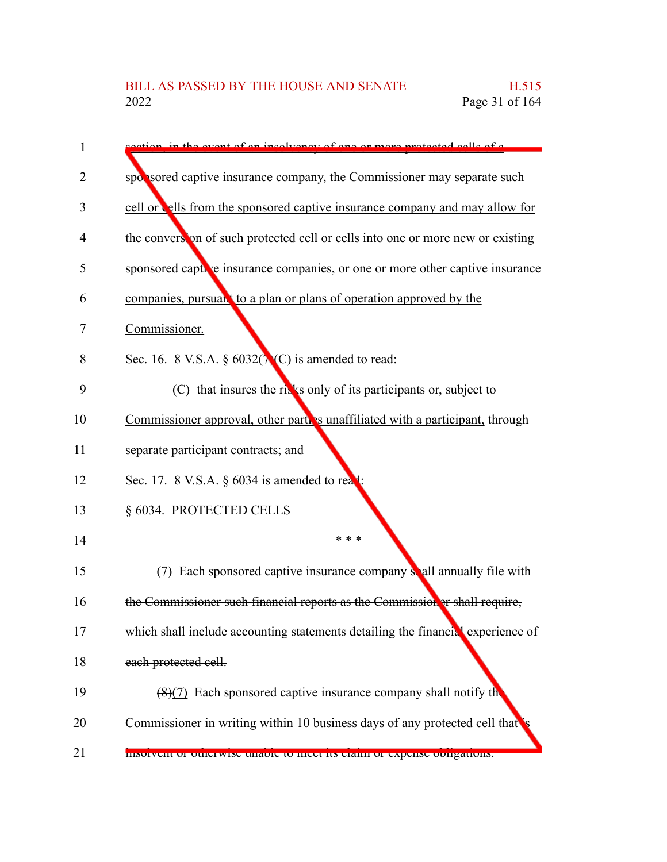| 1  | on in the event of an involvement of one or more protected calle of a           |
|----|---------------------------------------------------------------------------------|
| 2  | spot sored captive insurance company, the Commissioner may separate such        |
| 3  | cell or cells from the sponsored captive insurance company and may allow for    |
| 4  | the conversion of such protected cell or cells into one or more new or existing |
| 5  | sponsored captive insurance companies, or one or more other captive insurance   |
| 6  | companies, pursuan <sup>t</sup> to a plan or plans of operation approved by the |
| 7  | Commissioner.                                                                   |
| 8  | Sec. 16. 8 V.S.A. § $6032(\lambda(C))$ is amended to read:                      |
| 9  | (C) that insures the rives only of its participants or, subject to              |
| 10 | Commissioner approval, other parties unaffiliated with a participant, through   |
| 11 | separate participant contracts; and                                             |
| 12 | Sec. 17. 8 V.S.A. § 6034 is amended to real:                                    |
| 13 | § 6034. PROTECTED CELLS                                                         |
| 14 | * * *                                                                           |
| 15 | (7) Each sponsored captive insurance company spall annually file with           |
| 16 | the Commissioner such financial reports as the Commission er shall require,     |
| 17 | which shall include accounting statements detailing the financial experience of |
| 18 | each protected cell.                                                            |
| 19 | $(8)(7)$ Each sponsored captive insurance company shall notify the              |
| 20 | Commissioner in writing within 10 business days of any protected cell that      |
| 21 | msorvem or otherwise unable to meet its claim or expense obtigations.           |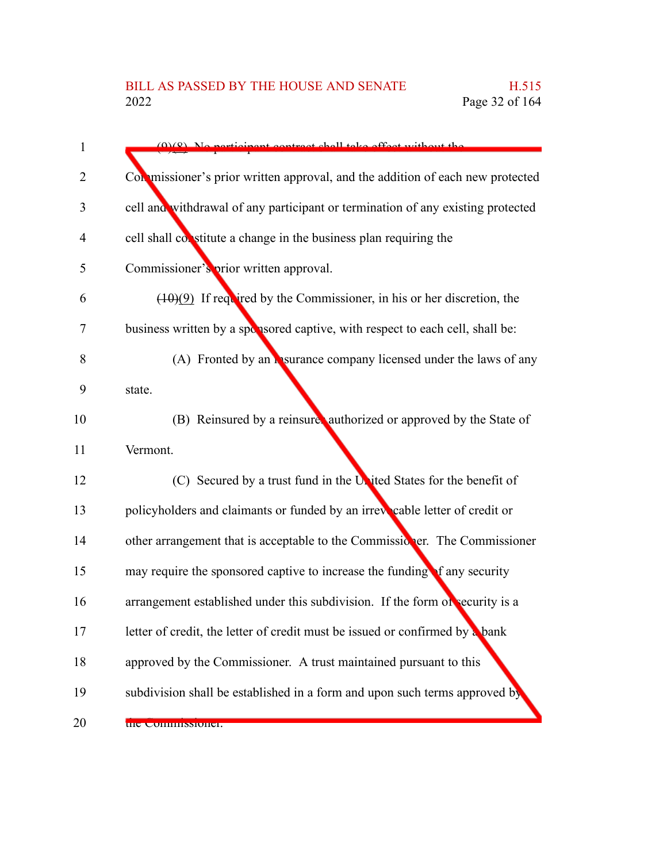| $\mathbf{1}$ | $(0)(8)$ No norticipant contract shall take effect without the                  |
|--------------|---------------------------------------------------------------------------------|
| 2            | Con missioner's prior written approval, and the addition of each new protected  |
| 3            | cell and withdrawal of any participant or termination of any existing protected |
| 4            | cell shall constitute a change in the business plan requiring the               |
| 5            | Commissioner's prior written approval.                                          |
| 6            | $(10)(9)$ If required by the Commissioner, in his or her discretion, the        |
| 7            | business written by a sponsored captive, with respect to each cell, shall be:   |
| 8            | (A) Fronted by an <b>Assurance company licensed under the laws of any</b>       |
| 9            | state.                                                                          |
| 10           | (B) Reinsured by a reinsure, authorized or approved by the State of             |
| 11           | Vermont.                                                                        |
| 12           | (C) Secured by a trust fund in the United States for the benefit of             |
| 13           | policyholders and claimants or funded by an irrevocable letter of credit or     |
| 14           | other arrangement that is acceptable to the Commissioner. The Commissioner      |
| 15           | may require the sponsored captive to increase the funding of any security       |
| 16           | arrangement established under this subdivision. If the form of security is a    |
| 17           | letter of credit, the letter of credit must be issued or confirmed by a bank    |
| 18           | approved by the Commissioner. A trust maintained pursuant to this               |
| 19           | subdivision shall be established in a form and upon such terms approved by      |
| 20           | the Commissioner.                                                               |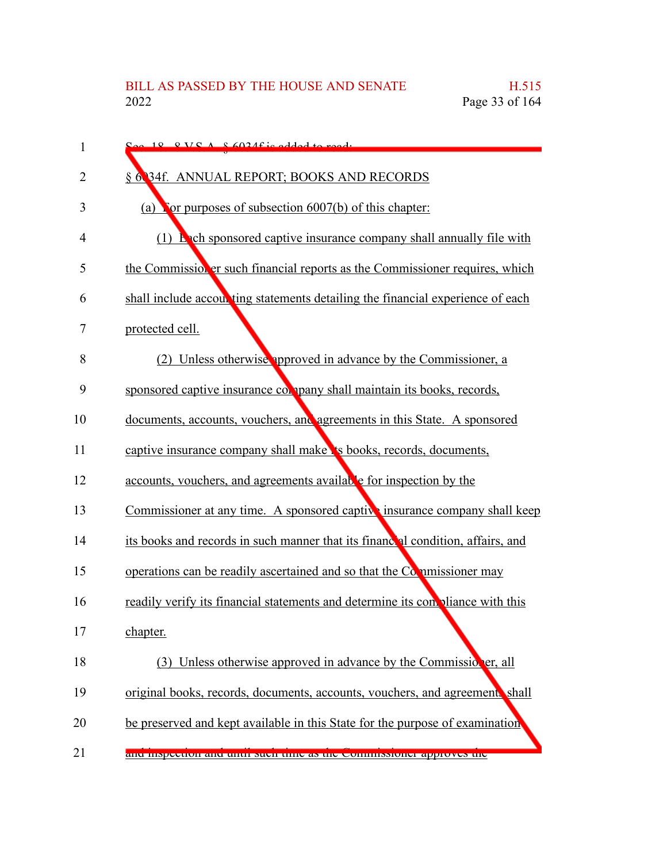| 1  | $S_{\alpha\alpha}$ 18 RVC $\Lambda$ R6024f is added to read.                    |
|----|---------------------------------------------------------------------------------|
| 2  | § 6 34f. ANNUAL REPORT; BOOKS AND RECORDS                                       |
| 3  | (a) For purposes of subsection $6007(b)$ of this chapter:                       |
| 4  | $(1)$ <b>Ench</b> sponsored captive insurance company shall annually file with  |
| 5  | the Commissioner such financial reports as the Commissioner requires, which     |
| 6  | shall include accounting statements detailing the financial experience of each  |
| 7  | protected cell.                                                                 |
| 8  | Unless otherwise approved in advance by the Commissioner, a<br>(2)              |
| 9  | sponsored captive insurance company shall maintain its books, records,          |
| 10 | documents, accounts, vouchers, and agreements in this State. A sponsored        |
| 11 | captive insurance company shall make is books, records, documents,              |
| 12 | accounts, vouchers, and agreements available for inspection by the              |
| 13 | Commissioner at any time. A sponsored captive insurance company shall keep      |
| 14 | its books and records in such manner that its financeal condition, affairs, and |
| 15 | operations can be readily ascertained and so that the Commissioner may          |
| 16 | readily verify its financial statements and determine its conviliance with this |
| 17 | chapter.                                                                        |
| 18 | (3) Unless otherwise approved in advance by the Commission er, all              |
| 19 | original books, records, documents, accounts, vouchers, and agreements shall    |
| 20 | be preserved and kept available in this State for the purpose of examination    |
| 21 | and inspection and until such time as the commissioner approves the             |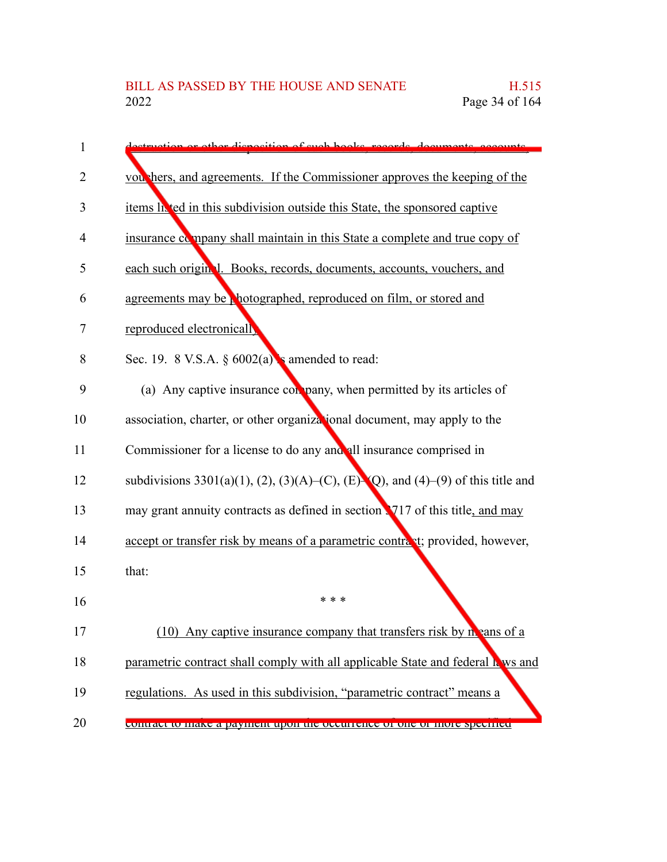| 1  | destruction or other disposition of such books, records, decuments, accounts     |
|----|----------------------------------------------------------------------------------|
| 2  | vou hers, and agreements. If the Commissioner approves the keeping of the        |
| 3  | items la ted in this subdivision outside this State, the sponsored captive       |
| 4  | insurance company shall maintain in this State a complete and true copy of       |
| 5  | each such original. Books, records, documents, accounts, vouchers, and           |
| 6  | agreements may be photographed, reproduced on film, or stored and                |
| 7  | reproduced electronically                                                        |
| 8  | Sec. 19. 8 V.S.A. $\S 6002(a)$ s amended to read:                                |
| 9  | (a) Any captive insurance company, when permitted by its articles of             |
| 10 | association, charter, or other organizational document, may apply to the         |
| 11 | Commissioner for a license to do any and all insurance comprised in              |
| 12 | subdivisions 3301(a)(1), (2), (3)(A)–(C), (E)–(Q), and (4)–(9) of this title and |
| 13 | may grant annuity contracts as defined in section 1717 of this title, and may    |
| 14 | accept or transfer risk by means of a parametric contract; provided, however,    |
| 15 | that:                                                                            |
| 16 | * * *                                                                            |
| 17 | (10) Any captive insurance company that transfers risk by $n$ cans of a          |
| 18 | parametric contract shall comply with all applicable State and federal k ws and  |
| 19 | regulations. As used in this subdivision, "parametric contract" means a          |
| 20 | contract to make a payment upon the occurrence or one or more specified.         |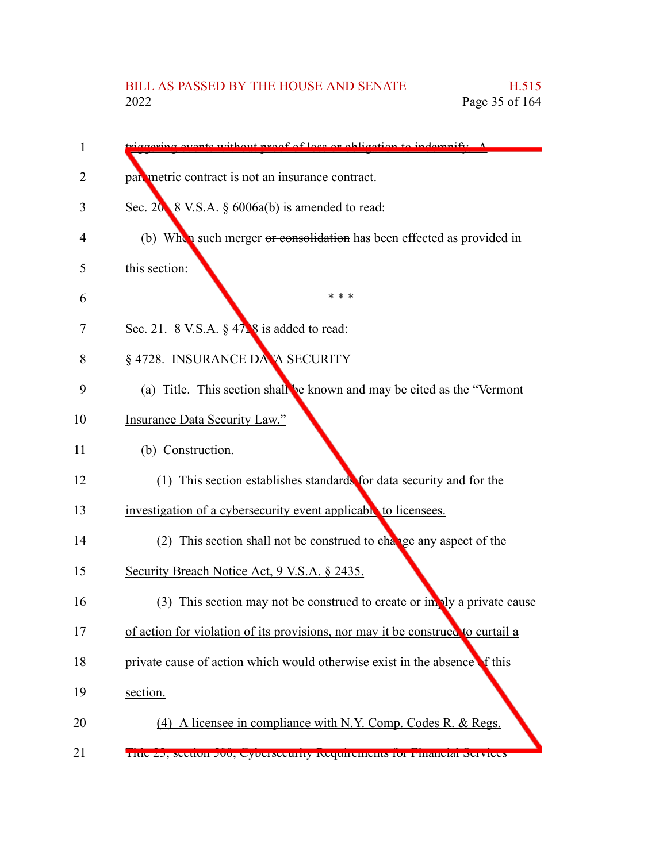| without proof of loss or obligation to indomnify A                              |
|---------------------------------------------------------------------------------|
| part metric contract is not an insurance contract.                              |
| Sec. $20 \times 8$ V.S.A. $\S 6006a(b)$ is amended to read:                     |
| (b) When such merger or consolidation has been effected as provided in          |
| this section:                                                                   |
| * * *                                                                           |
| Sec. 21. 8 V.S.A. $\S$ 47.8 is added to read:                                   |
| § 4728. INSURANCE DA A SECURITY                                                 |
| (a) Title. This section shall be known and may be cited as the "Vermont"        |
| <b>Insurance Data Security Law."</b>                                            |
| (b) Construction.                                                               |
| (1) This section establishes standards for data security and for the            |
| investigation of a cybersecurity event applicable to licensees.                 |
| (2) This section shall not be construed to change any aspect of the             |
| Security Breach Notice Act, 9 V.S.A. § 2435.                                    |
| (3) This section may not be construed to create or in aly a private cause       |
| of action for violation of its provisions, nor may it be construed to curtail a |
| private cause of action which would otherwise exist in the absence of this      |
| section.                                                                        |
| (4) A licensee in compliance with N.Y. Comp. Codes R. & Regs.                   |
| THUC ZO, SCUIDII OUU, CYDUISCUIHIY INCQUIIUIHUIN IOI FIHAHUIAI DUIVIUUS         |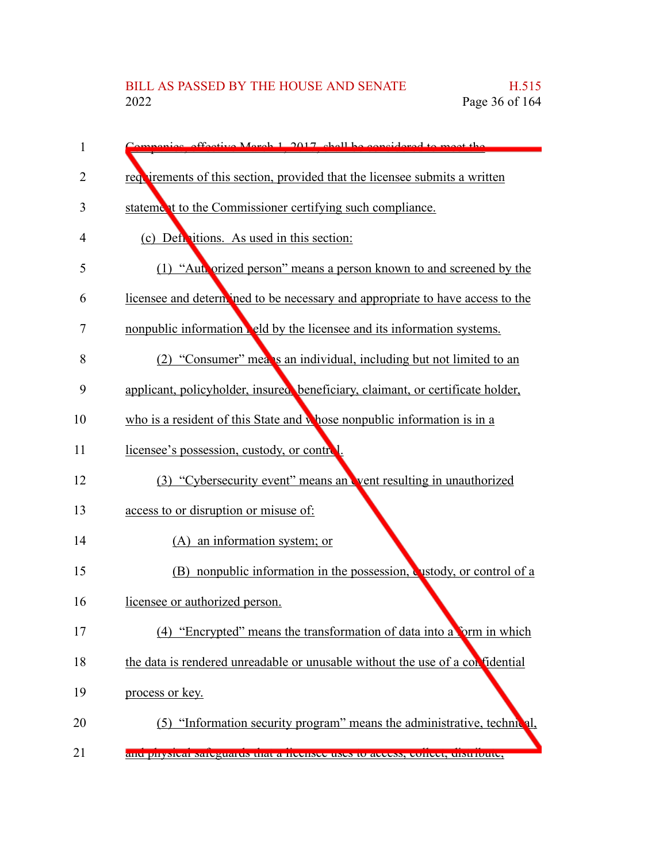| 1  | ies effective March 1, 2017, shall be considered to meet the                   |
|----|--------------------------------------------------------------------------------|
| 2  | requirements of this section, provided that the licensee submits a written     |
| 3  | statement to the Commissioner certifying such compliance.                      |
| 4  | (c) Definitions. As used in this section:                                      |
| 5  | (1) "Authorized person" means a person known to and screened by the            |
| 6  | licensee and determ ned to be necessary and appropriate to have access to the  |
| 7  | nonpublic information eld by the licensee and its information systems.         |
| 8  | (2) "Consumer" means an individual, including but not limited to an            |
| 9  | applicant, policyholder, insured beneficiary, claimant, or certificate holder, |
| 10 | who is a resident of this State and whose nonpublic information is in a        |
| 11 | licensee's possession, custody, or control.                                    |
| 12 | (3) "Cybersecurity event" means an went resulting in unauthorized              |
| 13 | access to or disruption or misuse of:                                          |
| 14 | (A) an information system; or                                                  |
| 15 | (B) nonpublic information in the possession, custody, or control of a          |
| 16 | licensee or authorized person.                                                 |
| 17 | (4) "Encrypted" means the transformation of data into a form in which          |
| 18 | the data is rendered unreadable or unusable without the use of a confidential  |
| 19 | process or key.                                                                |
| 20 | (5) "Information security program" means the administrative, technical,        |
| 21 | anu physical sateguarus mat a nechsec uses to access, concer, uistribute,      |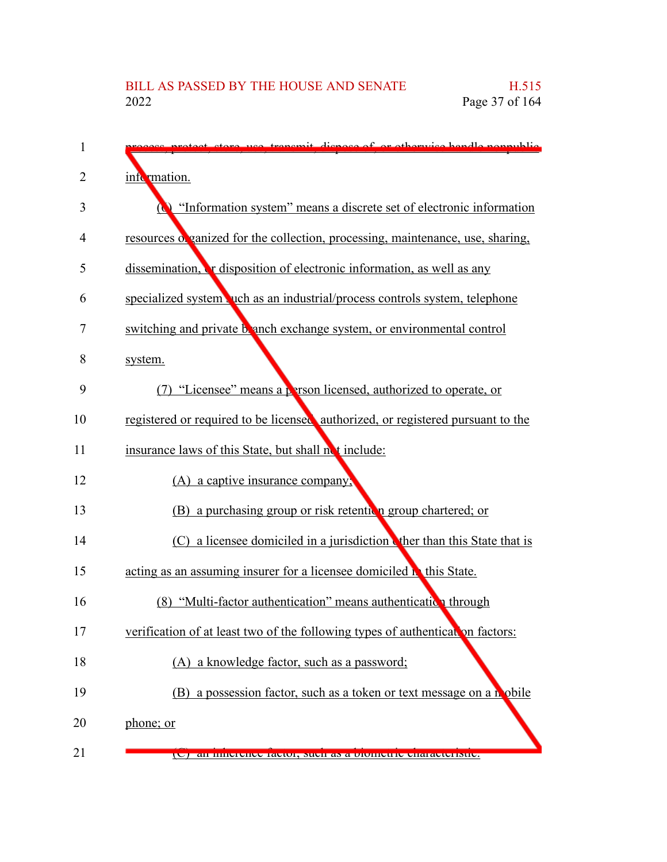| 1  | re use transmit dispess of or otherwise handle nonpublic                        |
|----|---------------------------------------------------------------------------------|
| 2  | information.                                                                    |
| 3  | "Information system" means a discrete set of electronic information             |
| 4  | resources of ganized for the collection, processing, maintenance, use, sharing, |
| 5  | dissemination, <b>T</b> disposition of electronic information, as well as any   |
| 6  | specialized system vuch as an industrial/process controls system, telephone     |
| 7  | switching and private branch exchange system, or environmental control          |
| 8  | system.                                                                         |
| 9  | (7) "Licensee" means a person licensed, authorized to operate, or               |
| 10 | registered or required to be licensed authorized, or registered pursuant to the |
| 11 | insurance laws of this State, but shall not include:                            |
| 12 | (A) a captive insurance company;                                                |
| 13 | (B) a purchasing group or risk retention group chartered; or                    |
| 14 | (C) a licensee domiciled in a jurisdiction the than this State that is          |
| 15 | acting as an assuming insurer for a licensee domiciled <b>h</b> this State.     |
| 16 | (8) "Multi-factor authentication" means authentication through                  |
| 17 | verification of at least two of the following types of authentical on factors:  |
| 18 | (A) a knowledge factor, such as a password;                                     |
| 19 | (B) a possession factor, such as a token or text message on a mobile            |
| 20 | phone; or                                                                       |
| 21 | (C) an innerence factor, such as a biometric characteristic.                    |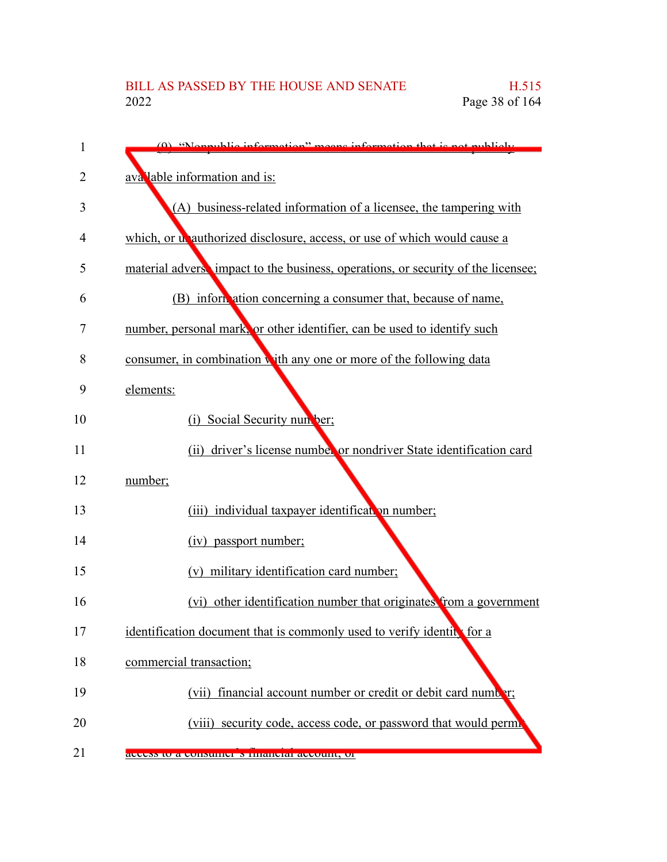| 1  | (0) "Nonnublic information" means information that is not publicly               |
|----|----------------------------------------------------------------------------------|
| 2  | avalable information and is:                                                     |
| 3  | (A) business-related information of a licensee, the tampering with               |
| 4  | which, or unauthorized disclosure, access, or use of which would cause a         |
| 5  | material advers impact to the business, operations, or security of the licensee; |
| 6  | (B) information concerning a consumer that, because of name,                     |
| 7  | number, personal mark, or other identifier, can be used to identify such         |
| 8  | consumer, in combination with any one or more of the following data              |
| 9  | elements:                                                                        |
| 10 | Social Security nun ber;<br>(i)                                                  |
| 11 | (ii) driver's license number or nondriver State identification card              |
| 12 | number;                                                                          |
| 13 | (iii) individual taxpayer identification number;                                 |
| 14 | (iv) passport number;                                                            |
| 15 | (v) military identification card number;                                         |
| 16 | (vi) other identification number that originates from a government               |
| 17 | identification document that is commonly used to verify identice for a           |
| 18 | commercial transaction;                                                          |
| 19 | financial account number or credit or debit card number;<br>(vii)                |
| 20 | (viii) security code, access code, or password that would perm.                  |
| 21 | access to a consulted suitancial account, or                                     |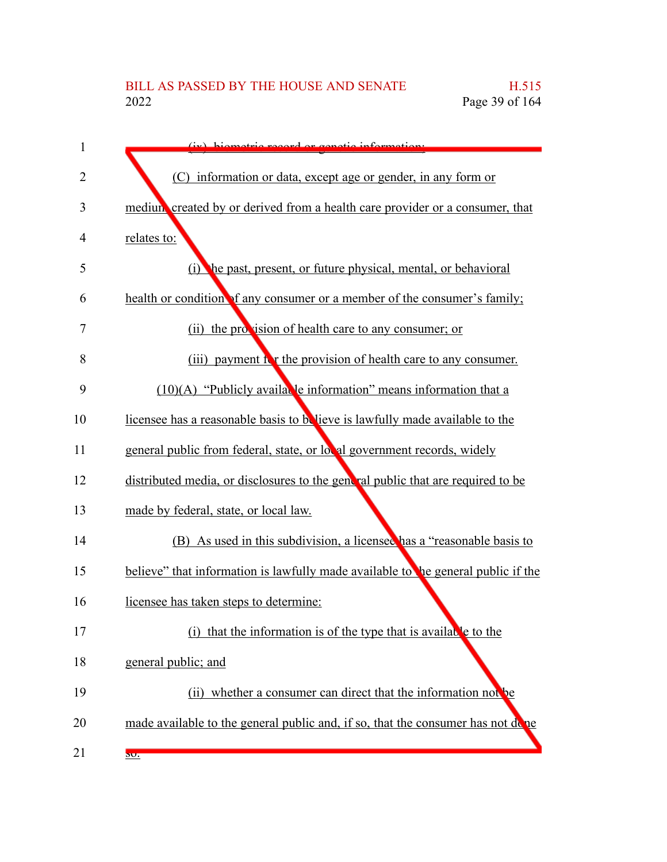| 1  | (iv) higmotric record or constiguisformation.                                    |
|----|----------------------------------------------------------------------------------|
| 2  | (C) information or data, except age or gender, in any form or                    |
| 3  | medium created by or derived from a health care provider or a consumer, that     |
| 4  | relates to:                                                                      |
| 5  | (i) the past, present, or future physical, mental, or behavioral                 |
| 6  | health or condition of any consumer or a member of the consumer's family;        |
| 7  | (ii) the provision of health care to any consumer; or                            |
| 8  | (iii) payment is the provision of health care to any consumer.                   |
| 9  | $(10)(A)$ "Publicly available information" means information that a              |
| 10 | licensee has a reasonable basis to believe is lawfully made available to the     |
| 11 | general public from federal, state, or local government records, widely          |
| 12 | distributed media, or disclosures to the general public that are required to be  |
| 13 | made by federal, state, or local law.                                            |
| 14 | (B) As used in this subdivision, a licensee has a "reasonable basis to           |
| 15 | believe" that information is lawfully made available to be general public if the |
| 16 | licensee has taken steps to determine:                                           |
| 17 | (i) that the information is of the type that is available to the                 |
| 18 | general public; and                                                              |
| 19 | (ii) whether a consumer can direct that the information not be                   |
| 20 | made available to the general public and, if so, that the consumer has not done  |
| 21 | 50.                                                                              |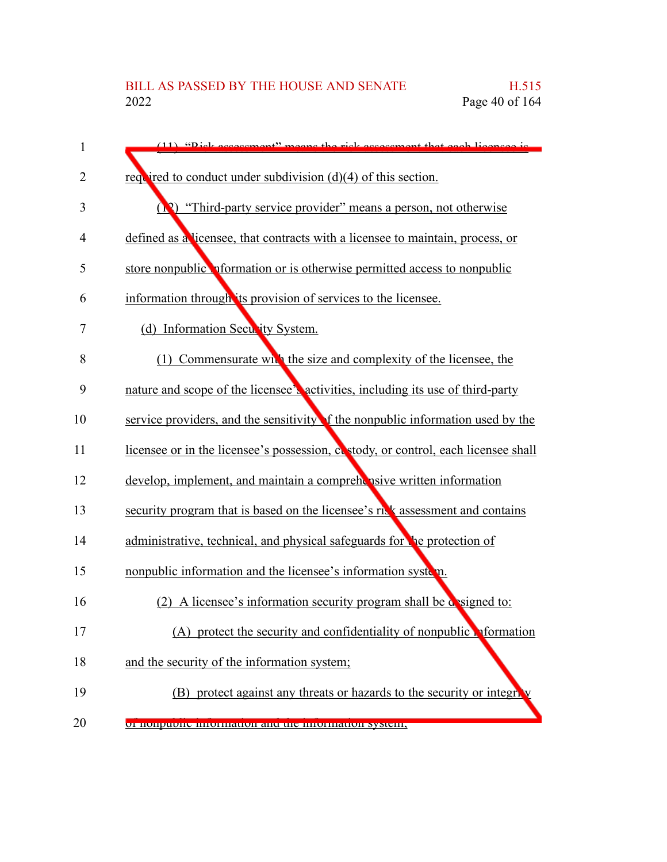| 1  | (11) "Pick assossment" means the rick assossment that each licenses is                     |
|----|--------------------------------------------------------------------------------------------|
| 2  | required to conduct under subdivision $(d)(4)$ of this section.                            |
| 3  | "Third-party service provider" means a person, not otherwise<br>$\left( \mathbf{R}\right)$ |
| 4  | defined as a licensee, that contracts with a licensee to maintain, process, or             |
| 5  | store nonpublic <b>of</b> offermation or is otherwise permitted access to nonpublic        |
| 6  | information through its provision of services to the licensee.                             |
| 7  | (d) Information Security System.                                                           |
| 8  | (1) Commensurate while the size and complexity of the licensee, the                        |
| 9  | nature and scope of the licensee's activities, including its use of third-party            |
| 10 | service providers, and the sensitivity of the nonpublic information used by the            |
| 11 | licensee or in the licensee's possession, costody, or control, each licensee shall         |
| 12 | develop, implement, and maintain a comprehensive written information                       |
| 13 | security program that is based on the licensee's risk assessment and contains              |
| 14 | administrative, technical, and physical safeguards for the protection of                   |
| 15 | nonpublic information and the licensee's information system.                               |
| 16 | A licensee's information security program shall be designed to:<br>(2)                     |
| 17 | (A) protect the security and confidentiality of nonpublic reformation                      |
| 18 | and the security of the information system;                                                |
| 19 | (B) protect against any threats or hazards to the security or integrity                    |
| 20 | or nonpuone information and the information system,                                        |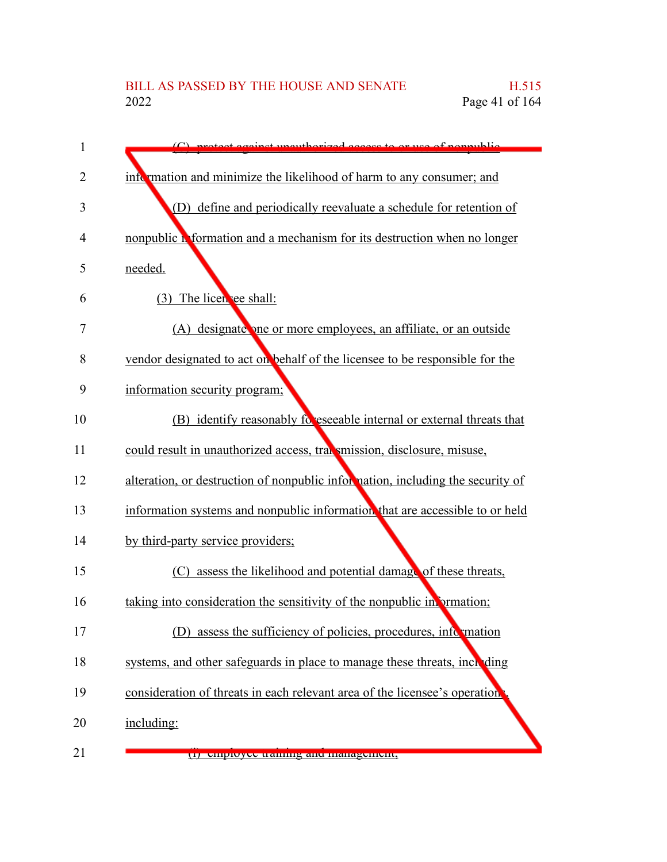| 1  | $(C)$ protect equipst upout horized access to or use of nonpublic              |
|----|--------------------------------------------------------------------------------|
| 2  | information and minimize the likelihood of harm to any consumer; and           |
| 3  | (D) define and periodically reevaluate a schedule for retention of             |
| 4  | nonpublic information and a mechanism for its destruction when no longer       |
| 5  | needed.                                                                        |
| 6  | (3) The licence shall:                                                         |
| 7  | (A) designate one or more employees, an affiliate, or an outside               |
| 8  | vendor designated to act on behalf of the licensee to be responsible for the   |
| 9  | information security program;                                                  |
| 10 | (B) identify reasonably follower internal or external threats that             |
| 11 | could result in unauthorized access, transmission, disclosure, misuse,         |
| 12 | alteration, or destruction of nonpublic information, including the security of |
| 13 | information systems and nonpublic information that are accessible to or held   |
| 14 | by third-party service providers;                                              |
| 15 | (C) assess the likelihood and potential damage of these threats,               |
| 16 | taking into consideration the sensitivity of the nonpublic in ormation;        |
| 17 | assess the sufficiency of policies, procedures, information                    |
| 18 | systems, and other safeguards in place to manage these threats, including      |
| 19 | consideration of threats in each relevant area of the licensee's operation.    |
| 20 | including:                                                                     |
| 21 | (1) спірюўсе папніц ана шанаденісці,                                           |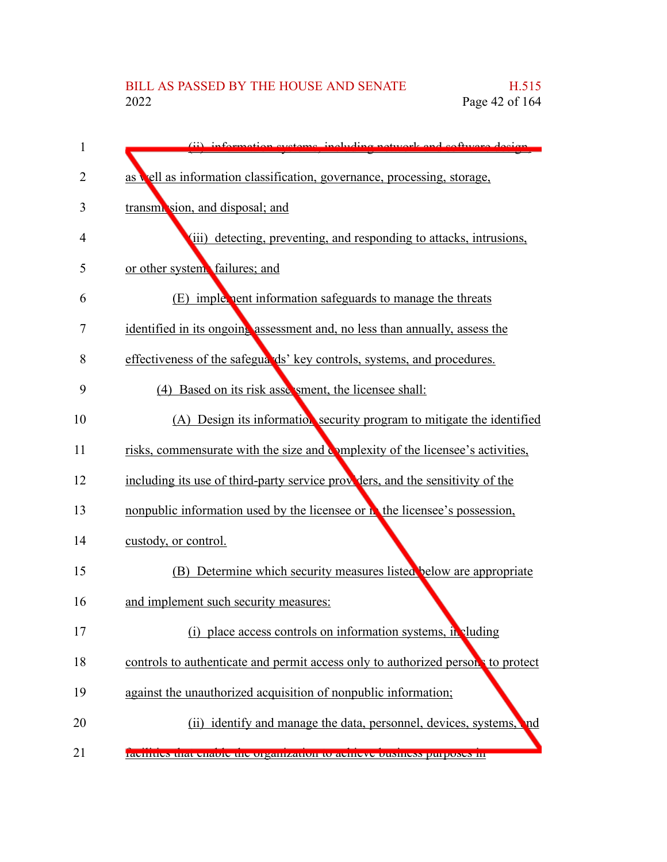| 1  | (ii) information gystams including natwork and software design                    |
|----|-----------------------------------------------------------------------------------|
| 2  | as vell as information classification, governance, processing, storage,           |
| 3  | transmi sion, and disposal; and                                                   |
| 4  | (iii) detecting, preventing, and responding to attacks, intrusions,               |
| 5  | or other system failures; and                                                     |
| 6  | (E) implement information safeguards to manage the threats                        |
| 7  | identified in its ongoing assessment and, no less than annually, assess the       |
| 8  | effectiveness of the safegua ds' key controls, systems, and procedures.           |
| 9  | (4) Based on its risk assessment, the licensee shall:                             |
| 10 | (A) Design its information security program to mitigate the identified            |
| 11 | risks, commensurate with the size and complexity of the licensee's activities,    |
| 12 | including its use of third-party service providers, and the sensitivity of the    |
| 13 | nonpublic information used by the licensee or <b>h</b> the licensee's possession, |
| 14 | custody, or control.                                                              |
| 15 | (B) Determine which security measures listed below are appropriate                |
| 16 | and implement such security measures:                                             |
| 17 | (i) place access controls on information systems, in cluding                      |
| 18 | controls to authenticate and permit access only to authorized person to protect   |
| 19 | against the unauthorized acquisition of nonpublic information;                    |
| 20 | (ii) identify and manage the data, personnel, devices, systems,<br>nd             |
| 21 | racinties that chaote the organization to achieve bushless purposes in            |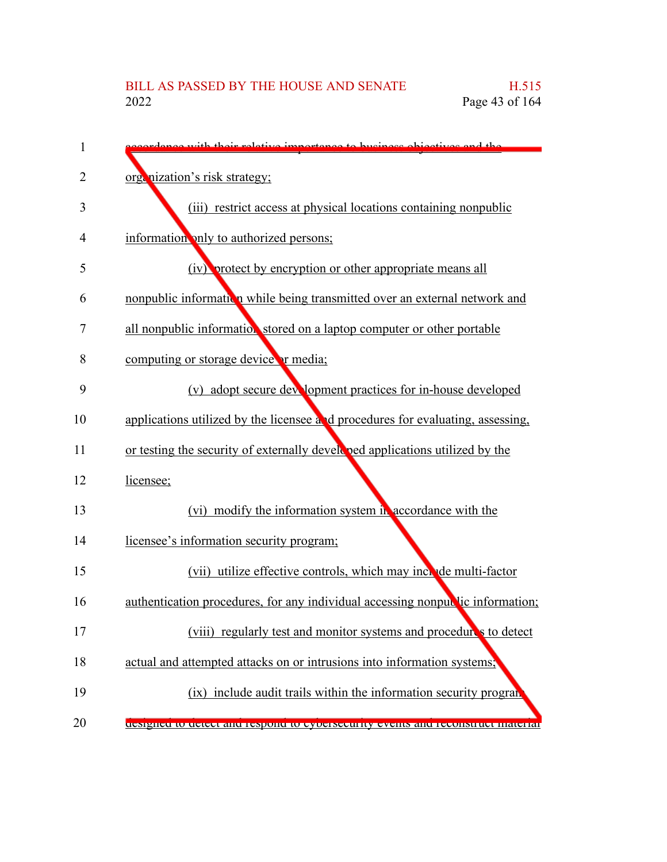| 1  | see with their relative importance to buginess objectives and the               |
|----|---------------------------------------------------------------------------------|
| 2  | orgenization's risk strategy;                                                   |
| 3  | (iii) restrict access at physical locations containing nonpublic                |
| 4  | information only to authorized persons;                                         |
| 5  | (iv) protect by encryption or other appropriate means all                       |
| 6  | nonpublic information while being transmitted over an external network and      |
| 7  | all nonpublic information stored on a laptop computer or other portable         |
| 8  | computing or storage device or media;                                           |
| 9  | (v) adopt secure development practices for in-house developed                   |
| 10 | applications utilized by the licensee and procedures for evaluating, assessing, |
| 11 | or testing the security of externally developed applications utilized by the    |
| 12 | licensee;                                                                       |
| 13 | (vi) modify the information system in accordance with the                       |
| 14 | licensee's information security program;                                        |
| 15 | (vii) utilize effective controls, which may include multi-factor                |
| 16 | authentication procedures, for any individual accessing nonpullic information;  |
| 17 | (viii) regularly test and monitor systems and procedure's to detect             |
| 18 | actual and attempted attacks on or intrusions into information systems;         |
| 19 | (ix) include audit trails within the information security program               |
| 20 | designed to detect and respond to eybersecurity events and reconstruct material |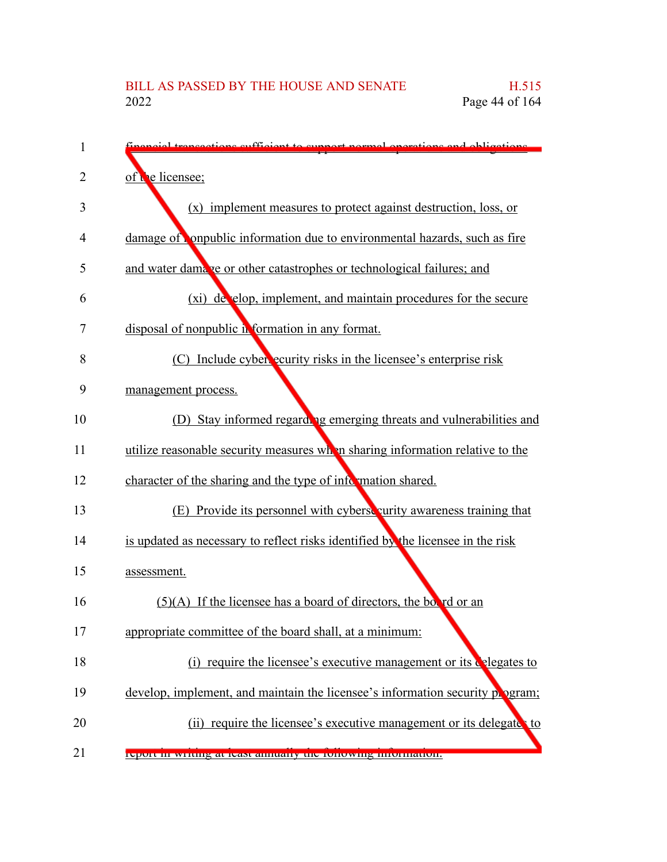| 1              | percial transactions sufficient to support normal operations and obligations.   |
|----------------|---------------------------------------------------------------------------------|
| $\overline{2}$ | of the licensee;                                                                |
| 3              | (x) implement measures to protect against destruction, loss, or                 |
| 4              | damage of compublic information due to environmental hazards, such as fire      |
| 5              | and water damage or other catastrophes or technological failures; and           |
| 6              | (xi) de elop, implement, and maintain procedures for the secure                 |
| 7              | disposal of nonpublic information in any format.                                |
| 8              | (C) Include cyber ecurity risks in the licensee's enterprise risk               |
| 9              | management process.                                                             |
| 10             | (D) Stay informed regarding emerging threats and vulnerabilities and            |
| 11             | utilize reasonable security measures when sharing information relative to the   |
| 12             | character of the sharing and the type of information shared.                    |
| 13             | (E) Provide its personnel with cyberse curity awareness training that           |
| 14             | is updated as necessary to reflect risks identified by the licensee in the risk |
| 15             | assessment.                                                                     |
| 16             | $(5)(A)$ If the licensee has a board of directors, the boord or an              |
| 17             | appropriate committee of the board shall, at a minimum:                         |
| 18             | (i) require the licensee's executive management or its $\zeta$ elegates to      |
| 19             | develop, implement, and maintain the licensee's information security program;   |
| 20             | (ii) require the licensee's executive management or its delegates to            |
| 21             | report in writing at ieast annually the following information.                  |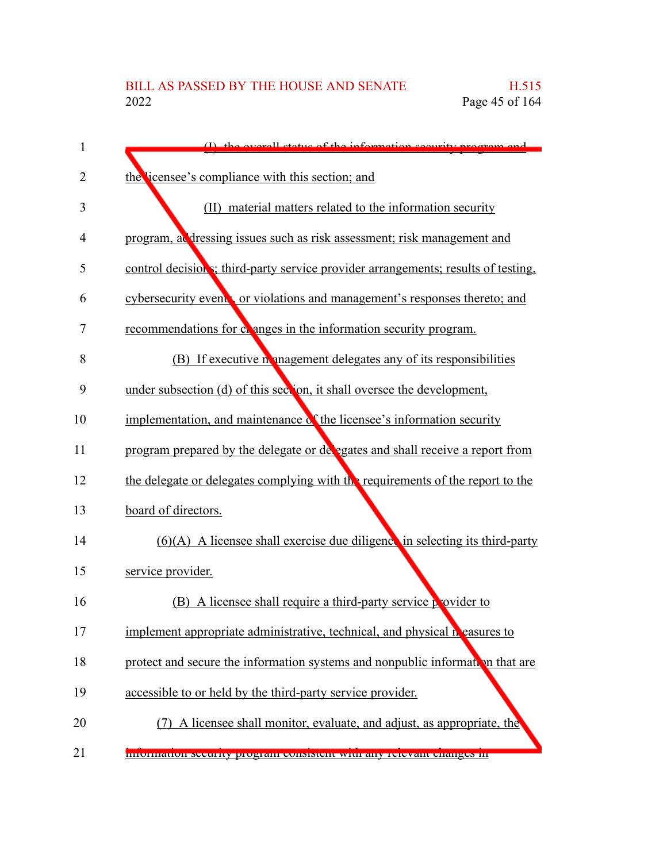| 1  | $\sum_{i=1}^{n}$ the every detective of the information coordinates program and    |
|----|------------------------------------------------------------------------------------|
| 2  | the licensee's compliance with this section; and                                   |
| 3  | (II) material matters related to the information security                          |
| 4  | program, at dressing issues such as risk assessment; risk management and           |
| 5  | control decision s; third-party service provider arrangements; results of testing, |
| 6  | cybersecurity event, or violations and management's responses thereto; and         |
| 7  | recommendations for comparison the information security program.                   |
| 8  | (B) If executive in an agement delegates any of its responsibilities               |
| 9  | under subsection (d) of this section, it shall oversee the development,            |
| 10 | implementation, and maintenance of the licensee's information security             |
| 11 | program prepared by the delegate or de egates and shall receive a report from      |
| 12 | the delegate or delegates complying with the requirements of the report to the     |
| 13 | board of directors.                                                                |
| 14 | $(6)(A)$ A licensee shall exercise due diligence in selecting its third-party      |
| 15 | service provider.                                                                  |
| 16 | (B) A licensee shall require a third-party service $\beta$ ovider to               |
| 17 | implement appropriate administrative, technical, and physical neasures to          |
| 18 | protect and secure the information systems and nonpublic information that are      |
| 19 | accessible to or held by the third-party service provider.                         |
| 20 | (7) A licensee shall monitor, evaluate, and adjust, as appropriate, the            |
| 21 | mionination security program consistent with any relevant changes in               |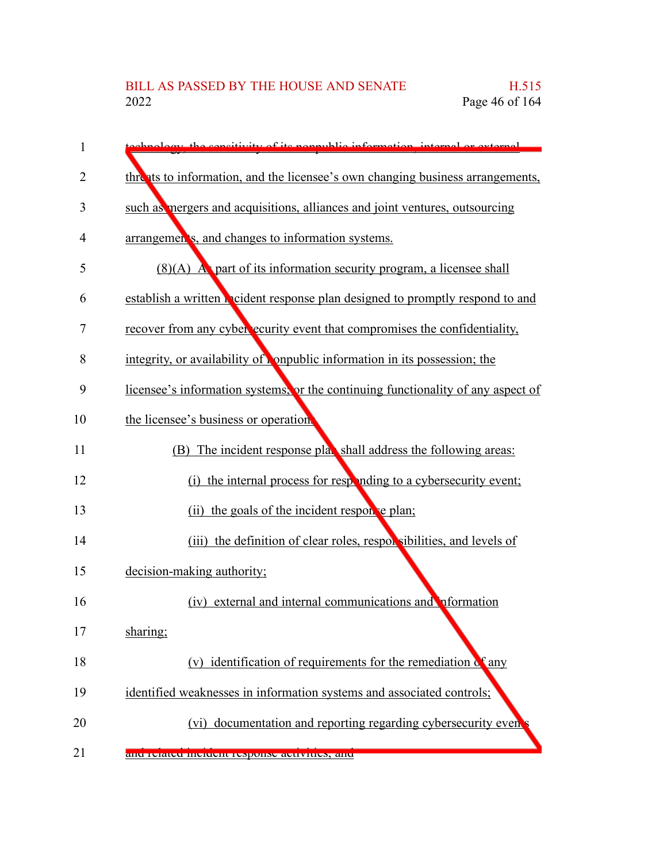| 1  | chnology the consitivity of its nonpublic information, internal or external           |
|----|---------------------------------------------------------------------------------------|
| 2  | threats to information, and the licensee's own changing business arrangements,        |
| 3  | such as mergers and acquisitions, alliances and joint ventures, outsourcing           |
| 4  | arrangemen's, and changes to information systems.                                     |
| 5  | $(8)(A)$ A part of its information security program, a licensee shall                 |
| 6  | establish a written <b>N</b> cident response plan designed to promptly respond to and |
| 7  | recover from any cyber ecurity event that compromises the confidentiality,            |
| 8  | integrity, or availability of compublic information in its possession; the            |
| 9  | licensee's information systems, or the continuing functionality of any aspect of      |
| 10 | the licensee's business or operation.                                                 |
| 11 | The incident response plan shall address the following areas:<br>(B)                  |
| 12 | the internal process for responding to a cybersecurity event;<br>(i)                  |
| 13 | (ii) the goals of the incident respon e plan;                                         |
| 14 | (iii) the definition of clear roles, respon sibilities, and levels of                 |
| 15 | decision-making authority;                                                            |
| 16 | (iv) external and internal communications and information                             |
| 17 | sharing;                                                                              |
| 18 | (v) identification of requirements for the remediation of any                         |
| 19 | identified weaknesses in information systems and associated controls;                 |
| 20 | (vi) documentation and reporting regarding cybersecurity even                         |
| 21 | anu refateu meruem response activities, anu                                           |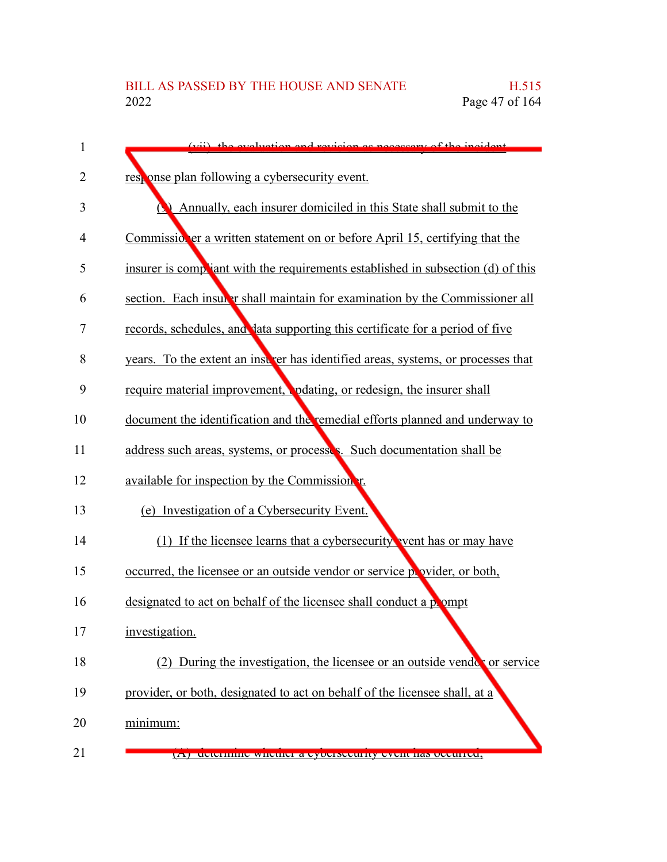| $\mathbf{1}$ | (vii) the evaluation and revision as necessary of the incident                       |
|--------------|--------------------------------------------------------------------------------------|
| 2            | response plan following a cybersecurity event.                                       |
| 3            | Annually, each insurer domiciled in this State shall submit to the                   |
| 4            | Commissioner a written statement on or before April 15, certifying that the          |
| 5            | insurer is compliant with the requirements established in subsection (d) of this     |
| 6            | section. Each insular shall maintain for examination by the Commissioner all         |
| 7            | records, schedules, and lata supporting this certificate for a period of five        |
| 8            | years. To the extent an instructure has identified areas, systems, or processes that |
| 9            | require material improvement, pdating, or redesign, the insurer shall                |
| 10           | document the identification and the remedial efforts planned and underway to         |
| 11           | address such areas, systems, or processes. Such documentation shall be               |
| 12           | available for inspection by the Commission r.                                        |
| 13           | (e) Investigation of a Cybersecurity Event.                                          |
| 14           | (1) If the licensee learns that a cybersecurity vent has or may have                 |
| 15           | occurred, the licensee or an outside vendor or service point of ovider, or both,     |
| 16           | designated to act on behalf of the licensee shall conduct a pompt                    |
| 17           | investigation.                                                                       |
| 18           | (2) During the investigation, the licensee or an outside vendot or service           |
| 19           | provider, or both, designated to act on behalf of the licensee shall, at a           |
| 20           | minimum:                                                                             |
| 21           | determine whether a cybersecurity event has beenfred,<br>$\overline{\mathbf{H}}$     |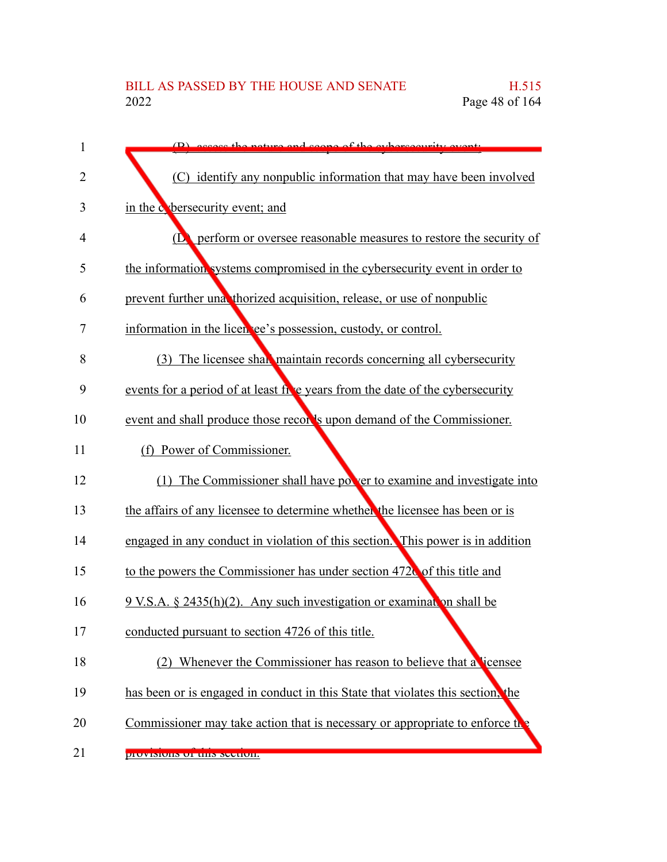| 1              | $(D)$ exact the nature and scene of the experiences into event                  |
|----------------|---------------------------------------------------------------------------------|
| $\overline{2}$ | (C) identify any nonpublic information that may have been involved              |
| 3              | in the <i>c</i> bersecurity event; and                                          |
| 4              | (D) perform or oversee reasonable measures to restore the security of           |
| 5              | the information systems compromised in the cybersecurity event in order to      |
| 6              | prevent further una thorized acquisition, release, or use of nonpublic          |
| 7              | information in the licen ee's possession, custody, or control.                  |
| 8              | (3) The licensee shall maintain records concerning all cybersecurity            |
| 9              | events for a period of at least five years from the date of the cybersecurity   |
| 10             | event and shall produce those recor's upon demand of the Commissioner.          |
| 11             | (f) Power of Commissioner.                                                      |
| 12             | (1) The Commissioner shall have power to examine and investigate into           |
| 13             | the affairs of any licensee to determine whether the licensee has been or is    |
| 14             | engaged in any conduct in violation of this section. This power is in addition  |
| 15             | to the powers the Commissioner has under section 4720 of this title and         |
| 16             | 9 V.S.A. § 2435(h)(2). Any such investigation or examination shall be           |
| 17             | conducted pursuant to section 4726 of this title.                               |
| 18             | Whenever the Commissioner has reason to believe that a licensee                 |
| 19             | has been or is engaged in conduct in this State that violates this section, the |
| 20             | Commissioner may take action that is necessary or appropriate to enforce the    |
| 21             | <u>JIUVISIUIIS UI UIIS SUUUUI.</u>                                              |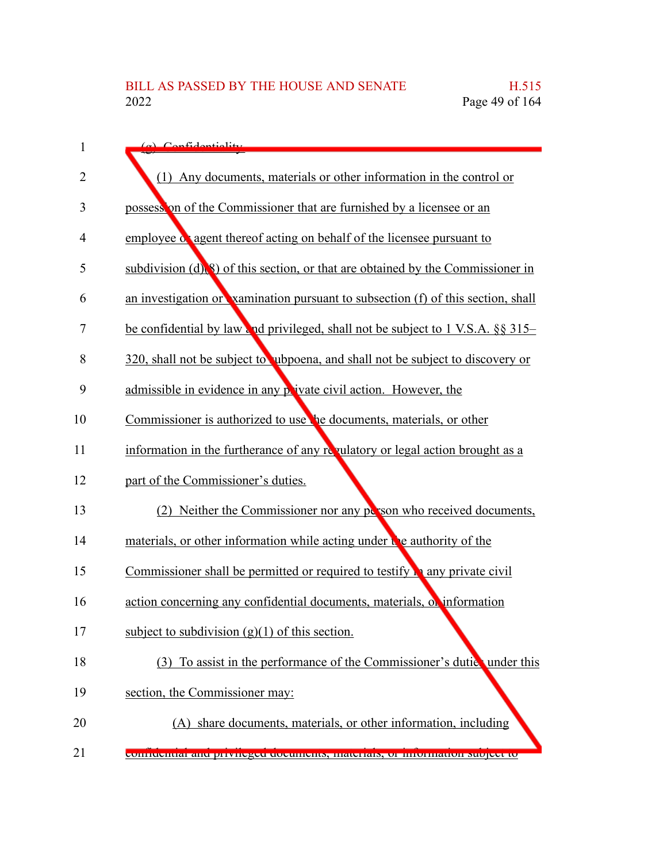| 1              | (a) Confidentiality                                                                     |
|----------------|-----------------------------------------------------------------------------------------|
| $\overline{2}$ | (1) Any documents, materials or other information in the control or                     |
| 3              | possession of the Commissioner that are furnished by a licensee or an                   |
| 4              | employee or agent thereof acting on behalf of the licensee pursuant to                  |
| 5              | subdivision $(d)$ $(8)$ of this section, or that are obtained by the Commissioner in    |
| 6              | an investigation or vamination pursuant to subsection (f) of this section, shall        |
| 7              | be confidential by law and privileged, shall not be subject to 1 V.S.A. §§ 315–         |
| 8              | 320, shall not be subject to ubpoena, and shall not be subject to discovery or          |
| 9              | admissible in evidence in any private civil action. However, the                        |
| 10             | Commissioner is authorized to use the documents, materials, or other                    |
| 11             | information in the furtherance of any revulatory or legal action brought as a           |
| 12             | part of the Commissioner's duties.                                                      |
| 13             | (2) Neither the Commissioner nor any person who received documents,                     |
| 14             | materials, or other information while acting under we authority of the                  |
| 15             | Commissioner shall be permitted or required to testify $\mathbf{r}_1$ any private civil |
| 16             | action concerning any confidential documents, materials, or information                 |
| 17             | subject to subdivision $(g)(1)$ of this section.                                        |
| 18             | (3) To assist in the performance of the Commissioner's duties under this                |
| 19             | section, the Commissioner may:                                                          |
| 20             | (A) share documents, materials, or other information, including                         |
| 21             | connucinar and privileged documents, materials, or information subject to               |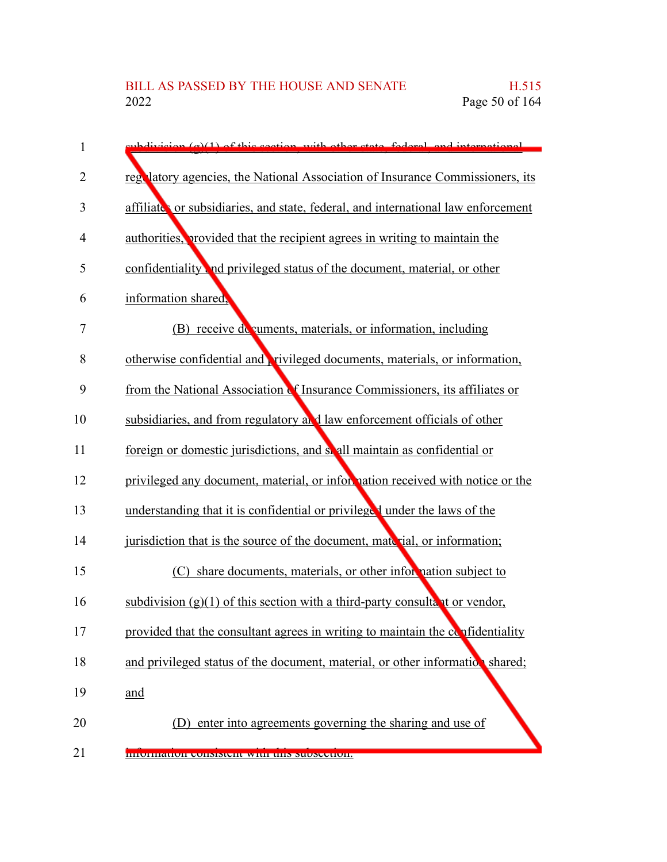| 1              | eubdivision $(a)(1)$ of this soction, with other state, foderal, and international |
|----------------|------------------------------------------------------------------------------------|
| $\overline{2}$ | regulatory agencies, the National Association of Insurance Commissioners, its      |
| 3              | affiliate or subsidiaries, and state, federal, and international law enforcement   |
| 4              | authorities, provided that the recipient agrees in writing to maintain the         |
| 5              | confidentiality and privileged status of the document, material, or other          |
| 6              | information shared,                                                                |
| 7              | (B) receive do cuments, materials, or information, including                       |
| 8              | otherwise confidential and <b>r</b> ivileged documents, materials, or information, |
| 9              | from the National Association of Insurance Commissioners, its affiliates or        |
| 10             | subsidiaries, and from regulatory and law enforcement officials of other           |
| 11             | foreign or domestic jurisdictions, and so all maintain as confidential or          |
| 12             | privileged any document, material, or information received with notice or the      |
| 13             | understanding that it is confidential or privileged under the laws of the          |
| 14             | jurisdiction that is the source of the document, material, or information;         |
| 15             | (C) share documents, materials, or other information subject to                    |
| 16             | subdivision $(g)(1)$ of this section with a third-party consultant or vendor,      |
| 17             | provided that the consultant agrees in writing to maintain the confidentiality     |
| 18             | and privileged status of the document, material, or other information shared;      |
| 19             | and                                                                                |
| 20             | (D) enter into agreements governing the sharing and use of                         |
| 21             | <b>INIOHIRATUII CONSISTENT WITH THIS SUDSCCTION.</b>                               |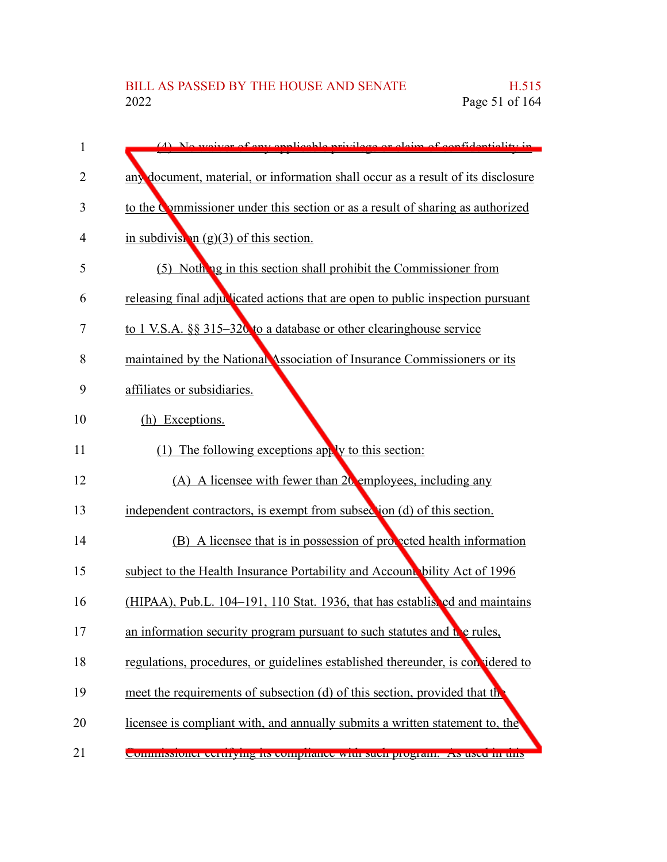| 1  | (4) No waiver of env englished privilege or claim of confidentiality in             |
|----|-------------------------------------------------------------------------------------|
| 2  | any document, material, or information shall occur as a result of its disclosure    |
| 3  | to the Commissioner under this section or as a result of sharing as authorized      |
| 4  | in subdivision $(g)(3)$ of this section.                                            |
| 5  | (5) Nothing in this section shall prohibit the Commissioner from                    |
| 6  | releasing final adjudicated actions that are open to public inspection pursuant     |
| 7  | to 1 V.S.A. §§ 315–320 to a database or other clearinghouse service                 |
| 8  | maintained by the National Association of Insurance Commissioners or its            |
| 9  | affiliates or subsidiaries.                                                         |
| 10 | (h) Exceptions.                                                                     |
| 11 | (1) The following exceptions apply to this section:                                 |
| 12 | (A) A licensee with fewer than 20 employees, including any                          |
| 13 | independent contractors, is exempt from subsection (d) of this section.             |
| 14 | (B) A licensee that is in possession of proceed health information                  |
| 15 | subject to the Health Insurance Portability and Account bility Act of 1996          |
| 16 | (HIPAA), Pub.L. 104–191, 110 Stat. 1936, that has establisted and maintains         |
| 17 | an information security program pursuant to such statutes and $\mathbf{t}$ e rules, |
| 18 | regulations, procedures, or guidelines established thereunder, is considered to     |
| 19 | meet the requirements of subsection (d) of this section, provided that the          |
| 20 | licensee is compliant with, and annually submits a written statement to, the        |
| 21 | Commissioner centrying ns computance while such program. The used in this           |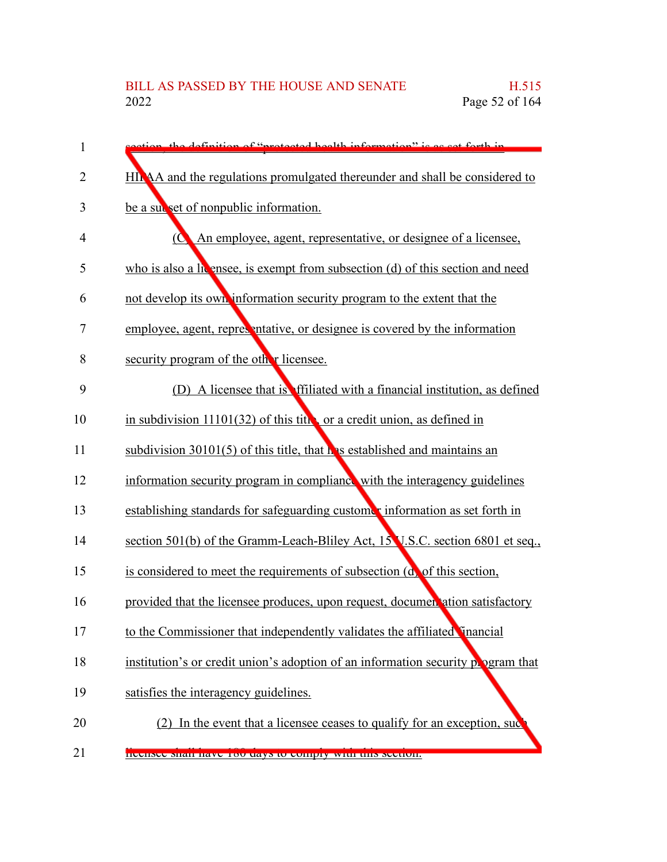| 1              | tion, the definition of "protected health information" is as set forth in               |
|----------------|-----------------------------------------------------------------------------------------|
| $\overline{2}$ | HINAA and the regulations promulgated thereunder and shall be considered to             |
| 3              | be a subset of nonpublic information.                                                   |
| 4              | $\overline{O}$<br>An employee, agent, representative, or designee of a licensee,        |
| 5              | who is also a latensee, is exempt from subsection $(d)$ of this section and need        |
| 6              | not develop its own information security program to the extent that the                 |
| 7              | employee, agent, representative, or designee is covered by the information              |
| 8              | security program of the other licenses.                                                 |
| 9              | (D) A licensee that is effiliated with a financial institution, as defined              |
| 10             | in subdivision $11101(32)$ of this tites or a credit union, as defined in               |
| 11             | subdivision $30101(5)$ of this title, that $\mathbf{h}$ is established and maintains an |
| 12             | information security program in compliance with the interagency guidelines              |
| 13             | establishing standards for safeguarding customer information as set forth in            |
| 14             | section 501(b) of the Gramm-Leach-Bliley Act, 15 V.S.C. section 6801 et seq.,           |
| 15             | is considered to meet the requirements of subsection (d) of this section,               |
| 16             | provided that the licensee produces, upon request, documentation satisfactory           |
| 17             | to the Commissioner that independently validates the affiliated inancial                |
| 18             | institution's or credit union's adoption of an information security program that        |
| 19             | satisfies the interagency guidelines.                                                   |
| 20             | (2) In the event that a licensee ceases to qualify for an exception, such               |
| 21             | <b>INCERNEC SHAH HAVE TOU UAYS to COMPTY WITH THIS SECTION.</b>                         |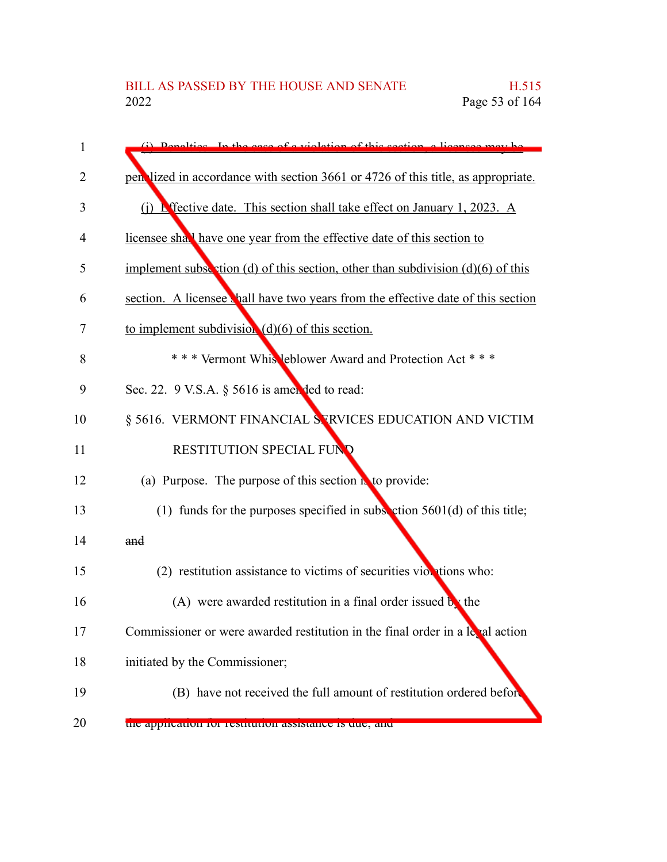| 1  | (i) Departies In the case of a violation of this section a licensee may be        |
|----|-----------------------------------------------------------------------------------|
| 2  | pen lized in accordance with section 3661 or 4726 of this title, as appropriate.  |
| 3  | (i) Effective date. This section shall take effect on January 1, 2023. A          |
| 4  | licensee shall have one year from the effective date of this section to           |
| 5  | implement subsection (d) of this section, other than subdivision $(d)(6)$ of this |
| 6  | section. A licensee thall have two years from the effective date of this section  |
| 7  | to implement subdivision $(d)(6)$ of this section.                                |
| 8  | *** Vermont Whis leblower Award and Protection Act ***                            |
| 9  | Sec. 22. 9 V.S.A. § 5616 is amended to read:                                      |
| 10 | § 5616. VERMONT FINANCIAL STRVICES EDUCATION AND VICTIM                           |
| 11 | <b>RESTITUTION SPECIAL FUND</b>                                                   |
| 12 | (a) Purpose. The purpose of this section $\mathbf{r}$ to provide:                 |
| 13 | (1) funds for the purposes specified in subsection $5601(d)$ of this title;       |
| 14 | and                                                                               |
| 15 | $(2)$ restitution assistance to victims of securities violations who:             |
| 16 | (A) were awarded restitution in a final order issued $\mathbf{b}$ the             |
| 17 | Commissioner or were awarded restitution in the final order in a leval action     |
| 18 | initiated by the Commissioner;                                                    |
| 19 | (B) have not received the full amount of restitution ordered before               |
| 20 | пис аррисации поттехничной авыканее is que, and                                   |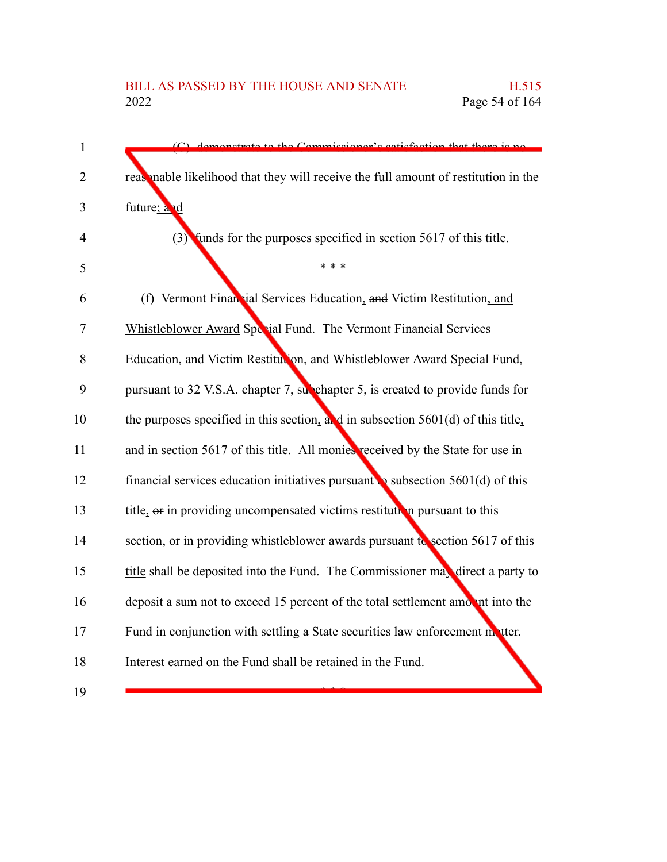| $\mathbf{1}$   | domonstrate to the Commissioner's setisfection that there is no                             |
|----------------|---------------------------------------------------------------------------------------------|
| $\overline{2}$ | reasonable likelihood that they will receive the full amount of restitution in the          |
| 3              | future; and                                                                                 |
| 4              | (3) funds for the purposes specified in section 5617 of this title.                         |
| 5              | * * *                                                                                       |
| 6              | (f) Vermont Financial Services Education, and Victim Restitution, and                       |
| 7              | Whistleblower Award Special Fund. The Vermont Financial Services                            |
| 8              | Education, and Victim Restitution, and Whistleblower Award Special Fund,                    |
| 9              | pursuant to 32 V.S.A. chapter 7, superhapter 5, is created to provide funds for             |
| 10             | the purposes specified in this section, $\frac{d}{dx}$ in subsection 5601(d) of this title, |
| 11             | and in section 5617 of this title. All monies received by the State for use in              |
| 12             | financial services education initiatives pursuant to subsection $5601(d)$ of this           |
| 13             | title, or in providing uncompensated victims restitution pursuant to this                   |
| 14             | section, or in providing whistleblower awards pursuant to section 5617 of this              |
| 15             | title shall be deposited into the Fund. The Commissioner may direct a party to              |
| 16             | deposit a sum not to exceed 15 percent of the total settlement amount into the              |
| 17             | Fund in conjunction with settling a State securities law enforcement matter.                |
| 18             | Interest earned on the Fund shall be retained in the Fund.                                  |
| 19             |                                                                                             |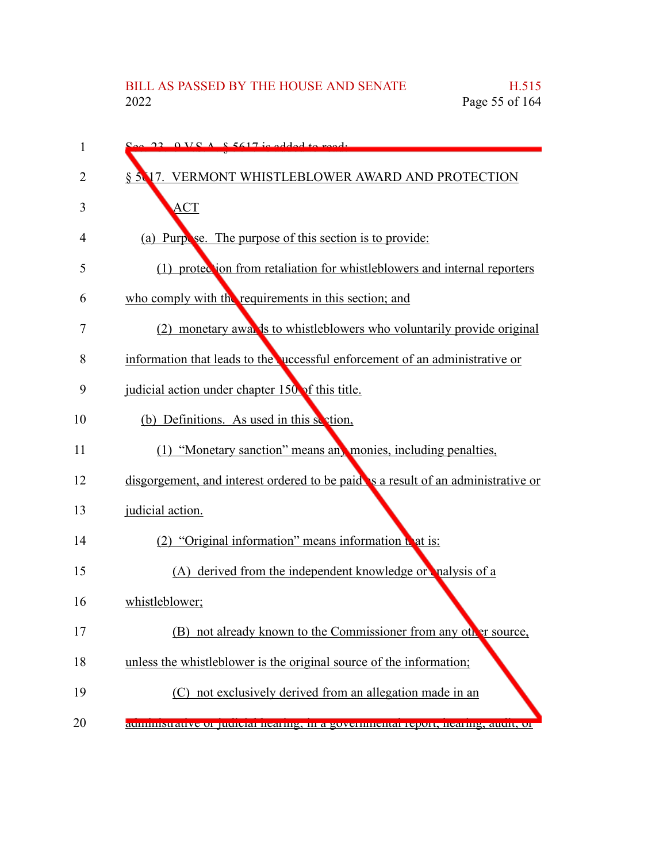| 1  | $S_{\alpha\alpha}$ 22 $0 \text{ V}S$ $A$ $S$ $5617$ is added to read.             |
|----|-----------------------------------------------------------------------------------|
| 2  | § 5.17. VERMONT WHISTLEBLOWER AWARD AND PROTECTION                                |
| 3  | <b>ACT</b>                                                                        |
| 4  | (a) Purpose. The purpose of this section is to provide:                           |
| 5  | (1) protection from retaliation for whistleblowers and internal reporters         |
| 6  | who comply with the requirements in this section; and                             |
| 7  | (2) monetary awally to whistleblowers who voluntarily provide original            |
| 8  | information that leads to the uccessful enforcement of an administrative or       |
| 9  | judicial action under chapter $150$ of this title.                                |
| 10 | (b) Definitions. As used in this section,                                         |
|    |                                                                                   |
| 11 | (1) "Monetary sanction" means any monies, including penalties,                    |
| 12 | disgorgement, and interest ordered to be paid is a result of an administrative or |
| 13 | judicial action.                                                                  |
| 14 | (2) "Original information" means information that is:                             |
| 15 | (A) derived from the independent knowledge or nalysis of a                        |
| 16 | whistleblower;                                                                    |
| 17 | (B) not already known to the Commissioner from any other source,                  |
| 18 | unless the whistleblower is the original source of the information;               |
| 19 | (C) not exclusively derived from an allegation made in an                         |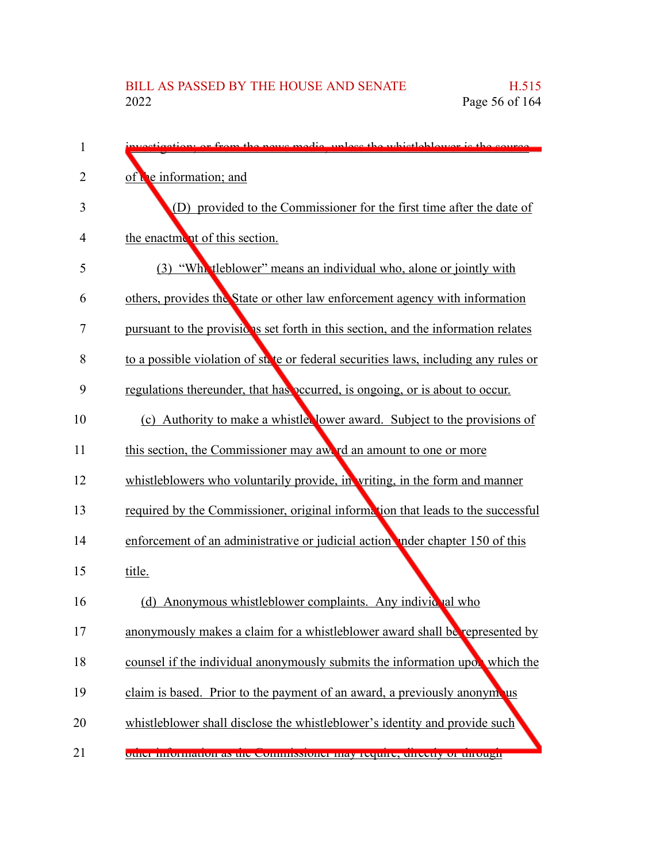| 1  | etion; or from the news modie, unless the whistleblower is the source               |
|----|-------------------------------------------------------------------------------------|
| 2  | of the information; and                                                             |
| 3  | (D) provided to the Commissioner for the first time after the date of               |
| 4  | the enactment of this section.                                                      |
| 5  | (3) "What leblower" means an individual who, alone or jointly with                  |
| 6  | others, provides the State or other law enforcement agency with information         |
| 7  | pursuant to the provisions set forth in this section, and the information relates   |
| 8  | to a possible violation of state or federal securities laws, including any rules or |
| 9  | regulations thereunder, that has occurred, is ongoing, or is about to occur.        |
| 10 | (c) Authority to make a whistle lower award. Subject to the provisions of           |
| 11 | this section, the Commissioner may awe rd an amount to one or more                  |
| 12 | whistleblowers who voluntarily provide, in writing, in the form and manner          |
| 13 | required by the Commissioner, original information that leads to the successful     |
| 14 | enforcement of an administrative or judicial action nder chapter 150 of this        |
| 15 | title.                                                                              |
| 16 | (d) Anonymous whistleblower complaints. Any individual who                          |
| 17 | anonymously makes a claim for a whistleblower award shall be represented by         |
| 18 | counsel if the individual anonymously submits the information upor which the        |
| 19 | claim is based. Prior to the payment of an award, a previously anonymous            |
| 20 | whistleblower shall disclose the whistleblower's identity and provide such          |
| 21 | other information as the commissioner may require, unceny or unough                 |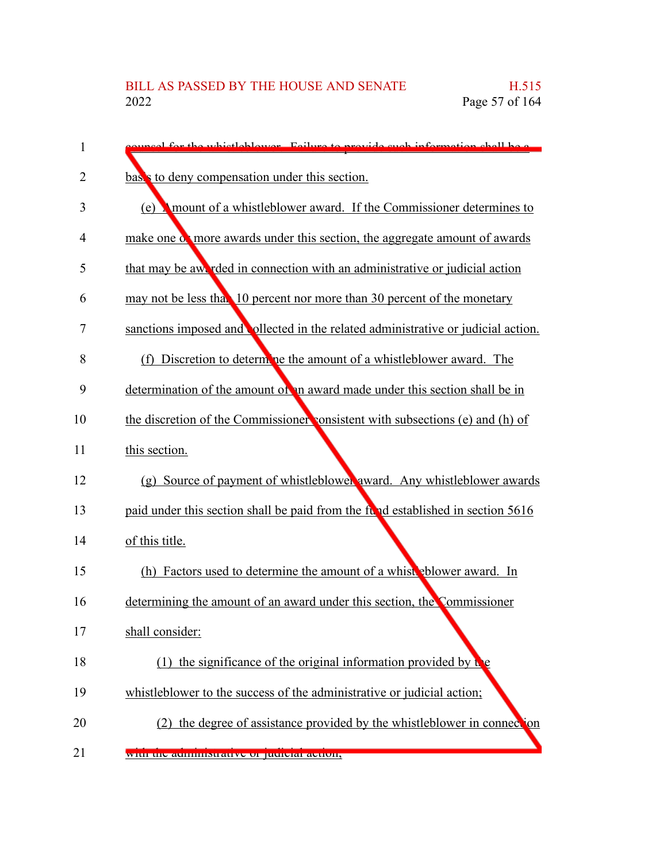| 1  | uncel for the whistleblower. Foilure to provide such information shall be a      |
|----|----------------------------------------------------------------------------------|
| 2  | bases to deny compensation under this section.                                   |
| 3  | (e) <b>Amount of a whistleblower award.</b> If the Commissioner determines to    |
| 4  | make one of more awards under this section, the aggregate amount of awards       |
| 5  | that may be awarded in connection with an administrative or judicial action      |
| 6  | may not be less that 10 percent nor more than 30 percent of the monetary         |
| 7  | sanctions imposed and ollected in the related administrative or judicial action. |
| 8  | (f) Discretion to determine the amount of a whistleblower award. The             |
| 9  | determination of the amount of an award made under this section shall be in      |
| 10 | the discretion of the Commissioner consistent with subsections (e) and (h) of    |
| 11 | this section.                                                                    |
| 12 | (g) Source of payment of whistleblower award. Any whistleblower awards           |
| 13 | paid under this section shall be paid from the fund established in section 5616  |
| 14 | of this title.                                                                   |
| 15 | (h) Factors used to determine the amount of a whist polower award. In            |
| 16 | determining the amount of an award under this section, the Commissioner          |
| 17 | shall consider:                                                                  |
| 18 | (1) the significance of the original information provided by $\mathbf b$         |
| 19 | whistleblower to the success of the administrative or judicial action;           |
| 20 | (2) the degree of assistance provided by the whistleblower in connection         |
| 21 | with the aunimistrative of judicial action,                                      |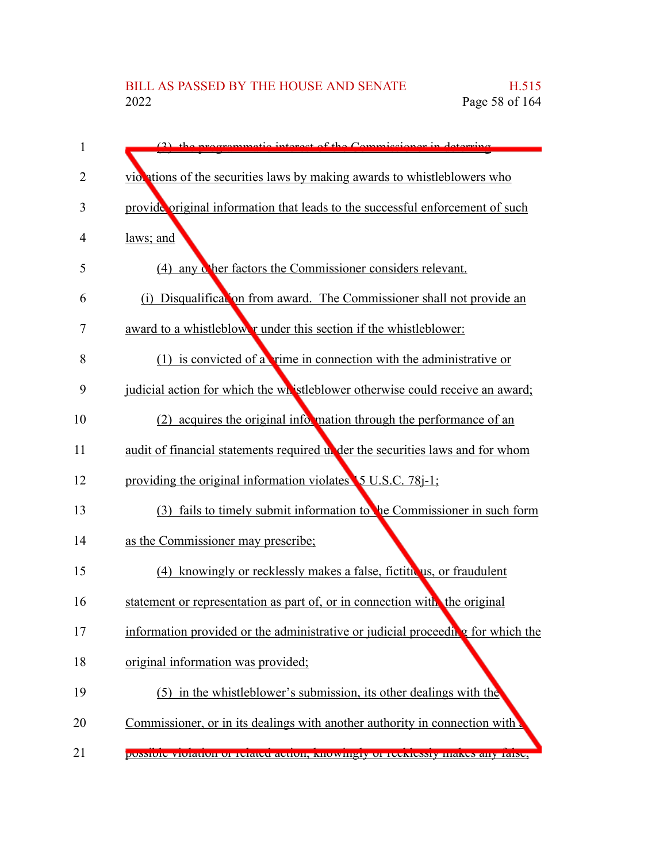| 1  | $(2)$ the programmatic interact of the Commissioner in                          |
|----|---------------------------------------------------------------------------------|
| 2  | violations of the securities laws by making awards to whistleblowers who        |
| 3  | provide original information that leads to the successful enforcement of such   |
| 4  | laws; and                                                                       |
| 5  | (4) any other factors the Commissioner considers relevant.                      |
| 6  | (i) Disqualification from award. The Commissioner shall not provide an          |
| 7  | award to a whistleblower under this section if the whistleblower:               |
| 8  | $(1)$ is convicted of a trime in connection with the administrative or          |
| 9  | judicial action for which the whistleblower otherwise could receive an award;   |
| 10 | (2) acquires the original information through the performance of an             |
| 11 | audit of financial statements required under the securities laws and for whom   |
| 12 | providing the original information violates 5 U.S.C. 78-1;                      |
| 13 | (3) fails to timely submit information to be Commissioner in such form          |
| 14 | as the Commissioner may prescribe;                                              |
| 15 | (4) knowingly or recklessly makes a false, fictitulus, or fraudulent            |
| 16 | statement or representation as part of, or in connection with the original      |
| 17 | information provided or the administrative or judicial proceeding for which the |
| 18 | original information was provided;                                              |
| 19 | (5) in the whistleblower's submission, its other dealings with the              |
| 20 | Commissioner, or in its dealings with another authority in connection with      |
| 21 | possible violation of related action, Knowingry of Tecklessly makes any faise,  |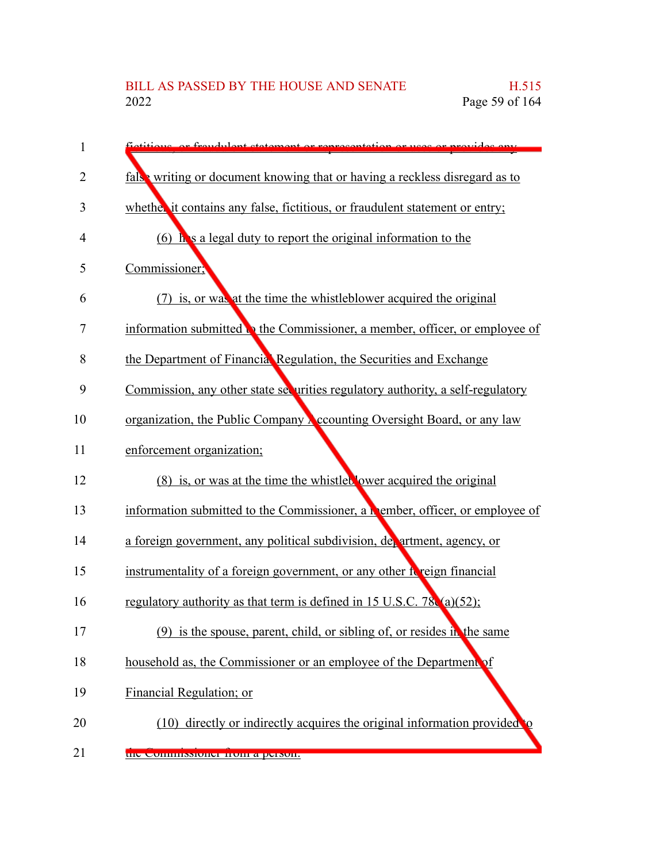| 1  | etitions or froughter statement or representation or uses or provides only     |
|----|--------------------------------------------------------------------------------|
| 2  | false writing or document knowing that or having a reckless disregard as to    |
| 3  | whether it contains any false, fictitious, or fraudulent statement or entry;   |
| 4  | (6) $\mathbf{h}$ is a legal duty to report the original information to the     |
| 5  | Commissioner;                                                                  |
| 6  | (7) is, or was at the time the whistleblower acquired the original             |
| 7  | information submitted to the Commissioner, a member, officer, or employee of   |
| 8  | the Department of Financial Regulation, the Securities and Exchange            |
| 9  | Commission, any other state securities regulatory authority, a self-regulatory |
| 10 | organization, the Public Company Accounting Oversight Board, or any law        |
| 11 | enforcement organization;                                                      |
| 12 | (8) is, or was at the time the whistleb lower acquired the original            |
| 13 | information submitted to the Commissioner, a member, officer, or employee of   |
| 14 | a foreign government, any political subdivision, devartment, agency, or        |
| 15 | instrumentality of a foreign government, or any other foreign financial        |
| 16 | regulatory authority as that term is defined in 15 U.S.C. 78 $(a)(52)$ ;       |
| 17 | $(9)$ is the spouse, parent, child, or sibling of, or resides in the same      |
| 18 | household as, the Commissioner or an employee of the Department of             |
| 19 | Financial Regulation; or                                                       |
| 20 | (10) directly or indirectly acquires the original information provided to      |
| 21 | the Commissioner from a person.                                                |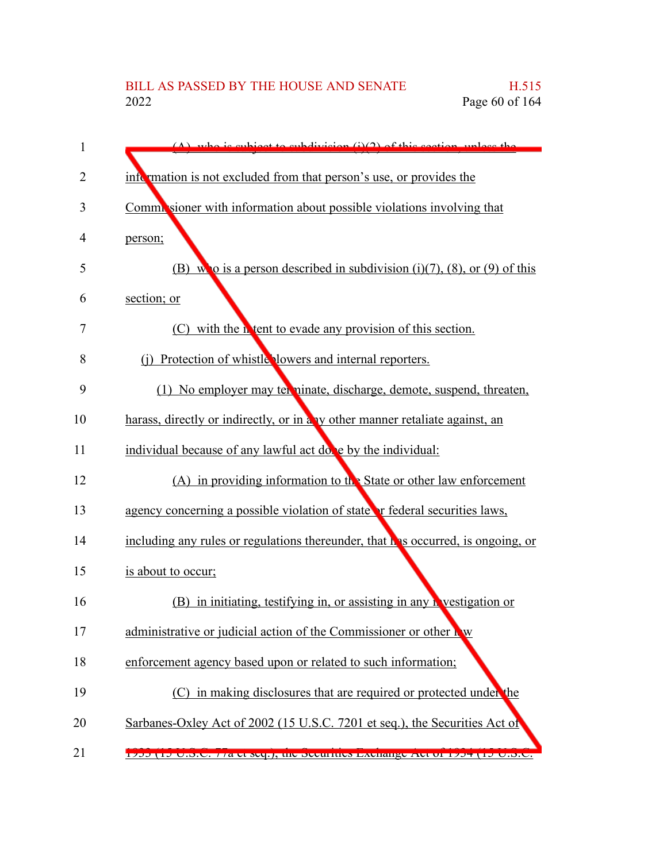| 1              | $(\Lambda)$ who is subject to subdivision $(i)(2)$ of this section unless the     |
|----------------|-----------------------------------------------------------------------------------|
| $\overline{2}$ | information is not excluded from that person's use, or provides the               |
| 3              | Commissioner with information about possible violations involving that            |
| 4              | person;                                                                           |
| 5              | (B) who is a person described in subdivision (i)(7), (8), or (9) of this          |
| 6              | section; or                                                                       |
| 7              | (C) with the <b>h</b> tent to evade any provision of this section.                |
| 8              | (j) Protection of whistle lowers and internal reporters.                          |
| 9              | (1) No employer may terminate, discharge, demote, suspend, threaten,              |
| 10             | harass, directly or indirectly, or in a v other manner retaliate against, an      |
| 11             | individual because of any lawful act dove by the individual:                      |
| 12             | (A) in providing information to the State or other law enforcement                |
| 13             | agency concerning a possible violation of state or federal securities laws,       |
| 14             | including any rules or regulations thereunder, that h is occurred, is ongoing, or |
| 15             | is about to occur;                                                                |
| 16             | (B) in initiating, testifying in, or assisting in any <b>N</b> vestigation or     |
| 17             | administrative or judicial action of the Commissioner or other how                |
| 18             | enforcement agency based upon or related to such information;                     |
| 19             | (C) in making disclosures that are required or protected under the                |
| 20             | Sarbanes-Oxley Act of 2002 (15 U.S.C. 7201 et seq.), the Securities Act of        |
| 21             | 1700 (10 U.S.C. //a ct Scq.), the Securities Exchange Act of 1704 (10 U.S.C.      |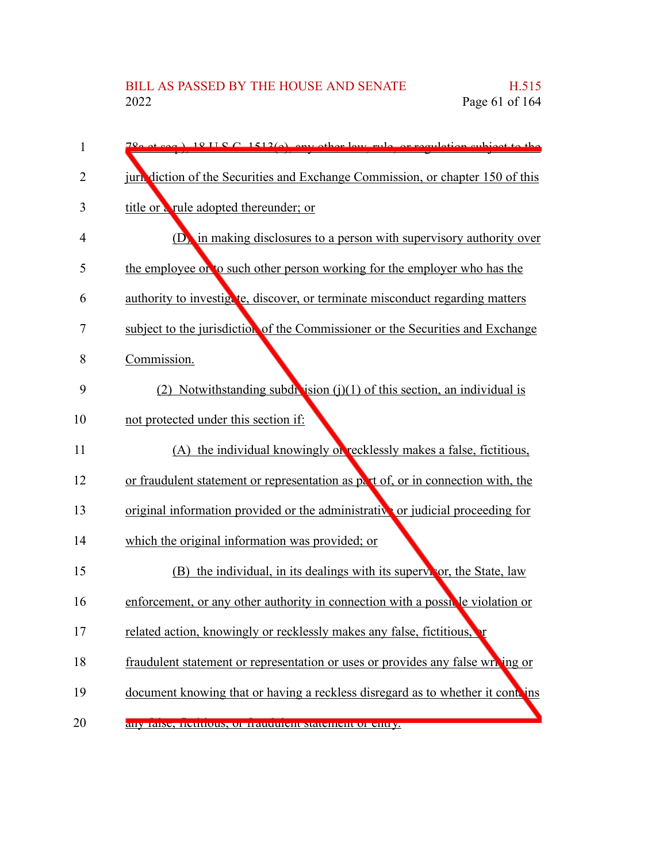| 1  | $78.2$ at seq. $\frac{1}{2}$ 18 II S C 1512(a), env other levy rule, or reculation subject to the |
|----|---------------------------------------------------------------------------------------------------|
| 2  | juricularly diction of the Securities and Exchange Commission, or chapter 150 of this             |
| 3  | title or a rule adopted thereunder; or                                                            |
| 4  | $(D)$ in making disclosures to a person with supervisory authority over                           |
| 5  | the employee of to such other person working for the employer who has the                         |
| 6  | authority to investigate, discover, or terminate misconduct regarding matters                     |
| 7  | subject to the jurisdiction of the Commissioner or the Securities and Exchange                    |
| 8  | Commission.                                                                                       |
| 9  | (2) Notwithstanding subdivision $(j)(1)$ of this section, an individual is                        |
| 10 | not protected under this section if:                                                              |
| 11 | (A) the individual knowingly of recklessly makes a false, fictitious,                             |
| 12 | or fraudulent statement or representation as part of, or in connection with, the                  |
| 13 | original information provided or the administrative or judicial proceeding for                    |
| 14 | which the original information was provided; or                                                   |
| 15 | (B) the individual, in its dealings with its supervictor, the State, law                          |
| 16 | enforcement, or any other authority in connection with a possible violation or                    |
| 17 | related action, knowingly or recklessly makes any false, fictitious,                              |
| 18 | fraudulent statement or representation or uses or provides any false writing or                   |
| 19 | document knowing that or having a reckless disregard as to whether it contains                    |
| 20 | any raise, neutrious, or traudurent statement or entry.                                           |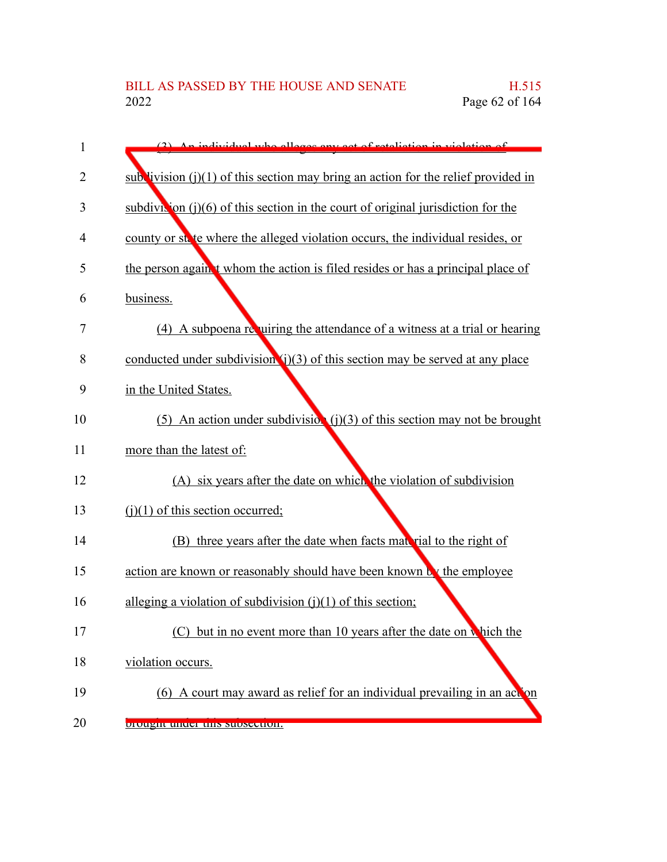| 1  | (2) An individual who allogos any got of resolution in violation of                  |
|----|--------------------------------------------------------------------------------------|
| 2  | sub livision $(i)(1)$ of this section may bring an action for the relief provided in |
| 3  | subdivition $(i)(6)$ of this section in the court of original jurisdiction for the   |
| 4  | county or state where the alleged violation occurs, the individual resides, or       |
| 5  | the person again't whom the action is filed resides or has a principal place of      |
| 6  | business.                                                                            |
| 7  | (4) A subpoena requiring the attendance of a witness at a trial or hearing           |
| 8  | conducted under subdivision $(i)(3)$ of this section may be served at any place      |
| 9  | in the United States.                                                                |
| 10 | (5) An action under subdivision $(j)(3)$ of this section may not be brought          |
| 11 | more than the latest of:                                                             |
| 12 | (A) six years after the date on which the violation of subdivision                   |
| 13 | $(i)(1)$ of this section occurred;                                                   |
| 14 | (B) three years after the date when facts material to the right of                   |
| 15 | action are known or reasonably should have been known by the employee                |
| 16 | alleging a violation of subdivision $(i)(1)$ of this section;                        |
| 17 | but in no event more than 10 years after the date on which the                       |
| 18 | violation occurs.                                                                    |
| 19 | (6) A court may award as relief for an individual prevailing in an action            |
| 20 | prought under this subsection.                                                       |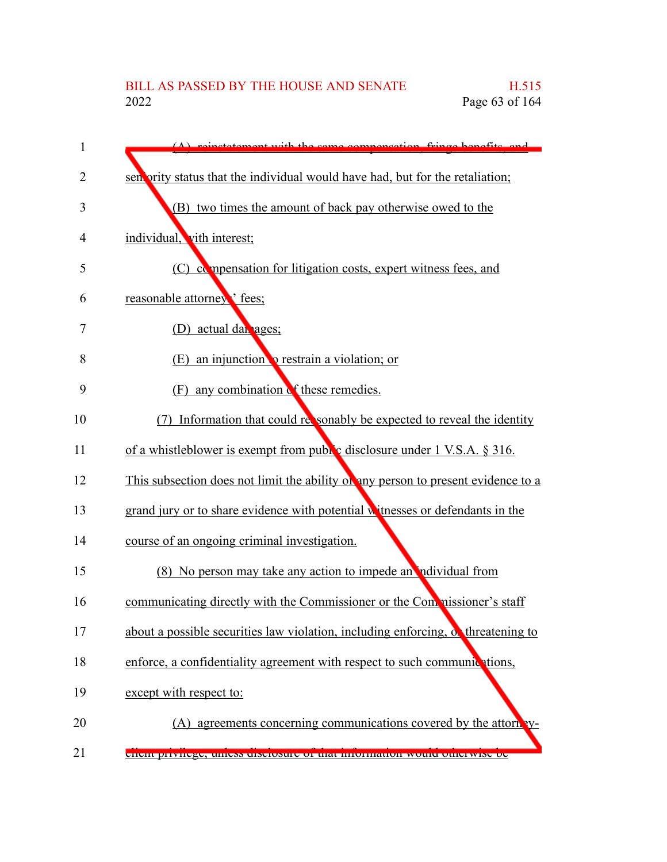| 1              | instatement with the same compensation fringe benefits and                        |
|----------------|-----------------------------------------------------------------------------------|
| $\overline{2}$ | sen ority status that the individual would have had, but for the retaliation;     |
| 3              | (B) two times the amount of back pay otherwise owed to the                        |
| 4              | individual, vith interest;                                                        |
| 5              | (C) compensation for litigation costs, expert witness fees, and                   |
| 6              | reasonable attorney' fees;                                                        |
| 7              | (D) actual dan ages;                                                              |
| 8              | an injunction <b>o</b> restrain a violation; or<br>(E)                            |
| 9              | any combination of these remedies.<br>(F)                                         |
| 10             | Information that could responably be expected to reveal the identity<br>(7)       |
| 11             | of a whistleblower is exempt from public disclosure under 1 V.S.A. § 316.         |
| 12             | This subsection does not limit the ability of any person to present evidence to a |
| 13             | grand jury or to share evidence with potential witnesses or defendants in the     |
| 14             | course of an ongoing criminal investigation.                                      |
| 15             | (8) No person may take any action to impede an individual from                    |
| 16             | communicating directly with the Commissioner or the Commissioner's staff          |
| 17             | about a possible securities law violation, including enforcing, or threatening to |
| 18             | enforce, a confidentiality agreement with respect to such communications,         |
| 19             | except with respect to:                                                           |
| 20             | (A) agreements concerning communications covered by the attorn                    |
| 21             | <u>enent privilege, umess uisclosure or mat imormation would otherwise oe</u>     |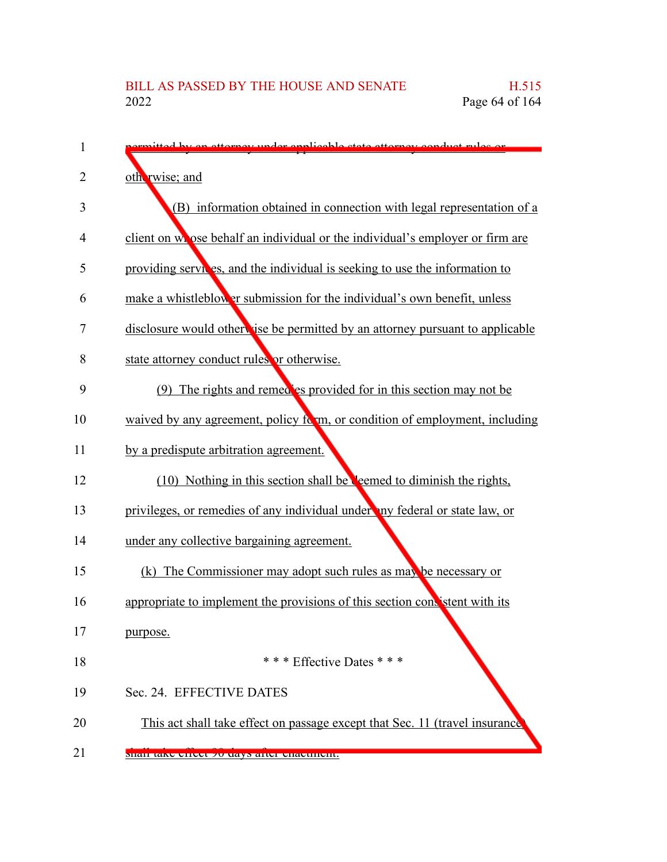| 1              | tted by an attornay under applicable state attornay conduct rules or          |
|----------------|-------------------------------------------------------------------------------|
| $\overline{2}$ | oth rwise; and                                                                |
| 3              | (B) information obtained in connection with legal representation of a         |
| 4              | client on whose behalf an individual or the individual's employer or firm are |
| 5              | providing services, and the individual is seeking to use the information to   |
| 6              | make a whistleblower submission for the individual's own benefit, unless      |
| 7              | disclosure would otherwise be permitted by an attorney pursuant to applicable |
| 8              | state attorney conduct rules or otherwise.                                    |
| 9              | (9) The rights and remed es provided for in this section may not be           |
| 10             | waived by any agreement, policy form, or condition of employment, including   |
| 11             | by a predispute arbitration agreement.                                        |
| 12             | (10) Nothing in this section shall be <b>Neemed</b> to diminish the rights,   |
| 13             | privileges, or remedies of any individual under any federal or state law, or  |
| 14             | under any collective bargaining agreement.                                    |
| 15             | (k) The Commissioner may adopt such rules as may be necessary or              |
| 16             | appropriate to implement the provisions of this section consistent with its   |
| 17             | purpose.                                                                      |
| 18             | * * * Effective Dates * * *                                                   |
| 19             | Sec. 24. EFFECTIVE DATES                                                      |
| 20             | This act shall take effect on passage except that Sec. 11 (travel insurance   |
| 21             | shan take eneet yo uays aner enaemient.                                       |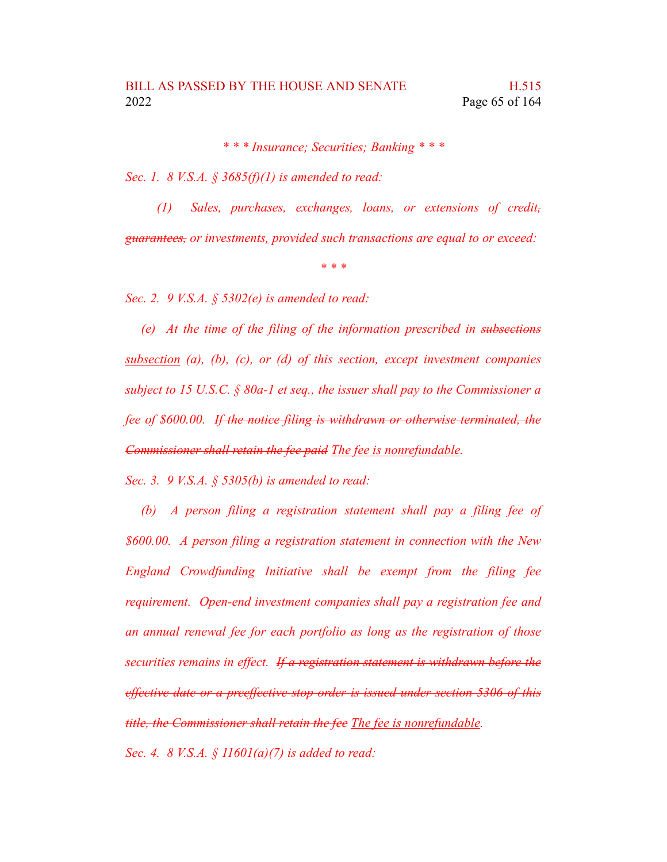*\* \* \* Insurance; Securities; Banking \* \* \**

*Sec. 1. 8 V.S.A. § 3685(f)(1) is amended to read:*

*(1) Sales, purchases, exchanges, loans, or extensions of credit, guarantees, or investments, provided such transactions are equal to or exceed:*

*\* \* \**

*Sec. 2. 9 V.S.A. § 5302(e) is amended to read:*

*(e) At the time of the filing of the information prescribed in subsections subsection (a), (b), (c), or (d) of this section, except investment companies subject to 15 U.S.C. § 80a-1 et seq., the issuer shall pay to the Commissioner a fee of \$600.00. If the notice filing is withdrawn or otherwise terminated, the Commissioner shall retain the fee paid The fee is nonrefundable.*

*Sec. 3. 9 V.S.A. § 5305(b) is amended to read:*

*(b) A person filing a registration statement shall pay a filing fee of \$600.00. A person filing a registration statement in connection with the New England Crowdfunding Initiative shall be exempt from the filing fee requirement. Open-end investment companies shall pay a registration fee and an annual renewal fee for each portfolio as long as the registration of those securities remains in effect. If a registration statement is withdrawn before the effective date or a preeffective stop order is issued under section 5306 of this title, the Commissioner shall retain the fee The fee is nonrefundable. Sec. 4. 8 V.S.A. § 11601(a)(7) is added to read:*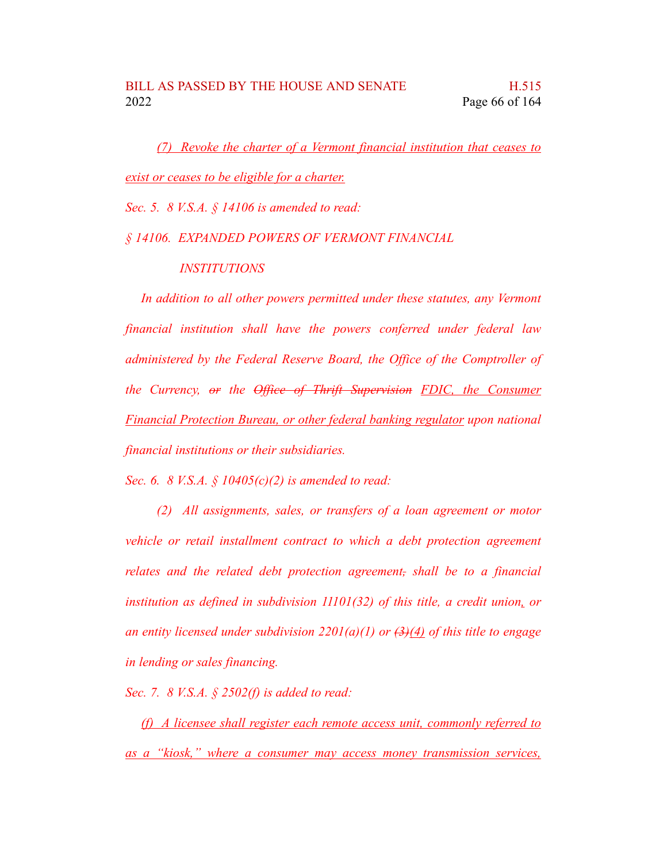*(7) Revoke the charter of a Vermont financial institution that ceases to exist or ceases to be eligible for a charter.*

*Sec. 5. 8 V.S.A. § 14106 is amended to read:*

## *§ 14106. EXPANDED POWERS OF VERMONT FINANCIAL*

## *INSTITUTIONS*

*In addition to all other powers permitted under these statutes, any Vermont financial institution shall have the powers conferred under federal law administered by the Federal Reserve Board, the Office of the Comptroller of the Currency, or the Office of Thrift Supervision FDIC, the Consumer Financial Protection Bureau, or other federal banking regulator upon national financial institutions or their subsidiaries.*

*Sec. 6. 8 V.S.A. § 10405(c)(2) is amended to read:*

*(2) All assignments, sales, or transfers of a loan agreement or motor vehicle or retail installment contract to which a debt protection agreement relates and the related debt protection agreement, shall be to a financial institution as defined in subdivision 11101(32) of this title, a credit union, or an entity licensed under subdivision 2201(a)(1) or (3)(4) of this title to engage in lending or sales financing.*

*Sec. 7. 8 V.S.A. § 2502(f) is added to read:*

*(f) A licensee shall register each remote access unit, commonly referred to as a "kiosk," where a consumer may access money transmission services,*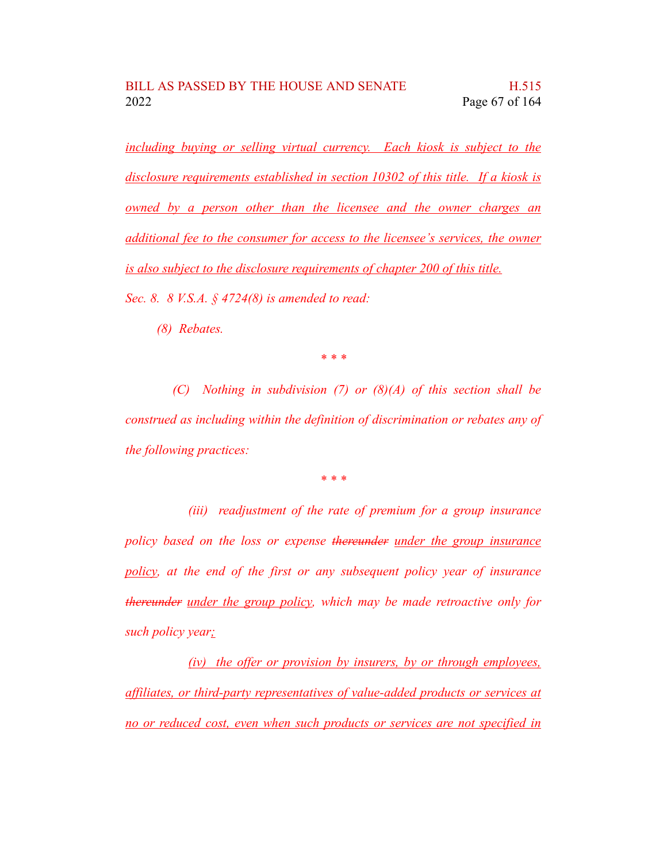*including buying or selling virtual currency. Each kiosk is subject to the disclosure requirements established in section 10302 of this title. If a kiosk is owned by a person other than the licensee and the owner charges an additional fee to the consumer for access to the licensee's services, the owner is also subject to the disclosure requirements of chapter 200 of this title. Sec. 8. 8 V.S.A. § 4724(8) is amended to read:*

*(8) Rebates.*

*\* \* \**

*(C) Nothing in subdivision (7) or (8)(A) of this section shall be construed as including within the definition of discrimination or rebates any of the following practices:*

*\* \* \**

*(iii) readjustment of the rate of premium for a group insurance policy based on the loss or expense thereunder under the group insurance policy, at the end of the first or any subsequent policy year of insurance thereunder under the group policy, which may be made retroactive only for such policy year;*

*(iv) the offer or provision by insurers, by or through employees, affiliates, or third-party representatives of value-added products or services at no or reduced cost, even when such products or services are not specified in*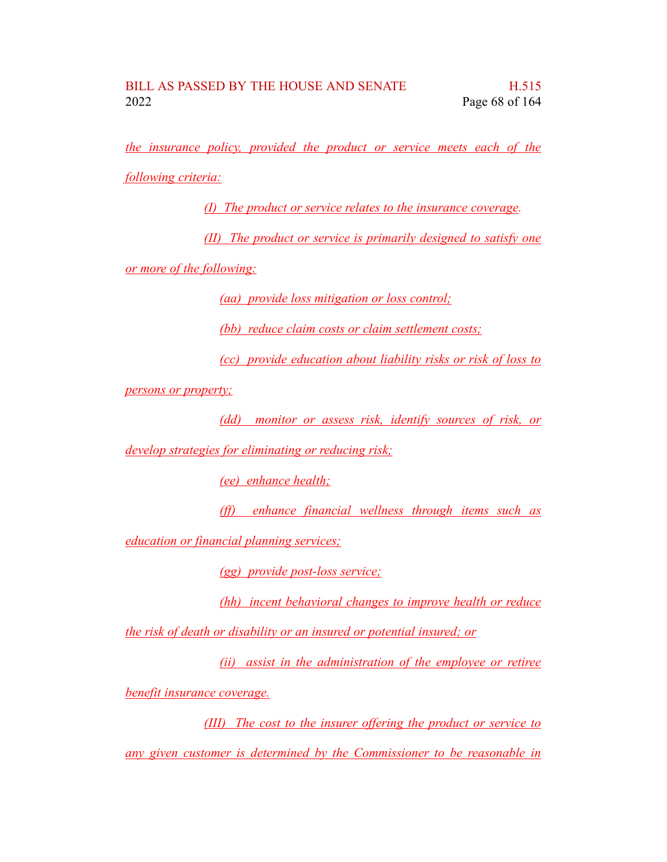*the insurance policy, provided the product or service meets each of the*

*following criteria:*

*(I) The product or service relates to the insurance coverage.*

*(II) The product or service is primarily designed to satisfy one*

*or more of the following:*

*(aa) provide loss mitigation or loss control;*

*(bb) reduce claim costs or claim settlement costs;*

*(cc) provide education about liability risks or risk of loss to*

*persons or property;*

*(dd) monitor or assess risk, identify sources of risk, or*

*develop strategies for eliminating or reducing risk;*

*(ee) enhance health;*

*(ff) enhance financial wellness through items such as*

*education or financial planning services;*

*(gg) provide post-loss service;*

*(hh) incent behavioral changes to improve health or reduce*

*the risk of death or disability or an insured or potential insured; or*

*(ii) assist in the administration of the employee or retiree benefit insurance coverage.*

*(III) The cost to the insurer offering the product or service to any given customer is determined by the Commissioner to be reasonable in*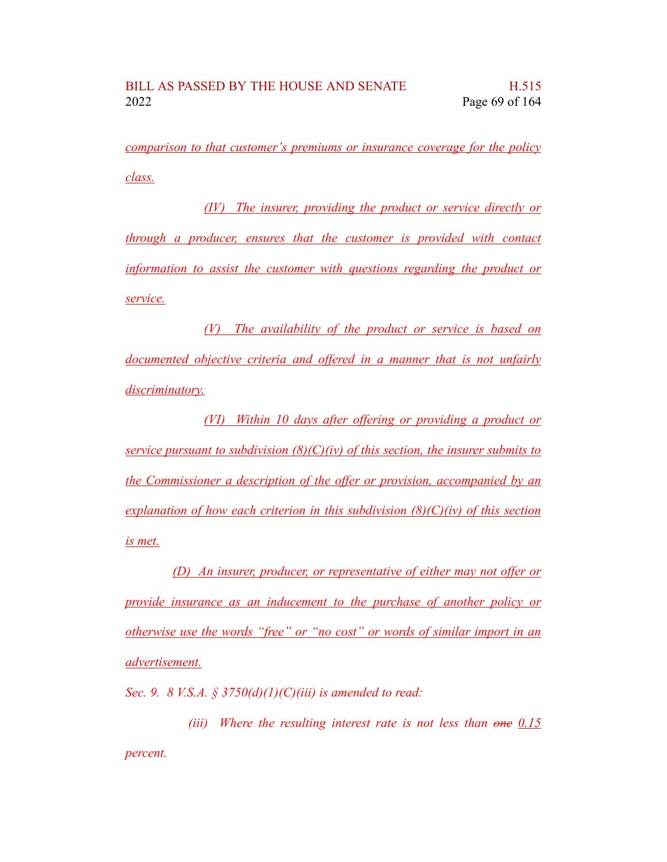*comparison to that customer's premiums or insurance coverage for the policy class.*

*(IV) The insurer, providing the product or service directly or through a producer, ensures that the customer is provided with contact information to assist the customer with questions regarding the product or service.*

*(V) The availability of the product or service is based on documented objective criteria and offered in a manner that is not unfairly discriminatory.*

*(VI) Within 10 days after offering or providing a product or service pursuant to subdivision (8)(C)(iv) of this section, the insurer submits to the Commissioner a description of the offer or provision, accompanied by an explanation of how each criterion in this subdivision (8)(C)(iv) of this section is met.*

*(D) An insurer, producer, or representative of either may not offer or provide insurance as an inducement to the purchase of another policy or otherwise use the words "free" or "no cost" or words of similar import in an advertisement.*

*Sec. 9. 8 V.S.A. § 3750(d)(1)(C)(iii) is amended to read:*

*(iii) Where the resulting interest rate is not less than one 0.15 percent.*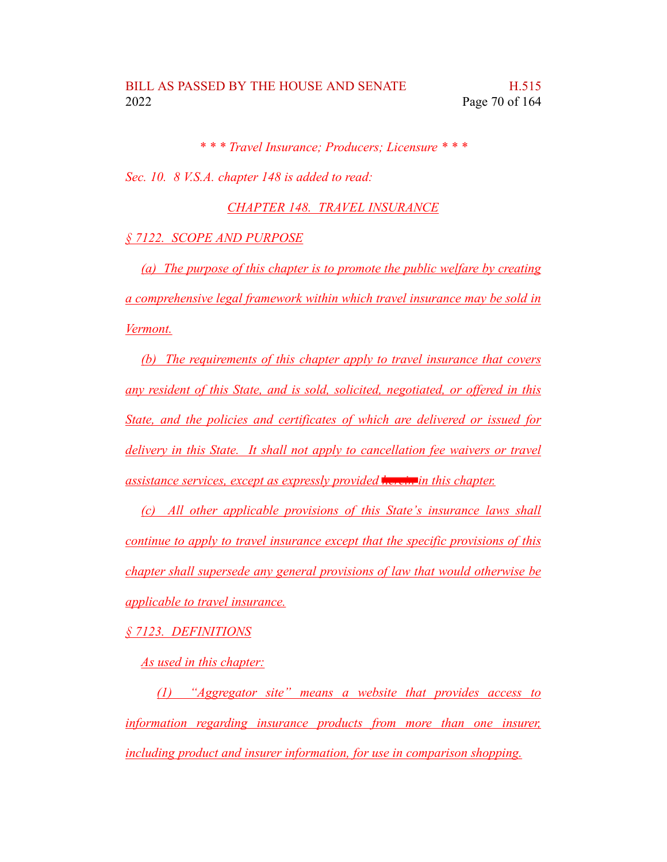*\* \* \* Travel Insurance; Producers; Licensure \* \* \* Sec. 10. 8 V.S.A. chapter 148 is added to read:*

*CHAPTER 148. TRAVEL INSURANCE*

## *§ 7122. SCOPE AND PURPOSE*

*(a) The purpose of this chapter is to promote the public welfare by creating a comprehensive legal framework within which travel insurance may be sold in Vermont.*

*(b) The requirements of this chapter apply to travel insurance that covers any resident of this State, and is sold, solicited, negotiated, or offered in this State, and the policies and certificates of which are delivered or issued for delivery in this State. It shall not apply to cancellation fee waivers or travel assistance services, except as expressly provided herein in this chapter.*

*(c) All other applicable provisions of this State's insurance laws shall continue to apply to travel insurance except that the specific provisions of this chapter shall supersede any general provisions of law that would otherwise be applicable to travel insurance.*

## *§ 7123. DEFINITIONS*

*As used in this chapter:*

*(1) "Aggregator site" means a website that provides access to information regarding insurance products from more than one insurer, including product and insurer information, for use in comparison shopping.*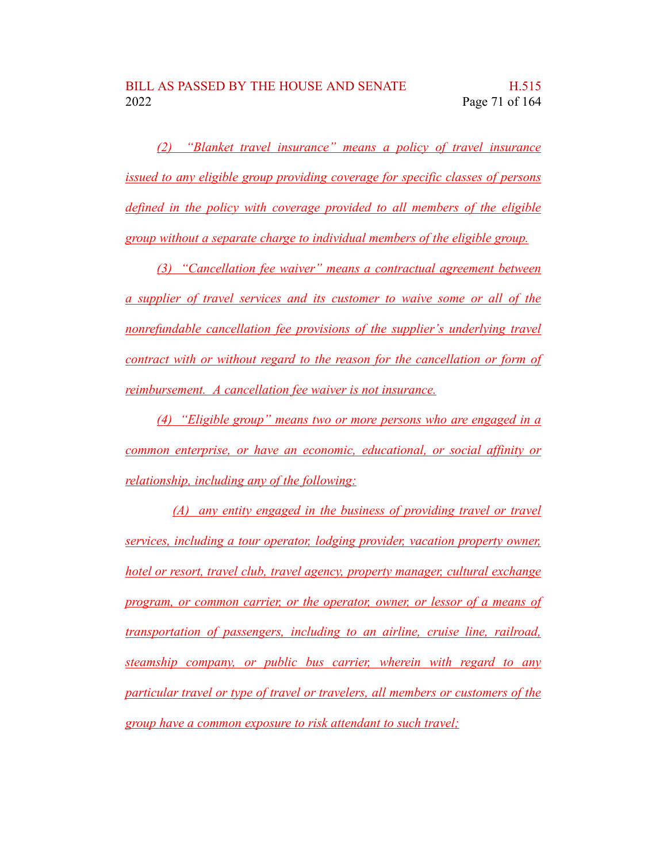*(2) "Blanket travel insurance" means a policy of travel insurance issued to any eligible group providing coverage for specific classes of persons defined in the policy with coverage provided to all members of the eligible group without a separate charge to individual members of the eligible group.*

*(3) "Cancellation fee waiver" means a contractual agreement between a supplier of travel services and its customer to waive some or all of the nonrefundable cancellation fee provisions of the supplier's underlying travel contract with or without regard to the reason for the cancellation or form of reimbursement. A cancellation fee waiver is not insurance.*

*(4) "Eligible group" means two or more persons who are engaged in a common enterprise, or have an economic, educational, or social affinity or relationship, including any of the following:*

*(A) any entity engaged in the business of providing travel or travel services, including a tour operator, lodging provider, vacation property owner, hotel or resort, travel club, travel agency, property manager, cultural exchange program, or common carrier, or the operator, owner, or lessor of a means of transportation of passengers, including to an airline, cruise line, railroad, steamship company, or public bus carrier, wherein with regard to any particular travel or type of travel or travelers, all members or customers of the group have a common exposure to risk attendant to such travel;*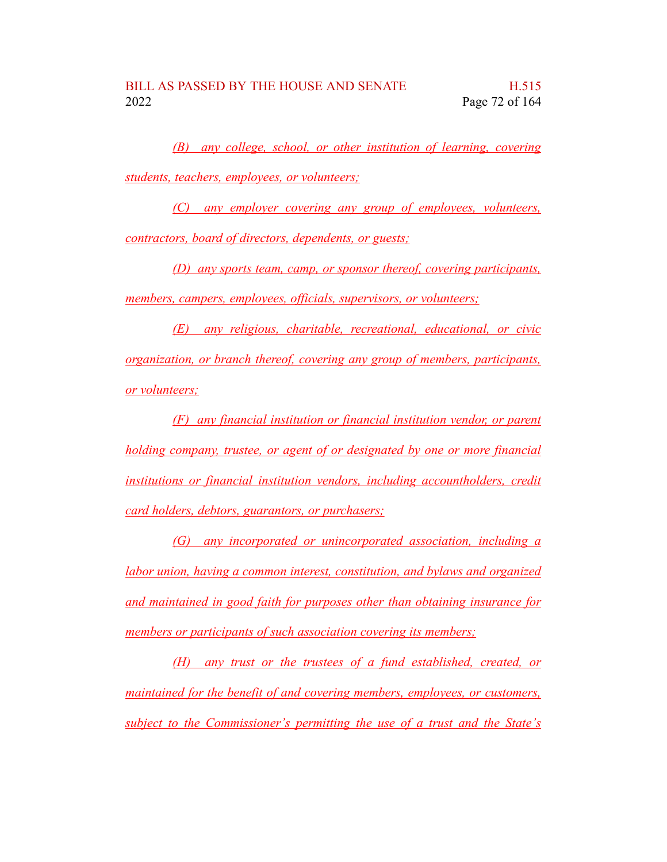*(B) any college, school, or other institution of learning, covering students, teachers, employees, or volunteers;*

*(C) any employer covering any group of employees, volunteers, contractors, board of directors, dependents, or guests;*

*(D) any sports team, camp, or sponsor thereof, covering participants, members, campers, employees, officials, supervisors, or volunteers;*

*(E) any religious, charitable, recreational, educational, or civic organization, or branch thereof, covering any group of members, participants, or volunteers;*

*(F) any financial institution or financial institution vendor, or parent holding company, trustee, or agent of or designated by one or more financial institutions or financial institution vendors, including accountholders, credit card holders, debtors, guarantors, or purchasers;*

*(G) any incorporated or unincorporated association, including a labor union, having a common interest, constitution, and bylaws and organized and maintained in good faith for purposes other than obtaining insurance for members or participants of such association covering its members;*

*(H) any trust or the trustees of a fund established, created, or maintained for the benefit of and covering members, employees, or customers, subject to the Commissioner's permitting the use of a trust and the State's*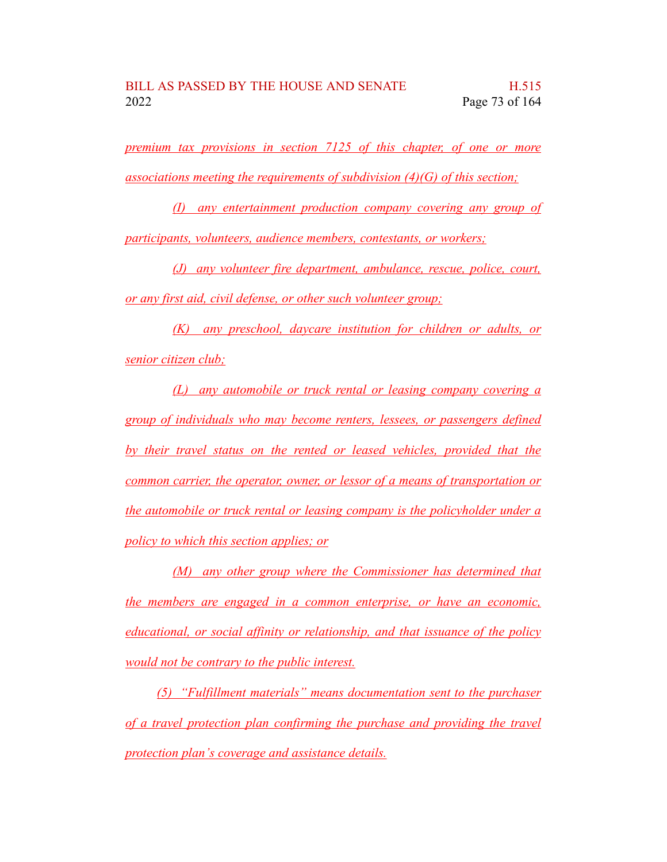*premium tax provisions in section 7125 of this chapter, of one or more associations meeting the requirements of subdivision (4)(G) of this section;*

*(I) any entertainment production company covering any group of participants, volunteers, audience members, contestants, or workers;*

*(J) any volunteer fire department, ambulance, rescue, police, court, or any first aid, civil defense, or other such volunteer group;*

*(K) any preschool, daycare institution for children or adults, or senior citizen club;*

*(L) any automobile or truck rental or leasing company covering a group of individuals who may become renters, lessees, or passengers defined by their travel status on the rented or leased vehicles, provided that the common carrier, the operator, owner, or lessor of a means of transportation or the automobile or truck rental or leasing company is the policyholder under a policy to which this section applies; or*

*(M) any other group where the Commissioner has determined that the members are engaged in a common enterprise, or have an economic, educational, or social affinity or relationship, and that issuance of the policy would not be contrary to the public interest.*

*(5) "Fulfillment materials" means documentation sent to the purchaser of a travel protection plan confirming the purchase and providing the travel protection plan's coverage and assistance details.*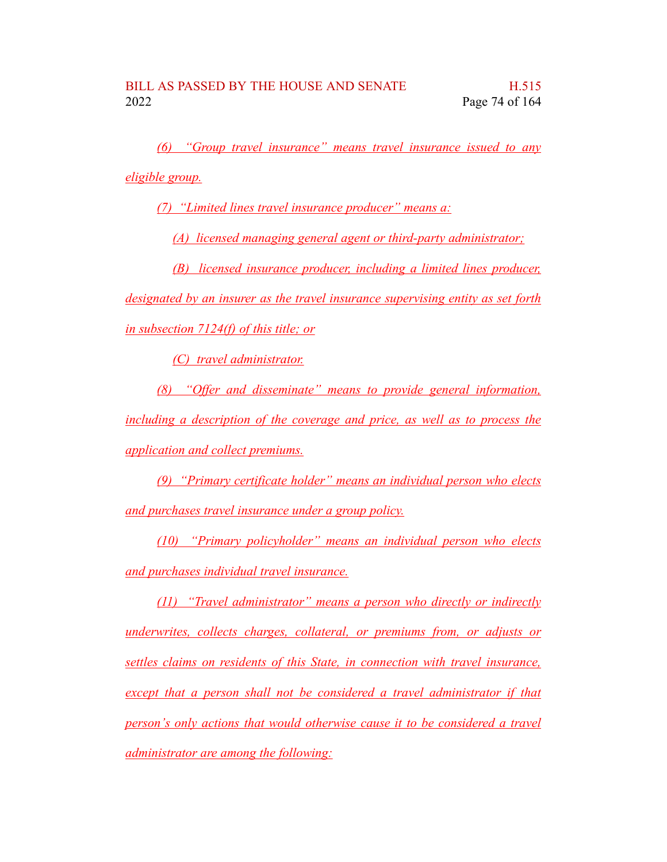*(6) "Group travel insurance" means travel insurance issued to any eligible group.*

*(7) "Limited lines travel insurance producer" means a:*

*(A) licensed managing general agent or third-party administrator;*

*(B) licensed insurance producer, including a limited lines producer,*

*designated by an insurer as the travel insurance supervising entity as set forth in subsection 7124(f) of this title; or*

*(C) travel administrator.*

*(8) "Offer and disseminate" means to provide general information, including a description of the coverage and price, as well as to process the application and collect premiums.*

*(9) "Primary certificate holder" means an individual person who elects and purchases travel insurance under a group policy.*

*(10) "Primary policyholder" means an individual person who elects and purchases individual travel insurance.*

*(11) "Travel administrator" means a person who directly or indirectly underwrites, collects charges, collateral, or premiums from, or adjusts or settles claims on residents of this State, in connection with travel insurance, except that a person shall not be considered a travel administrator if that person's only actions that would otherwise cause it to be considered a travel administrator are among the following:*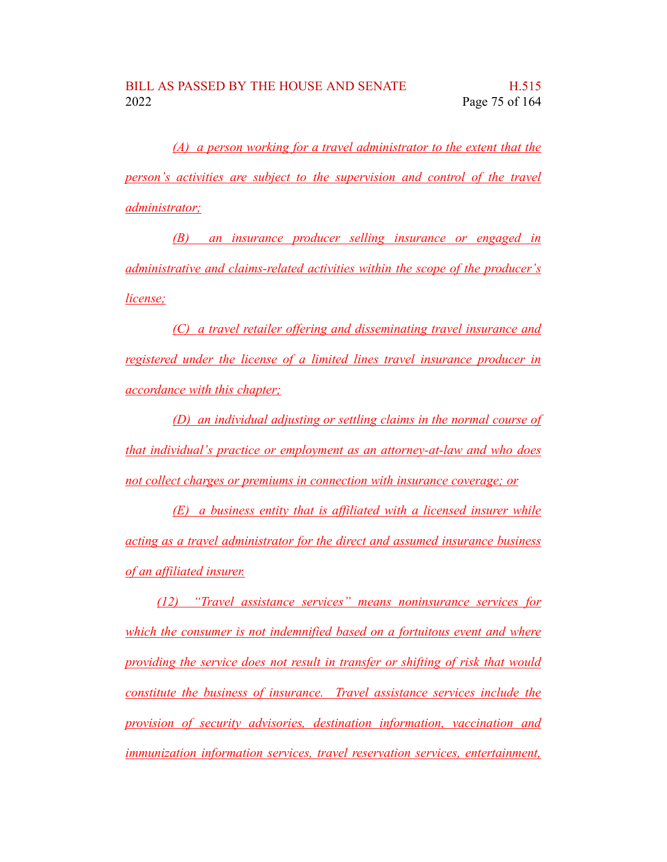*(A) a person working for a travel administrator to the extent that the person's activities are subject to the supervision and control of the travel administrator;*

*(B) an insurance producer selling insurance or engaged in administrative and claims-related activities within the scope of the producer's license;*

*(C) a travel retailer offering and disseminating travel insurance and registered under the license of a limited lines travel insurance producer in accordance with this chapter;*

*(D) an individual adjusting or settling claims in the normal course of that individual's practice or employment as an attorney-at-law and who does not collect charges or premiums in connection with insurance coverage; or*

*(E) a business entity that is affiliated with a licensed insurer while acting as a travel administrator for the direct and assumed insurance business of an affiliated insurer.*

*(12) "Travel assistance services" means noninsurance services for which the consumer is not indemnified based on a fortuitous event and where providing the service does not result in transfer or shifting of risk that would constitute the business of insurance. Travel assistance services include the provision of security advisories, destination information, vaccination and immunization information services, travel reservation services, entertainment,*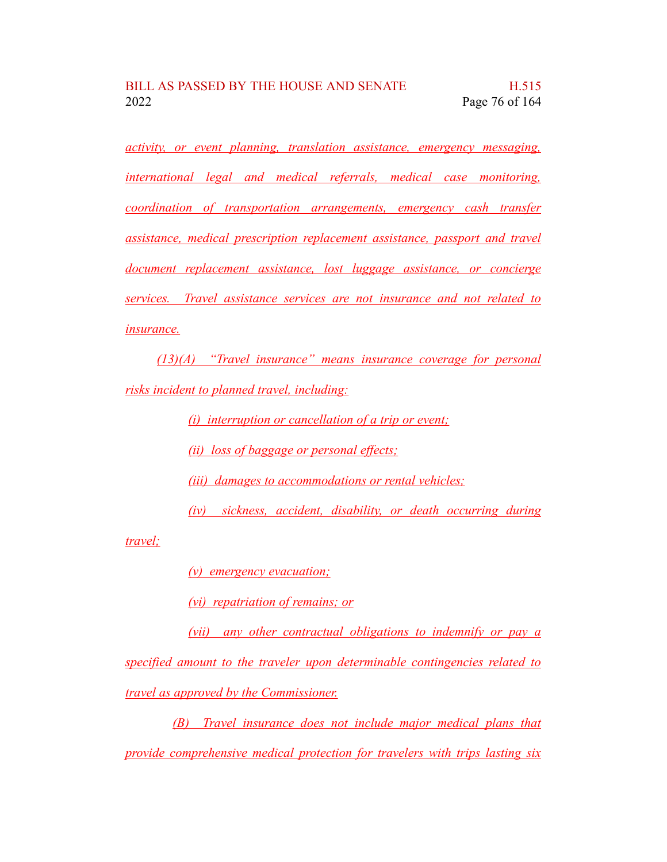*activity, or event planning, translation assistance, emergency messaging, international legal and medical referrals, medical case monitoring, coordination of transportation arrangements, emergency cash transfer assistance, medical prescription replacement assistance, passport and travel document replacement assistance, lost luggage assistance, or concierge services. Travel assistance services are not insurance and not related to insurance.*

*(13)(A) "Travel insurance" means insurance coverage for personal risks incident to planned travel, including:*

*(i) interruption or cancellation of a trip or event;*

*(ii) loss of baggage or personal effects;*

*(iii) damages to accommodations or rental vehicles;*

*(iv) sickness, accident, disability, or death occurring during*

*travel;*

*(v) emergency evacuation;*

*(vi) repatriation of remains; or*

*(vii) any other contractual obligations to indemnify or pay a specified amount to the traveler upon determinable contingencies related to travel as approved by the Commissioner.*

*(B) Travel insurance does not include major medical plans that provide comprehensive medical protection for travelers with trips lasting six*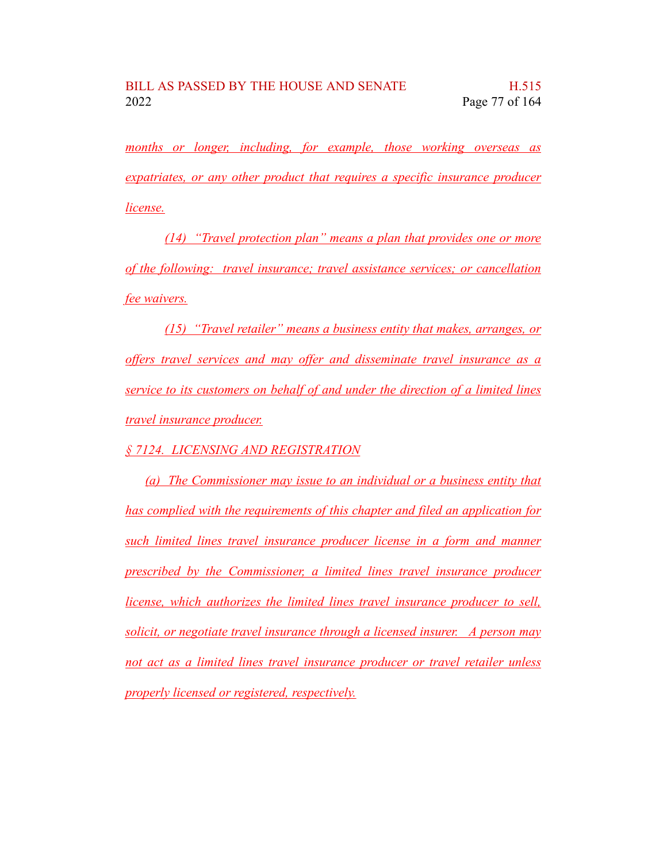*months or longer, including, for example, those working overseas as expatriates, or any other product that requires a specific insurance producer license.*

*(14) "Travel protection plan" means a plan that provides one or more of the following: travel insurance; travel assistance services; or cancellation fee waivers.*

*(15) "Travel retailer" means a business entity that makes, arranges, or offers travel services and may offer and disseminate travel insurance as a service to its customers on behalf of and under the direction of a limited lines travel insurance producer.*

*§ 7124. LICENSING AND REGISTRATION*

*(a) The Commissioner may issue to an individual or a business entity that has complied with the requirements of this chapter and filed an application for such limited lines travel insurance producer license in a form and manner prescribed by the Commissioner, a limited lines travel insurance producer license, which authorizes the limited lines travel insurance producer to sell, solicit, or negotiate travel insurance through a licensed insurer. A person may not act as a limited lines travel insurance producer or travel retailer unless properly licensed or registered, respectively.*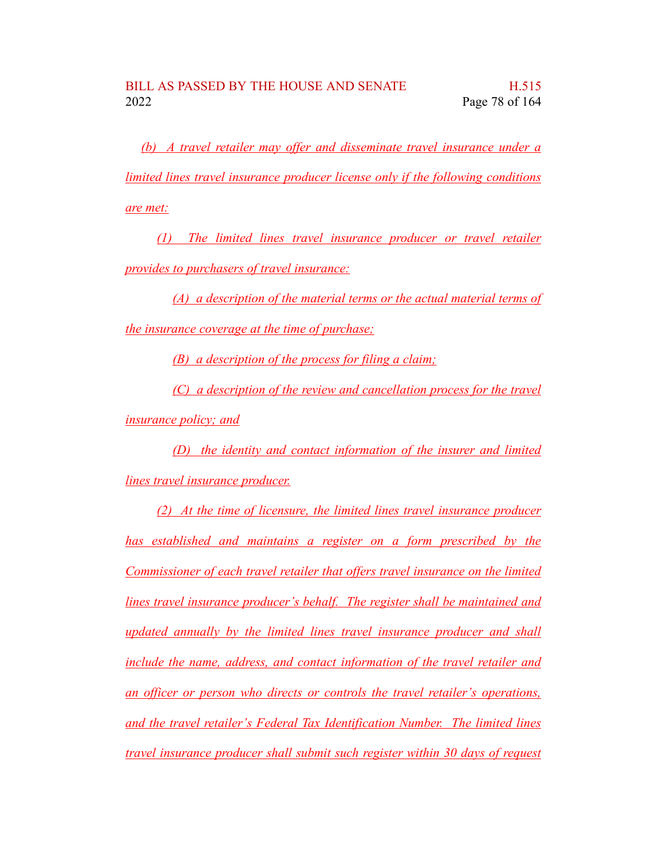*(b) A travel retailer may offer and disseminate travel insurance under a limited lines travel insurance producer license only if the following conditions are met:*

*(1) The limited lines travel insurance producer or travel retailer provides to purchasers of travel insurance:*

*(A) a description of the material terms or the actual material terms of the insurance coverage at the time of purchase;*

*(B) a description of the process for filing a claim;*

*(C) a description of the review and cancellation process for the travel insurance policy; and*

*(D) the identity and contact information of the insurer and limited lines travel insurance producer.*

*(2) At the time of licensure, the limited lines travel insurance producer has established and maintains a register on a form prescribed by the Commissioner of each travel retailer that offers travel insurance on the limited lines travel insurance producer's behalf. The register shall be maintained and updated annually by the limited lines travel insurance producer and shall include the name, address, and contact information of the travel retailer and an officer or person who directs or controls the travel retailer's operations, and the travel retailer's Federal Tax Identification Number. The limited lines travel insurance producer shall submit such register within 30 days of request*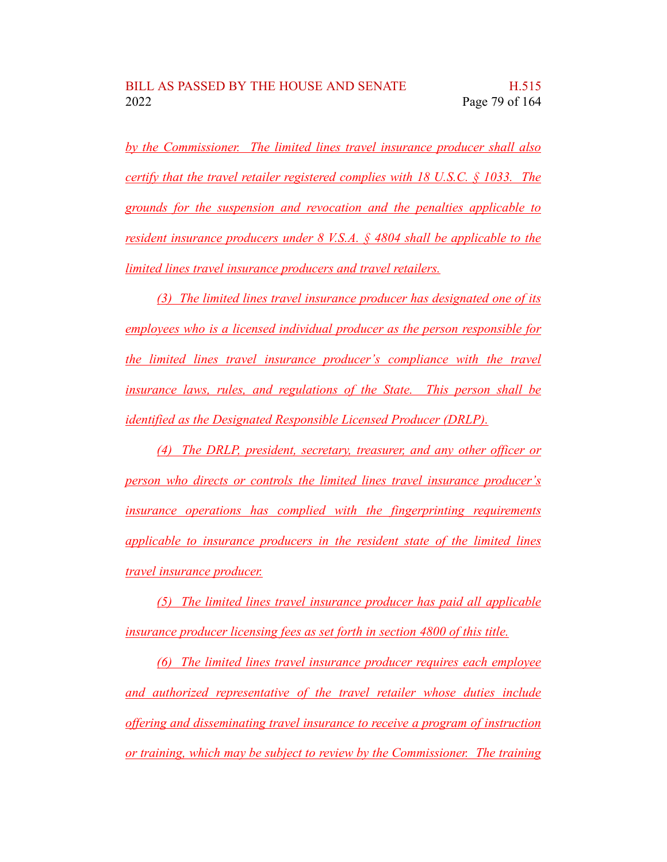*by the Commissioner. The limited lines travel insurance producer shall also certify that the travel retailer registered complies with 18 U.S.C. § 1033. The grounds for the suspension and revocation and the penalties applicable to resident insurance producers under 8 V.S.A. § 4804 shall be applicable to the limited lines travel insurance producers and travel retailers.*

*(3) The limited lines travel insurance producer has designated one of its employees who is a licensed individual producer as the person responsible for the limited lines travel insurance producer's compliance with the travel insurance laws, rules, and regulations of the State. This person shall be identified as the Designated Responsible Licensed Producer (DRLP).*

*(4) The DRLP, president, secretary, treasurer, and any other officer or person who directs or controls the limited lines travel insurance producer's insurance operations has complied with the fingerprinting requirements applicable to insurance producers in the resident state of the limited lines travel insurance producer.*

*(5) The limited lines travel insurance producer has paid all applicable insurance producer licensing fees as set forth in section 4800 of this title.*

*(6) The limited lines travel insurance producer requires each employee and authorized representative of the travel retailer whose duties include offering and disseminating travel insurance to receive a program of instruction or training, which may be subject to review by the Commissioner. The training*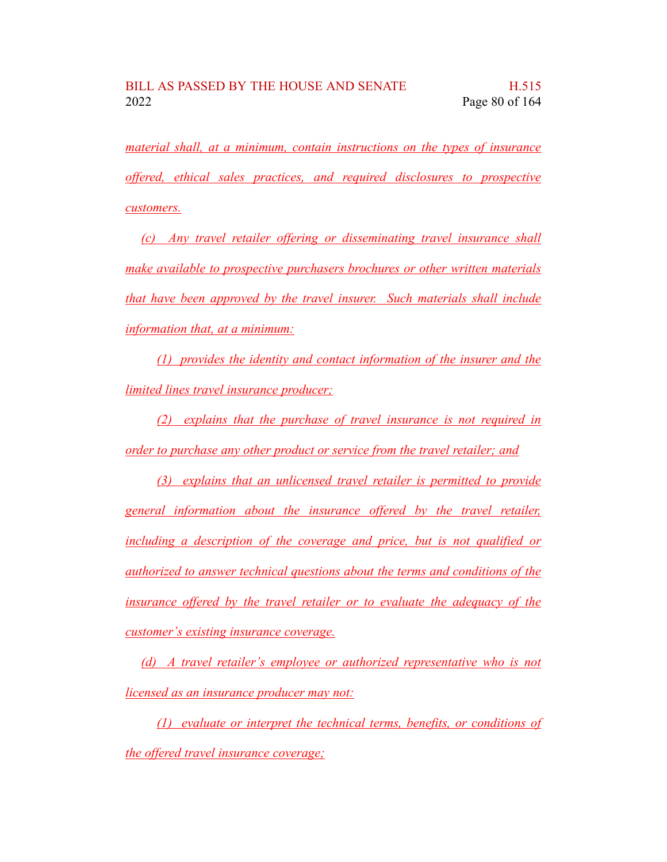*material shall, at a minimum, contain instructions on the types of insurance offered, ethical sales practices, and required disclosures to prospective customers.*

*(c) Any travel retailer offering or disseminating travel insurance shall make available to prospective purchasers brochures or other written materials that have been approved by the travel insurer. Such materials shall include information that, at a minimum:*

*(1) provides the identity and contact information of the insurer and the limited lines travel insurance producer;*

*(2) explains that the purchase of travel insurance is not required in order to purchase any other product or service from the travel retailer; and*

*(3) explains that an unlicensed travel retailer is permitted to provide general information about the insurance offered by the travel retailer, including a description of the coverage and price, but is not qualified or authorized to answer technical questions about the terms and conditions of the insurance offered by the travel retailer or to evaluate the adequacy of the customer's existing insurance coverage.*

*(d) A travel retailer's employee or authorized representative who is not licensed as an insurance producer may not:*

*(1) evaluate or interpret the technical terms, benefits, or conditions of the offered travel insurance coverage;*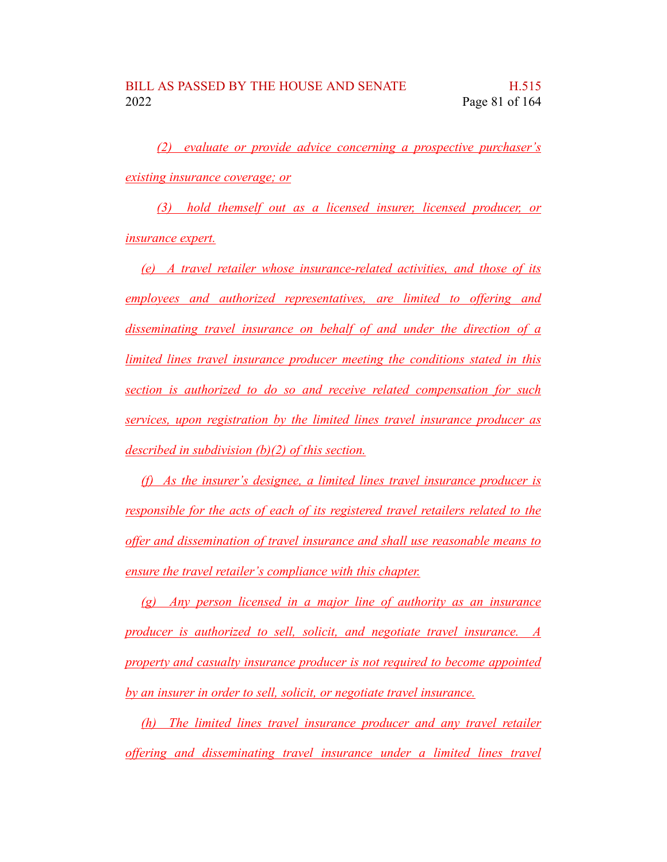*(2) evaluate or provide advice concerning a prospective purchaser's existing insurance coverage; or*

*(3) hold themself out as a licensed insurer, licensed producer, or insurance expert.*

*(e) A travel retailer whose insurance-related activities, and those of its employees and authorized representatives, are limited to offering and disseminating travel insurance on behalf of and under the direction of a limited lines travel insurance producer meeting the conditions stated in this section is authorized to do so and receive related compensation for such services, upon registration by the limited lines travel insurance producer as described in subdivision (b)(2) of this section.*

*(f) As the insurer's designee, a limited lines travel insurance producer is responsible for the acts of each of its registered travel retailers related to the offer and dissemination of travel insurance and shall use reasonable means to ensure the travel retailer's compliance with this chapter.*

*(g) Any person licensed in a major line of authority as an insurance producer is authorized to sell, solicit, and negotiate travel insurance. A property and casualty insurance producer is not required to become appointed by an insurer in order to sell, solicit, or negotiate travel insurance.*

*(h) The limited lines travel insurance producer and any travel retailer offering and disseminating travel insurance under a limited lines travel*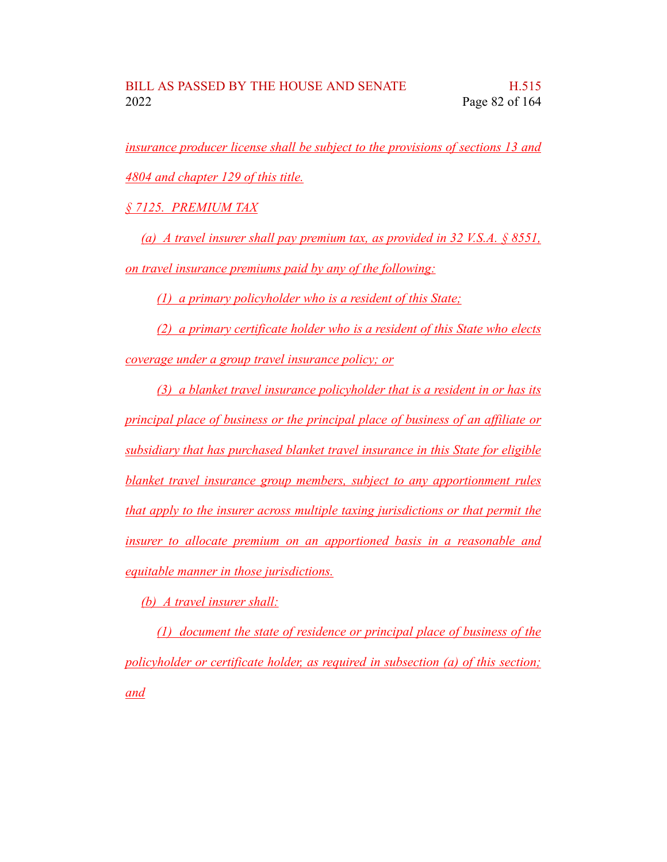*insurance producer license shall be subject to the provisions of sections 13 and 4804 and chapter 129 of this title.*

*§ 7125. PREMIUM TAX*

*(a) A travel insurer shall pay premium tax, as provided in 32 V.S.A. § 8551, on travel insurance premiums paid by any of the following:*

*(1) a primary policyholder who is a resident of this State;*

*(2) a primary certificate holder who is a resident of this State who elects coverage under a group travel insurance policy; or*

*(3) a blanket travel insurance policyholder that is a resident in or has its principal place of business or the principal place of business of an affiliate or subsidiary that has purchased blanket travel insurance in this State for eligible blanket travel insurance group members, subject to any apportionment rules that apply to the insurer across multiple taxing jurisdictions or that permit the insurer to allocate premium on an apportioned basis in a reasonable and equitable manner in those jurisdictions.*

*(b) A travel insurer shall:*

*(1) document the state of residence or principal place of business of the policyholder or certificate holder, as required in subsection (a) of this section; and*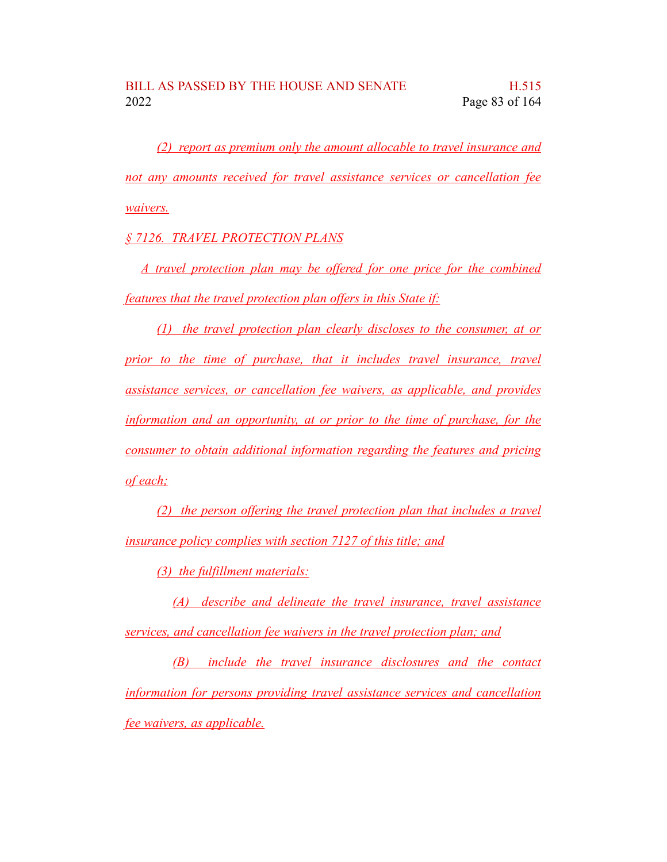*(2) report as premium only the amount allocable to travel insurance and not any amounts received for travel assistance services or cancellation fee waivers.*

*§ 7126. TRAVEL PROTECTION PLANS*

*A travel protection plan may be offered for one price for the combined features that the travel protection plan offers in this State if:*

*(1) the travel protection plan clearly discloses to the consumer, at or prior to the time of purchase, that it includes travel insurance, travel assistance services, or cancellation fee waivers, as applicable, and provides information and an opportunity, at or prior to the time of purchase, for the consumer to obtain additional information regarding the features and pricing of each;*

*(2) the person offering the travel protection plan that includes a travel insurance policy complies with section 7127 of this title; and*

*(3) the fulfillment materials:*

*(A) describe and delineate the travel insurance, travel assistance services, and cancellation fee waivers in the travel protection plan; and*

*(B) include the travel insurance disclosures and the contact information for persons providing travel assistance services and cancellation fee waivers, as applicable.*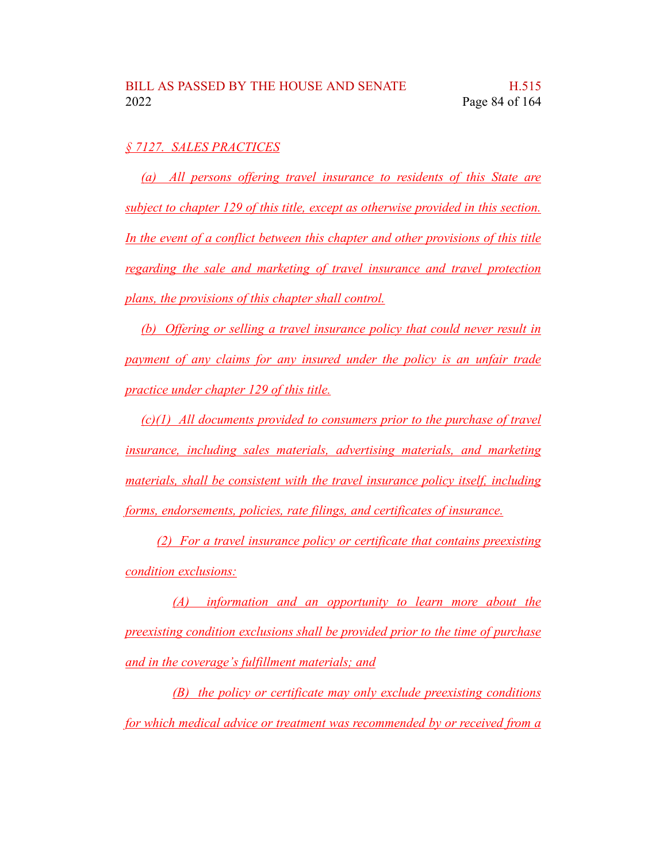## *§ 7127. SALES PRACTICES*

*(a) All persons offering travel insurance to residents of this State are subject to chapter 129 of this title, except as otherwise provided in this section. In the event of a conflict between this chapter and other provisions of this title regarding the sale and marketing of travel insurance and travel protection plans, the provisions of this chapter shall control.*

*(b) Offering or selling a travel insurance policy that could never result in payment of any claims for any insured under the policy is an unfair trade practice under chapter 129 of this title.*

*(c)(1) All documents provided to consumers prior to the purchase of travel insurance, including sales materials, advertising materials, and marketing materials, shall be consistent with the travel insurance policy itself, including forms, endorsements, policies, rate filings, and certificates of insurance.*

*(2) For a travel insurance policy or certificate that contains preexisting condition exclusions:*

*(A) information and an opportunity to learn more about the preexisting condition exclusions shall be provided prior to the time of purchase and in the coverage's fulfillment materials; and*

*(B) the policy or certificate may only exclude preexisting conditions for which medical advice or treatment was recommended by or received from a*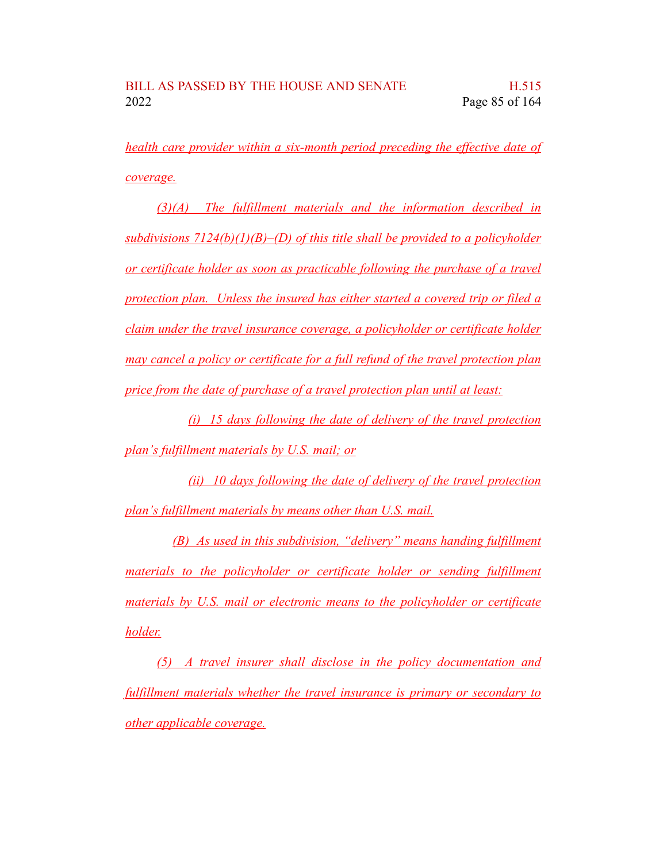*health care provider within a six-month period preceding the effective date of coverage.*

*(3)(A) The fulfillment materials and the information described in subdivisions 7124(b)(1)(B)–(D) of this title shall be provided to a policyholder or certificate holder as soon as practicable following the purchase of a travel protection plan. Unless the insured has either started a covered trip or filed a claim under the travel insurance coverage, a policyholder or certificate holder may cancel a policy or certificate for a full refund of the travel protection plan price from the date of purchase of a travel protection plan until at least:*

*(i) 15 days following the date of delivery of the travel protection plan's fulfillment materials by U.S. mail; or*

*(ii) 10 days following the date of delivery of the travel protection plan's fulfillment materials by means other than U.S. mail.*

*(B) As used in this subdivision, "delivery" means handing fulfillment materials to the policyholder or certificate holder or sending fulfillment materials by U.S. mail or electronic means to the policyholder or certificate holder.*

*(5) A travel insurer shall disclose in the policy documentation and fulfillment materials whether the travel insurance is primary or secondary to other applicable coverage.*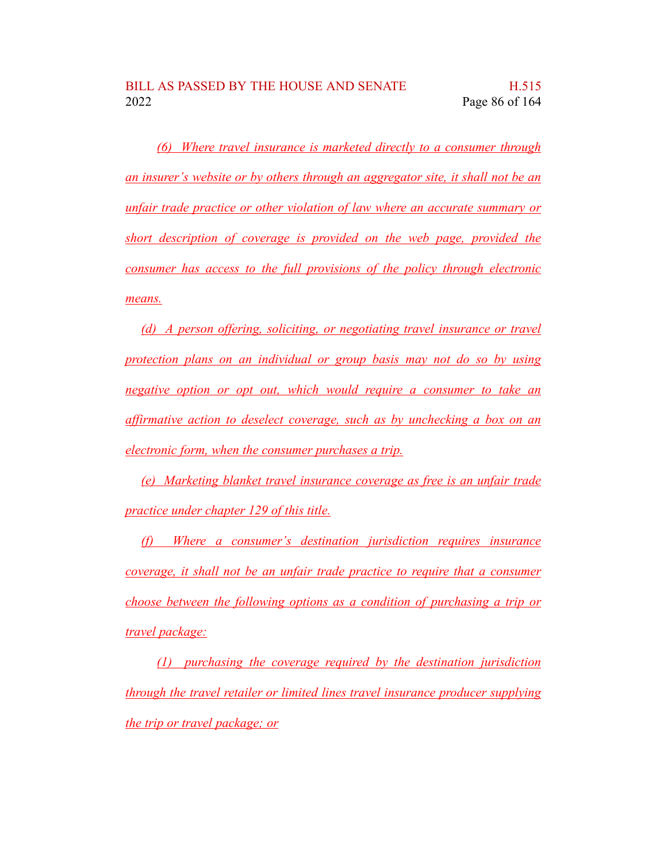*(6) Where travel insurance is marketed directly to a consumer through an insurer's website or by others through an aggregator site, it shall not be an unfair trade practice or other violation of law where an accurate summary or short description of coverage is provided on the web page, provided the consumer has access to the full provisions of the policy through electronic means.*

*(d) A person offering, soliciting, or negotiating travel insurance or travel protection plans on an individual or group basis may not do so by using negative option or opt out, which would require a consumer to take an affirmative action to deselect coverage, such as by unchecking a box on an electronic form, when the consumer purchases a trip.*

*(e) Marketing blanket travel insurance coverage as free is an unfair trade practice under chapter 129 of this title.*

*(f) Where a consumer's destination jurisdiction requires insurance coverage, it shall not be an unfair trade practice to require that a consumer choose between the following options as a condition of purchasing a trip or travel package:*

*(1) purchasing the coverage required by the destination jurisdiction through the travel retailer or limited lines travel insurance producer supplying the trip or travel package; or*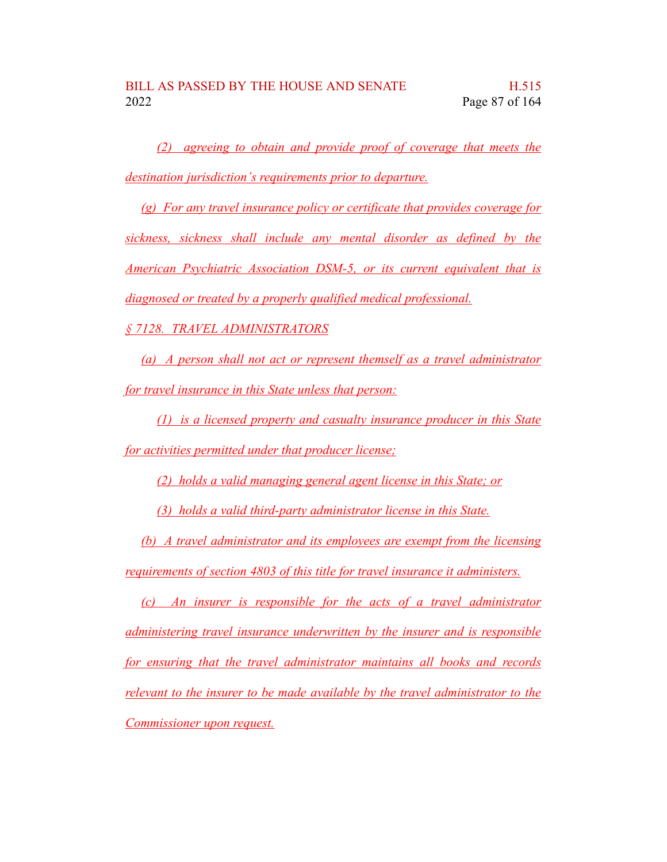*(2) agreeing to obtain and provide proof of coverage that meets the destination jurisdiction's requirements prior to departure.*

*(g) For any travel insurance policy or certificate that provides coverage for sickness, sickness shall include any mental disorder as defined by the American Psychiatric Association DSM-5, or its current equivalent that is diagnosed or treated by a properly qualified medical professional.*

*§ 7128. TRAVEL ADMINISTRATORS*

*(a) A person shall not act or represent themself as a travel administrator for travel insurance in this State unless that person:*

*(1) is a licensed property and casualty insurance producer in this State for activities permitted under that producer license;*

*(2) holds a valid managing general agent license in this State; or*

*(3) holds a valid third-party administrator license in this State.*

*(b) A travel administrator and its employees are exempt from the licensing requirements of section 4803 of this title for travel insurance it administers.*

*(c) An insurer is responsible for the acts of a travel administrator administering travel insurance underwritten by the insurer and is responsible for ensuring that the travel administrator maintains all books and records relevant to the insurer to be made available by the travel administrator to the Commissioner upon request.*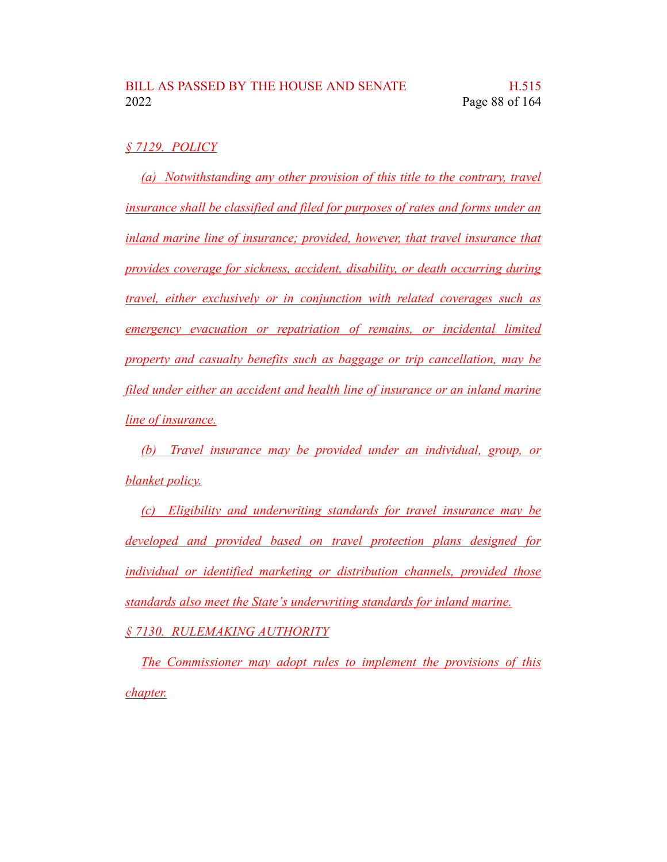## *§ 7129. POLICY*

*(a) Notwithstanding any other provision of this title to the contrary, travel insurance shall be classified and filed for purposes of rates and forms under an inland marine line of insurance; provided, however, that travel insurance that provides coverage for sickness, accident, disability, or death occurring during travel, either exclusively or in conjunction with related coverages such as emergency evacuation or repatriation of remains, or incidental limited property and casualty benefits such as baggage or trip cancellation, may be filed under either an accident and health line of insurance or an inland marine line of insurance.*

*(b) Travel insurance may be provided under an individual, group, or blanket policy.*

*(c) Eligibility and underwriting standards for travel insurance may be developed and provided based on travel protection plans designed for individual or identified marketing or distribution channels, provided those standards also meet the State's underwriting standards for inland marine.*

*§ 7130. RULEMAKING AUTHORITY*

*The Commissioner may adopt rules to implement the provisions of this chapter.*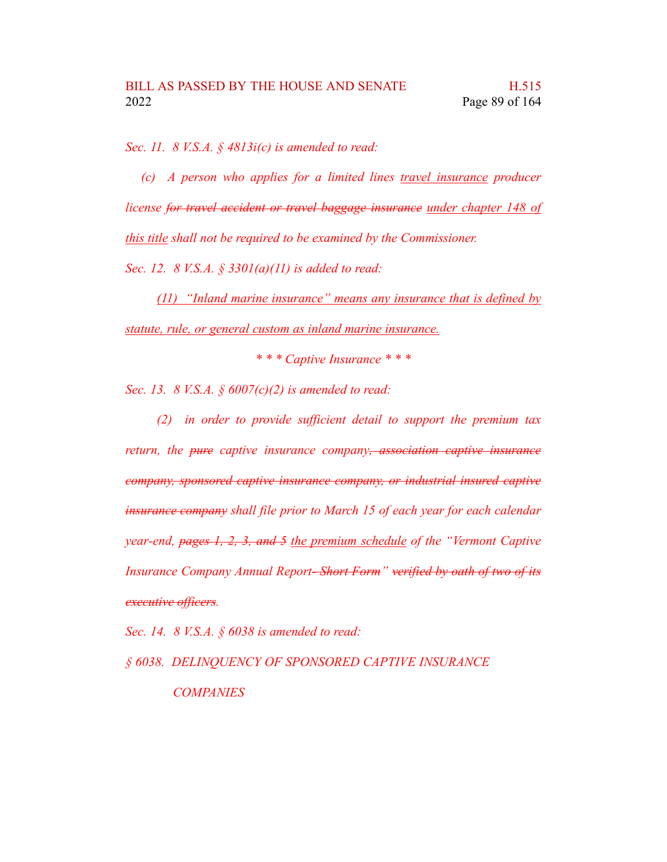*Sec. 11. 8 V.S.A. § 4813i(c) is amended to read:*

*(c) A person who applies for a limited lines travel insurance producer license for travel accident or travel baggage insurance under chapter 148 of this title shall not be required to be examined by the Commissioner. Sec. 12. 8 V.S.A. § 3301(a)(11) is added to read:*

*(11) "Inland marine insurance" means any insurance that is defined by statute, rule, or general custom as inland marine insurance.*

*\* \* \* Captive Insurance \* \* \**

*Sec. 13. 8 V.S.A. § 6007(c)(2) is amended to read:*

*(2) in order to provide sufficient detail to support the premium tax return, the pure captive insurance company, association captive insurance company, sponsored captive insurance company, or industrial insured captive insurance company shall file prior to March 15 of each year for each calendar year-end, pages 1, 2, 3, and 5 the premium schedule of the "Vermont Captive Insurance Company Annual Report- Short Form" verified by oath of two of its executive officers.*

*Sec. 14. 8 V.S.A. § 6038 is amended to read:*

*§ 6038. DELINQUENCY OF SPONSORED CAPTIVE INSURANCE COMPANIES*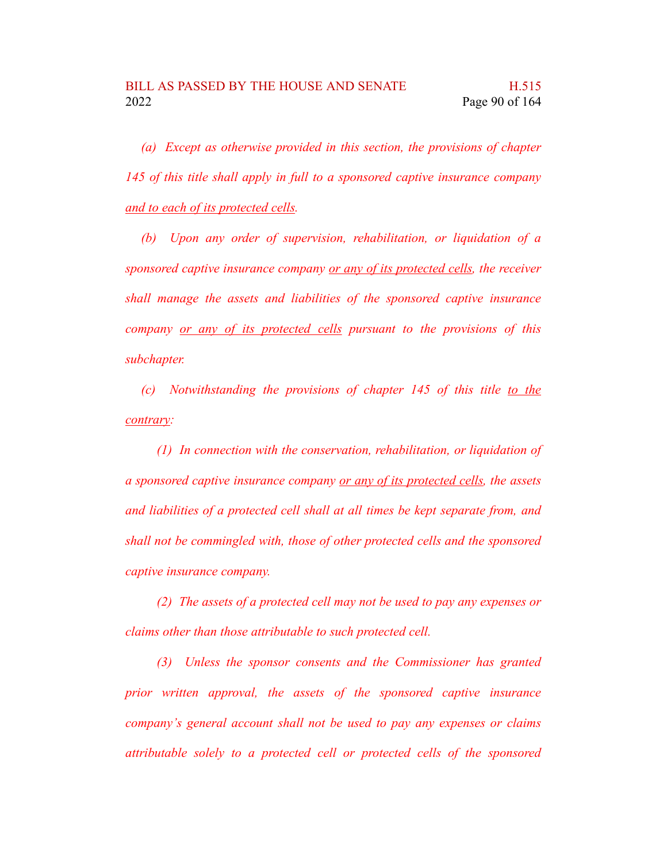*(a) Except as otherwise provided in this section, the provisions of chapter 145 of this title shall apply in full to a sponsored captive insurance company and to each of its protected cells.*

*(b) Upon any order of supervision, rehabilitation, or liquidation of a sponsored captive insurance company or any of its protected cells, the receiver shall manage the assets and liabilities of the sponsored captive insurance company or any of its protected cells pursuant to the provisions of this subchapter.*

*(c) Notwithstanding the provisions of chapter 145 of this title to the contrary:*

*(1) In connection with the conservation, rehabilitation, or liquidation of a sponsored captive insurance company or any of its protected cells, the assets and liabilities of a protected cell shall at all times be kept separate from, and shall not be commingled with, those of other protected cells and the sponsored captive insurance company.*

*(2) The assets of a protected cell may not be used to pay any expenses or claims other than those attributable to such protected cell.*

*(3) Unless the sponsor consents and the Commissioner has granted prior written approval, the assets of the sponsored captive insurance company's general account shall not be used to pay any expenses or claims attributable solely to a protected cell or protected cells of the sponsored*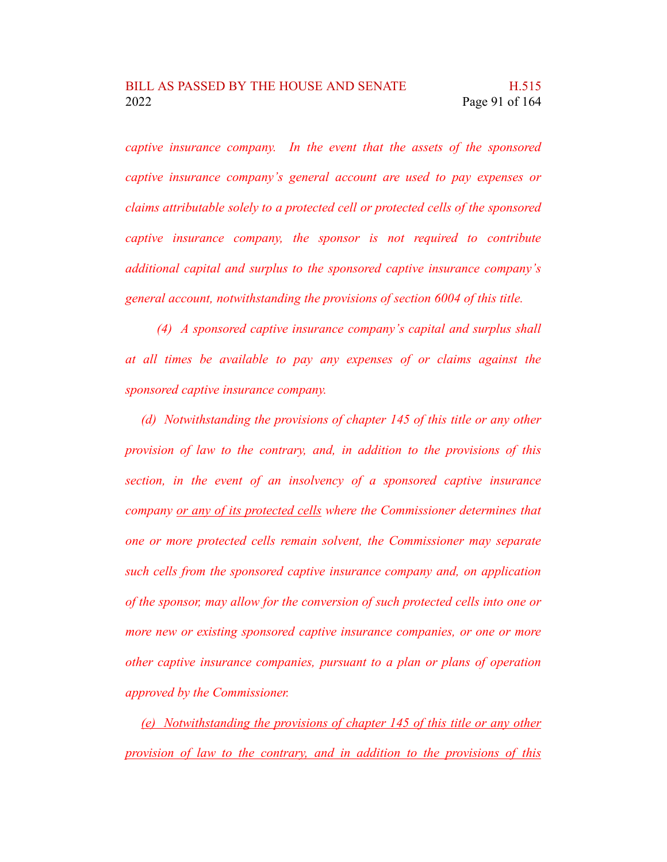*captive insurance company. In the event that the assets of the sponsored captive insurance company's general account are used to pay expenses or claims attributable solely to a protected cell or protected cells of the sponsored captive insurance company, the sponsor is not required to contribute additional capital and surplus to the sponsored captive insurance company's general account, notwithstanding the provisions of section 6004 of this title.*

*(4) A sponsored captive insurance company's capital and surplus shall at all times be available to pay any expenses of or claims against the sponsored captive insurance company.*

*(d) Notwithstanding the provisions of chapter 145 of this title or any other provision of law to the contrary, and, in addition to the provisions of this section, in the event of an insolvency of a sponsored captive insurance company or any of its protected cells where the Commissioner determines that one or more protected cells remain solvent, the Commissioner may separate such cells from the sponsored captive insurance company and, on application of the sponsor, may allow for the conversion of such protected cells into one or more new or existing sponsored captive insurance companies, or one or more other captive insurance companies, pursuant to a plan or plans of operation approved by the Commissioner.*

*(e) Notwithstanding the provisions of chapter 145 of this title or any other provision of law to the contrary, and in addition to the provisions of this*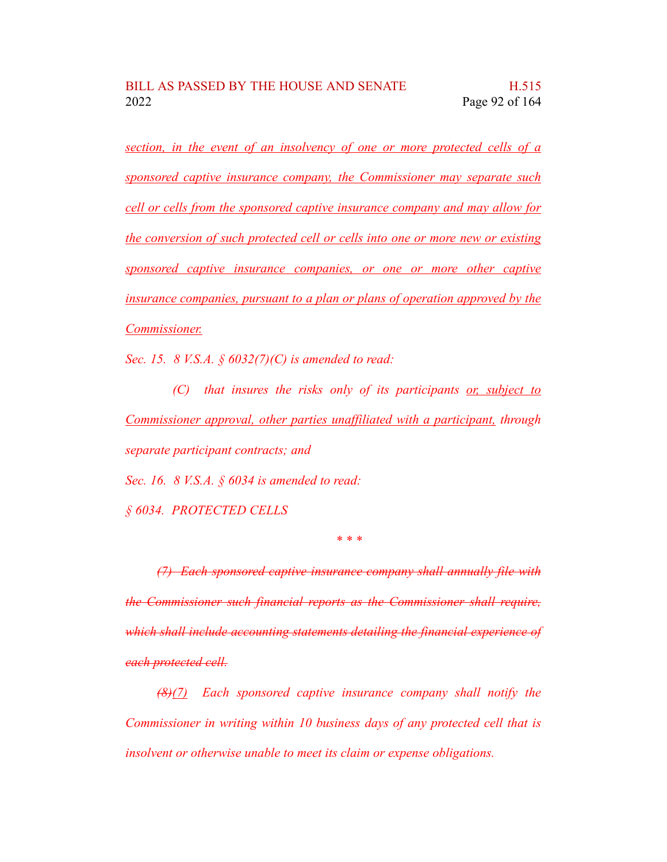*section, in the event of an insolvency of one or more protected cells of a sponsored captive insurance company, the Commissioner may separate such cell or cells from the sponsored captive insurance company and may allow for the conversion of such protected cell or cells into one or more new or existing sponsored captive insurance companies, or one or more other captive insurance companies, pursuant to a plan or plans of operation approved by the Commissioner.*

*Sec. 15. 8 V.S.A. § 6032(7)(C) is amended to read:*

*(C) that insures the risks only of its participants or, subject to Commissioner approval, other parties unaffiliated with a participant, through separate participant contracts; and*

*Sec. 16. 8 V.S.A. § 6034 is amended to read:*

*§ 6034. PROTECTED CELLS*

*\* \* \**

*(7) Each sponsored captive insurance company shall annually file with the Commissioner such financial reports as the Commissioner shall require, which shall include accounting statements detailing the financial experience of each protected cell.*

*(8)(7) Each sponsored captive insurance company shall notify the Commissioner in writing within 10 business days of any protected cell that is insolvent or otherwise unable to meet its claim or expense obligations.*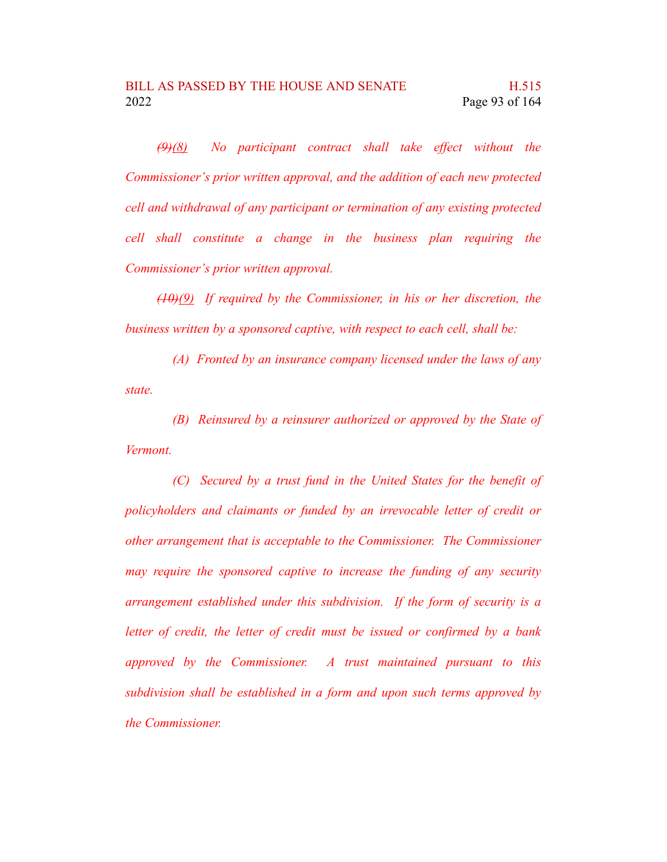*(9)(8) No participant contract shall take effect without the Commissioner's prior written approval, and the addition of each new protected cell and withdrawal of any participant or termination of any existing protected cell shall constitute a change in the business plan requiring the Commissioner's prior written approval.*

*(10)(9) If required by the Commissioner, in his or her discretion, the business written by a sponsored captive, with respect to each cell, shall be:*

*(A) Fronted by an insurance company licensed under the laws of any state.*

*(B) Reinsured by a reinsurer authorized or approved by the State of Vermont.*

*(C) Secured by a trust fund in the United States for the benefit of policyholders and claimants or funded by an irrevocable letter of credit or other arrangement that is acceptable to the Commissioner. The Commissioner may require the sponsored captive to increase the funding of any security arrangement established under this subdivision. If the form of security is a letter of credit, the letter of credit must be issued or confirmed by a bank approved by the Commissioner. A trust maintained pursuant to this subdivision shall be established in a form and upon such terms approved by the Commissioner.*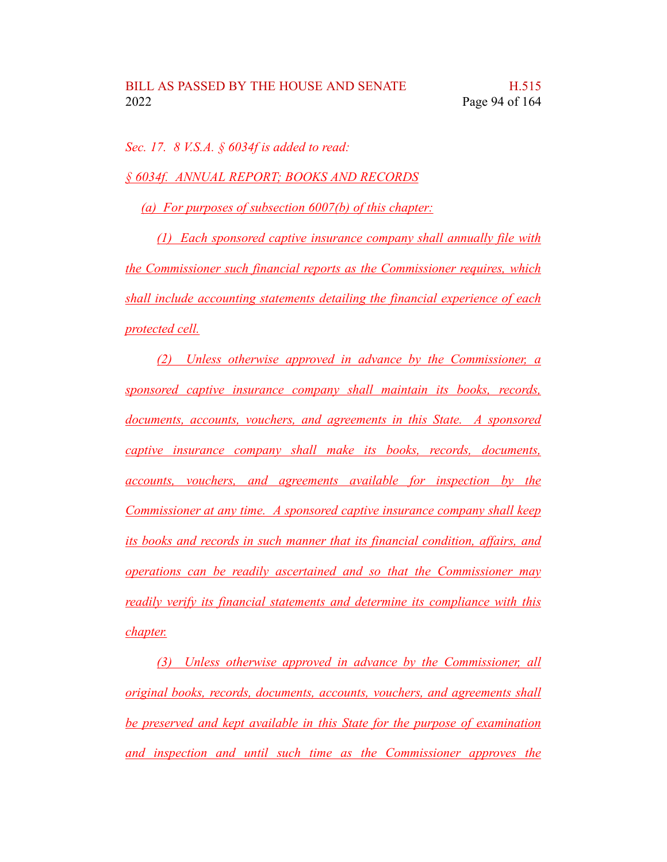*Sec. 17. 8 V.S.A. § 6034f is added to read:*

*§ 6034f. ANNUAL REPORT; BOOKS AND RECORDS*

*(a) For purposes of subsection 6007(b) of this chapter:*

*(1) Each sponsored captive insurance company shall annually file with the Commissioner such financial reports as the Commissioner requires, which shall include accounting statements detailing the financial experience of each protected cell.*

*(2) Unless otherwise approved in advance by the Commissioner, a sponsored captive insurance company shall maintain its books, records, documents, accounts, vouchers, and agreements in this State. A sponsored captive insurance company shall make its books, records, documents, accounts, vouchers, and agreements available for inspection by the Commissioner at any time. A sponsored captive insurance company shall keep its books and records in such manner that its financial condition, affairs, and operations can be readily ascertained and so that the Commissioner may readily verify its financial statements and determine its compliance with this chapter.*

*(3) Unless otherwise approved in advance by the Commissioner, all original books, records, documents, accounts, vouchers, and agreements shall be preserved and kept available in this State for the purpose of examination and inspection and until such time as the Commissioner approves the*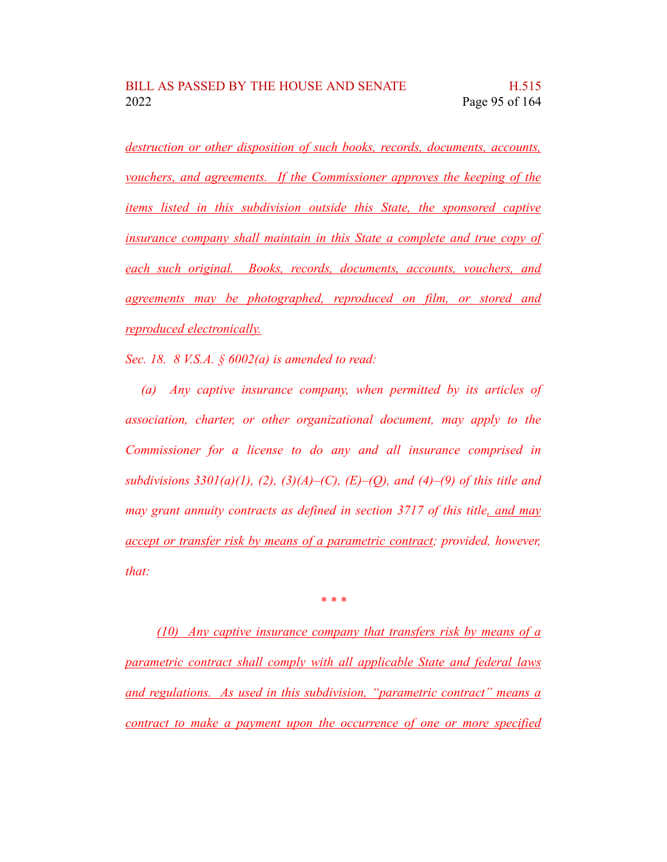*destruction or other disposition of such books, records, documents, accounts, vouchers, and agreements. If the Commissioner approves the keeping of the items listed in this subdivision outside this State, the sponsored captive insurance company shall maintain in this State a complete and true copy of each such original. Books, records, documents, accounts, vouchers, and agreements may be photographed, reproduced on film, or stored and reproduced electronically.*

*Sec. 18. 8 V.S.A. § 6002(a) is amended to read:*

*(a) Any captive insurance company, when permitted by its articles of association, charter, or other organizational document, may apply to the Commissioner for a license to do any and all insurance comprised in subdivisions 3301(a)(1), (2), (3)(A)–(C), (E)–(Q), and (4)–(9) of this title and may grant annuity contracts as defined in section 3717 of this title, and may accept or transfer risk by means of a parametric contract; provided, however, that:*

*\* \* \**

*(10) Any captive insurance company that transfers risk by means of a parametric contract shall comply with all applicable State and federal laws and regulations. As used in this subdivision, "parametric contract" means a contract to make a payment upon the occurrence of one or more specified*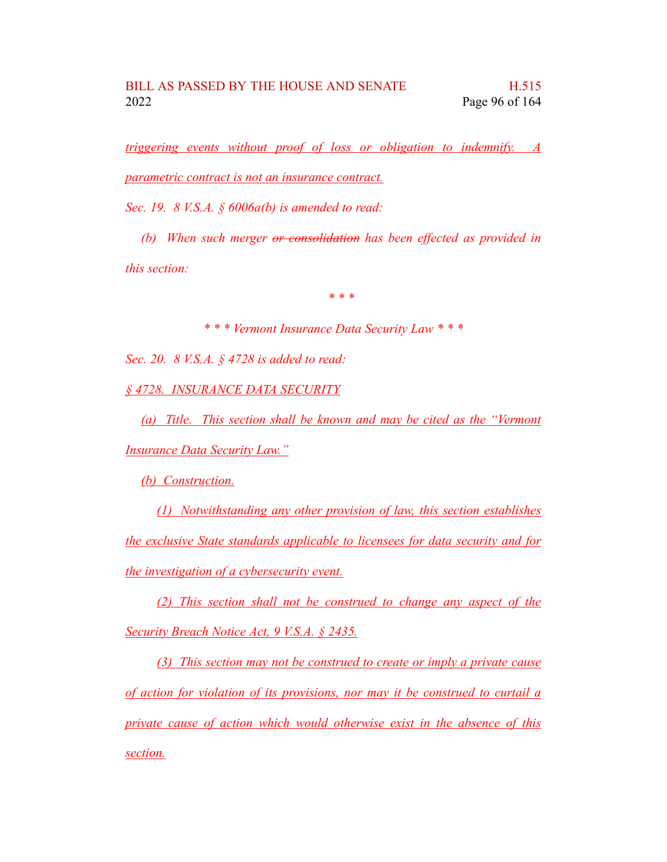*triggering events without proof of loss or obligation to indemnify. A parametric contract is not an insurance contract.*

*Sec. 19. 8 V.S.A. § 6006a(b) is amended to read:*

*(b) When such merger or consolidation has been effected as provided in this section:*

*\* \* \**

*\* \* \* Vermont Insurance Data Security Law \* \* \**

*Sec. 20. 8 V.S.A. § 4728 is added to read:*

*§ 4728. INSURANCE DATA SECURITY*

*(a) Title. This section shall be known and may be cited as the "Vermont Insurance Data Security Law."*

*(b) Construction.*

*(1) Notwithstanding any other provision of law, this section establishes the exclusive State standards applicable to licensees for data security and for the investigation of a cybersecurity event.*

*(2) This section shall not be construed to change any aspect of the Security Breach Notice Act, 9 V.S.A. § 2435.*

*(3) This section may not be construed to create or imply a private cause of action for violation of its provisions, nor may it be construed to curtail a private cause of action which would otherwise exist in the absence of this section.*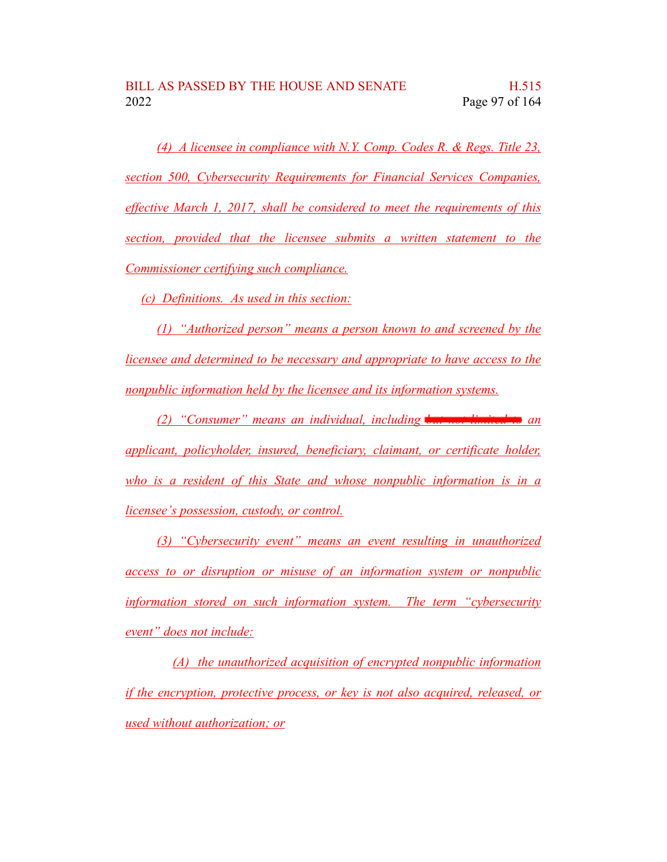*(4) A licensee in compliance with N.Y. Comp. Codes R. & Regs. Title 23, section 500, Cybersecurity Requirements for Financial Services Companies, effective March 1, 2017, shall be considered to meet the requirements of this section, provided that the licensee submits a written statement to the Commissioner certifying such compliance.*

*(c) Definitions. As used in this section:*

*(1) "Authorized person" means a person known to and screened by the licensee and determined to be necessary and appropriate to have access to the nonpublic information held by the licensee and its information systems.*

*(2) "Consumer" means an individual, including but not limited to an applicant, policyholder, insured, beneficiary, claimant, or certificate holder, who is a resident of this State and whose nonpublic information is in a licensee's possession, custody, or control.*

*(3) "Cybersecurity event" means an event resulting in unauthorized access to or disruption or misuse of an information system or nonpublic information stored on such information system. The term "cybersecurity event" does not include:*

*(A) the unauthorized acquisition of encrypted nonpublic information if the encryption, protective process, or key is not also acquired, released, or used without authorization; or*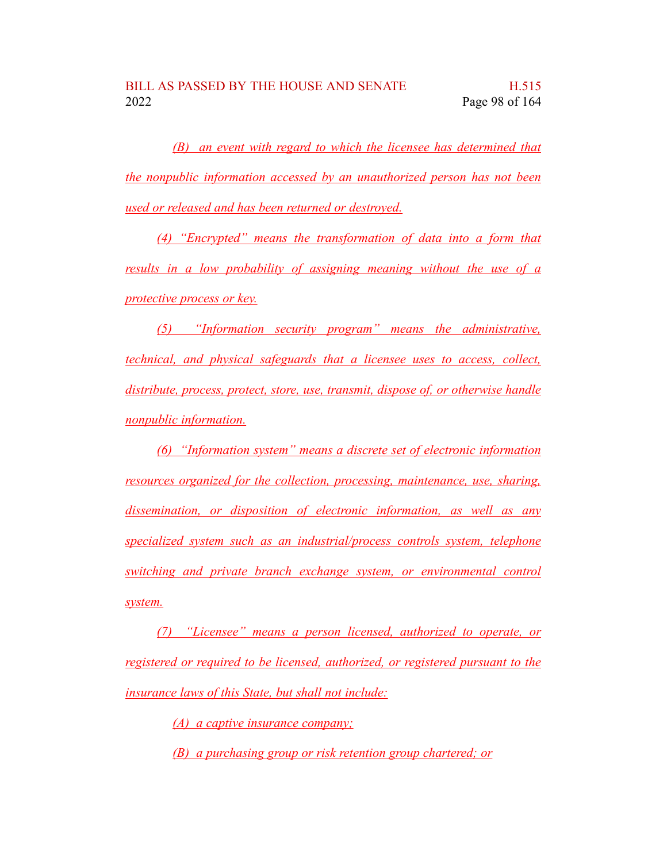*(B) an event with regard to which the licensee has determined that the nonpublic information accessed by an unauthorized person has not been used or released and has been returned or destroyed.*

*(4) "Encrypted" means the transformation of data into a form that results in a low probability of assigning meaning without the use of a protective process or key.*

*(5) "Information security program" means the administrative, technical, and physical safeguards that a licensee uses to access, collect, distribute, process, protect, store, use, transmit, dispose of, or otherwise handle nonpublic information.*

*(6) "Information system" means a discrete set of electronic information resources organized for the collection, processing, maintenance, use, sharing, dissemination, or disposition of electronic information, as well as any specialized system such as an industrial/process controls system, telephone switching and private branch exchange system, or environmental control system.*

*(7) "Licensee" means a person licensed, authorized to operate, or registered or required to be licensed, authorized, or registered pursuant to the insurance laws of this State, but shall not include:*

*(A) a captive insurance company;*

*(B) a purchasing group or risk retention group chartered; or*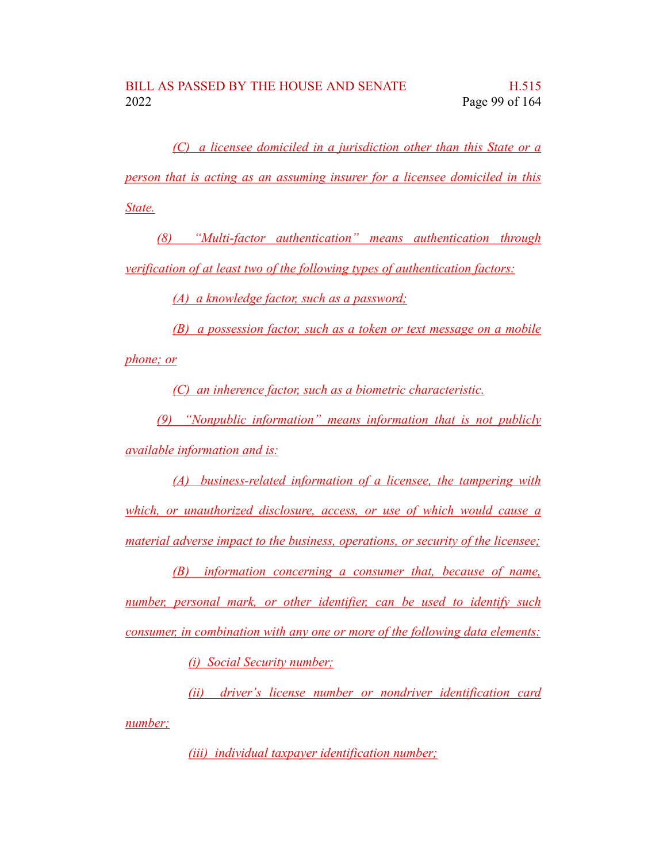*(C) a licensee domiciled in a jurisdiction other than this State or a person that is acting as an assuming insurer for a licensee domiciled in this State.*

*(8) "Multi-factor authentication" means authentication through verification of at least two of the following types of authentication factors:*

*(A) a knowledge factor, such as a password;*

*(B) a possession factor, such as a token or text message on a mobile phone; or*

*(C) an inherence factor, such as a biometric characteristic.*

*(9) "Nonpublic information" means information that is not publicly available information and is:*

*(A) business-related information of a licensee, the tampering with which, or unauthorized disclosure, access, or use of which would cause a material adverse impact to the business, operations, or security of the licensee;*

*(B) information concerning a consumer that, because of name, number, personal mark, or other identifier, can be used to identify such consumer, in combination with any one or more of the following data elements:*

*(i) Social Security number;*

*(ii) driver's license number or nondriver identification card number;*

*(iii) individual taxpayer identification number;*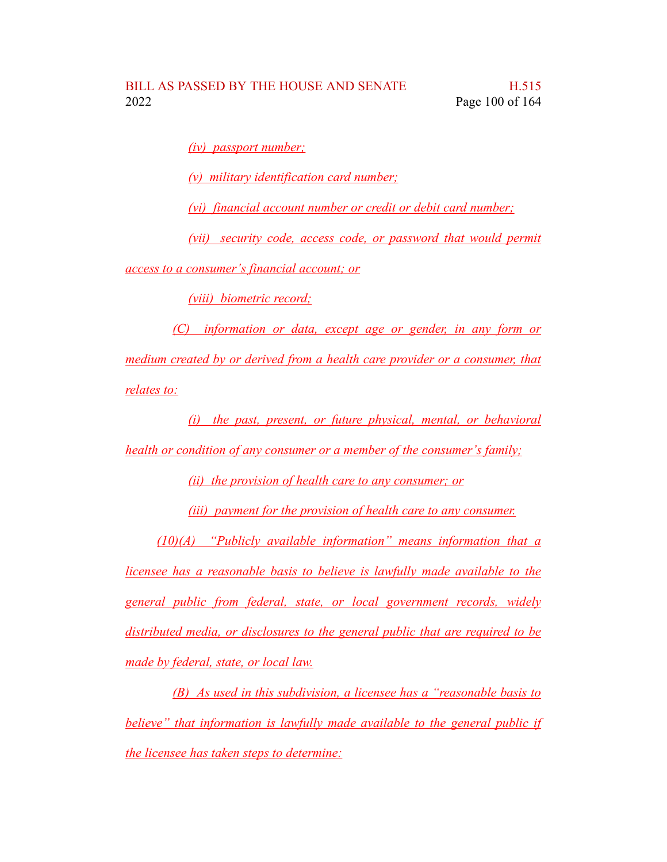*(iv) passport number;*

*(v) military identification card number;*

*(vi) financial account number or credit or debit card number;*

*(vii) security code, access code, or password that would permit access to a consumer's financial account; or*

*(viii) biometric record;*

*(C) information or data, except age or gender, in any form or medium created by or derived from a health care provider or a consumer, that relates to:*

*(i) the past, present, or future physical, mental, or behavioral health or condition of any consumer or a member of the consumer's family;*

*(ii) the provision of health care to any consumer; or*

*(iii) payment for the provision of health care to any consumer.*

*(10)(A) "Publicly available information" means information that a licensee has a reasonable basis to believe is lawfully made available to the general public from federal, state, or local government records, widely distributed media, or disclosures to the general public that are required to be made by federal, state, or local law.*

*(B) As used in this subdivision, a licensee has a "reasonable basis to believe" that information is lawfully made available to the general public if the licensee has taken steps to determine:*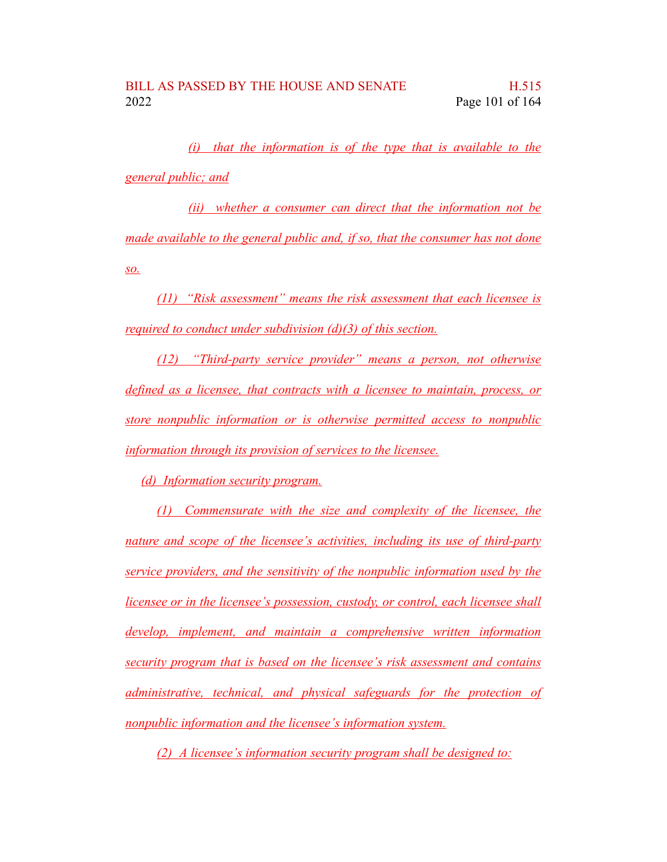*(i) that the information is of the type that is available to the general public; and*

*(ii) whether a consumer can direct that the information not be made available to the general public and, if so, that the consumer has not done so.*

*(11) "Risk assessment" means the risk assessment that each licensee is required to conduct under subdivision (d)(3) of this section.*

*(12) "Third-party service provider" means a person, not otherwise defined as a licensee, that contracts with a licensee to maintain, process, or store nonpublic information or is otherwise permitted access to nonpublic information through its provision of services to the licensee.*

*(d) Information security program.*

*(1) Commensurate with the size and complexity of the licensee, the nature and scope of the licensee's activities, including its use of third-party service providers, and the sensitivity of the nonpublic information used by the licensee or in the licensee's possession, custody, or control, each licensee shall develop, implement, and maintain a comprehensive written information security program that is based on the licensee's risk assessment and contains administrative, technical, and physical safeguards for the protection of nonpublic information and the licensee's information system.*

*(2) A licensee's information security program shall be designed to:*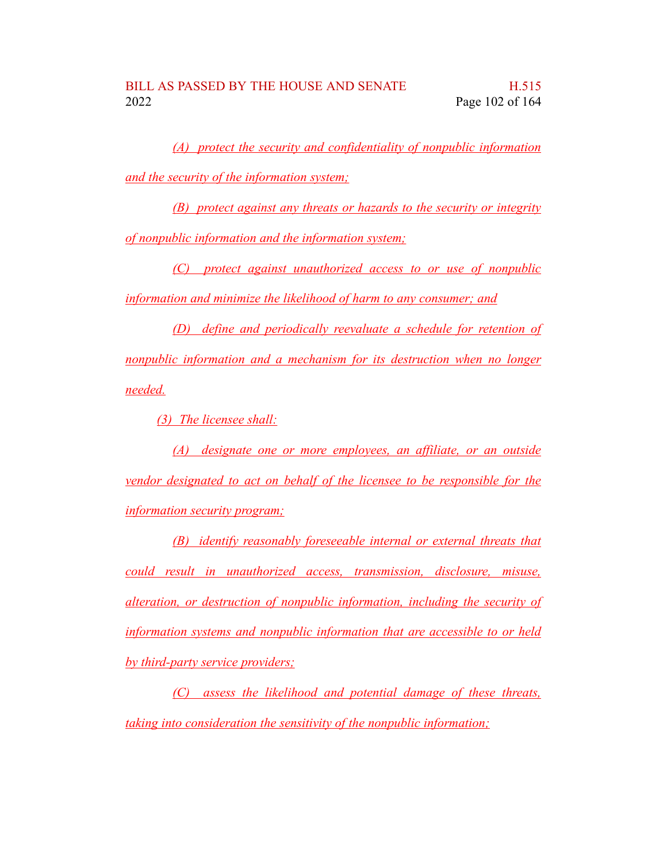*(A) protect the security and confidentiality of nonpublic information and the security of the information system;*

*(B) protect against any threats or hazards to the security or integrity of nonpublic information and the information system;*

*(C) protect against unauthorized access to or use of nonpublic information and minimize the likelihood of harm to any consumer; and*

*(D) define and periodically reevaluate a schedule for retention of nonpublic information and a mechanism for its destruction when no longer needed.*

*(3) The licensee shall:*

*(A) designate one or more employees, an affiliate, or an outside vendor designated to act on behalf of the licensee to be responsible for the information security program;*

*(B) identify reasonably foreseeable internal or external threats that could result in unauthorized access, transmission, disclosure, misuse, alteration, or destruction of nonpublic information, including the security of information systems and nonpublic information that are accessible to or held by third-party service providers;*

*(C) assess the likelihood and potential damage of these threats, taking into consideration the sensitivity of the nonpublic information;*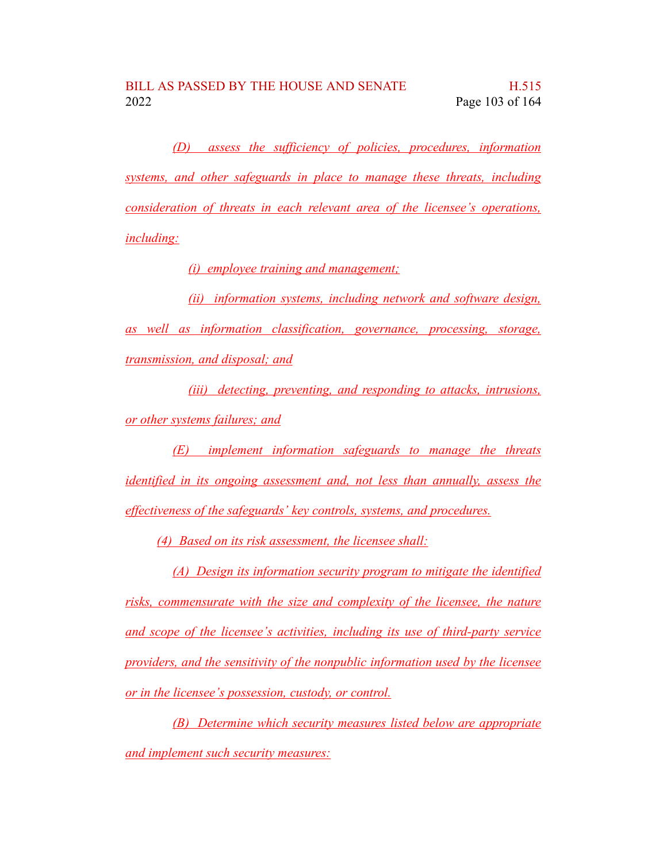*(D) assess the sufficiency of policies, procedures, information systems, and other safeguards in place to manage these threats, including consideration of threats in each relevant area of the licensee's operations, including:*

*(i) employee training and management;*

*(ii) information systems, including network and software design, as well as information classification, governance, processing, storage, transmission, and disposal; and*

*(iii) detecting, preventing, and responding to attacks, intrusions, or other systems failures; and*

*(E) implement information safeguards to manage the threats identified in its ongoing assessment and, not less than annually, assess the effectiveness of the safeguards' key controls, systems, and procedures.*

*(4) Based on its risk assessment, the licensee shall:*

*(A) Design its information security program to mitigate the identified risks, commensurate with the size and complexity of the licensee, the nature and scope of the licensee's activities, including its use of third-party service providers, and the sensitivity of the nonpublic information used by the licensee or in the licensee's possession, custody, or control.*

*(B) Determine which security measures listed below are appropriate and implement such security measures:*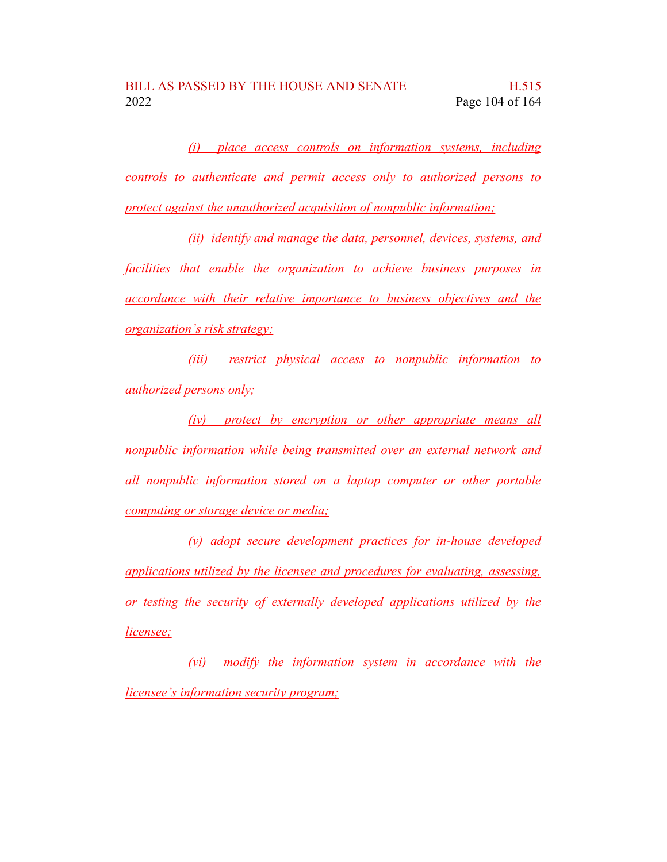*(i) place access controls on information systems, including controls to authenticate and permit access only to authorized persons to protect against the unauthorized acquisition of nonpublic information;*

*(ii) identify and manage the data, personnel, devices, systems, and facilities that enable the organization to achieve business purposes in accordance with their relative importance to business objectives and the organization's risk strategy;*

*(iii) restrict physical access to nonpublic information to authorized persons only;*

*(iv) protect by encryption or other appropriate means all nonpublic information while being transmitted over an external network and all nonpublic information stored on a laptop computer or other portable computing or storage device or media;*

*(v) adopt secure development practices for in-house developed applications utilized by the licensee and procedures for evaluating, assessing, or testing the security of externally developed applications utilized by the licensee;*

*(vi) modify the information system in accordance with the licensee's information security program;*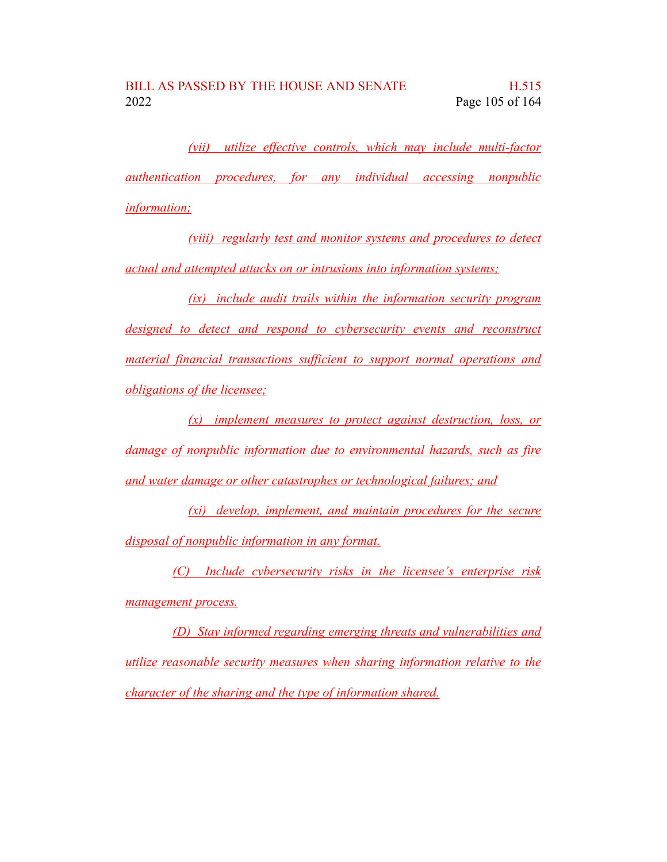*(vii) utilize effective controls, which may include multi-factor authentication procedures, for any individual accessing nonpublic information;*

*(viii) regularly test and monitor systems and procedures to detect actual and attempted attacks on or intrusions into information systems;*

*(ix) include audit trails within the information security program designed to detect and respond to cybersecurity events and reconstruct material financial transactions sufficient to support normal operations and obligations of the licensee;*

*(x) implement measures to protect against destruction, loss, or damage of nonpublic information due to environmental hazards, such as fire and water damage or other catastrophes or technological failures; and*

*(xi) develop, implement, and maintain procedures for the secure disposal of nonpublic information in any format.*

*(C) Include cybersecurity risks in the licensee's enterprise risk management process.*

*(D) Stay informed regarding emerging threats and vulnerabilities and utilize reasonable security measures when sharing information relative to the character of the sharing and the type of information shared.*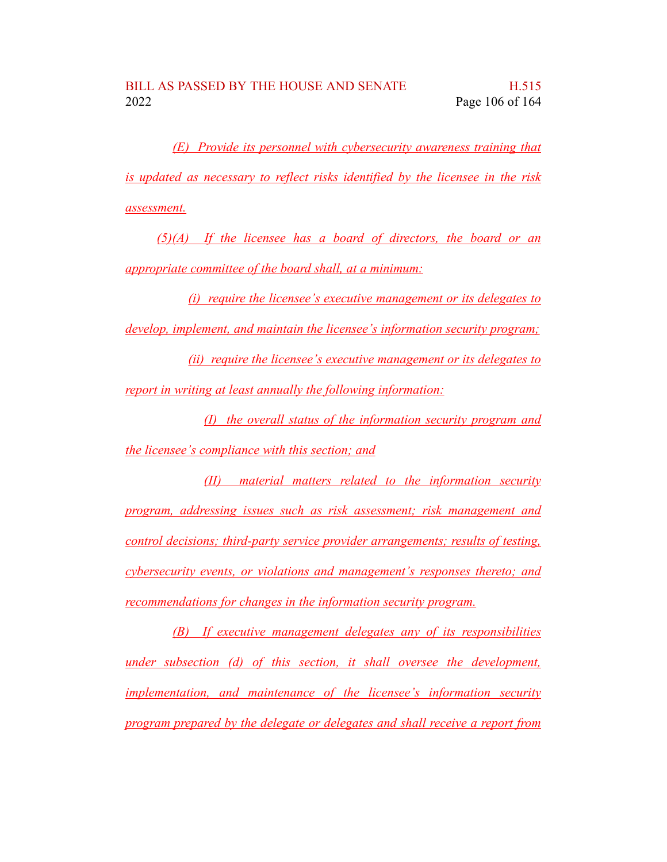*(E) Provide its personnel with cybersecurity awareness training that is updated as necessary to reflect risks identified by the licensee in the risk assessment.*

*(5)(A) If the licensee has a board of directors, the board or an appropriate committee of the board shall, at a minimum:*

*(i) require the licensee's executive management or its delegates to develop, implement, and maintain the licensee's information security program;*

*(ii) require the licensee's executive management or its delegates to report in writing at least annually the following information:*

*(I) the overall status of the information security program and the licensee's compliance with this section; and*

*(II) material matters related to the information security program, addressing issues such as risk assessment; risk management and control decisions; third-party service provider arrangements; results of testing, cybersecurity events, or violations and management's responses thereto; and recommendations for changes in the information security program.*

*(B) If executive management delegates any of its responsibilities under subsection (d) of this section, it shall oversee the development, implementation, and maintenance of the licensee's information security program prepared by the delegate or delegates and shall receive a report from*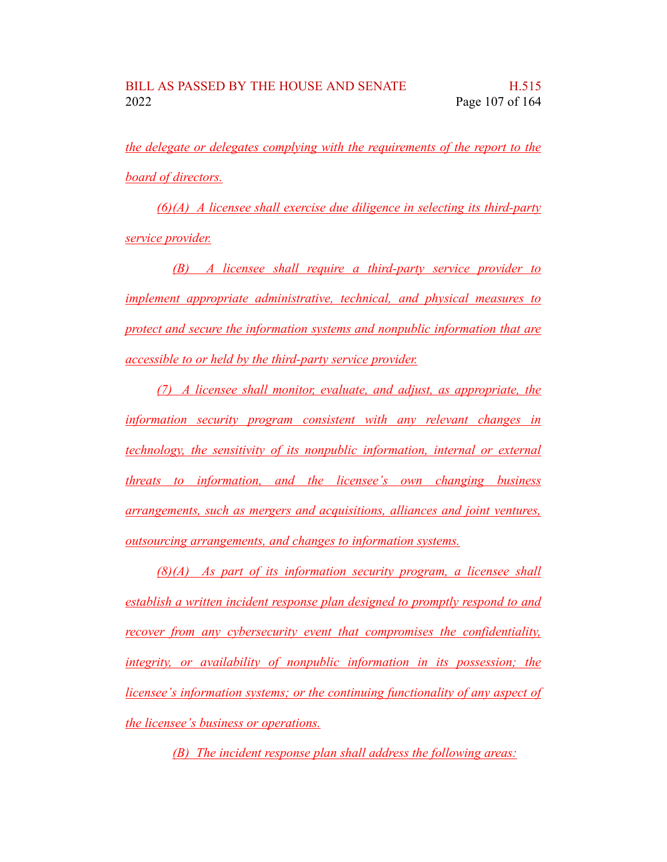*the delegate or delegates complying with the requirements of the report to the board of directors.*

*(6)(A) A licensee shall exercise due diligence in selecting its third-party service provider.*

*(B) A licensee shall require a third-party service provider to implement appropriate administrative, technical, and physical measures to protect and secure the information systems and nonpublic information that are accessible to or held by the third-party service provider.*

*(7) A licensee shall monitor, evaluate, and adjust, as appropriate, the information security program consistent with any relevant changes in technology, the sensitivity of its nonpublic information, internal or external threats to information, and the licensee's own changing business arrangements, such as mergers and acquisitions, alliances and joint ventures, outsourcing arrangements, and changes to information systems.*

*(8)(A) As part of its information security program, a licensee shall establish a written incident response plan designed to promptly respond to and recover from any cybersecurity event that compromises the confidentiality, integrity, or availability of nonpublic information in its possession; the licensee's information systems; or the continuing functionality of any aspect of the licensee's business or operations.*

*(B) The incident response plan shall address the following areas:*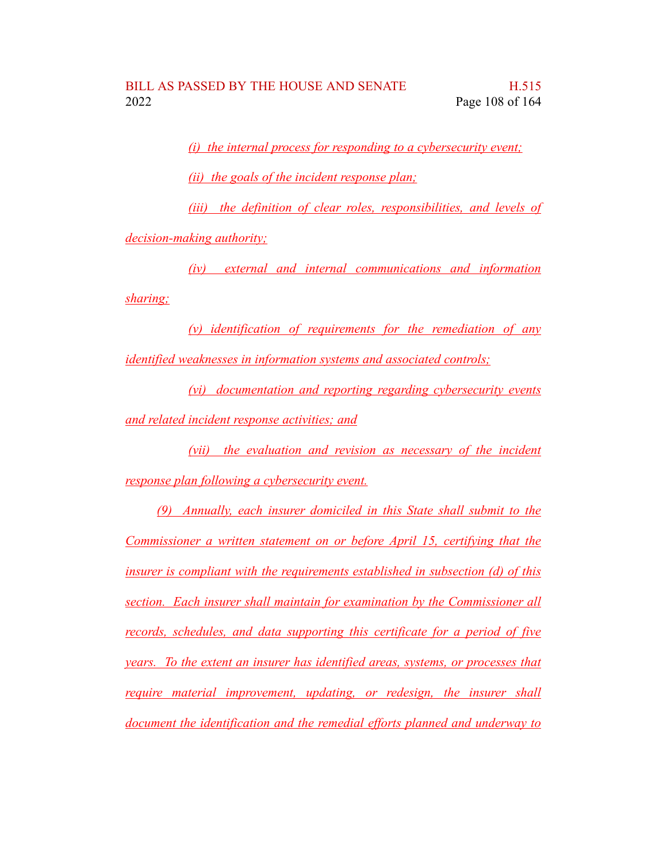*(i) the internal process for responding to a cybersecurity event;*

*(ii) the goals of the incident response plan;*

*(iii) the definition of clear roles, responsibilities, and levels of*

*decision-making authority;*

*(iv) external and internal communications and information sharing;*

*(v) identification of requirements for the remediation of any identified weaknesses in information systems and associated controls;*

*(vi) documentation and reporting regarding cybersecurity events and related incident response activities; and*

*(vii) the evaluation and revision as necessary of the incident response plan following a cybersecurity event.*

*(9) Annually, each insurer domiciled in this State shall submit to the Commissioner a written statement on or before April 15, certifying that the insurer is compliant with the requirements established in subsection (d) of this section. Each insurer shall maintain for examination by the Commissioner all records, schedules, and data supporting this certificate for a period of five years. To the extent an insurer has identified areas, systems, or processes that require material improvement, updating, or redesign, the insurer shall document the identification and the remedial efforts planned and underway to*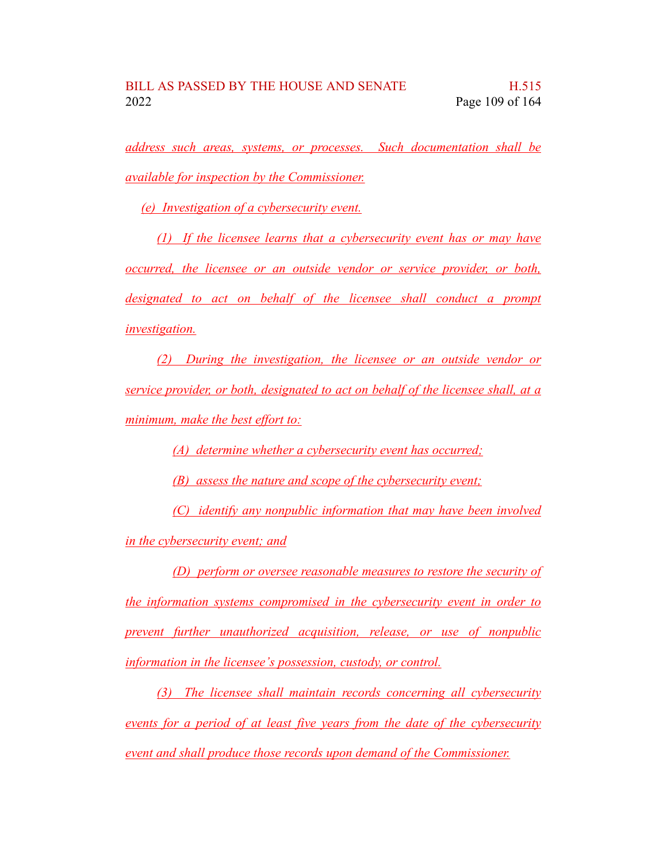*address such areas, systems, or processes. Such documentation shall be available for inspection by the Commissioner.*

*(e) Investigation of a cybersecurity event.*

*(1) If the licensee learns that a cybersecurity event has or may have occurred, the licensee or an outside vendor or service provider, or both, designated to act on behalf of the licensee shall conduct a prompt investigation.*

*(2) During the investigation, the licensee or an outside vendor or service provider, or both, designated to act on behalf of the licensee shall, at a minimum, make the best effort to:*

*(A) determine whether a cybersecurity event has occurred;*

*(B) assess the nature and scope of the cybersecurity event;*

*(C) identify any nonpublic information that may have been involved in the cybersecurity event; and*

*(D) perform or oversee reasonable measures to restore the security of the information systems compromised in the cybersecurity event in order to prevent further unauthorized acquisition, release, or use of nonpublic information in the licensee's possession, custody, or control.*

*(3) The licensee shall maintain records concerning all cybersecurity events for a period of at least five years from the date of the cybersecurity event and shall produce those records upon demand of the Commissioner.*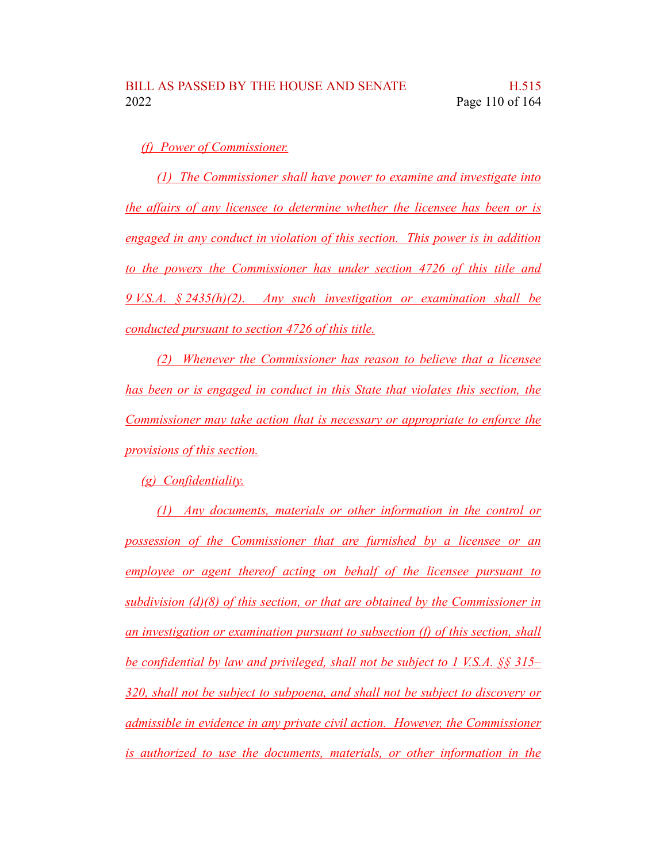## *(f) Power of Commissioner.*

*(1) The Commissioner shall have power to examine and investigate into the affairs of any licensee to determine whether the licensee has been or is engaged in any conduct in violation of this section. This power is in addition to the powers the Commissioner has under section 4726 of this title and 9 V.S.A. § 2435(h)(2). Any such investigation or examination shall be conducted pursuant to section 4726 of this title.*

*(2) Whenever the Commissioner has reason to believe that a licensee has been or is engaged in conduct in this State that violates this section, the Commissioner may take action that is necessary or appropriate to enforce the provisions of this section.*

*(g) Confidentiality.*

*(1) Any documents, materials or other information in the control or possession of the Commissioner that are furnished by a licensee or an employee or agent thereof acting on behalf of the licensee pursuant to subdivision (d)(8) of this section, or that are obtained by the Commissioner in an investigation or examination pursuant to subsection (f) of this section, shall be confidential by law and privileged, shall not be subject to 1 V.S.A. §§ 315– 320, shall not be subject to subpoena, and shall not be subject to discovery or admissible in evidence in any private civil action. However, the Commissioner is authorized to use the documents, materials, or other information in the*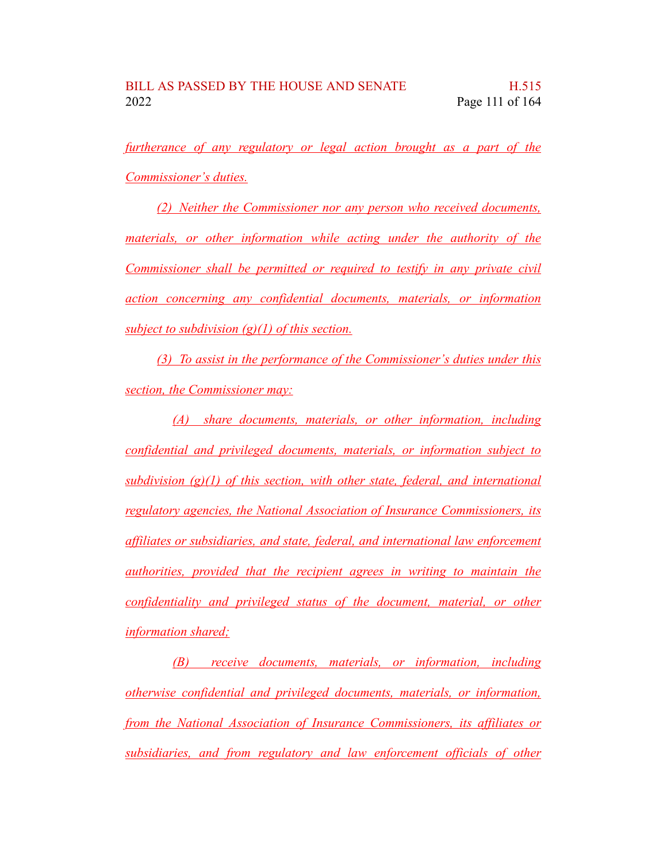*furtherance of any regulatory or legal action brought as a part of the Commissioner's duties.*

*(2) Neither the Commissioner nor any person who received documents, materials, or other information while acting under the authority of the Commissioner shall be permitted or required to testify in any private civil action concerning any confidential documents, materials, or information subject to subdivision (g)(1) of this section.*

*(3) To assist in the performance of the Commissioner's duties under this section, the Commissioner may:*

*(A) share documents, materials, or other information, including confidential and privileged documents, materials, or information subject to subdivision (g)(1) of this section, with other state, federal, and international regulatory agencies, the National Association of Insurance Commissioners, its affiliates or subsidiaries, and state, federal, and international law enforcement authorities, provided that the recipient agrees in writing to maintain the confidentiality and privileged status of the document, material, or other information shared;*

*(B) receive documents, materials, or information, including otherwise confidential and privileged documents, materials, or information, from the National Association of Insurance Commissioners, its affiliates or subsidiaries, and from regulatory and law enforcement officials of other*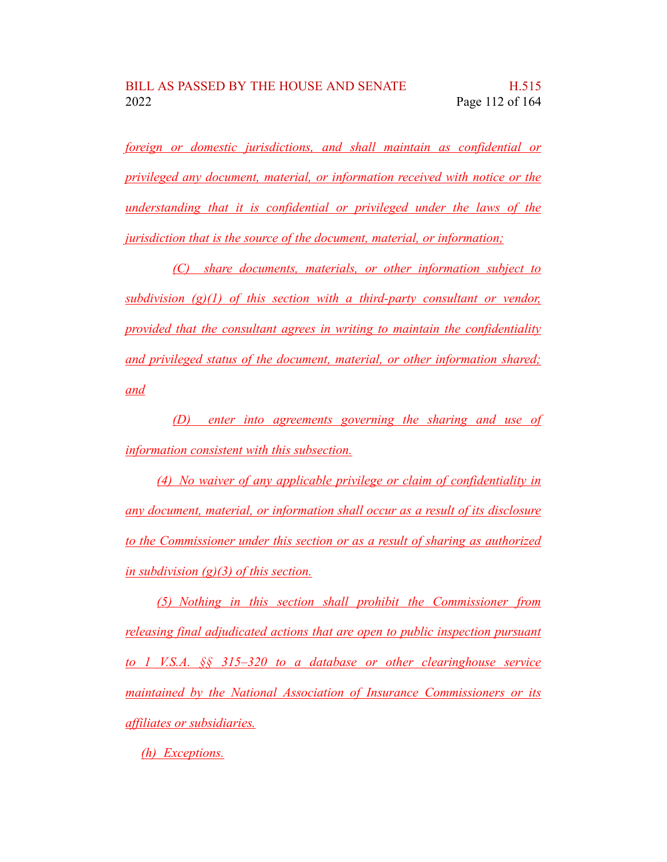*foreign or domestic jurisdictions, and shall maintain as confidential or privileged any document, material, or information received with notice or the understanding that it is confidential or privileged under the laws of the jurisdiction that is the source of the document, material, or information;*

*(C) share documents, materials, or other information subject to subdivision (g)(1) of this section with a third-party consultant or vendor, provided that the consultant agrees in writing to maintain the confidentiality and privileged status of the document, material, or other information shared; and*

*(D) enter into agreements governing the sharing and use of information consistent with this subsection.*

*(4) No waiver of any applicable privilege or claim of confidentiality in any document, material, or information shall occur as a result of its disclosure to the Commissioner under this section or as a result of sharing as authorized in subdivision (g)(3) of this section.*

*(5) Nothing in this section shall prohibit the Commissioner from releasing final adjudicated actions that are open to public inspection pursuant to 1 V.S.A. §§ 315–320 to a database or other clearinghouse service maintained by the National Association of Insurance Commissioners or its affiliates or subsidiaries.*

*(h) Exceptions.*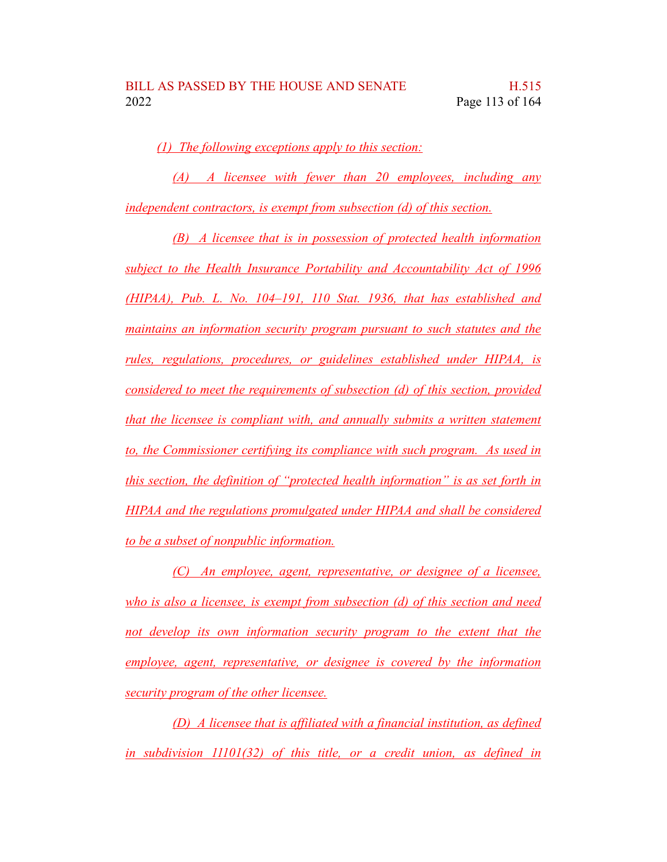*(1) The following exceptions apply to this section:*

*(A) A licensee with fewer than 20 employees, including any independent contractors, is exempt from subsection (d) of this section.*

*(B) A licensee that is in possession of protected health information subject to the Health Insurance Portability and Accountability Act of 1996 (HIPAA), Pub. L. No. 104–191, 110 Stat. 1936, that has established and maintains an information security program pursuant to such statutes and the rules, regulations, procedures, or guidelines established under HIPAA, is considered to meet the requirements of subsection (d) of this section, provided that the licensee is compliant with, and annually submits a written statement to, the Commissioner certifying its compliance with such program. As used in this section, the definition of "protected health information" is as set forth in HIPAA and the regulations promulgated under HIPAA and shall be considered to be a subset of nonpublic information.*

*(C) An employee, agent, representative, or designee of a licensee, who is also a licensee, is exempt from subsection (d) of this section and need not develop its own information security program to the extent that the employee, agent, representative, or designee is covered by the information security program of the other licensee.*

*(D) A licensee that is affiliated with a financial institution, as defined in subdivision 11101(32) of this title, or a credit union, as defined in*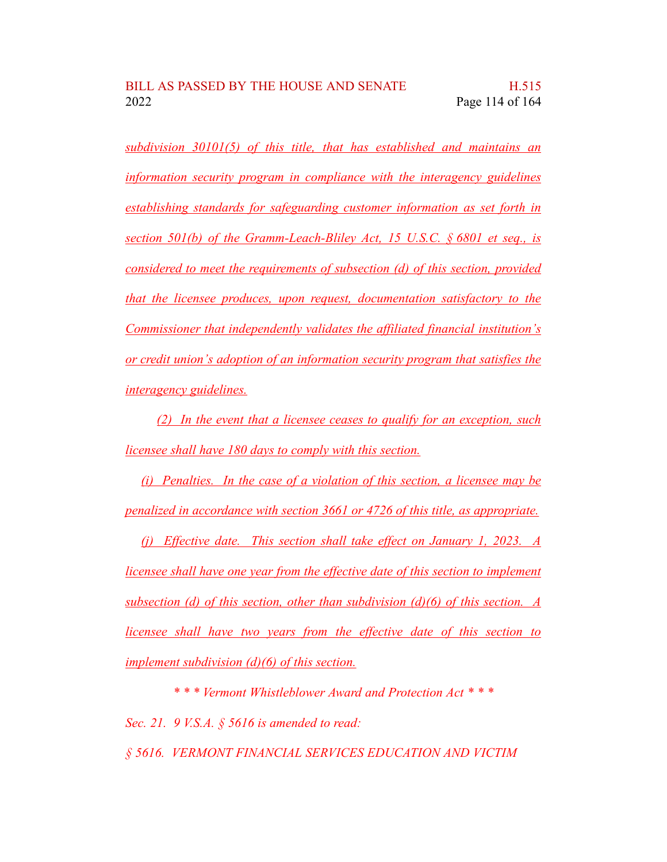*subdivision 30101(5) of this title, that has established and maintains an information security program in compliance with the interagency guidelines establishing standards for safeguarding customer information as set forth in section 501(b) of the Gramm-Leach-Bliley Act, 15 U.S.C. § 6801 et seq., is considered to meet the requirements of subsection (d) of this section, provided that the licensee produces, upon request, documentation satisfactory to the Commissioner that independently validates the affiliated financial institution's or credit union's adoption of an information security program that satisfies the interagency guidelines.*

*(2) In the event that a licensee ceases to qualify for an exception, such licensee shall have 180 days to comply with this section.*

*(i) Penalties. In the case of a violation of this section, a licensee may be penalized in accordance with section 3661 or 4726 of this title, as appropriate.*

*(j) Effective date. This section shall take effect on January 1, 2023. A licensee shall have one year from the effective date of this section to implement subsection (d) of this section, other than subdivision (d)(6) of this section. A licensee shall have two years from the effective date of this section to implement subdivision (d)(6) of this section.*

*\* \* \* Vermont Whistleblower Award and Protection Act \* \* \**

*Sec. 21. 9 V.S.A. § 5616 is amended to read:*

*§ 5616. VERMONT FINANCIAL SERVICES EDUCATION AND VICTIM*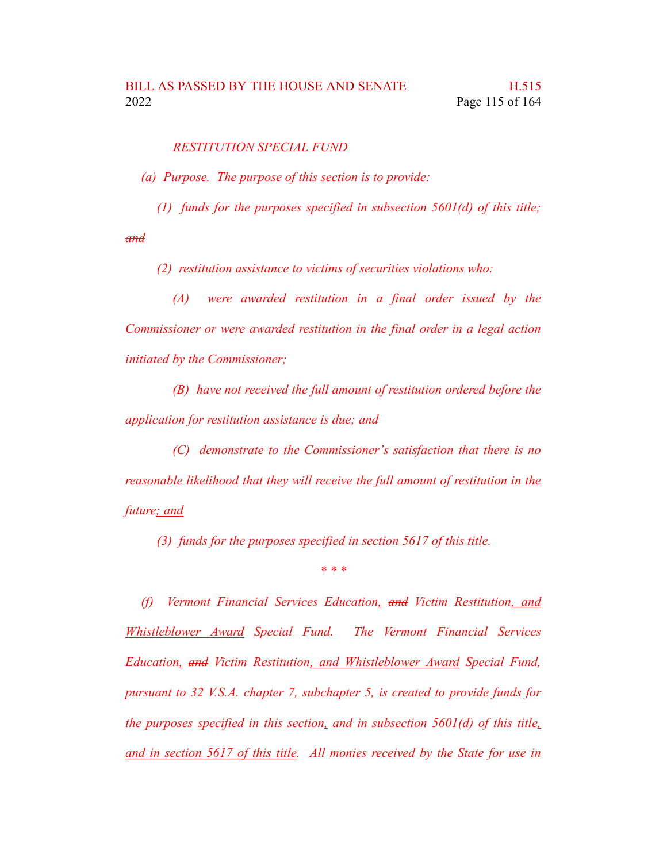*RESTITUTION SPECIAL FUND*

*(a) Purpose. The purpose of this section is to provide:*

*(1) funds for the purposes specified in subsection 5601(d) of this title;*

*and*

*(2) restitution assistance to victims of securities violations who:*

*(A) were awarded restitution in a final order issued by the Commissioner or were awarded restitution in the final order in a legal action initiated by the Commissioner;*

*(B) have not received the full amount of restitution ordered before the application for restitution assistance is due; and*

*(C) demonstrate to the Commissioner's satisfaction that there is no reasonable likelihood that they will receive the full amount of restitution in the future; and*

*(3) funds for the purposes specified in section 5617 of this title.*

*\* \* \**

*(f) Vermont Financial Services Education, and Victim Restitution, and Whistleblower Award Special Fund. The Vermont Financial Services Education, and Victim Restitution, and Whistleblower Award Special Fund, pursuant to 32 V.S.A. chapter 7, subchapter 5, is created to provide funds for the purposes specified in this section, and in subsection 5601(d) of this title, and in section 5617 of this title. All monies received by the State for use in*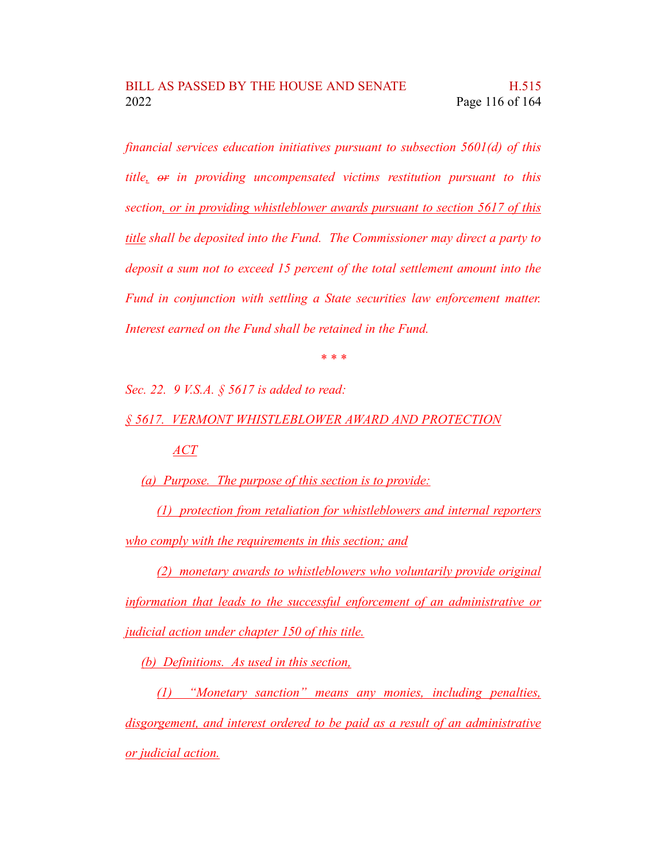*financial services education initiatives pursuant to subsection 5601(d) of this title, or in providing uncompensated victims restitution pursuant to this section, or in providing whistleblower awards pursuant to section 5617 of this title shall be deposited into the Fund. The Commissioner may direct a party to deposit a sum not to exceed 15 percent of the total settlement amount into the Fund in conjunction with settling a State securities law enforcement matter. Interest earned on the Fund shall be retained in the Fund.*

*\* \* \**

*Sec. 22. 9 V.S.A. § 5617 is added to read:*

*§ 5617. VERMONT WHISTLEBLOWER AWARD AND PROTECTION*

*ACT*

*(a) Purpose. The purpose of this section is to provide:*

*(1) protection from retaliation for whistleblowers and internal reporters who comply with the requirements in this section; and*

*(2) monetary awards to whistleblowers who voluntarily provide original information that leads to the successful enforcement of an administrative or judicial action under chapter 150 of this title.*

*(b) Definitions. As used in this section,*

*(1) "Monetary sanction" means any monies, including penalties, disgorgement, and interest ordered to be paid as a result of an administrative or judicial action.*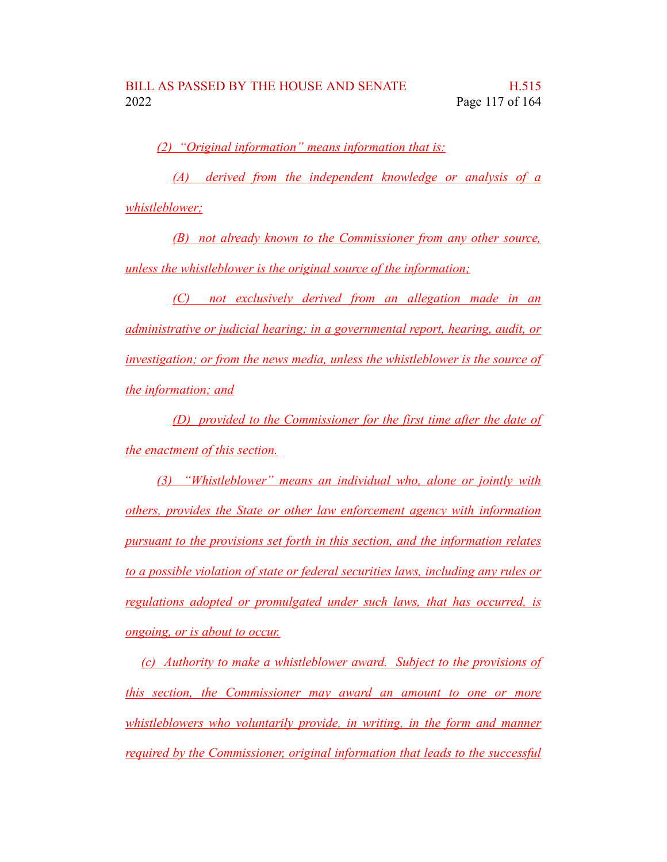*(2) "Original information" means information that is:*

*(A) derived from the independent knowledge or analysis of a whistleblower;*

*(B) not already known to the Commissioner from any other source, unless the whistleblower is the original source of the information;*

*(C) not exclusively derived from an allegation made in an administrative or judicial hearing; in a governmental report, hearing, audit, or investigation; or from the news media, unless the whistleblower is the source of the information; and*

*(D) provided to the Commissioner for the first time after the date of the enactment of this section.*

*(3) "Whistleblower" means an individual who, alone or jointly with others, provides the State or other law enforcement agency with information pursuant to the provisions set forth in this section, and the information relates to a possible violation of state or federal securities laws, including any rules or regulations adopted or promulgated under such laws, that has occurred, is ongoing, or is about to occur.*

*(c) Authority to make a whistleblower award. Subject to the provisions of this section, the Commissioner may award an amount to one or more whistleblowers who voluntarily provide, in writing, in the form and manner required by the Commissioner, original information that leads to the successful*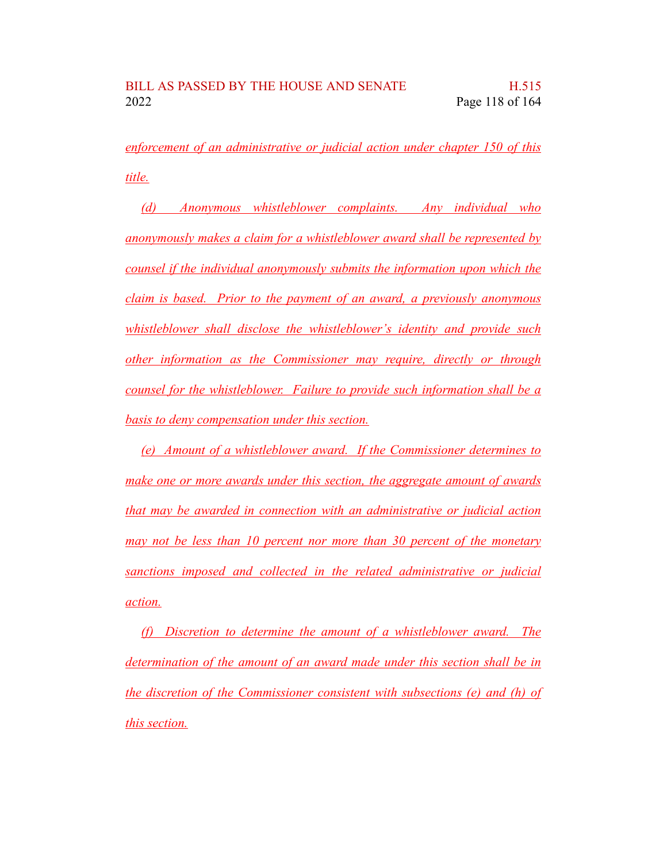*enforcement of an administrative or judicial action under chapter 150 of this title.*

*(d) Anonymous whistleblower complaints. Any individual who anonymously makes a claim for a whistleblower award shall be represented by counsel if the individual anonymously submits the information upon which the claim is based. Prior to the payment of an award, a previously anonymous whistleblower shall disclose the whistleblower's identity and provide such other information as the Commissioner may require, directly or through counsel for the whistleblower. Failure to provide such information shall be a basis to deny compensation under this section.*

*(e) Amount of a whistleblower award. If the Commissioner determines to make one or more awards under this section, the aggregate amount of awards that may be awarded in connection with an administrative or judicial action may not be less than 10 percent nor more than 30 percent of the monetary sanctions imposed and collected in the related administrative or judicial action.*

*(f) Discretion to determine the amount of a whistleblower award. The determination of the amount of an award made under this section shall be in the discretion of the Commissioner consistent with subsections (e) and (h) of this section.*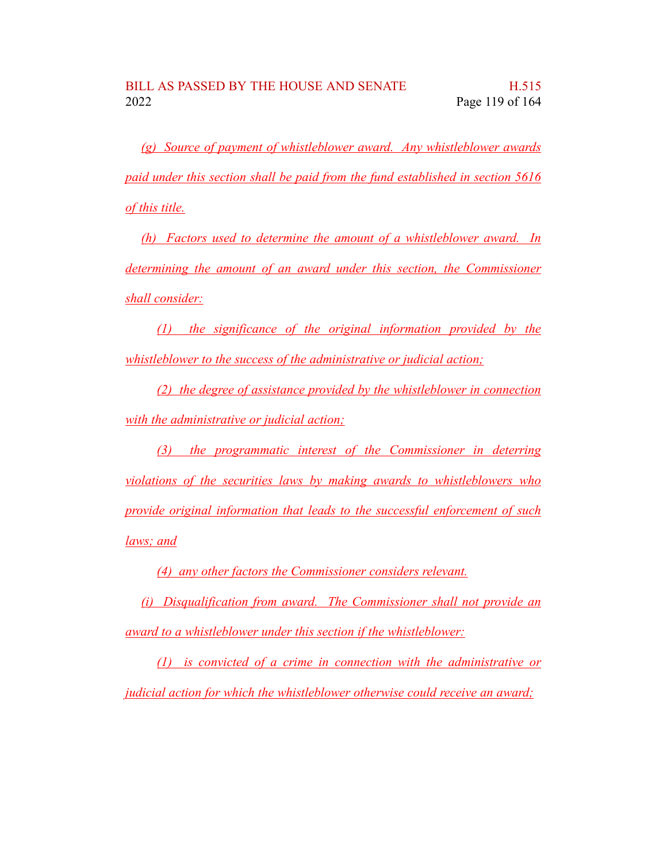*(g) Source of payment of whistleblower award. Any whistleblower awards paid under this section shall be paid from the fund established in section 5616 of this title.*

*(h) Factors used to determine the amount of a whistleblower award. In determining the amount of an award under this section, the Commissioner shall consider:*

*(1) the significance of the original information provided by the whistleblower to the success of the administrative or judicial action;*

*(2) the degree of assistance provided by the whistleblower in connection with the administrative or judicial action;*

*(3) the programmatic interest of the Commissioner in deterring violations of the securities laws by making awards to whistleblowers who provide original information that leads to the successful enforcement of such laws; and*

*(4) any other factors the Commissioner considers relevant.*

*(i) Disqualification from award. The Commissioner shall not provide an award to a whistleblower under this section if the whistleblower:*

*(1) is convicted of a crime in connection with the administrative or judicial action for which the whistleblower otherwise could receive an award;*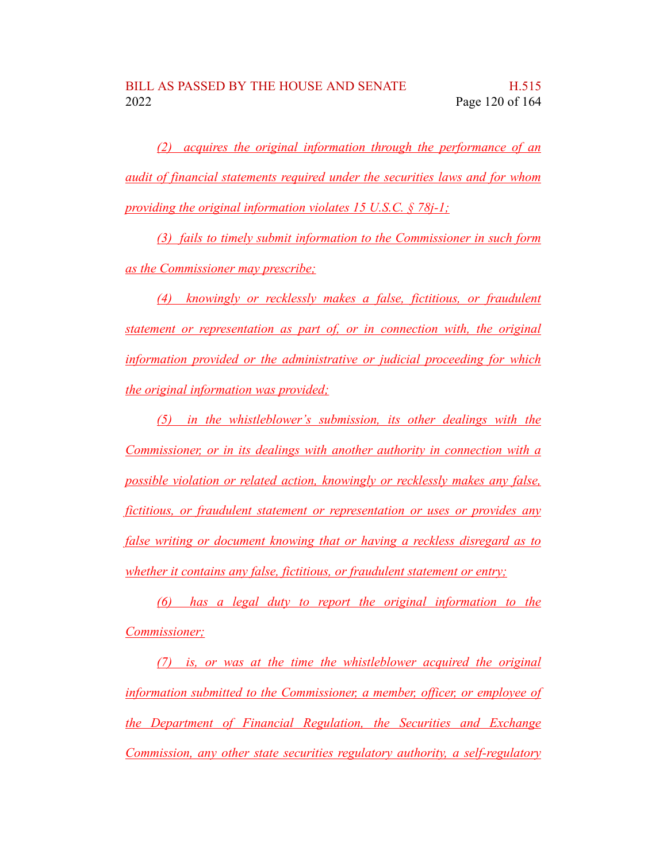*(2) acquires the original information through the performance of an audit of financial statements required under the securities laws and for whom providing the original information violates 15 U.S.C. § 78j-1;*

*(3) fails to timely submit information to the Commissioner in such form as the Commissioner may prescribe;*

*(4) knowingly or recklessly makes a false, fictitious, or fraudulent statement or representation as part of, or in connection with, the original information provided or the administrative or judicial proceeding for which the original information was provided;*

*(5) in the whistleblower's submission, its other dealings with the Commissioner, or in its dealings with another authority in connection with a possible violation or related action, knowingly or recklessly makes any false, fictitious, or fraudulent statement or representation or uses or provides any false writing or document knowing that or having a reckless disregard as to whether it contains any false, fictitious, or fraudulent statement or entry;*

*(6) has a legal duty to report the original information to the Commissioner;*

*(7) is, or was at the time the whistleblower acquired the original information submitted to the Commissioner, a member, officer, or employee of the Department of Financial Regulation, the Securities and Exchange Commission, any other state securities regulatory authority, a self-regulatory*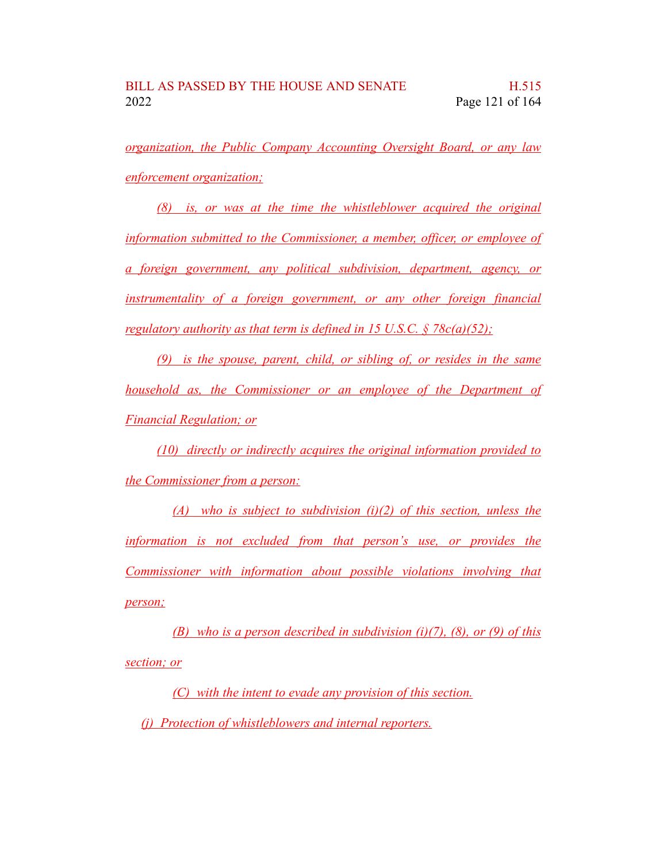*organization, the Public Company Accounting Oversight Board, or any law enforcement organization;*

*(8) is, or was at the time the whistleblower acquired the original information submitted to the Commissioner, a member, officer, or employee of a foreign government, any political subdivision, department, agency, or instrumentality of a foreign government, or any other foreign financial regulatory authority as that term is defined in 15 U.S.C. § 78c(a)(52);*

*(9) is the spouse, parent, child, or sibling of, or resides in the same household as, the Commissioner or an employee of the Department of Financial Regulation; or*

*(10) directly or indirectly acquires the original information provided to the Commissioner from a person:*

*(A) who is subject to subdivision (i)(2) of this section, unless the information is not excluded from that person's use, or provides the Commissioner with information about possible violations involving that person;*

*(B) who is a person described in subdivision (i)(7), (8), or (9) of this section; or*

*(C) with the intent to evade any provision of this section.*

*(j) Protection of whistleblowers and internal reporters.*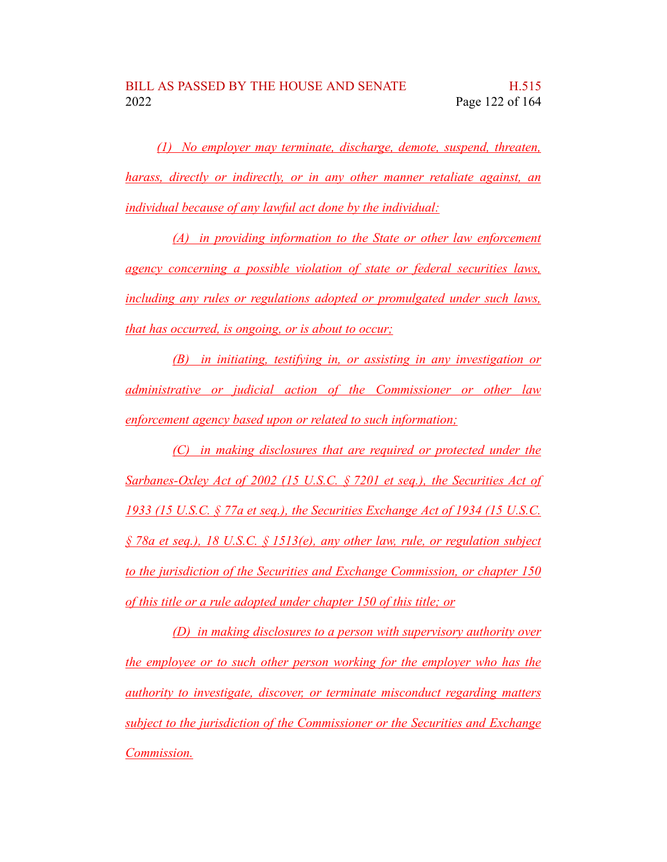*(1) No employer may terminate, discharge, demote, suspend, threaten, harass, directly or indirectly, or in any other manner retaliate against, an individual because of any lawful act done by the individual:*

*(A) in providing information to the State or other law enforcement agency concerning a possible violation of state or federal securities laws, including any rules or regulations adopted or promulgated under such laws, that has occurred, is ongoing, or is about to occur;*

*(B) in initiating, testifying in, or assisting in any investigation or administrative or judicial action of the Commissioner or other law enforcement agency based upon or related to such information;*

*(C) in making disclosures that are required or protected under the Sarbanes-Oxley Act of 2002 (15 U.S.C. § 7201 et seq.), the Securities Act of 1933 (15 U.S.C. § 77a et seq.), the Securities Exchange Act of 1934 (15 U.S.C. § 78a et seq.), 18 U.S.C. § 1513(e), any other law, rule, or regulation subject to the jurisdiction of the Securities and Exchange Commission, or chapter 150 of this title or a rule adopted under chapter 150 of this title; or*

*(D) in making disclosures to a person with supervisory authority over the employee or to such other person working for the employer who has the authority to investigate, discover, or terminate misconduct regarding matters subject to the jurisdiction of the Commissioner or the Securities and Exchange Commission.*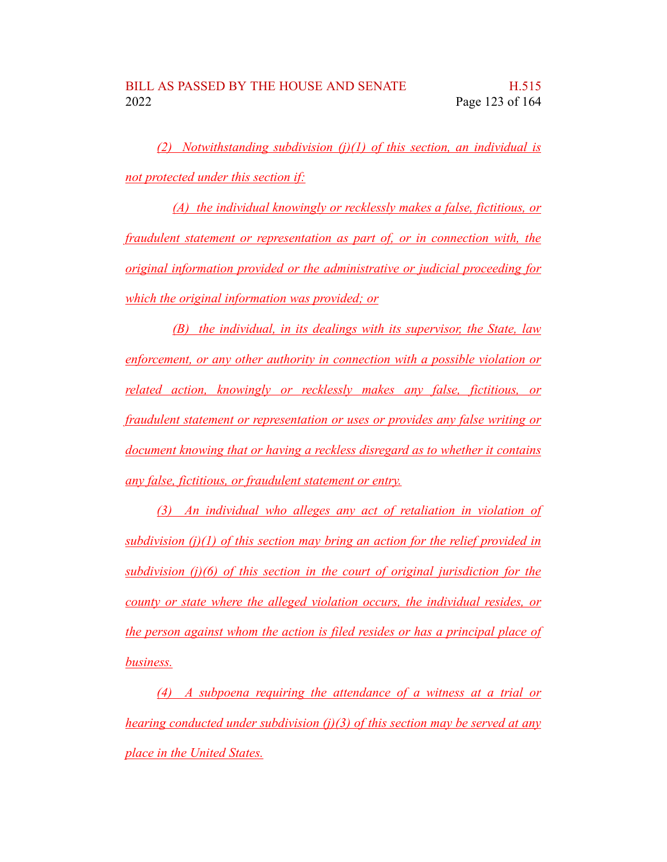*(2) Notwithstanding subdivision (j)(1) of this section, an individual is not protected under this section if:*

*(A) the individual knowingly or recklessly makes a false, fictitious, or fraudulent statement or representation as part of, or in connection with, the original information provided or the administrative or judicial proceeding for which the original information was provided; or*

*(B) the individual, in its dealings with its supervisor, the State, law enforcement, or any other authority in connection with a possible violation or related action, knowingly or recklessly makes any false, fictitious, or fraudulent statement or representation or uses or provides any false writing or document knowing that or having a reckless disregard as to whether it contains any false, fictitious, or fraudulent statement or entry.*

*(3) An individual who alleges any act of retaliation in violation of subdivision (j)(1) of this section may bring an action for the relief provided in subdivision (j)(6) of this section in the court of original jurisdiction for the county or state where the alleged violation occurs, the individual resides, or the person against whom the action is filed resides or has a principal place of business.*

*(4) A subpoena requiring the attendance of a witness at a trial or hearing conducted under subdivision (j)(3) of this section may be served at any place in the United States.*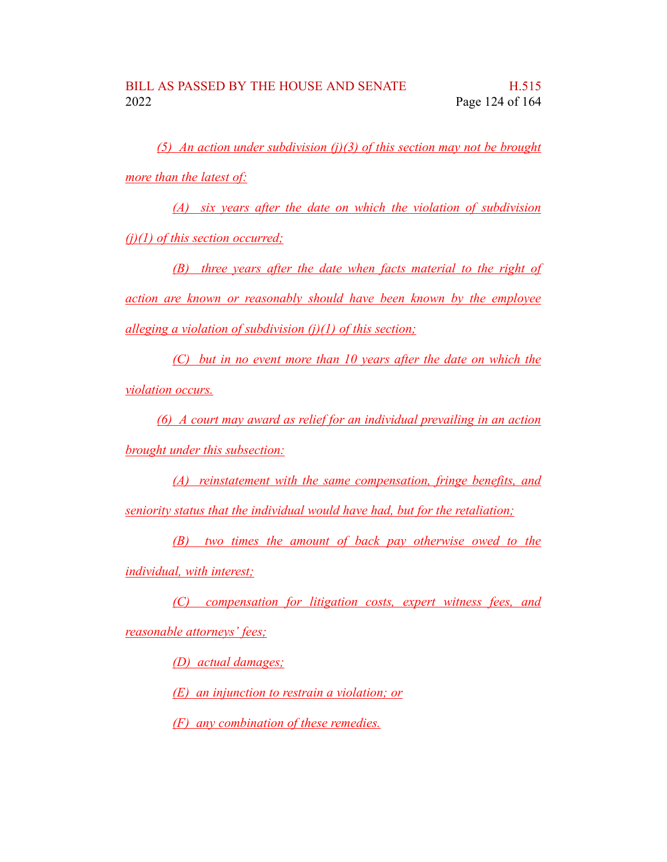*(5) An action under subdivision (j)(3) of this section may not be brought more than the latest of:*

*(A) six years after the date on which the violation of subdivision (j)(1) of this section occurred;*

*(B) three years after the date when facts material to the right of action are known or reasonably should have been known by the employee alleging a violation of subdivision (j)(1) of this section;*

*(C) but in no event more than 10 years after the date on which the violation occurs.*

*(6) A court may award as relief for an individual prevailing in an action brought under this subsection:*

*(A) reinstatement with the same compensation, fringe benefits, and seniority status that the individual would have had, but for the retaliation;*

*(B) two times the amount of back pay otherwise owed to the individual, with interest;*

*(C) compensation for litigation costs, expert witness fees, and*

*reasonable attorneys' fees;*

*(D) actual damages;*

*(E) an injunction to restrain a violation; or*

*(F) any combination of these remedies.*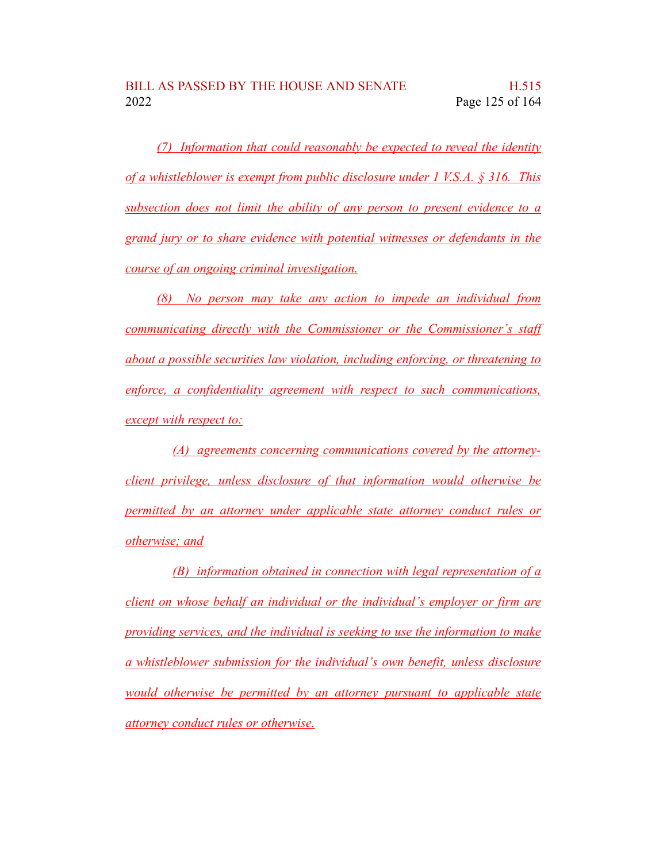*(7) Information that could reasonably be expected to reveal the identity of a whistleblower is exempt from public disclosure under 1 V.S.A. § 316. This subsection does not limit the ability of any person to present evidence to a grand jury or to share evidence with potential witnesses or defendants in the course of an ongoing criminal investigation.*

*(8) No person may take any action to impede an individual from communicating directly with the Commissioner or the Commissioner's staff about a possible securities law violation, including enforcing, or threatening to enforce, a confidentiality agreement with respect to such communications, except with respect to:*

*(A) agreements concerning communications covered by the attorneyclient privilege, unless disclosure of that information would otherwise be permitted by an attorney under applicable state attorney conduct rules or otherwise; and*

*(B) information obtained in connection with legal representation of a client on whose behalf an individual or the individual's employer or firm are providing services, and the individual is seeking to use the information to make a whistleblower submission for the individual's own benefit, unless disclosure would otherwise be permitted by an attorney pursuant to applicable state attorney conduct rules or otherwise.*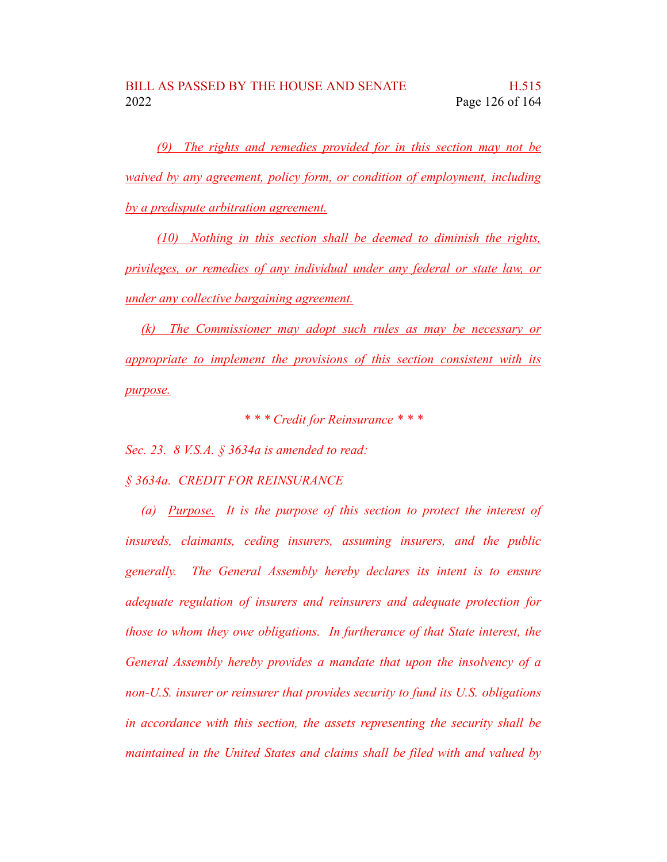*(9) The rights and remedies provided for in this section may not be waived by any agreement, policy form, or condition of employment, including by a predispute arbitration agreement.*

*(10) Nothing in this section shall be deemed to diminish the rights, privileges, or remedies of any individual under any federal or state law, or under any collective bargaining agreement.*

*(k) The Commissioner may adopt such rules as may be necessary or appropriate to implement the provisions of this section consistent with its purpose.*

*\* \* \* Credit for Reinsurance \* \* \**

*Sec. 23. 8 V.S.A. § 3634a is amended to read:*

## *§ 3634a. CREDIT FOR REINSURANCE*

*(a) Purpose. It is the purpose of this section to protect the interest of insureds, claimants, ceding insurers, assuming insurers, and the public generally. The General Assembly hereby declares its intent is to ensure adequate regulation of insurers and reinsurers and adequate protection for those to whom they owe obligations. In furtherance of that State interest, the General Assembly hereby provides a mandate that upon the insolvency of a non-U.S. insurer or reinsurer that provides security to fund its U.S. obligations in accordance with this section, the assets representing the security shall be maintained in the United States and claims shall be filed with and valued by*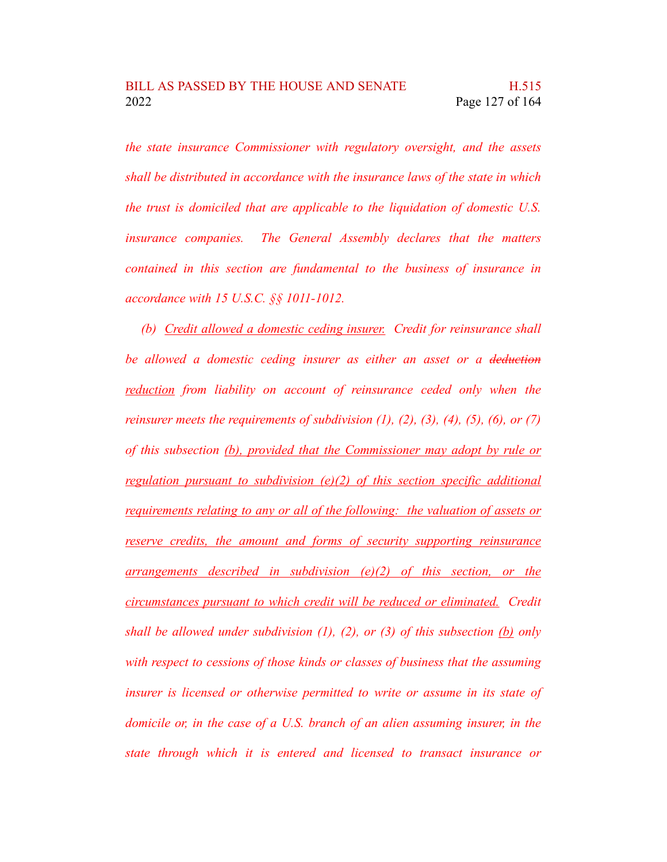*the state insurance Commissioner with regulatory oversight, and the assets shall be distributed in accordance with the insurance laws of the state in which the trust is domiciled that are applicable to the liquidation of domestic U.S. insurance companies. The General Assembly declares that the matters contained in this section are fundamental to the business of insurance in accordance with 15 U.S.C. §§ 1011-1012.*

*(b) Credit allowed a domestic ceding insurer. Credit for reinsurance shall be allowed a domestic ceding insurer as either an asset or a deduction reduction from liability on account of reinsurance ceded only when the reinsurer meets the requirements of subdivision*  $(1)$ ,  $(2)$ ,  $(3)$ ,  $(4)$ ,  $(5)$ ,  $(6)$ ,  $\text{or } (7)$ *of this subsection (b), provided that the Commissioner may adopt by rule or regulation pursuant to subdivision (e)(2) of this section specific additional requirements relating to any or all of the following: the valuation of assets or reserve credits, the amount and forms of security supporting reinsurance arrangements described in subdivision (e)(2) of this section, or the circumstances pursuant to which credit will be reduced or eliminated. Credit shall be allowed under subdivision (1), (2), or (3) of this subsection (b) only with respect to cessions of those kinds or classes of business that the assuming insurer is licensed or otherwise permitted to write or assume in its state of domicile or, in the case of a U.S. branch of an alien assuming insurer, in the state through which it is entered and licensed to transact insurance or*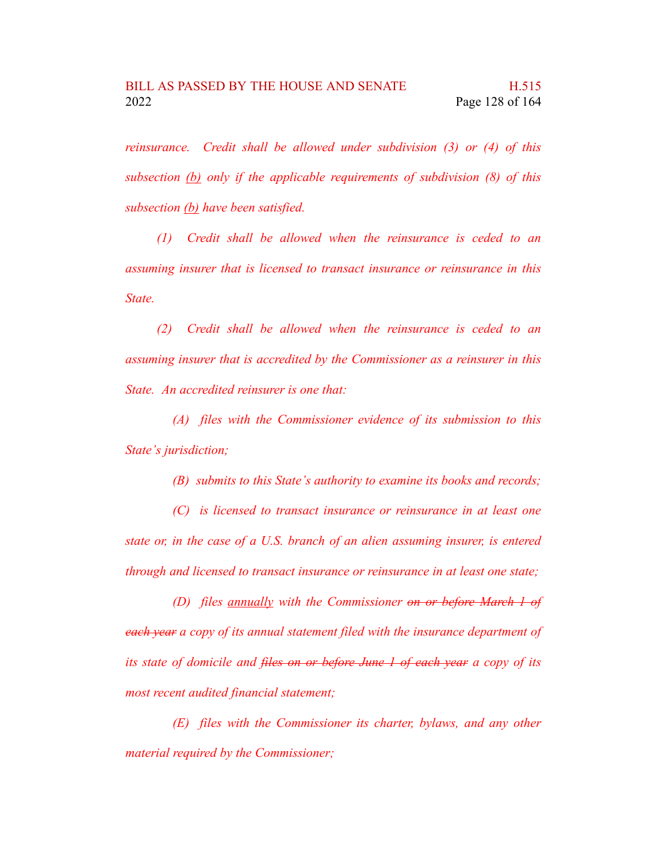*reinsurance. Credit shall be allowed under subdivision (3) or (4) of this subsection (b) only if the applicable requirements of subdivision (8) of this subsection (b) have been satisfied.*

*(1) Credit shall be allowed when the reinsurance is ceded to an assuming insurer that is licensed to transact insurance or reinsurance in this State.*

*(2) Credit shall be allowed when the reinsurance is ceded to an assuming insurer that is accredited by the Commissioner as a reinsurer in this State. An accredited reinsurer is one that:*

*(A) files with the Commissioner evidence of its submission to this State's jurisdiction;*

*(B) submits to this State's authority to examine its books and records;*

*(C) is licensed to transact insurance or reinsurance in at least one state or, in the case of a U.S. branch of an alien assuming insurer, is entered through and licensed to transact insurance or reinsurance in at least one state;*

*(D) files annually with the Commissioner on or before March 1 of each year a copy of its annual statement filed with the insurance department of its state of domicile and files on or before June 1 of each year a copy of its most recent audited financial statement;*

*(E) files with the Commissioner its charter, bylaws, and any other material required by the Commissioner;*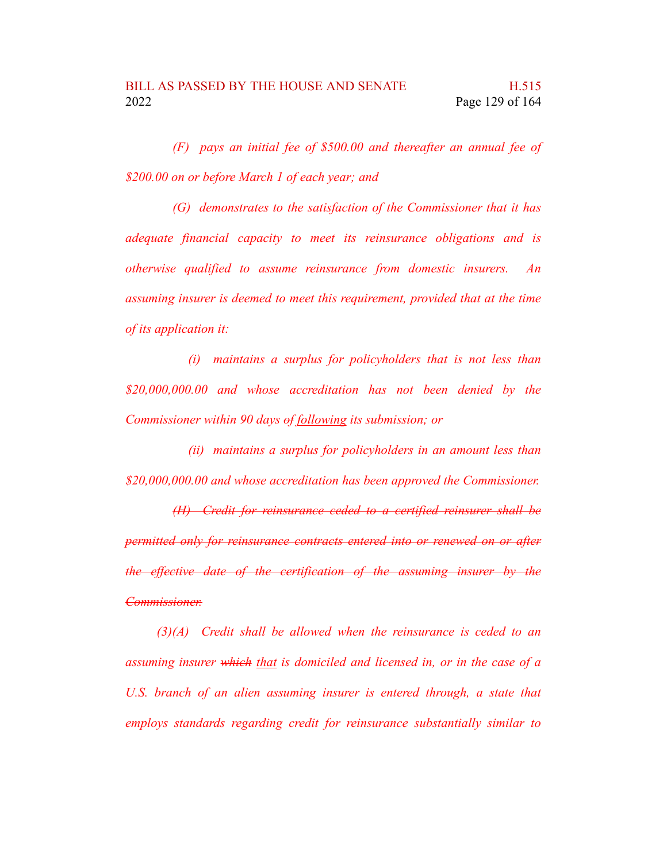*(F) pays an initial fee of \$500.00 and thereafter an annual fee of \$200.00 on or before March 1 of each year; and*

*(G) demonstrates to the satisfaction of the Commissioner that it has adequate financial capacity to meet its reinsurance obligations and is otherwise qualified to assume reinsurance from domestic insurers. An assuming insurer is deemed to meet this requirement, provided that at the time of its application it:*

*(i) maintains a surplus for policyholders that is not less than \$20,000,000.00 and whose accreditation has not been denied by the Commissioner within 90 days of following its submission; or*

*(ii) maintains a surplus for policyholders in an amount less than \$20,000,000.00 and whose accreditation has been approved the Commissioner.*

*(H) Credit for reinsurance ceded to a certified reinsurer shall be permitted only for reinsurance contracts entered into or renewed on or after the effective date of the certification of the assuming insurer by the Commissioner.*

*(3)(A) Credit shall be allowed when the reinsurance is ceded to an assuming insurer which that is domiciled and licensed in, or in the case of a U.S. branch of an alien assuming insurer is entered through, a state that employs standards regarding credit for reinsurance substantially similar to*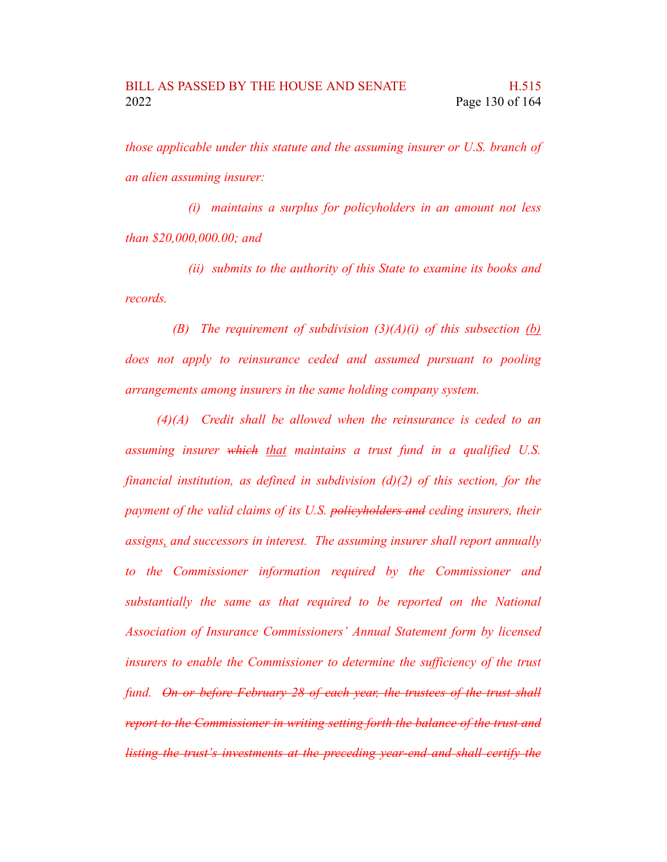*those applicable under this statute and the assuming insurer or U.S. branch of an alien assuming insurer:*

*(i) maintains a surplus for policyholders in an amount not less than \$20,000,000.00; and*

*(ii) submits to the authority of this State to examine its books and records.*

*(B) The requirement of subdivision (3)(A)(i) of this subsection (b) does not apply to reinsurance ceded and assumed pursuant to pooling arrangements among insurers in the same holding company system.*

*(4)(A) Credit shall be allowed when the reinsurance is ceded to an assuming insurer which that maintains a trust fund in a qualified U.S. financial institution, as defined in subdivision (d)(2) of this section, for the payment of the valid claims of its U.S. policyholders and ceding insurers, their assigns, and successors in interest. The assuming insurer shall report annually to the Commissioner information required by the Commissioner and substantially the same as that required to be reported on the National Association of Insurance Commissioners' Annual Statement form by licensed insurers to enable the Commissioner to determine the sufficiency of the trust fund. On or before February 28 of each year, the trustees of the trust shall report to the Commissioner in writing setting forth the balance of the trust and listing the trust's investments at the preceding year-end and shall certify the*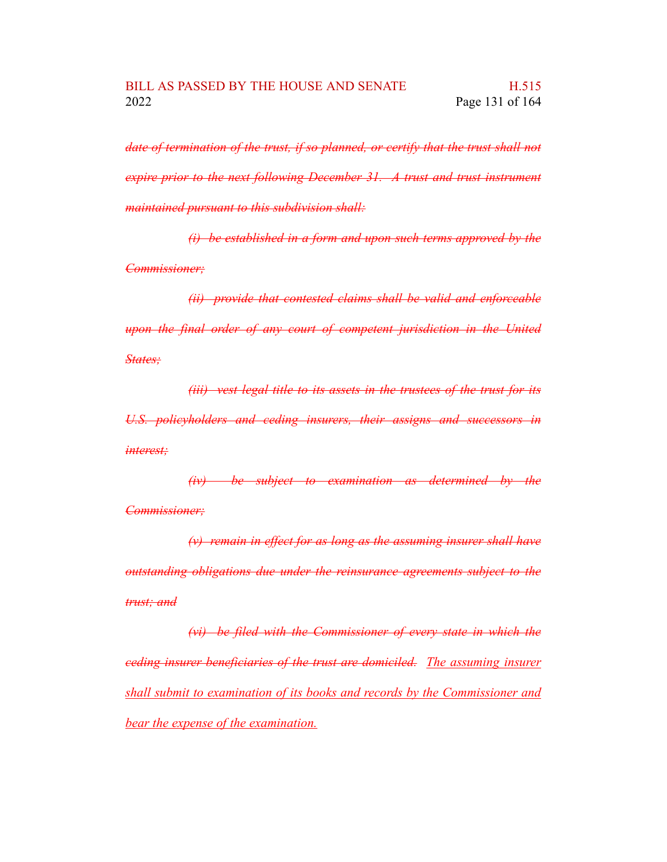*date of termination of the trust, if so planned, or certify that the trust shall not expire prior to the next following December 31. A trust and trust instrument maintained pursuant to this subdivision shall:*

*(i) be established in a form and upon such terms approved by the Commissioner;*

*(ii) provide that contested claims shall be valid and enforceable upon the final order of any court of competent jurisdiction in the United States;*

*(iii) vest legal title to its assets in the trustees of the trust for its U.S. policyholders and ceding insurers, their assigns and successors in interest;*

*(iv) be subject to examination as determined by the Commissioner;*

*(v) remain in effect for as long as the assuming insurer shall have outstanding obligations due under the reinsurance agreements subject to the trust; and*

*(vi) be filed with the Commissioner of every state in which the ceding insurer beneficiaries of the trust are domiciled. The assuming insurer shall submit to examination of its books and records by the Commissioner and bear the expense of the examination.*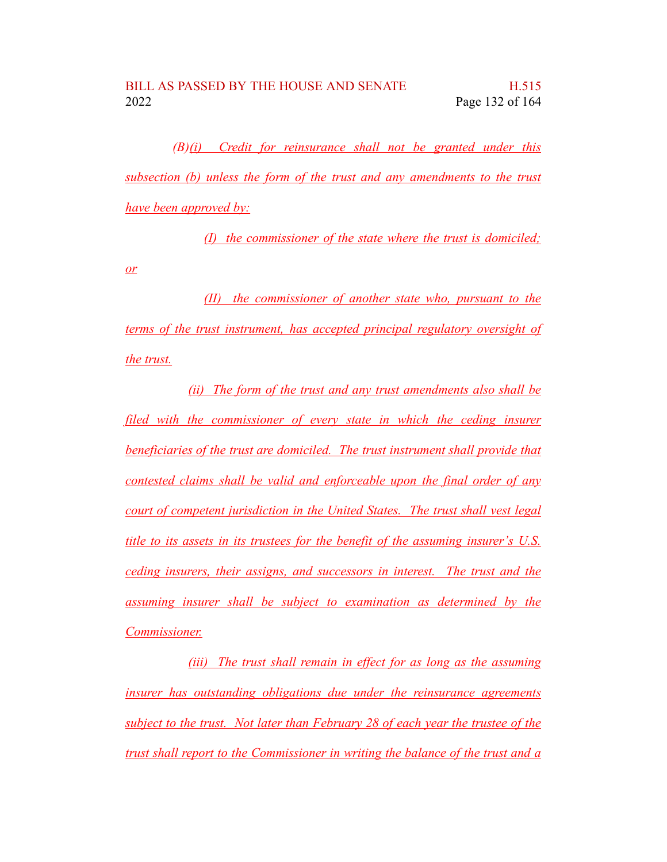*(B)(i) Credit for reinsurance shall not be granted under this subsection (b) unless the form of the trust and any amendments to the trust have been approved by:*

*(I) the commissioner of the state where the trust is domiciled;*

*(II) the commissioner of another state who, pursuant to the terms of the trust instrument, has accepted principal regulatory oversight of the trust.*

*or*

*(ii) The form of the trust and any trust amendments also shall be filed with the commissioner of every state in which the ceding insurer beneficiaries of the trust are domiciled. The trust instrument shall provide that contested claims shall be valid and enforceable upon the final order of any court of competent jurisdiction in the United States. The trust shall vest legal title to its assets in its trustees for the benefit of the assuming insurer's U.S. ceding insurers, their assigns, and successors in interest. The trust and the assuming insurer shall be subject to examination as determined by the Commissioner.*

*(iii) The trust shall remain in effect for as long as the assuming insurer has outstanding obligations due under the reinsurance agreements subject to the trust. Not later than February 28 of each year the trustee of the trust shall report to the Commissioner in writing the balance of the trust and a*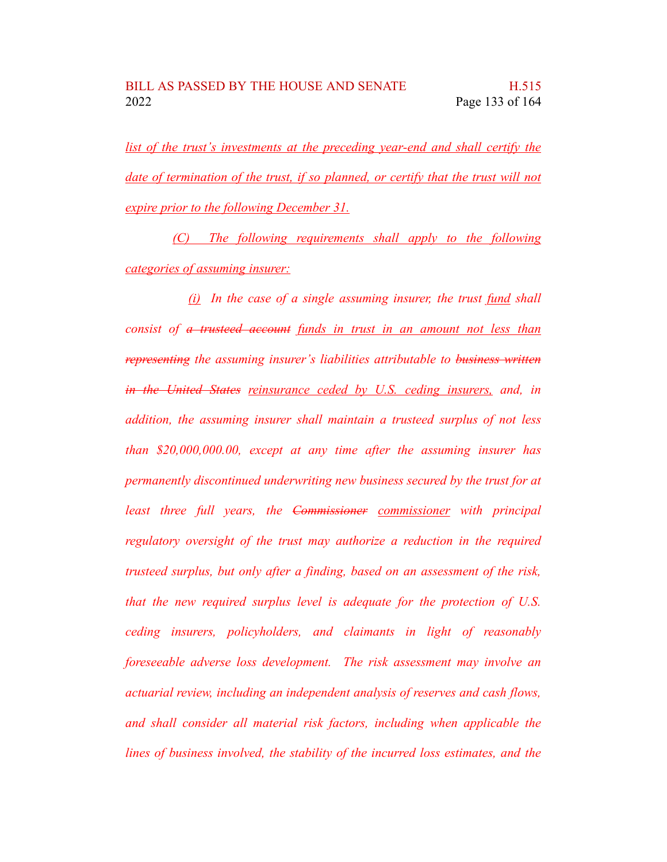*list of the trust's investments at the preceding year-end and shall certify the date of termination of the trust, if so planned, or certify that the trust will not expire prior to the following December 31.*

*(C) The following requirements shall apply to the following categories of assuming insurer:*

*(i) In the case of a single assuming insurer, the trust fund shall consist of a trusteed account funds in trust in an amount not less than representing the assuming insurer's liabilities attributable to business written in the United States reinsurance ceded by U.S. ceding insurers, and, in addition, the assuming insurer shall maintain a trusteed surplus of not less than \$20,000,000.00, except at any time after the assuming insurer has permanently discontinued underwriting new business secured by the trust for at least three full years, the Commissioner commissioner with principal regulatory oversight of the trust may authorize a reduction in the required trusteed surplus, but only after a finding, based on an assessment of the risk, that the new required surplus level is adequate for the protection of U.S. ceding insurers, policyholders, and claimants in light of reasonably foreseeable adverse loss development. The risk assessment may involve an actuarial review, including an independent analysis of reserves and cash flows, and shall consider all material risk factors, including when applicable the lines of business involved, the stability of the incurred loss estimates, and the*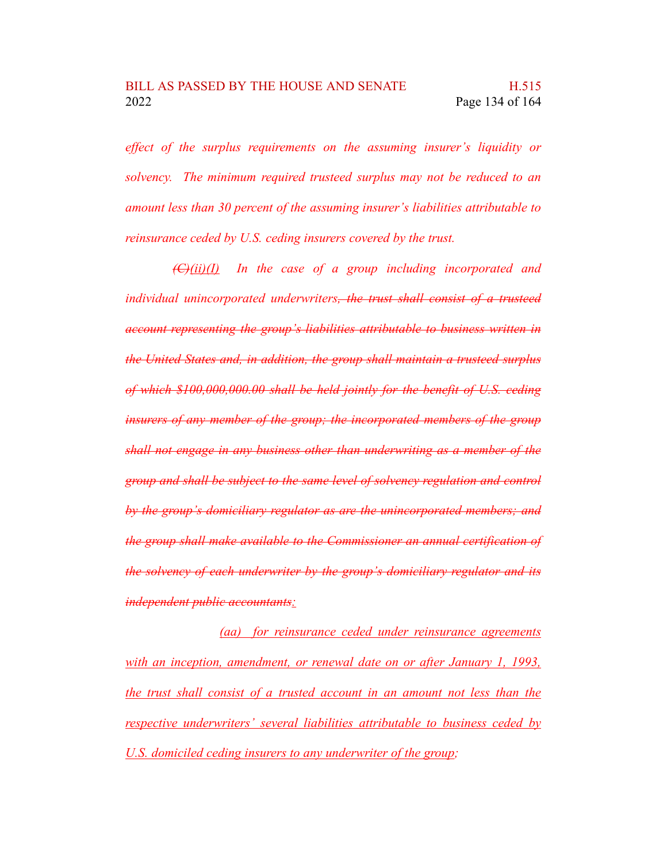*effect of the surplus requirements on the assuming insurer's liquidity or solvency. The minimum required trusteed surplus may not be reduced to an amount less than 30 percent of the assuming insurer's liabilities attributable to reinsurance ceded by U.S. ceding insurers covered by the trust.*

*(C)(ii)(I) In the case of a group including incorporated and individual unincorporated underwriters, the trust shall consist of a trusteed account representing the group's liabilities attributable to business written in the United States and, in addition, the group shall maintain a trusteed surplus of which \$100,000,000.00 shall be held jointly for the benefit of U.S. ceding insurers of any member of the group; the incorporated members of the group shall not engage in any business other than underwriting as a member of the group and shall be subject to the same level of solvency regulation and control by the group's domiciliary regulator as are the unincorporated members; and the group shall make available to the Commissioner an annual certification of the solvency of each underwriter by the group's domiciliary regulator and its independent public accountants:*

*(aa) for reinsurance ceded under reinsurance agreements with an inception, amendment, or renewal date on or after January 1, 1993, the trust shall consist of a trusted account in an amount not less than the respective underwriters' several liabilities attributable to business ceded by U.S. domiciled ceding insurers to any underwriter of the group;*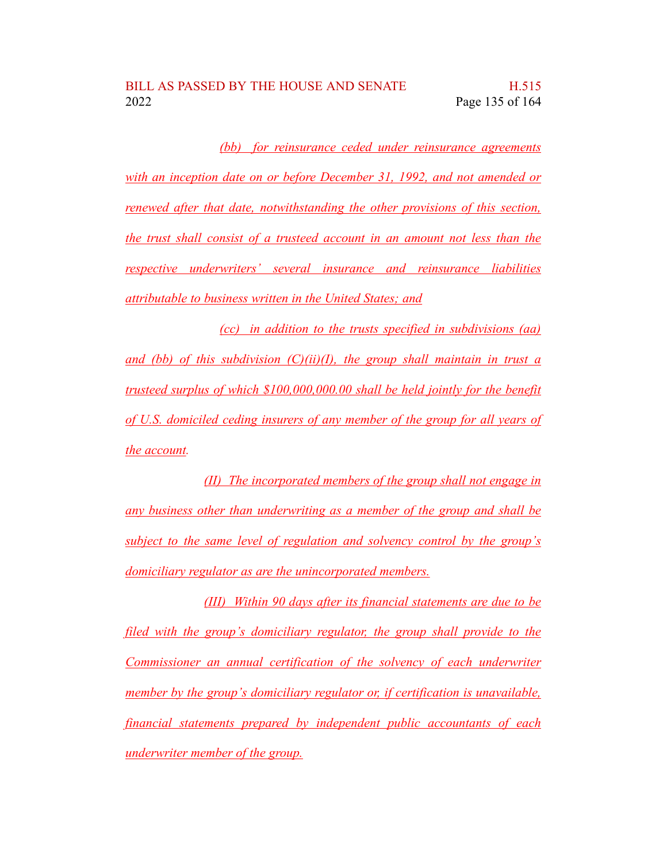*(bb) for reinsurance ceded under reinsurance agreements with an inception date on or before December 31, 1992, and not amended or renewed after that date, notwithstanding the other provisions of this section, the trust shall consist of a trusteed account in an amount not less than the respective underwriters' several insurance and reinsurance liabilities attributable to business written in the United States; and*

*(cc) in addition to the trusts specified in subdivisions (aa) and (bb) of this subdivision (C)(ii)(I), the group shall maintain in trust a trusteed surplus of which \$100,000,000.00 shall be held jointly for the benefit of U.S. domiciled ceding insurers of any member of the group for all years of the account.*

*(II) The incorporated members of the group shall not engage in any business other than underwriting as a member of the group and shall be subject to the same level of regulation and solvency control by the group's domiciliary regulator as are the unincorporated members.*

*(III) Within 90 days after its financial statements are due to be filed with the group's domiciliary regulator, the group shall provide to the Commissioner an annual certification of the solvency of each underwriter member by the group's domiciliary regulator or, if certification is unavailable, financial statements prepared by independent public accountants of each underwriter member of the group.*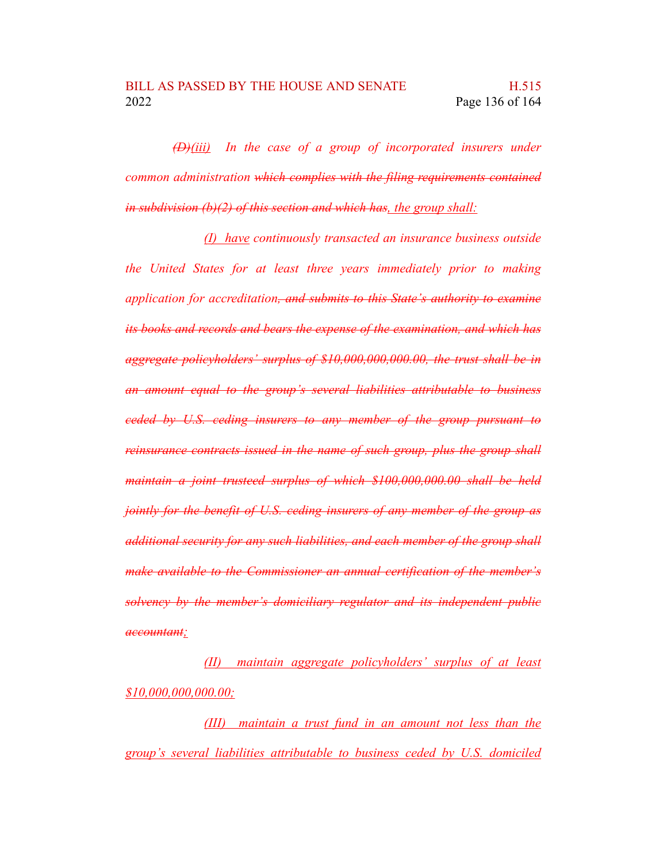*(D)(iii) In the case of a group of incorporated insurers under common administration which complies with the filing requirements contained in subdivision (b)(2) of this section and which has, the group shall:*

*(I) have continuously transacted an insurance business outside the United States for at least three years immediately prior to making application for accreditation, and submits to this State's authority to examine its books and records and bears the expense of the examination, and which has aggregate policyholders' surplus of \$10,000,000,000.00, the trust shall be in an amount equal to the group's several liabilities attributable to business ceded by U.S. ceding insurers to any member of the group pursuant to reinsurance contracts issued in the name of such group, plus the group shall maintain a joint trusteed surplus of which \$100,000,000.00 shall be held jointly for the benefit of U.S. ceding insurers of any member of the group as additional security for any such liabilities, and each member of the group shall make available to the Commissioner an annual certification of the member's solvency by the member's domiciliary regulator and its independent public accountant;*

*(II) maintain aggregate policyholders' surplus of at least \$10,000,000,000.00;*

*(III) maintain a trust fund in an amount not less than the group's several liabilities attributable to business ceded by U.S. domiciled*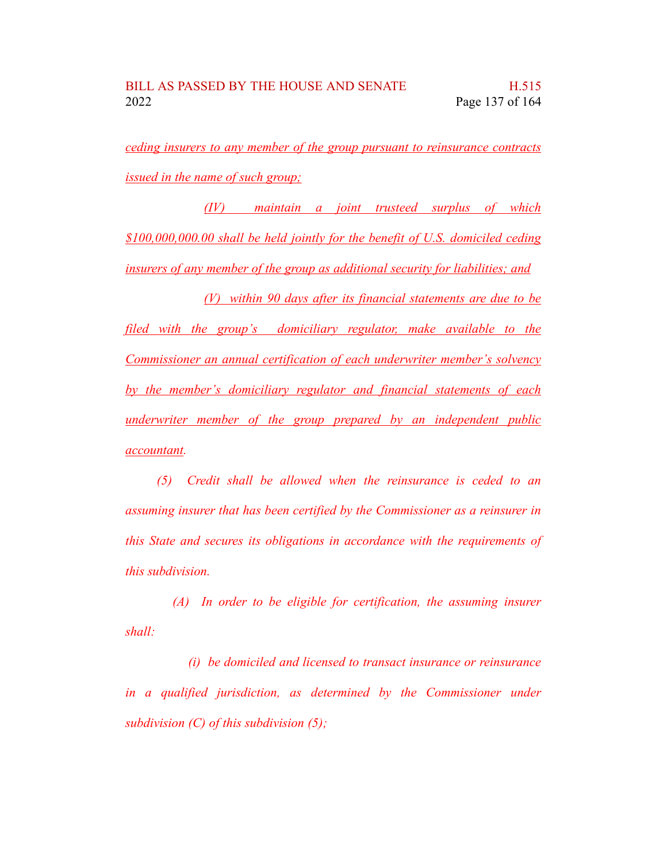*ceding insurers to any member of the group pursuant to reinsurance contracts issued in the name of such group;*

*(IV) maintain a joint trusteed surplus of which \$100,000,000.00 shall be held jointly for the benefit of U.S. domiciled ceding insurers of any member of the group as additional security for liabilities; and*

*(V) within 90 days after its financial statements are due to be filed with the group's domiciliary regulator, make available to the Commissioner an annual certification of each underwriter member's solvency by the member's domiciliary regulator and financial statements of each underwriter member of the group prepared by an independent public accountant.*

*(5) Credit shall be allowed when the reinsurance is ceded to an assuming insurer that has been certified by the Commissioner as a reinsurer in this State and secures its obligations in accordance with the requirements of this subdivision.*

*(A) In order to be eligible for certification, the assuming insurer shall:*

*(i) be domiciled and licensed to transact insurance or reinsurance in a qualified jurisdiction, as determined by the Commissioner under subdivision (C) of this subdivision (5);*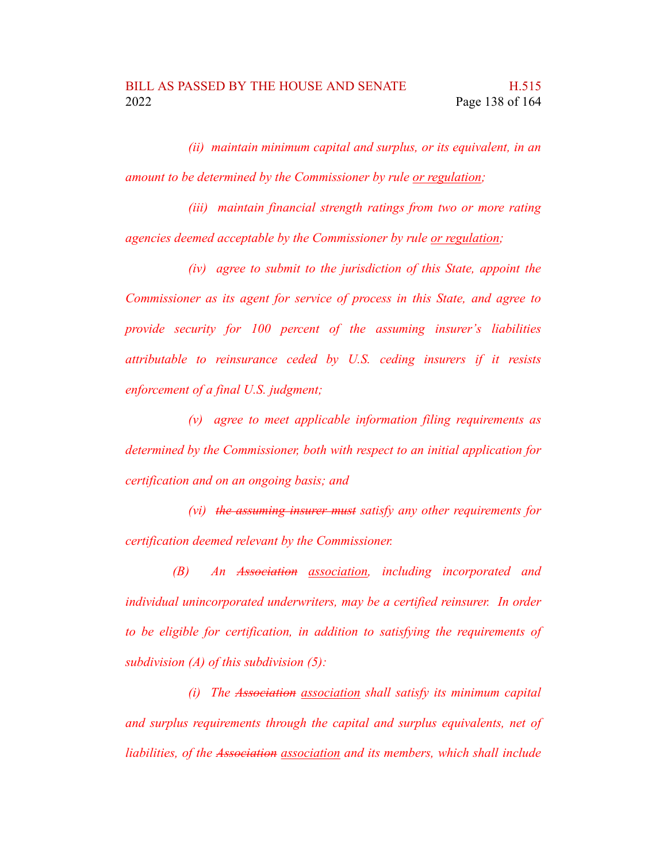*(ii) maintain minimum capital and surplus, or its equivalent, in an amount to be determined by the Commissioner by rule or regulation;*

*(iii) maintain financial strength ratings from two or more rating agencies deemed acceptable by the Commissioner by rule or regulation;*

*(iv) agree to submit to the jurisdiction of this State, appoint the Commissioner as its agent for service of process in this State, and agree to provide security for 100 percent of the assuming insurer's liabilities attributable to reinsurance ceded by U.S. ceding insurers if it resists enforcement of a final U.S. judgment;*

*(v) agree to meet applicable information filing requirements as determined by the Commissioner, both with respect to an initial application for certification and on an ongoing basis; and*

*(vi) the assuming insurer must satisfy any other requirements for certification deemed relevant by the Commissioner.*

*(B) An Association association, including incorporated and individual unincorporated underwriters, may be a certified reinsurer. In order to be eligible for certification, in addition to satisfying the requirements of subdivision (A) of this subdivision (5):*

*(i) The Association association shall satisfy its minimum capital and surplus requirements through the capital and surplus equivalents, net of liabilities, of the Association association and its members, which shall include*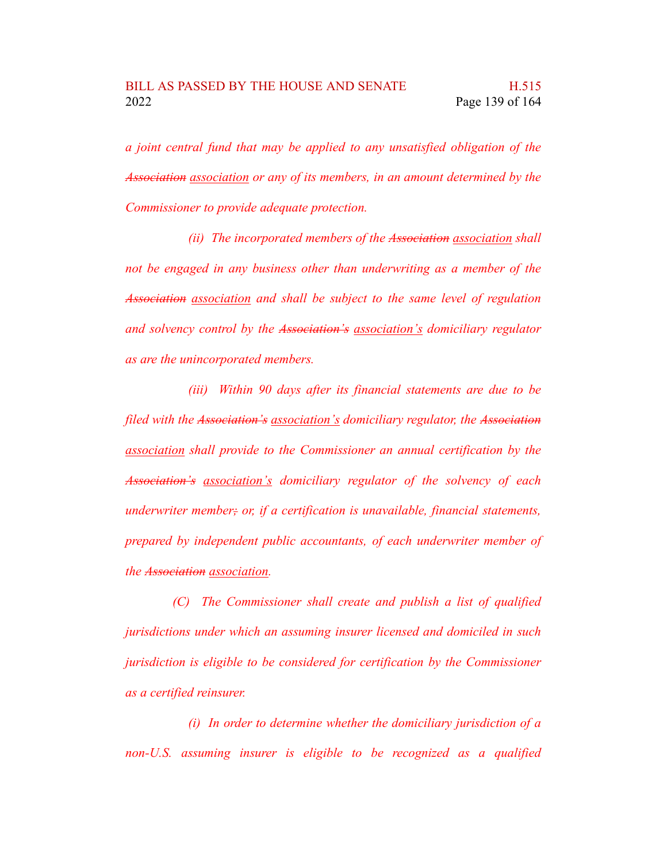*a joint central fund that may be applied to any unsatisfied obligation of the Association association or any of its members, in an amount determined by the Commissioner to provide adequate protection.*

*(ii) The incorporated members of the Association association shall not be engaged in any business other than underwriting as a member of the Association association and shall be subject to the same level of regulation and solvency control by the Association's association's domiciliary regulator as are the unincorporated members.*

*(iii) Within 90 days after its financial statements are due to be filed with the Association's association's domiciliary regulator, the Association association shall provide to the Commissioner an annual certification by the Association's association's domiciliary regulator of the solvency of each underwriter member; or, if a certification is unavailable, financial statements, prepared by independent public accountants, of each underwriter member of the Association association.*

*(C) The Commissioner shall create and publish a list of qualified jurisdictions under which an assuming insurer licensed and domiciled in such jurisdiction is eligible to be considered for certification by the Commissioner as a certified reinsurer.*

*(i) In order to determine whether the domiciliary jurisdiction of a non-U.S. assuming insurer is eligible to be recognized as a qualified*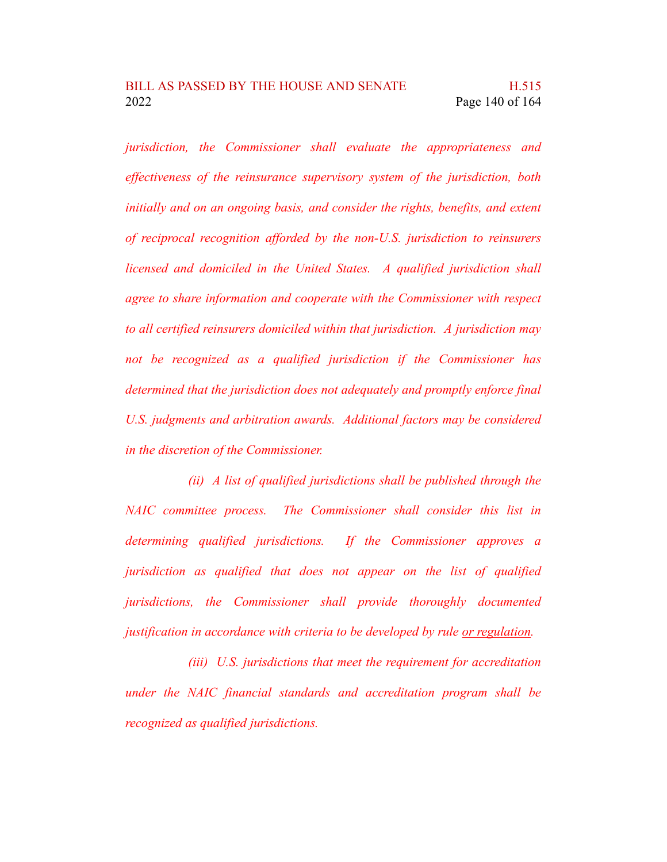*jurisdiction, the Commissioner shall evaluate the appropriateness and effectiveness of the reinsurance supervisory system of the jurisdiction, both initially and on an ongoing basis, and consider the rights, benefits, and extent of reciprocal recognition afforded by the non-U.S. jurisdiction to reinsurers licensed and domiciled in the United States. A qualified jurisdiction shall agree to share information and cooperate with the Commissioner with respect to all certified reinsurers domiciled within that jurisdiction. A jurisdiction may not be recognized as a qualified jurisdiction if the Commissioner has determined that the jurisdiction does not adequately and promptly enforce final U.S. judgments and arbitration awards. Additional factors may be considered in the discretion of the Commissioner.*

*(ii) A list of qualified jurisdictions shall be published through the NAIC committee process. The Commissioner shall consider this list in determining qualified jurisdictions. If the Commissioner approves a jurisdiction as qualified that does not appear on the list of qualified jurisdictions, the Commissioner shall provide thoroughly documented justification in accordance with criteria to be developed by rule or regulation.*

*(iii) U.S. jurisdictions that meet the requirement for accreditation under the NAIC financial standards and accreditation program shall be recognized as qualified jurisdictions.*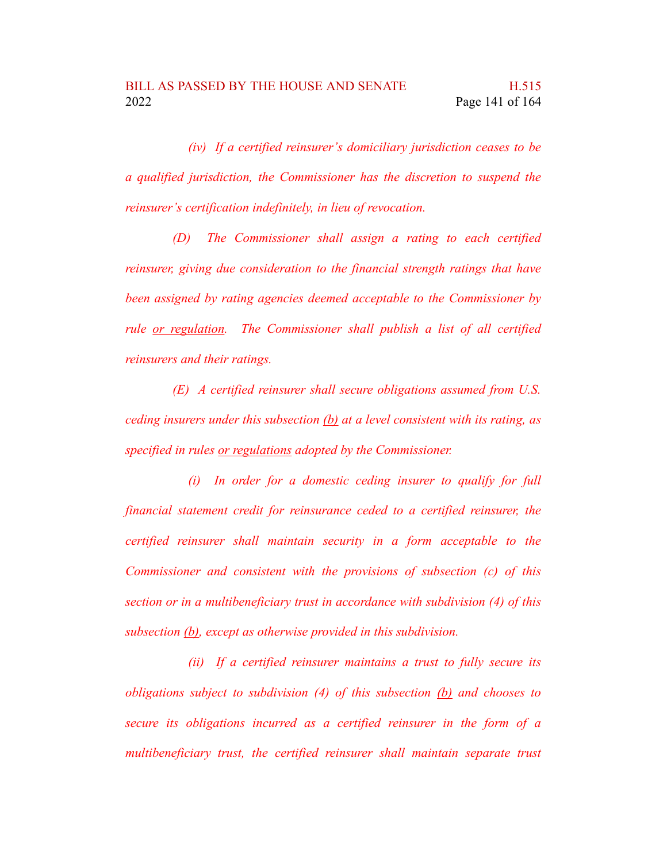*(iv) If a certified reinsurer's domiciliary jurisdiction ceases to be a qualified jurisdiction, the Commissioner has the discretion to suspend the reinsurer's certification indefinitely, in lieu of revocation.*

*(D) The Commissioner shall assign a rating to each certified reinsurer, giving due consideration to the financial strength ratings that have been assigned by rating agencies deemed acceptable to the Commissioner by rule or regulation. The Commissioner shall publish a list of all certified reinsurers and their ratings.*

*(E) A certified reinsurer shall secure obligations assumed from U.S. ceding insurers under this subsection (b) at a level consistent with its rating, as specified in rules or regulations adopted by the Commissioner.*

*(i) In order for a domestic ceding insurer to qualify for full financial statement credit for reinsurance ceded to a certified reinsurer, the certified reinsurer shall maintain security in a form acceptable to the Commissioner and consistent with the provisions of subsection (c) of this section or in a multibeneficiary trust in accordance with subdivision (4) of this subsection (b), except as otherwise provided in this subdivision.*

*(ii) If a certified reinsurer maintains a trust to fully secure its obligations subject to subdivision (4) of this subsection (b) and chooses to secure its obligations incurred as a certified reinsurer in the form of a multibeneficiary trust, the certified reinsurer shall maintain separate trust*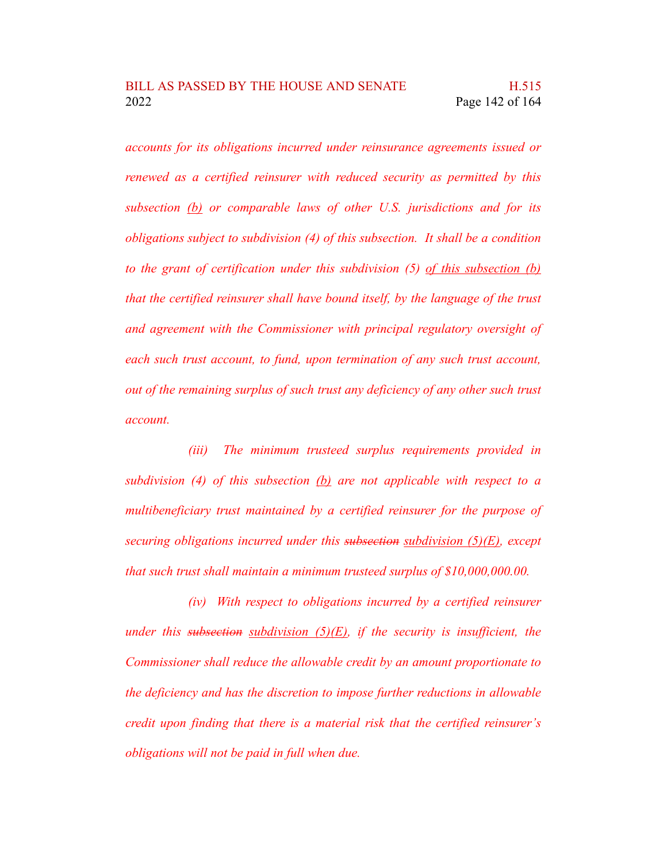*accounts for its obligations incurred under reinsurance agreements issued or renewed as a certified reinsurer with reduced security as permitted by this subsection (b) or comparable laws of other U.S. jurisdictions and for its obligations subject to subdivision (4) of this subsection. It shall be a condition to the grant of certification under this subdivision (5) of this subsection (b) that the certified reinsurer shall have bound itself, by the language of the trust and agreement with the Commissioner with principal regulatory oversight of each such trust account, to fund, upon termination of any such trust account, out of the remaining surplus of such trust any deficiency of any other such trust account.*

*(iii) The minimum trusteed surplus requirements provided in subdivision (4) of this subsection (b) are not applicable with respect to a multibeneficiary trust maintained by a certified reinsurer for the purpose of securing obligations incurred under this subsection subdivision (5)(E), except that such trust shall maintain a minimum trusteed surplus of \$10,000,000.00.*

*(iv) With respect to obligations incurred by a certified reinsurer under this subsection subdivision (5)(E), if the security is insufficient, the Commissioner shall reduce the allowable credit by an amount proportionate to the deficiency and has the discretion to impose further reductions in allowable credit upon finding that there is a material risk that the certified reinsurer's obligations will not be paid in full when due.*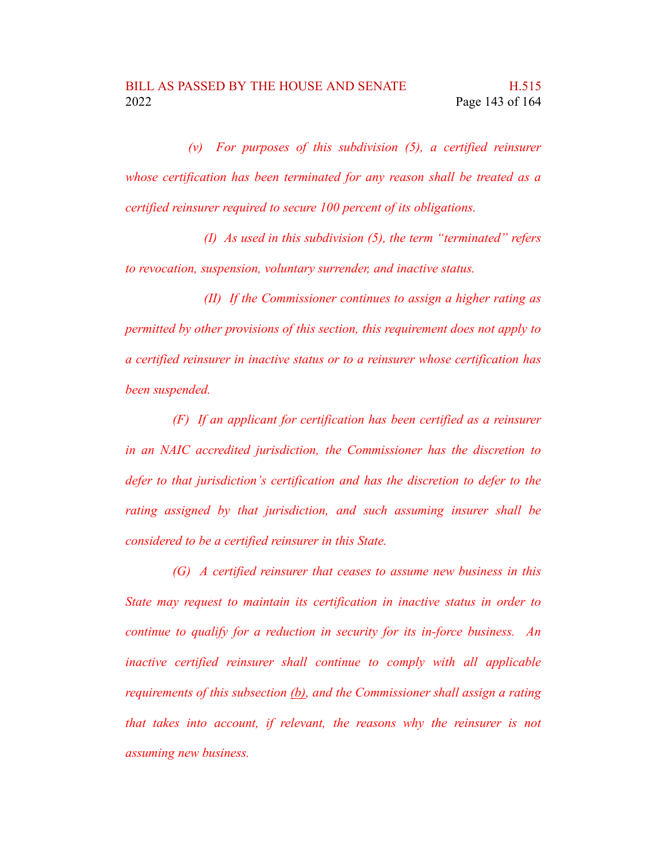*(v) For purposes of this subdivision (5), a certified reinsurer whose certification has been terminated for any reason shall be treated as a certified reinsurer required to secure 100 percent of its obligations.*

*(I) As used in this subdivision (5), the term "terminated" refers to revocation, suspension, voluntary surrender, and inactive status.*

*(II) If the Commissioner continues to assign a higher rating as permitted by other provisions of this section, this requirement does not apply to a certified reinsurer in inactive status or to a reinsurer whose certification has been suspended.*

*(F) If an applicant for certification has been certified as a reinsurer in an NAIC accredited jurisdiction, the Commissioner has the discretion to defer to that jurisdiction's certification and has the discretion to defer to the rating assigned by that jurisdiction, and such assuming insurer shall be considered to be a certified reinsurer in this State.*

*(G) A certified reinsurer that ceases to assume new business in this State may request to maintain its certification in inactive status in order to continue to qualify for a reduction in security for its in-force business. An inactive certified reinsurer shall continue to comply with all applicable requirements of this subsection (b), and the Commissioner shall assign a rating that takes into account, if relevant, the reasons why the reinsurer is not assuming new business.*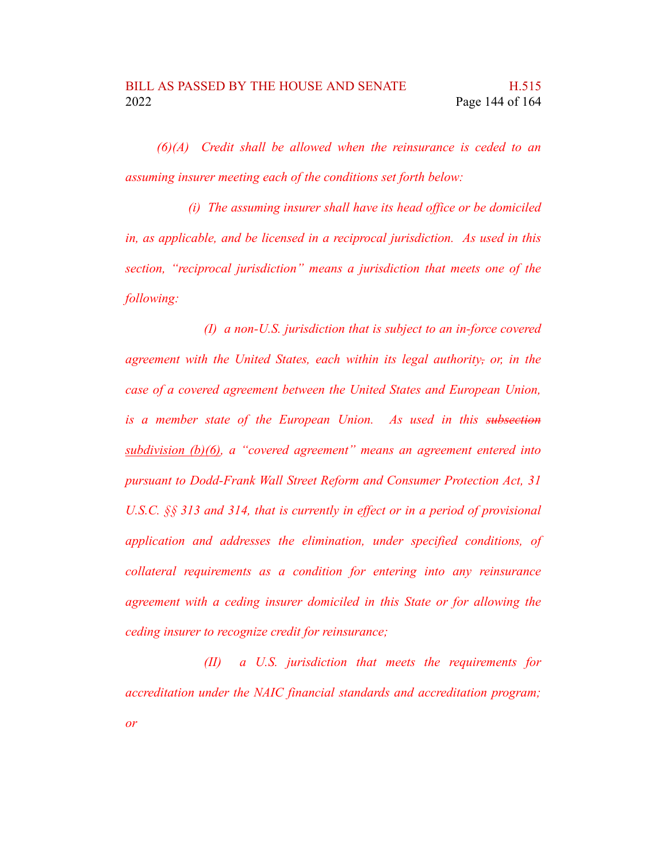*(6)(A) Credit shall be allowed when the reinsurance is ceded to an assuming insurer meeting each of the conditions set forth below:*

*(i) The assuming insurer shall have its head office or be domiciled in, as applicable, and be licensed in a reciprocal jurisdiction. As used in this section, "reciprocal jurisdiction" means a jurisdiction that meets one of the following:*

*(I) a non-U.S. jurisdiction that is subject to an in-force covered agreement with the United States, each within its legal authority, or, in the case of a covered agreement between the United States and European Union, is a member state of the European Union. As used in this subsection subdivision (b)(6), a "covered agreement" means an agreement entered into pursuant to Dodd-Frank Wall Street Reform and Consumer Protection Act, 31 U.S.C. §§ 313 and 314, that is currently in effect or in a period of provisional application and addresses the elimination, under specified conditions, of collateral requirements as a condition for entering into any reinsurance agreement with a ceding insurer domiciled in this State or for allowing the ceding insurer to recognize credit for reinsurance;*

*(II) a U.S. jurisdiction that meets the requirements for accreditation under the NAIC financial standards and accreditation program; or*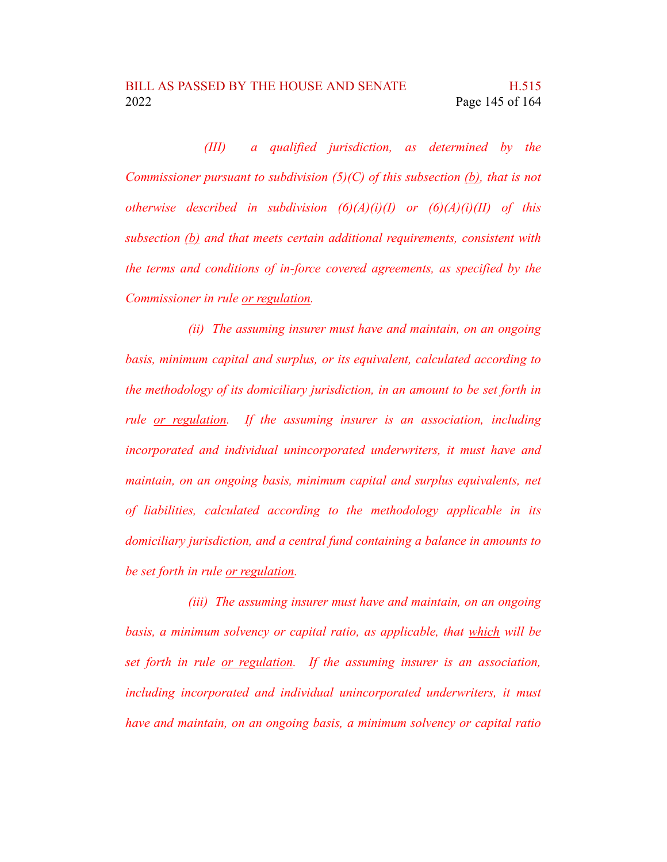*(III) a qualified jurisdiction, as determined by the Commissioner pursuant to subdivision (5)(C) of this subsection (b), that is not otherwise described in subdivision (6)(A)(i)(I) or (6)(A)(i)(II) of this subsection (b) and that meets certain additional requirements, consistent with the terms and conditions of in-force covered agreements, as specified by the Commissioner in rule or regulation.*

*(ii) The assuming insurer must have and maintain, on an ongoing basis, minimum capital and surplus, or its equivalent, calculated according to the methodology of its domiciliary jurisdiction, in an amount to be set forth in rule or regulation. If the assuming insurer is an association, including incorporated and individual unincorporated underwriters, it must have and maintain, on an ongoing basis, minimum capital and surplus equivalents, net of liabilities, calculated according to the methodology applicable in its domiciliary jurisdiction, and a central fund containing a balance in amounts to be set forth in rule or regulation.*

*(iii) The assuming insurer must have and maintain, on an ongoing basis, a minimum solvency or capital ratio, as applicable, that which will be set forth in rule or regulation. If the assuming insurer is an association, including incorporated and individual unincorporated underwriters, it must have and maintain, on an ongoing basis, a minimum solvency or capital ratio*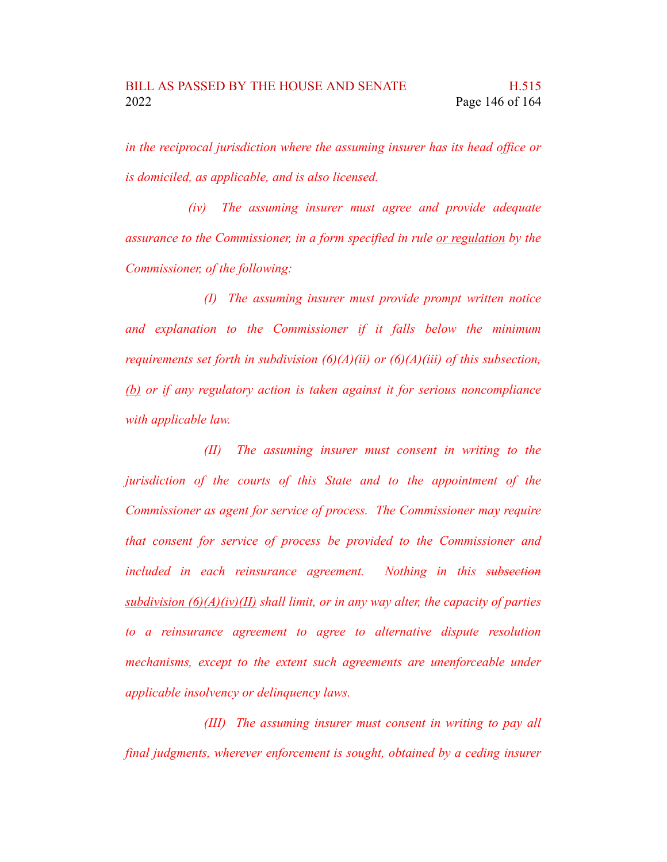*in the reciprocal jurisdiction where the assuming insurer has its head office or is domiciled, as applicable, and is also licensed.*

*(iv) The assuming insurer must agree and provide adequate assurance to the Commissioner, in a form specified in rule or regulation by the Commissioner, of the following:*

*(I) The assuming insurer must provide prompt written notice and explanation to the Commissioner if it falls below the minimum requirements set forth in subdivision (6)(A)(ii) or (6)(A)(iii) of this subsection, (b) or if any regulatory action is taken against it for serious noncompliance with applicable law.*

*(II) The assuming insurer must consent in writing to the jurisdiction of the courts of this State and to the appointment of the Commissioner as agent for service of process. The Commissioner may require that consent for service of process be provided to the Commissioner and included in each reinsurance agreement. Nothing in this subsection subdivision (6)(A)(iv)(II) shall limit, or in any way alter, the capacity of parties to a reinsurance agreement to agree to alternative dispute resolution mechanisms, except to the extent such agreements are unenforceable under applicable insolvency or delinquency laws.*

*(III) The assuming insurer must consent in writing to pay all final judgments, wherever enforcement is sought, obtained by a ceding insurer*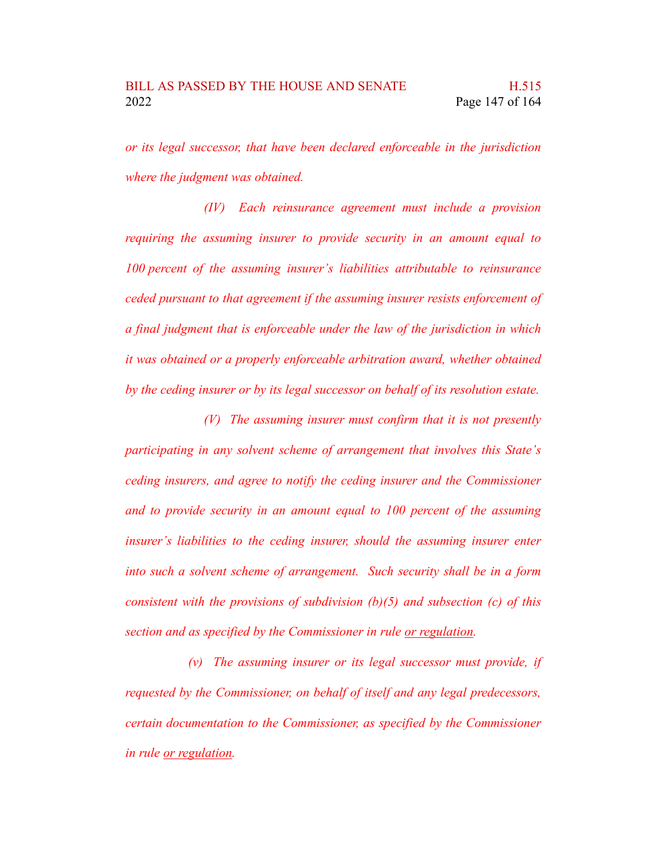*or its legal successor, that have been declared enforceable in the jurisdiction where the judgment was obtained.*

*(IV) Each reinsurance agreement must include a provision requiring the assuming insurer to provide security in an amount equal to 100 percent of the assuming insurer's liabilities attributable to reinsurance ceded pursuant to that agreement if the assuming insurer resists enforcement of a final judgment that is enforceable under the law of the jurisdiction in which it was obtained or a properly enforceable arbitration award, whether obtained by the ceding insurer or by its legal successor on behalf of its resolution estate.*

*(V) The assuming insurer must confirm that it is not presently participating in any solvent scheme of arrangement that involves this State's ceding insurers, and agree to notify the ceding insurer and the Commissioner and to provide security in an amount equal to 100 percent of the assuming insurer's liabilities to the ceding insurer, should the assuming insurer enter into such a solvent scheme of arrangement. Such security shall be in a form consistent with the provisions of subdivision (b)(5) and subsection (c) of this section and as specified by the Commissioner in rule or regulation.*

*(v) The assuming insurer or its legal successor must provide, if requested by the Commissioner, on behalf of itself and any legal predecessors, certain documentation to the Commissioner, as specified by the Commissioner in rule or regulation.*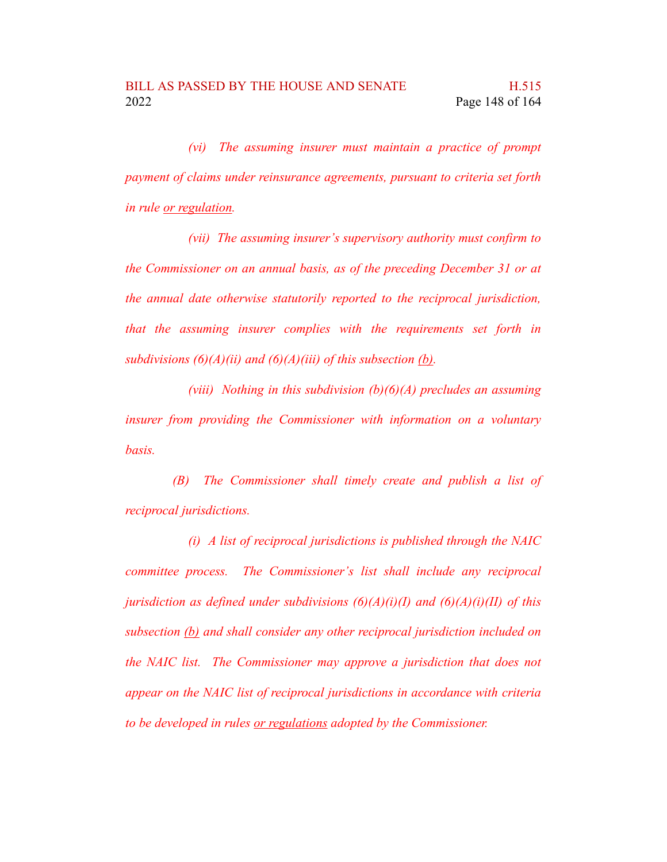*(vi) The assuming insurer must maintain a practice of prompt payment of claims under reinsurance agreements, pursuant to criteria set forth in rule or regulation.*

*(vii) The assuming insurer's supervisory authority must confirm to the Commissioner on an annual basis, as of the preceding December 31 or at the annual date otherwise statutorily reported to the reciprocal jurisdiction, that the assuming insurer complies with the requirements set forth in subdivisions (6)(A)(ii) and (6)(A)(iii) of this subsection (b).*

*(viii) Nothing in this subdivision (b)(6)(A) precludes an assuming insurer from providing the Commissioner with information on a voluntary basis.*

*(B) The Commissioner shall timely create and publish a list of reciprocal jurisdictions.*

*(i) A list of reciprocal jurisdictions is published through the NAIC committee process. The Commissioner's list shall include any reciprocal jurisdiction as defined under subdivisions (6)(A)(i)(I) and (6)(A)(i)(II) of this subsection (b) and shall consider any other reciprocal jurisdiction included on the NAIC list. The Commissioner may approve a jurisdiction that does not appear on the NAIC list of reciprocal jurisdictions in accordance with criteria to be developed in rules or regulations adopted by the Commissioner.*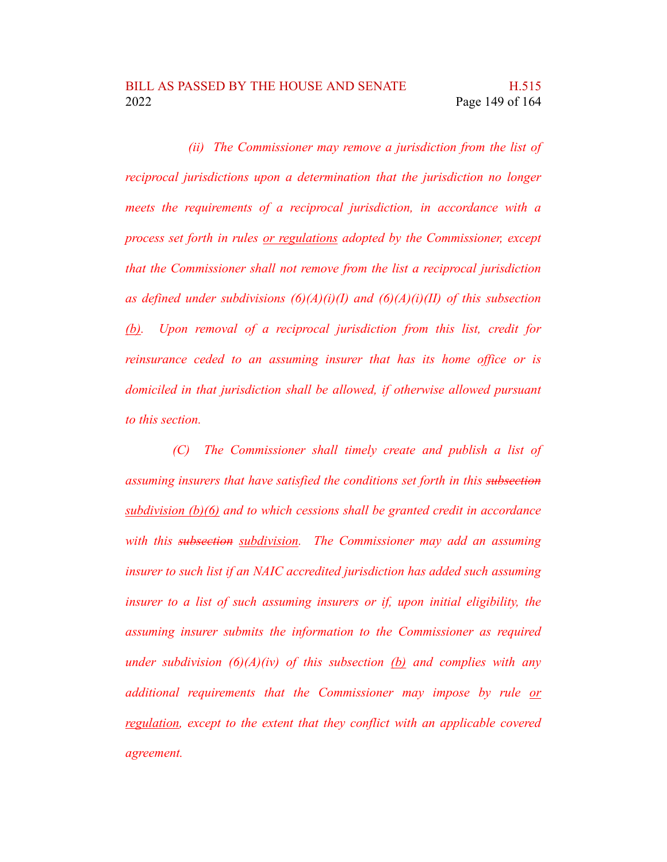*(ii) The Commissioner may remove a jurisdiction from the list of reciprocal jurisdictions upon a determination that the jurisdiction no longer meets the requirements of a reciprocal jurisdiction, in accordance with a process set forth in rules or regulations adopted by the Commissioner, except that the Commissioner shall not remove from the list a reciprocal jurisdiction as defined under subdivisions (6)(A)(i)(I) and (6)(A)(i)(II) of this subsection (b). Upon removal of a reciprocal jurisdiction from this list, credit for reinsurance ceded to an assuming insurer that has its home office or is domiciled in that jurisdiction shall be allowed, if otherwise allowed pursuant to this section.*

*(C) The Commissioner shall timely create and publish a list of assuming insurers that have satisfied the conditions set forth in this subsection subdivision (b)(6) and to which cessions shall be granted credit in accordance with this subsection subdivision. The Commissioner may add an assuming insurer to such list if an NAIC accredited jurisdiction has added such assuming insurer to a list of such assuming insurers or if, upon initial eligibility, the assuming insurer submits the information to the Commissioner as required under subdivision (6)(A)(iv) of this subsection (b) and complies with any additional requirements that the Commissioner may impose by rule or regulation, except to the extent that they conflict with an applicable covered agreement.*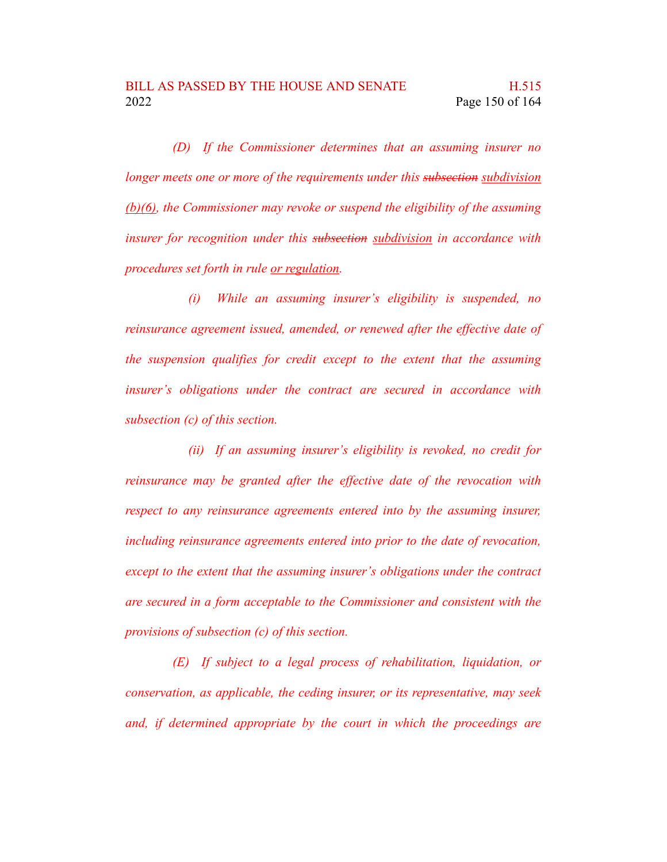*(D) If the Commissioner determines that an assuming insurer no longer meets one or more of the requirements under this subsection subdivision (b)(6), the Commissioner may revoke or suspend the eligibility of the assuming insurer for recognition under this subsection subdivision in accordance with procedures set forth in rule or regulation.*

*(i) While an assuming insurer's eligibility is suspended, no reinsurance agreement issued, amended, or renewed after the effective date of the suspension qualifies for credit except to the extent that the assuming insurer's obligations under the contract are secured in accordance with subsection (c) of this section.*

*(ii) If an assuming insurer's eligibility is revoked, no credit for reinsurance may be granted after the effective date of the revocation with respect to any reinsurance agreements entered into by the assuming insurer, including reinsurance agreements entered into prior to the date of revocation, except to the extent that the assuming insurer's obligations under the contract are secured in a form acceptable to the Commissioner and consistent with the provisions of subsection (c) of this section.*

*(E) If subject to a legal process of rehabilitation, liquidation, or conservation, as applicable, the ceding insurer, or its representative, may seek and, if determined appropriate by the court in which the proceedings are*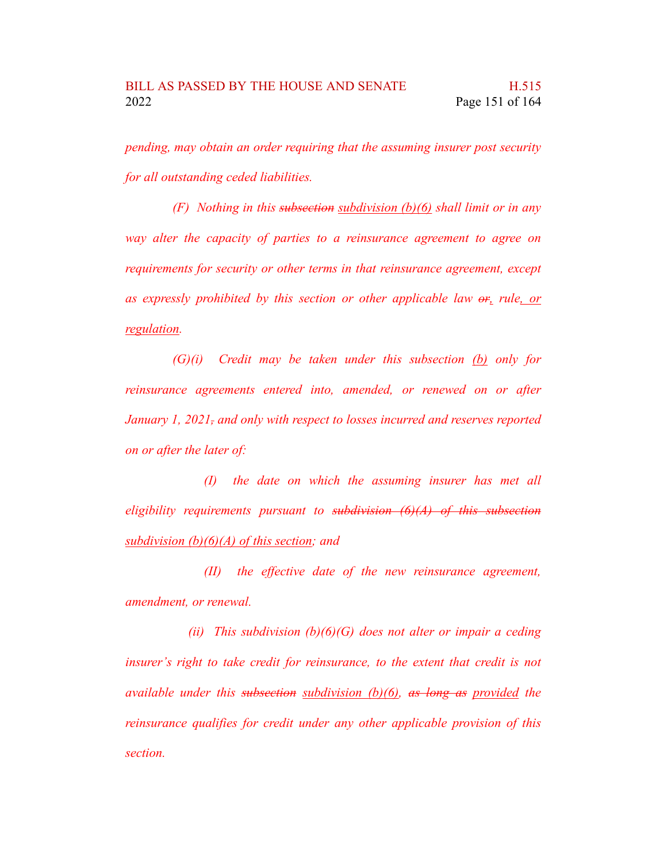*pending, may obtain an order requiring that the assuming insurer post security for all outstanding ceded liabilities.*

*(F) Nothing in this subsection subdivision (b)(6) shall limit or in any way alter the capacity of parties to a reinsurance agreement to agree on requirements for security or other terms in that reinsurance agreement, except as expressly prohibited by this section or other applicable law or, rule, or regulation.*

*(G)(i) Credit may be taken under this subsection (b) only for reinsurance agreements entered into, amended, or renewed on or after January 1, 2021, and only with respect to losses incurred and reserves reported on or after the later of:*

*(I) the date on which the assuming insurer has met all eligibility requirements pursuant to subdivision (6)(A) of this subsection subdivision (b)(6)(A) of this section; and*

*(II) the effective date of the new reinsurance agreement, amendment, or renewal.*

*(ii) This subdivision (b)(6)(G) does not alter or impair a ceding insurer's right to take credit for reinsurance, to the extent that credit is not available under this subsection subdivision (b)(6), as long as provided the reinsurance qualifies for credit under any other applicable provision of this section.*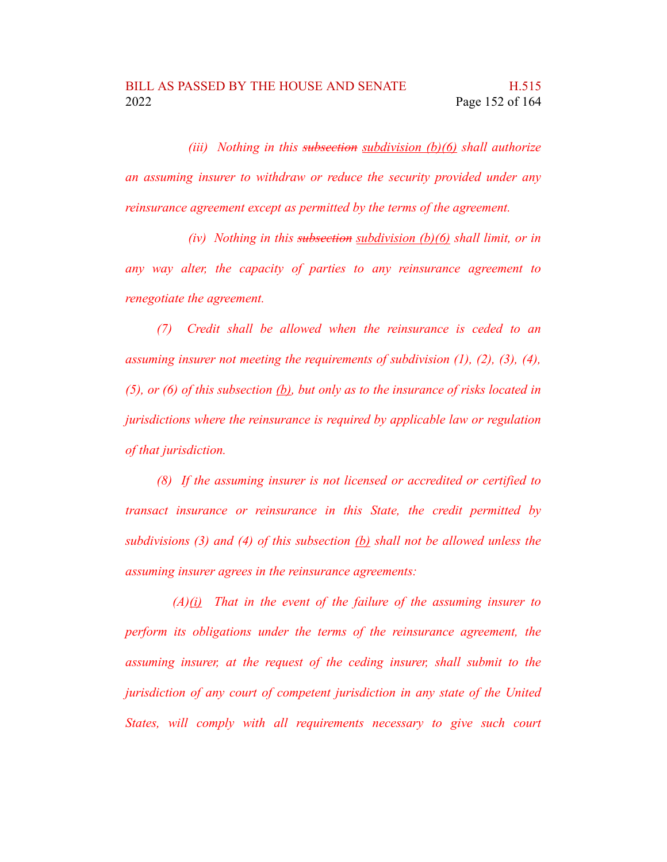*(iii) Nothing in this subsection subdivision (b)(6) shall authorize an assuming insurer to withdraw or reduce the security provided under any reinsurance agreement except as permitted by the terms of the agreement.*

*(iv) Nothing in this subsection subdivision (b)(6) shall limit, or in any way alter, the capacity of parties to any reinsurance agreement to renegotiate the agreement.*

*(7) Credit shall be allowed when the reinsurance is ceded to an assuming insurer not meeting the requirements of subdivision (1), (2), (3), (4), (5), or (6) of this subsection (b), but only as to the insurance of risks located in jurisdictions where the reinsurance is required by applicable law or regulation of that jurisdiction.*

*(8) If the assuming insurer is not licensed or accredited or certified to transact insurance or reinsurance in this State, the credit permitted by subdivisions (3) and (4) of this subsection (b) shall not be allowed unless the assuming insurer agrees in the reinsurance agreements:*

*(A)(i) That in the event of the failure of the assuming insurer to perform its obligations under the terms of the reinsurance agreement, the assuming insurer, at the request of the ceding insurer, shall submit to the jurisdiction of any court of competent jurisdiction in any state of the United States, will comply with all requirements necessary to give such court*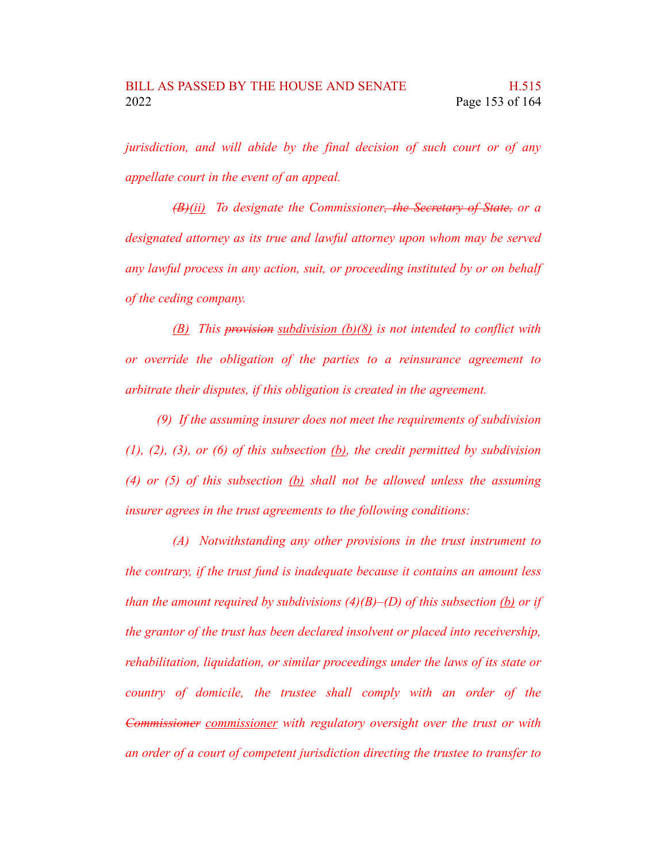*jurisdiction, and will abide by the final decision of such court or of any appellate court in the event of an appeal.*

*(B)(ii) To designate the Commissioner, the Secretary of State, or a designated attorney as its true and lawful attorney upon whom may be served any lawful process in any action, suit, or proceeding instituted by or on behalf of the ceding company.*

*(B) This provision subdivision (b)(8) is not intended to conflict with or override the obligation of the parties to a reinsurance agreement to arbitrate their disputes, if this obligation is created in the agreement.*

*(9) If the assuming insurer does not meet the requirements of subdivision (1), (2), (3), or (6) of this subsection (b), the credit permitted by subdivision (4) or (5) of this subsection (b) shall not be allowed unless the assuming insurer agrees in the trust agreements to the following conditions:*

*(A) Notwithstanding any other provisions in the trust instrument to the contrary, if the trust fund is inadequate because it contains an amount less than the amount required by subdivisions (4)(B)–(D) of this subsection (b) or if the grantor of the trust has been declared insolvent or placed into receivership, rehabilitation, liquidation, or similar proceedings under the laws of its state or country of domicile, the trustee shall comply with an order of the Commissioner commissioner with regulatory oversight over the trust or with an order of a court of competent jurisdiction directing the trustee to transfer to*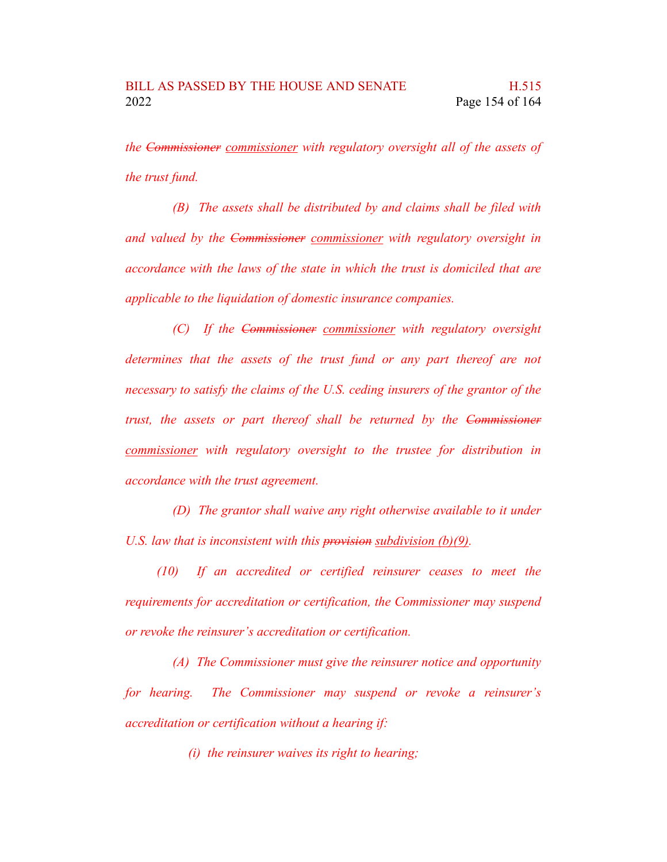*the Commissioner commissioner with regulatory oversight all of the assets of the trust fund.*

*(B) The assets shall be distributed by and claims shall be filed with and valued by the Commissioner commissioner with regulatory oversight in accordance with the laws of the state in which the trust is domiciled that are applicable to the liquidation of domestic insurance companies.*

*(C) If the Commissioner commissioner with regulatory oversight determines that the assets of the trust fund or any part thereof are not necessary to satisfy the claims of the U.S. ceding insurers of the grantor of the trust, the assets or part thereof shall be returned by the Commissioner commissioner with regulatory oversight to the trustee for distribution in accordance with the trust agreement.*

*(D) The grantor shall waive any right otherwise available to it under U.S. law that is inconsistent with this provision subdivision (b)(9).*

*(10) If an accredited or certified reinsurer ceases to meet the requirements for accreditation or certification, the Commissioner may suspend or revoke the reinsurer's accreditation or certification.*

*(A) The Commissioner must give the reinsurer notice and opportunity for hearing. The Commissioner may suspend or revoke a reinsurer's accreditation or certification without a hearing if:*

*(i) the reinsurer waives its right to hearing;*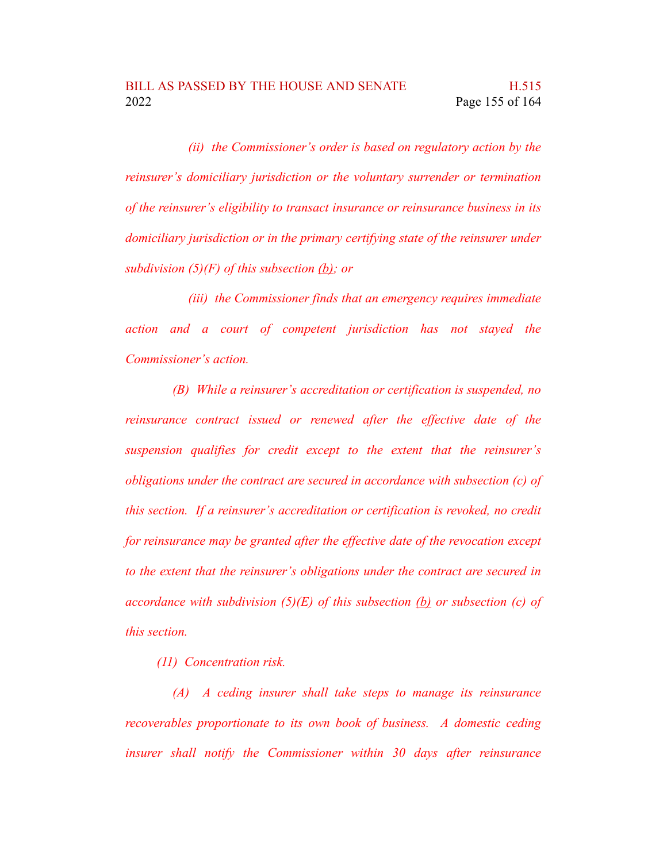*(ii) the Commissioner's order is based on regulatory action by the reinsurer's domiciliary jurisdiction or the voluntary surrender or termination of the reinsurer's eligibility to transact insurance or reinsurance business in its domiciliary jurisdiction or in the primary certifying state of the reinsurer under subdivision (5)(F) of this subsection (b); or*

*(iii) the Commissioner finds that an emergency requires immediate action and a court of competent jurisdiction has not stayed the Commissioner's action.*

*(B) While a reinsurer's accreditation or certification is suspended, no reinsurance contract issued or renewed after the effective date of the suspension qualifies for credit except to the extent that the reinsurer's obligations under the contract are secured in accordance with subsection (c) of this section. If a reinsurer's accreditation or certification is revoked, no credit for reinsurance may be granted after the effective date of the revocation except to the extent that the reinsurer's obligations under the contract are secured in accordance with subdivision (5)(E) of this subsection (b) or subsection (c) of this section.*

*(11) Concentration risk.*

*(A) A ceding insurer shall take steps to manage its reinsurance recoverables proportionate to its own book of business. A domestic ceding insurer shall notify the Commissioner within 30 days after reinsurance*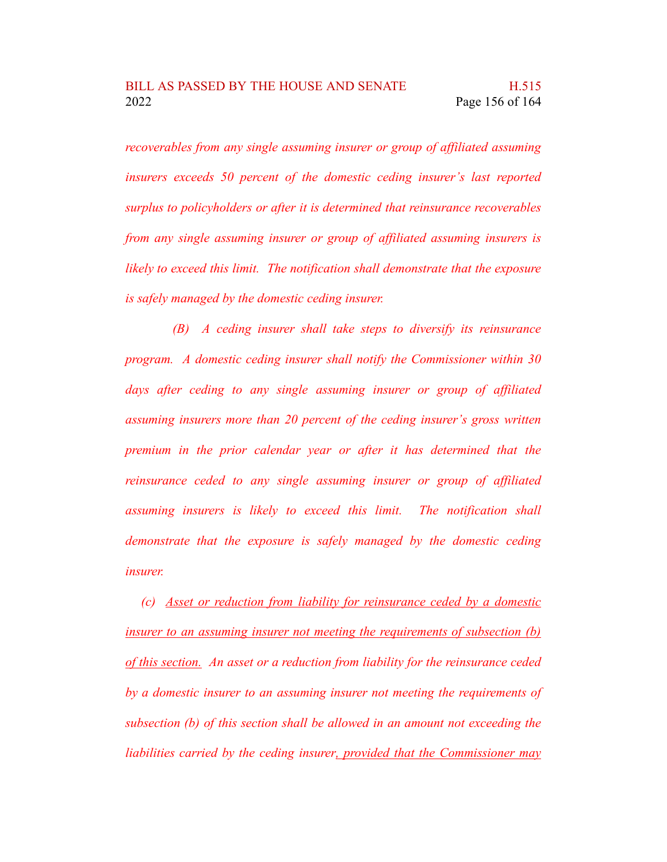*recoverables from any single assuming insurer or group of affiliated assuming insurers exceeds 50 percent of the domestic ceding insurer's last reported surplus to policyholders or after it is determined that reinsurance recoverables from any single assuming insurer or group of affiliated assuming insurers is likely to exceed this limit. The notification shall demonstrate that the exposure is safely managed by the domestic ceding insurer.*

*(B) A ceding insurer shall take steps to diversify its reinsurance program. A domestic ceding insurer shall notify the Commissioner within 30 days after ceding to any single assuming insurer or group of affiliated assuming insurers more than 20 percent of the ceding insurer's gross written premium in the prior calendar year or after it has determined that the reinsurance ceded to any single assuming insurer or group of affiliated assuming insurers is likely to exceed this limit. The notification shall demonstrate that the exposure is safely managed by the domestic ceding insurer.*

*(c) Asset or reduction from liability for reinsurance ceded by a domestic insurer to an assuming insurer not meeting the requirements of subsection (b) of this section. An asset or a reduction from liability for the reinsurance ceded by a domestic insurer to an assuming insurer not meeting the requirements of subsection (b) of this section shall be allowed in an amount not exceeding the liabilities carried by the ceding insurer, provided that the Commissioner may*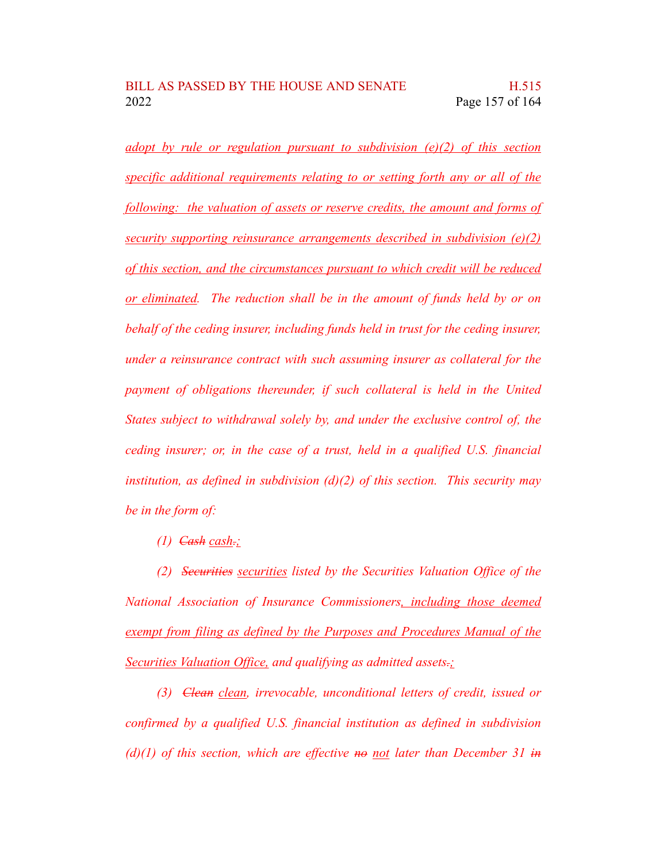*adopt by rule or regulation pursuant to subdivision (e)(2) of this section specific additional requirements relating to or setting forth any or all of the following: the valuation of assets or reserve credits, the amount and forms of security supporting reinsurance arrangements described in subdivision (e)(2) of this section, and the circumstances pursuant to which credit will be reduced or eliminated. The reduction shall be in the amount of funds held by or on behalf of the ceding insurer, including funds held in trust for the ceding insurer, under a reinsurance contract with such assuming insurer as collateral for the payment of obligations thereunder, if such collateral is held in the United States subject to withdrawal solely by, and under the exclusive control of, the ceding insurer; or, in the case of a trust, held in a qualified U.S. financial institution, as defined in subdivision (d)(2) of this section. This security may be in the form of:*

*(1) Cash cash.;*

*(2) Securities securities listed by the Securities Valuation Office of the National Association of Insurance Commissioners, including those deemed exempt from filing as defined by the Purposes and Procedures Manual of the Securities Valuation Office, and qualifying as admitted assets.;*

*(3) Clean clean, irrevocable, unconditional letters of credit, issued or confirmed by a qualified U.S. financial institution as defined in subdivision (d)(1) of this section, which are effective no not later than December 31 in*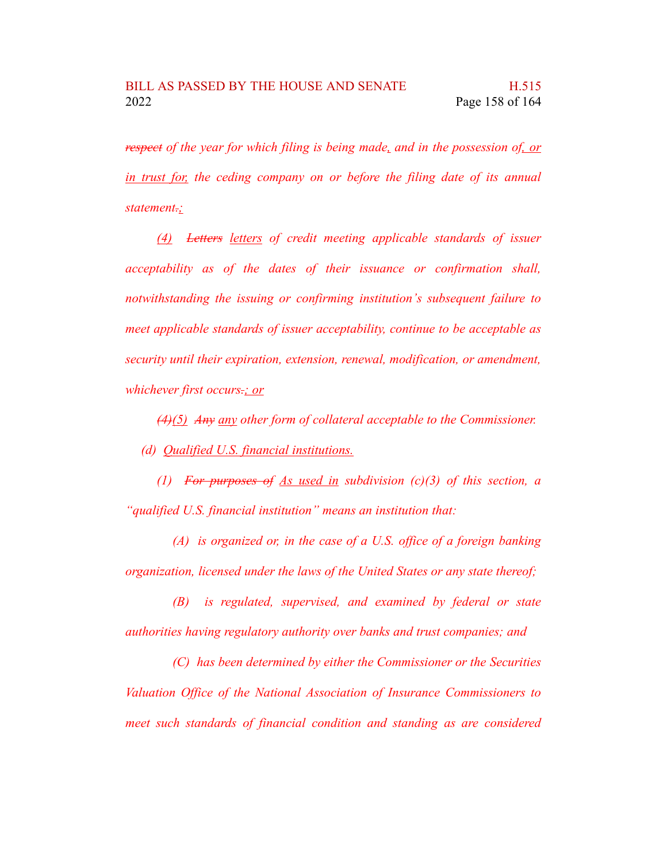*respect of the year for which filing is being made, and in the possession of, or in trust for, the ceding company on or before the filing date of its annual statement.;*

*(4) Letters letters of credit meeting applicable standards of issuer acceptability as of the dates of their issuance or confirmation shall, notwithstanding the issuing or confirming institution's subsequent failure to meet applicable standards of issuer acceptability, continue to be acceptable as security until their expiration, extension, renewal, modification, or amendment, whichever first occurs.; or*

*(4)(5) Any any other form of collateral acceptable to the Commissioner. (d) Qualified U.S. financial institutions.*

*(1) For purposes of As used in subdivision (c)(3) of this section, a "qualified U.S. financial institution" means an institution that:*

*(A) is organized or, in the case of a U.S. office of a foreign banking organization, licensed under the laws of the United States or any state thereof;*

*(B) is regulated, supervised, and examined by federal or state authorities having regulatory authority over banks and trust companies; and*

*(C) has been determined by either the Commissioner or the Securities Valuation Office of the National Association of Insurance Commissioners to meet such standards of financial condition and standing as are considered*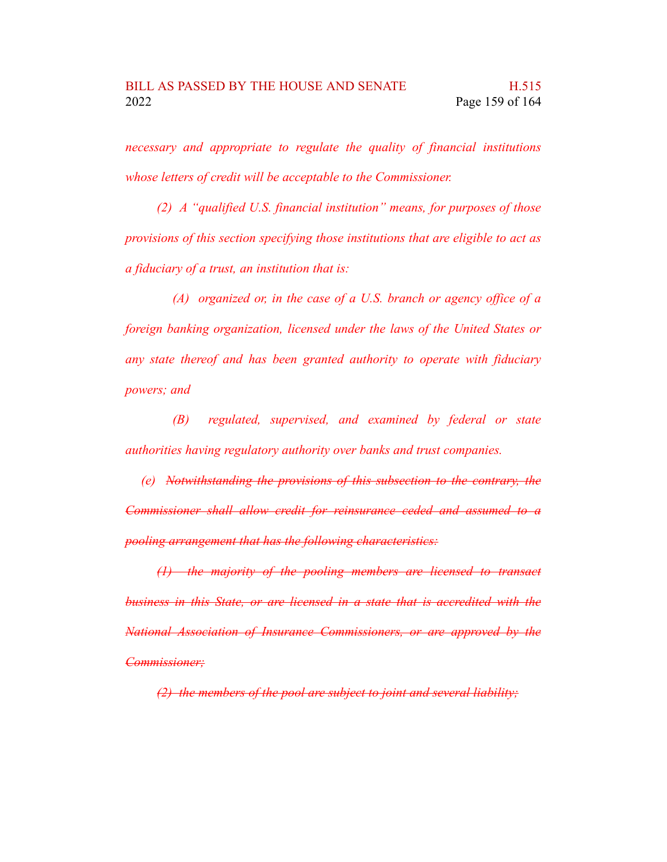*necessary and appropriate to regulate the quality of financial institutions whose letters of credit will be acceptable to the Commissioner.*

*(2) A "qualified U.S. financial institution" means, for purposes of those provisions of this section specifying those institutions that are eligible to act as a fiduciary of a trust, an institution that is:*

*(A) organized or, in the case of a U.S. branch or agency office of a foreign banking organization, licensed under the laws of the United States or any state thereof and has been granted authority to operate with fiduciary powers; and*

*(B) regulated, supervised, and examined by federal or state authorities having regulatory authority over banks and trust companies.*

*(e) Notwithstanding the provisions of this subsection to the contrary, the Commissioner shall allow credit for reinsurance ceded and assumed to a pooling arrangement that has the following characteristics:*

*(1) the majority of the pooling members are licensed to transact business in this State, or are licensed in a state that is accredited with the National Association of Insurance Commissioners, or are approved by the Commissioner;*

*(2) the members of the pool are subject to joint and several liability;*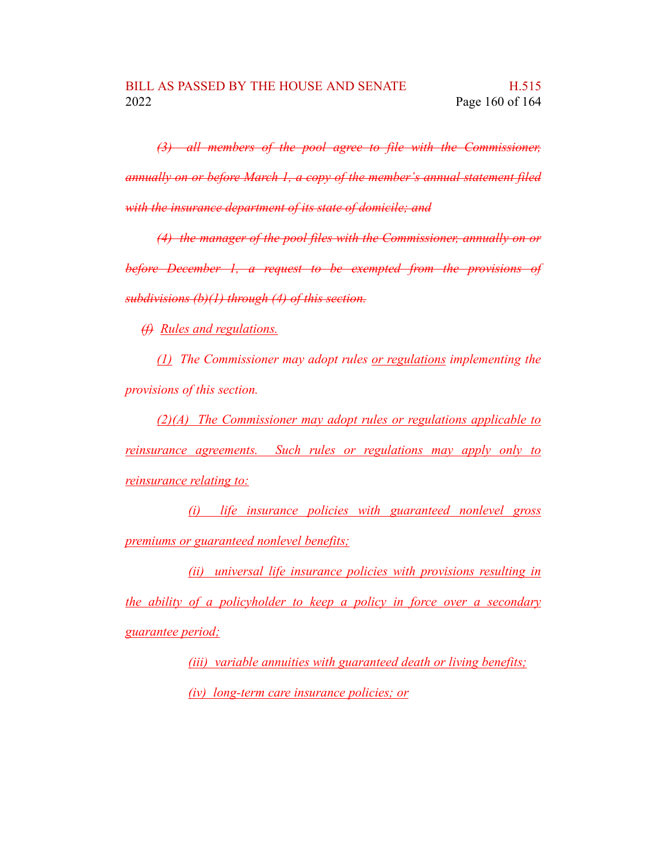*(3) all members of the pool agree to file with the Commissioner, annually on or before March 1, a copy of the member's annual statement filed with the insurance department of its state of domicile; and*

*(4) the manager of the pool files with the Commissioner, annually on or before December 1, a request to be exempted from the provisions of subdivisions (b)(1) through (4) of this section.*

*(f) Rules and regulations.*

*(1) The Commissioner may adopt rules or regulations implementing the provisions of this section.*

*(2)(A) The Commissioner may adopt rules or regulations applicable to reinsurance agreements. Such rules or regulations may apply only to reinsurance relating to:*

*(i) life insurance policies with guaranteed nonlevel gross premiums or guaranteed nonlevel benefits;*

*(ii) universal life insurance policies with provisions resulting in the ability of a policyholder to keep a policy in force over a secondary guarantee period;*

> *(iii) variable annuities with guaranteed death or living benefits; (iv) long-term care insurance policies; or*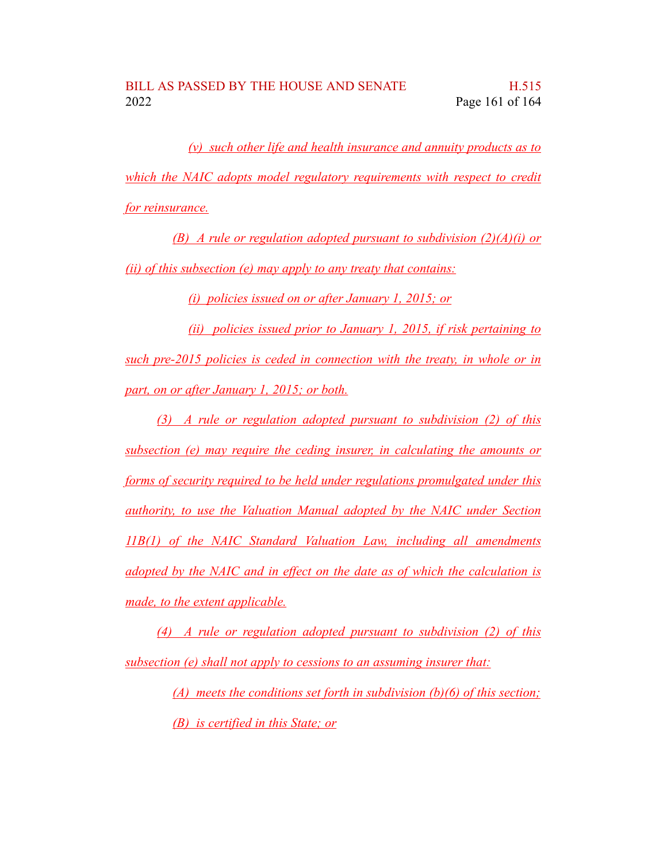*(v) such other life and health insurance and annuity products as to which the NAIC adopts model regulatory requirements with respect to credit for reinsurance.*

*(B) A rule or regulation adopted pursuant to subdivision (2)(A)(i) or (ii) of this subsection (e) may apply to any treaty that contains:*

*(i) policies issued on or after January 1, 2015; or*

*(ii) policies issued prior to January 1, 2015, if risk pertaining to such pre-2015 policies is ceded in connection with the treaty, in whole or in part, on or after January 1, 2015; or both.*

*(3) A rule or regulation adopted pursuant to subdivision (2) of this subsection (e) may require the ceding insurer, in calculating the amounts or forms of security required to be held under regulations promulgated under this authority, to use the Valuation Manual adopted by the NAIC under Section 11B(1) of the NAIC Standard Valuation Law, including all amendments adopted by the NAIC and in effect on the date as of which the calculation is made, to the extent applicable.*

*(4) A rule or regulation adopted pursuant to subdivision (2) of this subsection (e) shall not apply to cessions to an assuming insurer that:*

> *(A) meets the conditions set forth in subdivision (b)(6) of this section; (B) is certified in this State; or*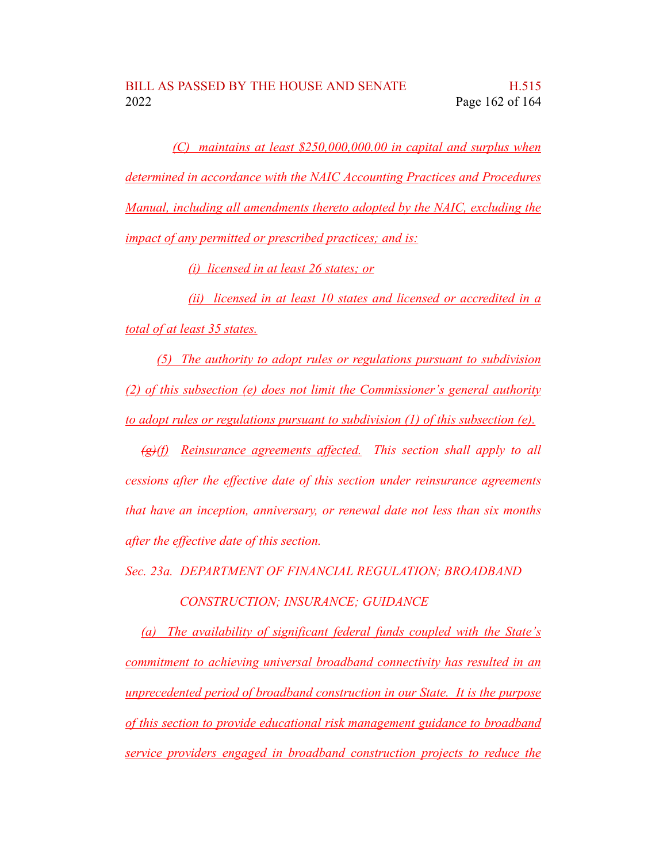*(C) maintains at least \$250,000,000.00 in capital and surplus when determined in accordance with the NAIC Accounting Practices and Procedures Manual, including all amendments thereto adopted by the NAIC, excluding the impact of any permitted or prescribed practices; and is:*

*(i) licensed in at least 26 states; or*

*(ii) licensed in at least 10 states and licensed or accredited in a total of at least 35 states.*

*(5) The authority to adopt rules or regulations pursuant to subdivision (2) of this subsection (e) does not limit the Commissioner's general authority to adopt rules or regulations pursuant to subdivision (1) of this subsection (e).*

*(g)(f) Reinsurance agreements affected. This section shall apply to all cessions after the effective date of this section under reinsurance agreements that have an inception, anniversary, or renewal date not less than six months after the effective date of this section.*

*Sec. 23a. DEPARTMENT OF FINANCIAL REGULATION; BROADBAND*

*CONSTRUCTION; INSURANCE; GUIDANCE*

*(a) The availability of significant federal funds coupled with the State's commitment to achieving universal broadband connectivity has resulted in an unprecedented period of broadband construction in our State. It is the purpose of this section to provide educational risk management guidance to broadband service providers engaged in broadband construction projects to reduce the*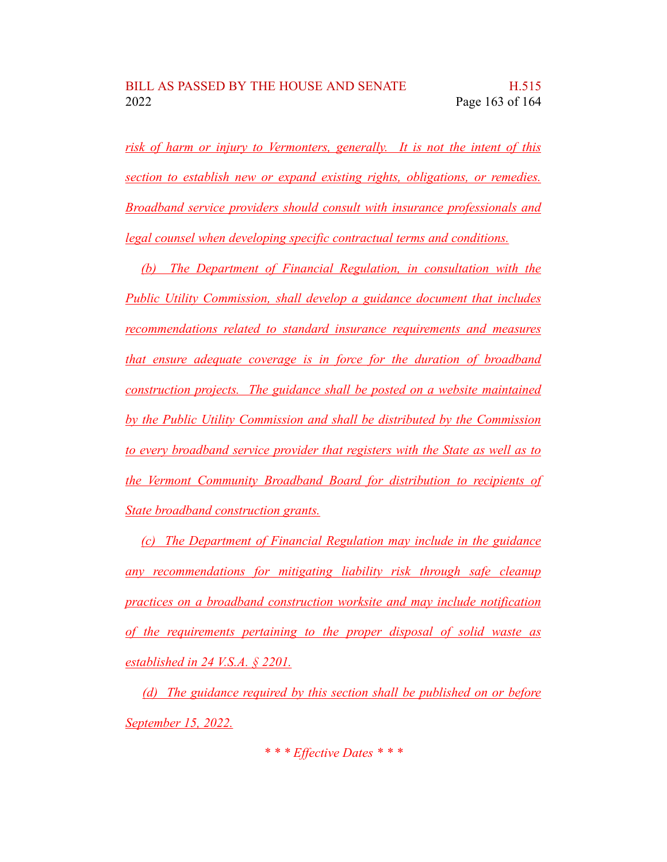*risk of harm or injury to Vermonters, generally. It is not the intent of this section to establish new or expand existing rights, obligations, or remedies. Broadband service providers should consult with insurance professionals and legal counsel when developing specific contractual terms and conditions.*

*(b) The Department of Financial Regulation, in consultation with the Public Utility Commission, shall develop a guidance document that includes recommendations related to standard insurance requirements and measures that ensure adequate coverage is in force for the duration of broadband construction projects. The guidance shall be posted on a website maintained by the Public Utility Commission and shall be distributed by the Commission to every broadband service provider that registers with the State as well as to the Vermont Community Broadband Board for distribution to recipients of State broadband construction grants.*

*(c) The Department of Financial Regulation may include in the guidance any recommendations for mitigating liability risk through safe cleanup practices on a broadband construction worksite and may include notification of the requirements pertaining to the proper disposal of solid waste as established in 24 V.S.A. § 2201.*

*(d) The guidance required by this section shall be published on or before September 15, 2022.*

*\* \* \* Effective Dates \* \* \**